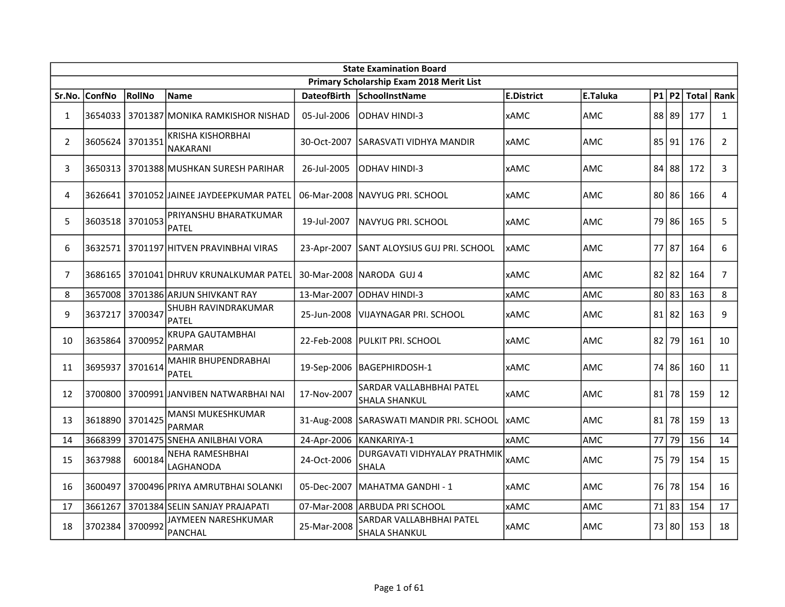|                | <b>State Examination Board</b><br>Primary Scholarship Exam 2018 Merit List |         |                                             |                    |                                                  |                   |            |  |           |               |                |  |  |
|----------------|----------------------------------------------------------------------------|---------|---------------------------------------------|--------------------|--------------------------------------------------|-------------------|------------|--|-----------|---------------|----------------|--|--|
|                |                                                                            |         |                                             |                    |                                                  |                   |            |  |           |               |                |  |  |
| Sr.No.         | <b>ConfNo</b>                                                              | RollNo  | <b>Name</b>                                 | <b>DateofBirth</b> | <b>SchoolInstName</b>                            | <b>E.District</b> | E.Taluka   |  |           | $P1$ P2 Total | Rank           |  |  |
| $\mathbf{1}$   | 3654033                                                                    |         | l 3701387lMONIKA RAMKISHOR NISHAD           | 05-Jul-2006        | IODHAV HINDI-3                                   | <b>xAMC</b>       | AMC        |  | 88 89     | 177           | $\mathbf{1}$   |  |  |
| $\overline{2}$ | 3605624                                                                    | 3701351 | <b>KRISHA KISHORBHAI</b><br><b>NAKARANI</b> | 30-Oct-2007        | SARASVATI VIDHYA MANDIR                          | <b>xAMC</b>       | AMC        |  | 85 91     | 176           | $\overline{2}$ |  |  |
| 3              | 3650313                                                                    |         | 3701388 MUSHKAN SURESH PARIHAR              | 26-Jul-2005        | ODHAV HINDI-3                                    | <b>xAMC</b>       | AMC        |  | 84 88     | 172           | 3              |  |  |
| 4              | 3626641                                                                    |         | 3701052 JAINEE JAYDEEPKUMAR PATEL           |                    | 06-Mar-2008 INAVYUG PRI. SCHOOL                  | <b>xAMC</b>       | AMC        |  | 80 86     | 166           | $\overline{4}$ |  |  |
| 5              | 3603518                                                                    | 3701053 | PRIYANSHU BHARATKUMAR<br><b>PATEL</b>       | 19-Jul-2007        | INAVYUG PRI. SCHOOL                              | <b>xAMC</b>       | AMC        |  | 79 86     | 165           | 5              |  |  |
| 6              | 3632571                                                                    |         | 3701197 HITVEN PRAVINBHAI VIRAS             | 23-Apr-2007        | <b>SANT ALOYSIUS GUJ PRI. SCHOOL</b>             | xAMC              | AMC        |  | 77 87     | 164           | 6              |  |  |
| 7              | 3686165                                                                    |         | 3701041 DHRUV KRUNALKUMAR PATEL             |                    | 30-Mar-2008 INARODA GUJ 4                        | xAMC              | AMC        |  | $82$   82 | 164           | 7 <sup>1</sup> |  |  |
| 8              | 3657008                                                                    |         | 3701386 ARJUN SHIVKANT RAY                  | 13-Mar-2007        | ODHAV HINDI-3                                    | <b>xAMC</b>       | <b>AMC</b> |  | 80 83     | 163           | 8              |  |  |
| 9              | 3637217                                                                    | 3700347 | SHUBH RAVINDRAKUMAR<br>PATEL                | 25-Jun-2008        | VIJAYNAGAR PRI. SCHOOL                           | <b>xAMC</b>       | <b>AMC</b> |  | 81 82     | 163           | 9              |  |  |
| 10             | 3635864 3700952                                                            |         | <b>KRUPA GAUTAMBHAI</b><br><b>PARMAR</b>    |                    | 22-Feb-2008 PULKIT PRI. SCHOOL                   | <b>xAMC</b>       | <b>AMC</b> |  | 82 79     | 161           | 10             |  |  |
| 11             | 3695937                                                                    | 3701614 | <b>MAHIR BHUPENDRABHAI</b><br><b>PATEL</b>  |                    | 19-Sep-2006   BAGEPHIRDOSH-1                     | <b>xAMC</b>       | AMC        |  | 74 86     | 160           | 11             |  |  |
| 12             | 3700800                                                                    |         | l 3700991 JANVIBEN NATWARBHAI NAI           | 17-Nov-2007        | SARDAR VALLABHBHAI PATEL<br><b>SHALA SHANKUL</b> | <b>xAMC</b>       | <b>AMC</b> |  | 81 78     | 159           | 12             |  |  |
| 13             | 3618890                                                                    | 3701425 | <b>MANSI MUKESHKUMAR</b><br><b>PARMAR</b>   |                    | 31-Aug-2008 SARASWATI MANDIR PRI. SCHOOL         | <b>xAMC</b>       | AMC        |  | $81$ 78   | 159           | 13             |  |  |
| 14             | 3668399                                                                    |         | 3701475 SNEHA ANILBHAI VORA                 | 24-Apr-2006        | KANKARIYA-1                                      | <b>xAMC</b>       | AMC        |  | 77 79     | 156           | 14             |  |  |
| 15             | 3637988                                                                    | 600184  | NEHA RAMESHBHAI<br>LAGHANODA                | 24-Oct-2006        | DURGAVATI VIDHYALAY PRATHMIK<br><b>SHALA</b>     | <b>xAMC</b>       | AMC        |  | 75 79     | 154           | 15             |  |  |
| 16             | 3600497                                                                    |         | 3700496 PRIYA AMRUTBHAI SOLANKI             | 05-Dec-2007        | lMAHATMA GANDHI - 1                              | <b>xAMC</b>       | AMC        |  | 76 78     | 154           | 16             |  |  |
| 17             | 3661267                                                                    |         | 3701384 SELIN SANJAY PRAJAPATI              |                    | 07-Mar-2008 ARBUDA PRI SCHOOL                    | <b>xAMC</b>       | <b>AMC</b> |  | 71 83     | 154           | 17             |  |  |
| 18             | 3702384                                                                    | 3700992 | JAYMEEN NARESHKUMAR<br><b>PANCHAL</b>       | 25-Mar-2008        | SARDAR VALLABHBHAI PATEL<br><b>SHALA SHANKUL</b> | <b>xAMC</b>       | <b>AMC</b> |  | 73 80     | 153           | 18             |  |  |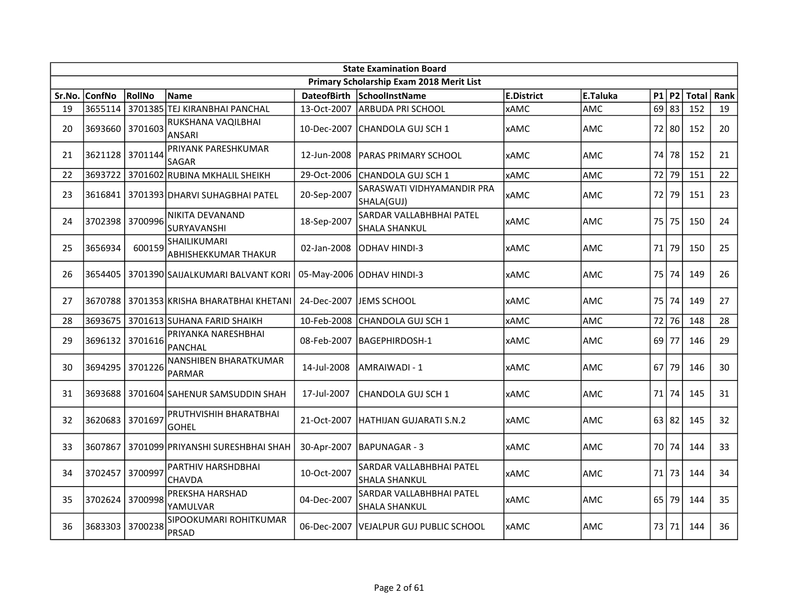|        | <b>State Examination Board</b> |         |                                      |                    |                                                  |                   |            |  |           |              |      |  |  |
|--------|--------------------------------|---------|--------------------------------------|--------------------|--------------------------------------------------|-------------------|------------|--|-----------|--------------|------|--|--|
|        |                                |         |                                      |                    | Primary Scholarship Exam 2018 Merit List         |                   |            |  |           |              |      |  |  |
| Sr.No. | <b>ConfNo</b>                  | RollNo  | <b>Name</b>                          | <b>DateofBirth</b> | SchoolInstName                                   | <b>E.District</b> | E.Taluka   |  | $P1$ $P2$ | <b>Total</b> | Rank |  |  |
| 19     | 3655114                        |         | 3701385 TEJ KIRANBHAI PANCHAL        | 13-Oct-2007        | ARBUDA PRI SCHOOL                                | <b>xAMC</b>       | AMC        |  | $69$ 83   | 152          | 19   |  |  |
| 20     | 3693660 3701603                |         | RUKSHANA VAQILBHAI<br><b>ANSARI</b>  | 10-Dec-2007        | CHANDOLA GUJ SCH 1                               | <b>xAMC</b>       | <b>AMC</b> |  | 72 80     | 152          | 20   |  |  |
| 21     | 3621128 3701144                |         | PRIYANK PARESHKUMAR<br>SAGAR         | 12-Jun-2008        | IPARAS PRIMARY SCHOOL                            | <b>xAMC</b>       | <b>AMC</b> |  | 74 78     | 152          | 21   |  |  |
| 22     | 3693722                        |         | 3701602 RUBINA MKHALIL SHEIKH        | 29-Oct-2006        | CHANDOLA GUJ SCH 1                               | <b>xAMC</b>       | AMC        |  | 72 79     | 151          | 22   |  |  |
| 23     | 3616841                        |         | 3701393 DHARVI SUHAGBHAI PATEL       | 20-Sep-2007        | SARASWATI VIDHYAMANDIR PRA<br>SHALA(GUJ)         | <b>xAMC</b>       | <b>AMC</b> |  | 72 79     | 151          | 23   |  |  |
| 24     | 3702398                        | 3700996 | NIKITA DEVANAND<br>SURYAVANSHI       | 18-Sep-2007        | SARDAR VALLABHBHAI PATEL<br><b>SHALA SHANKUL</b> | <b>xAMC</b>       | lamc       |  | 75   75   | 150          | 24   |  |  |
| 25     | 3656934                        | 600159  | SHAILIKUMARI<br>ABHISHEKKUMAR THAKUR | 02-Jan-2008        | ODHAV HINDI-3                                    | <b>xAMC</b>       | AMC        |  | 71 79     | 150          | 25   |  |  |
| 26     | 3654405                        |         | 3701390 SAIJALKUMARI BALVANT KORI    |                    | 05-May-2006 ODHAV HINDI-3                        | <b>xAMC</b>       | <b>AMC</b> |  | 75 74     | 149          | 26   |  |  |
| 27     | 3670788                        |         | 3701353 KRISHA BHARATBHAI KHETANI    | 24-Dec-2007        | JEMS SCHOOL                                      | <b>xAMC</b>       | <b>AMC</b> |  | 75 74     | 149          | 27   |  |  |
| 28     | 3693675                        |         | 3701613 SUHANA FARID SHAIKH          | 10-Feb-2008        | CHANDOLA GUJ SCH 1                               | <b>xAMC</b>       | AMC        |  | 72 76     | 148          | 28   |  |  |
| 29     | 3696132 3701616                |         | PRIYANKA NARESHBHAI<br>PANCHAL       | 08-Feb-2007        | BAGEPHIRDOSH-1                                   | <b>xAMC</b>       | <b>AMC</b> |  | $69$ 77   | 146          | 29   |  |  |
| 30     | 3694295                        | 3701226 | NANSHIBEN BHARATKUMAR<br>PARMAR      | 14-Jul-2008        | AMRAIWADI - 1                                    | <b>xAMC</b>       | <b>AMC</b> |  | 67 79     | 146          | 30   |  |  |
| 31     | 3693688                        |         | 3701604 SAHENUR SAMSUDDIN SHAH       | 17-Jul-2007        | CHANDOLA GUJ SCH 1                               | <b>xAMC</b>       | <b>AMC</b> |  | 71 74     | 145          | 31   |  |  |
| 32     | 3620683                        | 3701697 | PRUTHVISHIH BHARATBHAI<br>GOHEL      | 21-Oct-2007        | HATHIJAN GUJARATI S.N.2                          | <b>xAMC</b>       | <b>AMC</b> |  | 63 82     | 145          | 32   |  |  |
| 33     | 3607867                        |         | 3701099 PRIYANSHI SURESHBHAI SHAH    | 30-Apr-2007        | IBAPUNAGAR - 3                                   | <b>xAMC</b>       | <b>AMC</b> |  | 70 74     | 144          | 33   |  |  |
| 34     | 3702457                        | 3700997 | PARTHIV HARSHDBHAI<br>CHAVDA         | 10-Oct-2007        | SARDAR VALLABHBHAI PATEL<br><b>SHALA SHANKUL</b> | <b>xAMC</b>       | <b>AMC</b> |  | 71 73     | 144          | 34   |  |  |
| 35     | 3702624                        | 3700998 | PREKSHA HARSHAD<br>YAMULVAR          | 04-Dec-2007        | SARDAR VALLABHBHAI PATEL<br><b>SHALA SHANKUL</b> | <b>xAMC</b>       | <b>AMC</b> |  | $65$ 79   | 144          | 35   |  |  |
| 36     | 3683303                        | 3700238 | SIPOOKUMARI ROHITKUMAR<br>PRSAD      | 06-Dec-2007        | IVEJALPUR GUJ PUBLIC SCHOOL                      | <b>xAMC</b>       | <b>AMC</b> |  | 73 71     | 144          | 36   |  |  |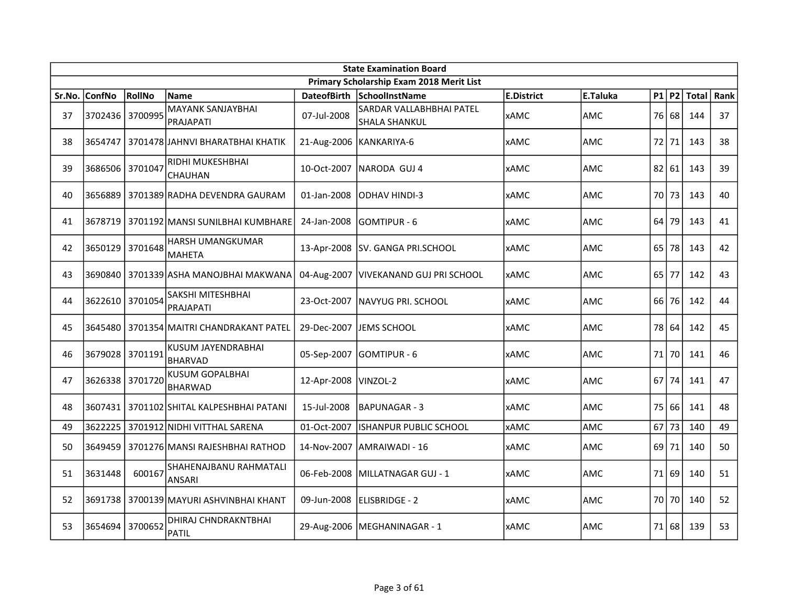|        | <b>State Examination Board</b> |         |                                             |                    |                                                         |                   |            |  |         |               |      |  |  |
|--------|--------------------------------|---------|---------------------------------------------|--------------------|---------------------------------------------------------|-------------------|------------|--|---------|---------------|------|--|--|
|        |                                |         |                                             |                    | Primary Scholarship Exam 2018 Merit List                |                   |            |  |         |               |      |  |  |
| Sr.No. | <b>ConfNo</b>                  | RollNo  | <b>Name</b>                                 | <b>DateofBirth</b> | SchoolInstName                                          | <b>E.District</b> | E.Taluka   |  |         | $P1$ P2 Total | Rank |  |  |
| 37     | 3702436 3700995                |         | <b>MAYANK SANJAYBHAI</b><br>PRAJAPATI       | 07-Jul-2008        | <b>SARDAR VALLABHBHAI PATEL</b><br><b>SHALA SHANKUL</b> | <b>xAMC</b>       | <b>AMC</b> |  | 76 68   | 144           | 37   |  |  |
| 38     | 3654747                        |         | 3701478 JAHNVI BHARATBHAI KHATIK            |                    | 21-Aug-2006 KANKARIYA-6                                 | <b>xAMC</b>       | <b>AMC</b> |  | 72 71   | 143           | 38   |  |  |
| 39     | 3686506 3701047                |         | RIDHI MUKESHBHAI<br><b>CHAUHAN</b>          | 10-Oct-2007        | INARODA GUJ 4                                           | <b>xAMC</b>       | <b>AMC</b> |  | 82   61 | 143           | 39   |  |  |
| 40     | 3656889                        |         | 3701389 RADHA DEVENDRA GAURAM               | 01-Jan-2008        | ODHAV HINDI-3                                           | <b>xAMC</b>       | AMC        |  | 70 73   | 143           | 40   |  |  |
| 41     | 3678719                        |         | 3701192 MANSI SUNILBHAI KUMBHARE            | 24-Jan-2008        | lgomtipur - 6                                           | <b>xAMC</b>       | <b>AMC</b> |  | 64 79   | 143           | 41   |  |  |
| 42     | 3650129                        | 3701648 | HARSH UMANGKUMAR<br>MAHETA                  |                    | 13-Apr-2008 SV. GANGA PRI.SCHOOL                        | <b>xAMC</b>       | AMC        |  | 65 78   | 143           | 42   |  |  |
| 43     |                                |         | 3690840   3701339 ASHA MANOJBHAI MAKWANA    |                    | 04-Aug-2007   VIVEKANAND GUJ PRI SCHOOL                 | <b>xAMC</b>       | <b>AMC</b> |  | $65$ 77 | 142           | 43   |  |  |
| 44     | 3622610 3701054                |         | SAKSHI MITESHBHAI<br>PRAJAPATI              | 23-Oct-2007        | <b>NAVYUG PRI. SCHOOL</b>                               | <b>xAMC</b>       | <b>AMC</b> |  | 66 76   | 142           | 44   |  |  |
| 45     |                                |         | 3645480 3701354 MAITRI CHANDRAKANT PATEL    |                    | 29-Dec-2007 JEMS SCHOOL                                 | <b>xAMC</b>       | <b>AMC</b> |  | 78 64   | 142           | 45   |  |  |
| 46     | 3679028 3701191                |         | KUSUM JAYENDRABHAI<br><b>BHARVAD</b>        |                    | 05-Sep-2007 GOMTIPUR - 6                                | <b>xAMC</b>       | AMC        |  | 71 70   | 141           | 46   |  |  |
| 47     | 3626338 3701720                |         | <b>KUSUM GOPALBHAI</b><br><b>BHARWAD</b>    | 12-Apr-2008        | VINZOL-2                                                | <b>xAMC</b>       | <b>AMC</b> |  | $67$ 74 | 141           | 47   |  |  |
| 48     | 3607431                        |         | 3701102 SHITAL KALPESHBHAI PATANI           | 15-Jul-2008        | IBAPUNAGAR - 3                                          | <b>xAMC</b>       | AMC        |  | 75 66   | 141           | 48   |  |  |
| 49     | 3622225                        |         | 3701912 NIDHI VITTHAL SARENA                | 01-Oct-2007        | <b>ISHANPUR PUBLIC SCHOOL</b>                           | <b>xAMC</b>       | <b>AMC</b> |  | $67$ 73 | 140           | 49   |  |  |
| 50     | 3649459                        |         | 3701276 MANSI RAJESHBHAI RATHOD             | 14-Nov-2007        | AMRAIWADI - 16                                          | xAMC              | AMC        |  | 69 71   | 140           | 50   |  |  |
| 51     | 3631448                        | 600167  | SHAHENAJBANU RAHMATALI<br><b>ANSARI</b>     | 06-Feb-2008        | lMILLATNAGAR GUJ - 1                                    | <b>xAMC</b>       | AMC        |  | 71 69   | 140           | 51   |  |  |
| 52     | 3691738                        |         | 3700139 MAYURI ASHVINBHAI KHANT             | 09-Jun-2008        | ELISBRIDGE - 2                                          | <b>xAMC</b>       | AMC        |  | 70 70   | 140           | 52   |  |  |
| 53     | 3654694                        | 3700652 | <b>DHIRAJ CHNDRAKNTBHAI</b><br><b>PATIL</b> |                    | 29-Aug-2006   MEGHANINAGAR - 1                          | <b>xAMC</b>       | AMC        |  | 71168   | 139           | 53   |  |  |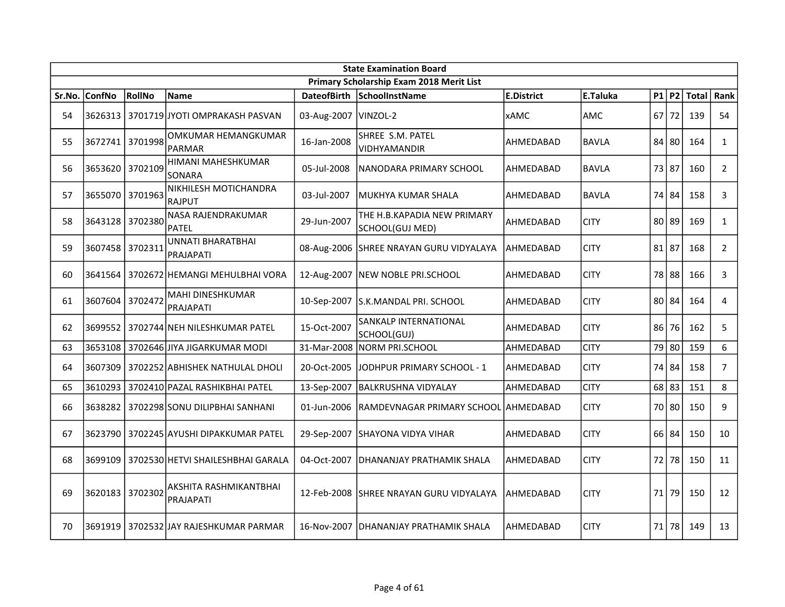|        | <b>State Examination Board</b><br>Primary Scholarship Exam 2018 Merit List |        |                                         |                        |                                                |                   |              |  |       |               |                |  |  |
|--------|----------------------------------------------------------------------------|--------|-----------------------------------------|------------------------|------------------------------------------------|-------------------|--------------|--|-------|---------------|----------------|--|--|
|        |                                                                            |        |                                         |                        |                                                |                   |              |  |       |               |                |  |  |
| Sr.No. | <b>ConfNo</b>                                                              | RollNo | <b>Name</b>                             | <b>DateofBirth</b>     | SchoolInstName                                 | <b>E.District</b> | E.Taluka     |  |       | $P1$ P2 Total | Rank           |  |  |
| 54     |                                                                            |        | 3626313 3701719 JYOTI OMPRAKASH PASVAN  | 03-Aug-2007   VINZOL-2 |                                                | <b>xAMC</b>       | <b>AMC</b>   |  | 67 72 | 139           | 54             |  |  |
| 55     | 3672741 3701998                                                            |        | OMKUMAR HEMANGKUMAR<br><b>PARMAR</b>    | 16-Jan-2008            | SHREE S.M. PATEL<br>VIDHYAMANDIR               | AHMEDABAD         | <b>BAVLA</b> |  | 84 80 | 164           | $\mathbf{1}$   |  |  |
| 56     | 3653620 3702109                                                            |        | HIMANI MAHESHKUMAR<br><b>SONARA</b>     | 05-Jul-2008            | NANODARA PRIMARY SCHOOL                        | AHMEDABAD         | <b>BAVLA</b> |  | 73 87 | 160           | $\overline{2}$ |  |  |
| 57     | 3655070 3701963                                                            |        | NIKHILESH MOTICHANDRA<br><b>RAJPUT</b>  | 03-Jul-2007            | MUKHYA KUMAR SHALA                             | AHMEDABAD         | <b>BAVLA</b> |  | 74 84 | 158           | $\mathbf{3}$   |  |  |
| 58     | 3643128 3702380                                                            |        | NASA RAJENDRAKUMAR<br><b>PATEL</b>      | 29-Jun-2007            | THE H.B.KAPADIA NEW PRIMARY<br>SCHOOL(GUJ MED) | AHMEDABAD         | <b>CITY</b>  |  | 80 89 | 169           | $\mathbf{1}$   |  |  |
| 59     | 3607458 3702311                                                            |        | UNNATI BHARATBHAI<br>PRAJAPATI          |                        | 08-Aug-2006 SHREE NRAYAN GURU VIDYALAYA        | AHMEDABAD         | <b>CITY</b>  |  | 81 87 | 168           | $\overline{2}$ |  |  |
| 60     | 3641564                                                                    |        | 3702672 HEMANGI MEHULBHAI VORA          |                        | 12-Aug-2007   NEW NOBLE PRI.SCHOOL             | AHMEDABAD         | <b>CITY</b>  |  | 78 88 | 166           | 3              |  |  |
| 61     | 3607604 3702472                                                            |        | MAHI DINESHKUMAR<br>PRAJAPATI           |                        | 10-Sep-2007 S.K.MANDAL PRI. SCHOOL             | AHMEDABAD         | <b>CITY</b>  |  | 80 84 | 164           | $\overline{4}$ |  |  |
| 62     |                                                                            |        | 3699552 3702744 NEH NILESHKUMAR PATEL   | 15-Oct-2007            | SANKALP INTERNATIONAL<br>SCHOOL(GUJ)           | AHMEDABAD         | <b>CITY</b>  |  | 86 76 | 162           | 5              |  |  |
| 63     | 3653108                                                                    |        | 3702646 JIYA JIGARKUMAR MODI            |                        | 31-Mar-2008 NORM PRI.SCHOOL                    | AHMEDABAD         | <b>CITY</b>  |  | 79 80 | 159           | 6              |  |  |
| 64     |                                                                            |        | 3607309 3702252 ABHISHEK NATHULAL DHOLI | 20-Oct-2005            | JODHPUR PRIMARY SCHOOL - 1                     | AHMEDABAD         | <b>CITY</b>  |  | 74 84 | 158           | $\overline{7}$ |  |  |
| 65     |                                                                            |        | 3610293 3702410 PAZAL RASHIKBHAI PATEL  | 13-Sep-2007            | <b>BALKRUSHNA VIDYALAY</b>                     | AHMEDABAD         | <b>CITY</b>  |  | 68 83 | 151           | 8              |  |  |
| 66     | 3638282                                                                    |        | 3702298 SONU DILIPBHAI SANHANI          | 01-Jun-2006            | RAMDEVNAGAR PRIMARY SCHOOL AHMEDABAD           |                   | <b>CITY</b>  |  | 70 80 | 150           | 9              |  |  |
| 67     | 3623790                                                                    |        | 3702245 AYUSHI DIPAKKUMAR PATEL         | 29-Sep-2007            | SHAYONA VIDYA VIHAR                            | AHMEDABAD         | <b>CITY</b>  |  | 66 84 | 150           | 10             |  |  |
| 68     | 3699109                                                                    |        | 3702530 HETVI SHAILESHBHAI GARALA       | 04-Oct-2007            | IDHANANJAY PRATHAMIK SHALA                     | AHMEDABAD         | <b>CITY</b>  |  | 72178 | 150           | 11             |  |  |
| 69     | 3620183 3702302                                                            |        | AKSHITA RASHMIKANTBHAI<br>PRAJAPATI     | 12-Feb-2008            | <b>SHREE NRAYAN GURU VIDYALAYA</b>             | AHMEDABAD         | <b>CITY</b>  |  | 71 79 | 150           | 12             |  |  |
| 70     | 3691919                                                                    |        | 3702532 JAY RAJESHKUMAR PARMAR          | 16-Nov-2007            | <b>IDHANANJAY PRATHAMIK SHALA</b>              | AHMEDABAD         | <b>CITY</b>  |  | 71 78 | 149           | 13             |  |  |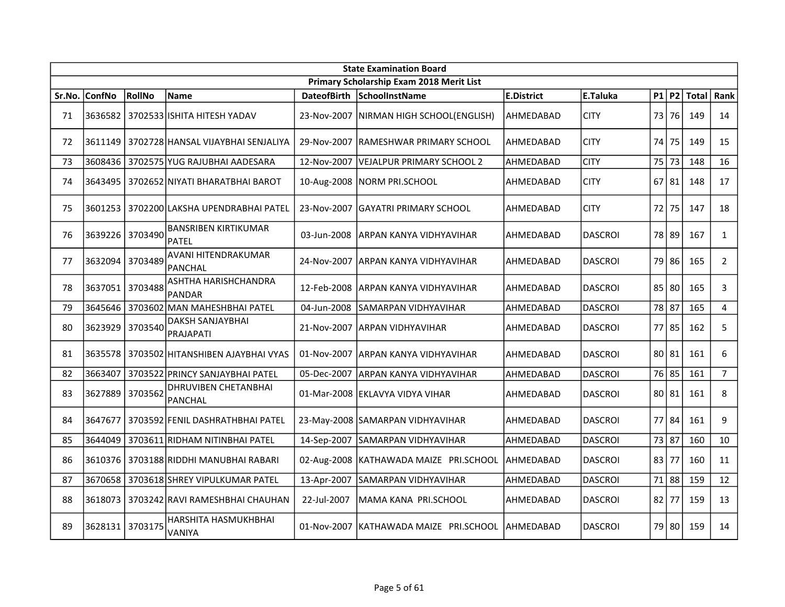|        | <b>State Examination Board</b> |         |                                              |                    |                                          |                   |                |    |           |              |                |  |  |
|--------|--------------------------------|---------|----------------------------------------------|--------------------|------------------------------------------|-------------------|----------------|----|-----------|--------------|----------------|--|--|
|        |                                |         |                                              |                    | Primary Scholarship Exam 2018 Merit List |                   |                |    |           |              |                |  |  |
| Sr.No. | <b>ConfNo</b>                  | RollNo  | Name                                         | <b>DateofBirth</b> | <b>SchoolInstName</b>                    | <b>E.District</b> | E.Taluka       |    | P1 P2     | <b>Total</b> | Rank           |  |  |
| 71     |                                |         | 3636582   3702533  ISHITA HITESH YADAV       |                    | 23-Nov-2007 NIRMAN HIGH SCHOOL(ENGLISH)  | AHMEDABAD         | <b>CITY</b>    |    | 73 76     | 149          | 14             |  |  |
| 72     | 3611149                        |         | 3702728 HANSAL VIJAYBHAI SENJALIYA           |                    | 29-Nov-2007 IRAMESHWAR PRIMARY SCHOOL    | AHMEDABAD         | <b>CITY</b>    | 74 | 75        | 149          | 15             |  |  |
| 73     | 3608436                        |         | 3702575 YUG RAJUBHAI AADESARA                | 12-Nov-2007        | VEJALPUR PRIMARY SCHOOL 2                | AHMEDABAD         | <b>CITY</b>    |    | 75 73     | 148          | 16             |  |  |
| 74     | 3643495                        |         | 3702652 NIYATI BHARATBHAI BAROT              |                    | 10-Aug-2008 NORM PRI.SCHOOL              | AHMEDABAD         | <b>CITY</b>    |    | 67 81     | 148          | 17             |  |  |
| 75     | 3601253                        |         | 3702200 LAKSHA UPENDRABHAI PATEL             | 23-Nov-2007        | <b>GAYATRI PRIMARY SCHOOL</b>            | AHMEDABAD         | <b>CITY</b>    | 72 | 75        | 147          | 18             |  |  |
| 76     | 3639226                        | 3703490 | <b>BANSRIBEN KIRTIKUMAR</b><br>PATEL         | 03-Jun-2008        | ARPAN KANYA VIDHYAVIHAR                  | AHMEDABAD         | <b>DASCROI</b> |    | 78 89     | 167          | $\mathbf{1}$   |  |  |
| 77     | 3632094                        | 3703489 | AVANI HITENDRAKUMAR<br><b>PANCHAL</b>        |                    | 24-Nov-2007 JARPAN KANYA VIDHYAVIHAR     | AHMEDABAD         | <b>DASCROI</b> |    | 79 86     | 165          | $\overline{2}$ |  |  |
| 78     | 3637051                        | 3703488 | ASHTHA HARISHCHANDRA<br><b>PANDAR</b>        | 12-Feb-2008        | <b>ARPAN KANYA VIDHYAVIHAR</b>           | AHMEDABAD         | <b>DASCROI</b> |    | $85$   80 | 165          | 3              |  |  |
| 79     | 3645646                        | 3703602 | MAN MAHESHBHAI PATEL                         | 04-Jun-2008        | SAMARPAN VIDHYAVIHAR                     | AHMEDABAD         | <b>DASCROI</b> |    | 78 87     | 165          | 4              |  |  |
| 80     | 3623929                        | 3703540 | DAKSH SANJAYBHAI<br>PRAJAPATI                |                    | 21-Nov-2007 ARPAN VIDHYAVIHAR            | AHMEDABAD         | <b>DASCROI</b> |    | 77 85     | 162          | 5              |  |  |
| 81     |                                |         | 3635578   3703502  HITANSHIBEN AJAYBHAI VYAS |                    | 01-Nov-2007 JARPAN KANYA VIDHYAVIHAR     | AHMEDABAD         | <b>DASCROI</b> |    | 80 81     | 161          | 6              |  |  |
| 82     | 3663407                        |         | 3703522 PRINCY SANJAYBHAI PATEL              | 05-Dec-2007        | IARPAN KANYA VIDHYAVIHAR                 | AHMEDABAD         | <b>DASCROI</b> |    | 76 85     | 161          | $\overline{7}$ |  |  |
| 83     | 3627889                        | 3703562 | DHRUVIBEN CHETANBHAI<br><b>PANCHAL</b>       |                    | 01-Mar-2008 EKLAVYA VIDYA VIHAR          | AHMEDABAD         | <b>DASCROI</b> |    | 80 81     | 161          | 8              |  |  |
| 84     | 3647677                        |         | 3703592 FENIL DASHRATHBHAI PATEL             |                    | 23-May-2008 SAMARPAN VIDHYAVIHAR         | AHMEDABAD         | <b>DASCROI</b> |    | 77 84     | 161          | 9              |  |  |
| 85     | 3644049                        |         | 3703611 RIDHAM NITINBHAI PATEL               | 14-Sep-2007        | SAMARPAN VIDHYAVIHAR                     | AHMEDABAD         | <b>DASCROI</b> |    | 73 87     | 160          | 10             |  |  |
| 86     | 3610376                        |         | 3703188 RIDDHI MANUBHAI RABARI               |                    | 02-Aug-2008   KATHAWADA MAIZE PRI.SCHOOL | AHMEDABAD         | <b>DASCROI</b> |    | 83 77     | 160          | 11             |  |  |
| 87     | 3670658                        |         | 3703618 SHREY VIPULKUMAR PATEL               | 13-Apr-2007        | SAMARPAN VIDHYAVIHAR                     | AHMEDABAD         | <b>DASCROI</b> |    | 71 88     | 159          | 12             |  |  |
| 88     | 3618073                        |         | 3703242 RAVI RAMESHBHAI CHAUHAN              | 22-Jul-2007        | MAMA KANA PRI.SCHOOL                     | AHMEDABAD         | <b>DASCROI</b> |    | $82$ 77   | 159          | 13             |  |  |
| 89     | 3628131                        | 3703175 | HARSHITA HASMUKHBHAI<br>VANIYA               |                    | 01-Nov-2007   KATHAWADA MAIZE PRI.SCHOOL | AHMEDABAD         | <b>DASCROI</b> |    | 79 80     | 159          | 14             |  |  |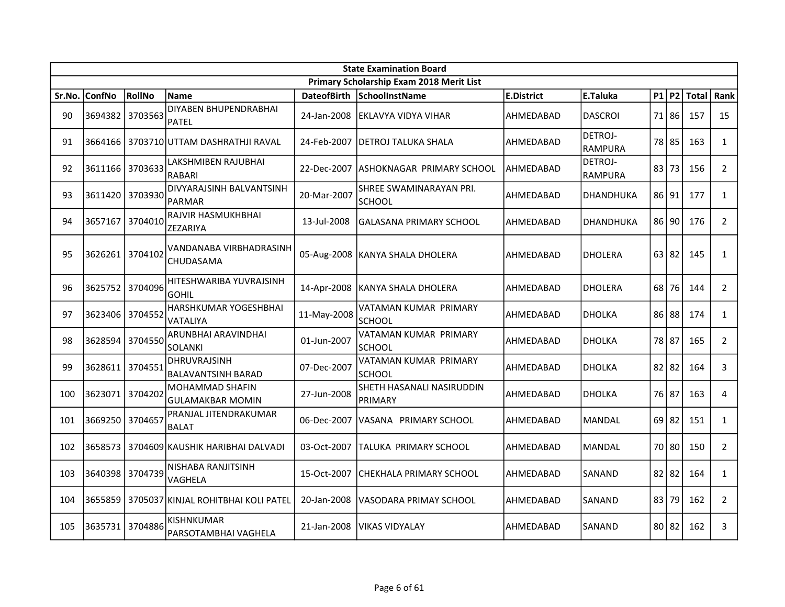|        | <b>State Examination Board</b><br>Primary Scholarship Exam 2018 Merit List |         |                                              |                    |                                          |                   |                                  |  |           |              |                |  |  |
|--------|----------------------------------------------------------------------------|---------|----------------------------------------------|--------------------|------------------------------------------|-------------------|----------------------------------|--|-----------|--------------|----------------|--|--|
|        |                                                                            |         |                                              |                    |                                          |                   |                                  |  |           |              |                |  |  |
| Sr.No. | ConfNo                                                                     | RollNo  | <b>Name</b>                                  | <b>DateofBirth</b> | <b>SchoolInstName</b>                    | <b>E.District</b> | E.Taluka                         |  | $P1$ $P2$ | <b>Total</b> | Rank           |  |  |
| 90     | 3694382                                                                    | 3703563 | <b>DIYABEN BHUPENDRABHAI</b><br><b>PATEL</b> | 24-Jan-2008        | lEKLAVYA VIDYA VIHAR                     | AHMEDABAD         | <b>DASCROI</b>                   |  | 71 86     | 157          | 15             |  |  |
| 91     |                                                                            |         | 3664166 3703710 UTTAM DASHRATHJI RAVAL       | 24-Feb-2007        | DETROJ TALUKA SHALA                      | AHMEDABAD         | <b>DETROJ-</b><br>RAMPURA        |  | 78 85     | 163          | $\mathbf{1}$   |  |  |
| 92     | 3611166 3703633                                                            |         | LAKSHMIBEN RAJUBHAI<br><b>RABARI</b>         | 22-Dec-2007        | IASHOKNAGAR PRIMARY SCHOOL               | AHMEDABAD         | <b>DETROJ-</b><br><b>RAMPURA</b> |  | 83 73     | 156          | $\overline{2}$ |  |  |
| 93     | 3611420 3703930                                                            |         | DIVYARAJSINH BALVANTSINH<br><b>PARMAR</b>    | 20-Mar-2007        | SHREE SWAMINARAYAN PRI.<br><b>SCHOOL</b> | AHMEDABAD         | DHANDHUKA                        |  | 86 91     | 177          | $\mathbf{1}$   |  |  |
| 94     | 3657167                                                                    | 3704010 | RAJVIR HASMUKHBHAI<br>ZEZARIYA               | 13-Jul-2008        | IGALASANA PRIMARY SCHOOL                 | AHMEDABAD         | <b>DHANDHUKA</b>                 |  | $86$  90  | 176          | $\overline{2}$ |  |  |
| 95     | 3626261                                                                    | 3704102 | VANDANABA VIRBHADRASINH<br>CHUDASAMA         |                    | 05-Aug-2008   KANYA SHALA DHOLERA        | AHMEDABAD         | <b>DHOLERA</b>                   |  | 63 82     | 145          | $\mathbf{1}$   |  |  |
| 96     | 3625752 3704096                                                            |         | HITESHWARIBA YUVRAJSINH<br><b>GOHIL</b>      | 14-Apr-2008        | KANYA SHALA DHOLERA                      | AHMEDABAD         | <b>DHOLERA</b>                   |  | 68 76     | 144          | $\overline{2}$ |  |  |
| 97     | 3623406 3704552                                                            |         | HARSHKUMAR YOGESHBHAI<br>VATALIYA            | 11-May-2008        | VATAMAN KUMAR PRIMARY<br>SCHOOL          | AHMEDABAD         | <b>DHOLKA</b>                    |  | 86 88     | 174          | $\mathbf{1}$   |  |  |
| 98     | 3628594 3704550                                                            |         | ARUNBHAI ARAVINDHAI<br><b>SOLANKI</b>        | 01-Jun-2007        | VATAMAN KUMAR PRIMARY<br><b>SCHOOL</b>   | AHMEDABAD         | <b>DHOLKA</b>                    |  | 78 87     | 165          | $\overline{2}$ |  |  |
| 99     | 3628611                                                                    | 3704551 | DHRUVRAJSINH<br><b>BALAVANTSINH BARAD</b>    | 07-Dec-2007        | VATAMAN KUMAR PRIMARY<br>SCHOOL          | AHMEDABAD         | DHOLKA                           |  | $82$   82 | 164          | 3              |  |  |
| 100    | 3623071                                                                    | 3704202 | MOHAMMAD SHAFIN<br><b>GULAMAKBAR MOMIN</b>   | 27-Jun-2008        | SHETH HASANALI NASIRUDDIN<br>PRIMARY     | AHMEDABAD         | <b>DHOLKA</b>                    |  | 76 87     | 163          | 4              |  |  |
| 101    | 3669250                                                                    | 3704657 | PRANJAL JITENDRAKUMAR<br><b>BALAT</b>        | 06-Dec-2007        | IVASANA PRIMARY SCHOOL                   | AHMEDABAD         | <b>MANDAL</b>                    |  | $69$   82 | 151          | $\mathbf{1}$   |  |  |
| 102    | 3658573                                                                    |         | 3704609 KAUSHIK HARIBHAI DALVADI             | 03-Oct-2007        | TALUKA PRIMARY SCHOOL                    | AHMEDABAD         | <b>MANDAL</b>                    |  | 70 80     | 150          | $\overline{2}$ |  |  |
| 103    | 3640398                                                                    | 3704739 | NISHABA RANJITSINH<br>VAGHELA                | 15-Oct-2007        | ICHEKHALA PRIMARY SCHOOL                 | AHMEDABAD         | SANAND                           |  | $82$   82 | 164          | $\mathbf{1}$   |  |  |
| 104    | 3655859                                                                    |         | 3705037 KINJAL ROHITBHAI KOLI PATEL          | 20-Jan-2008        | VASODARA PRIMAY SCHOOL                   | AHMEDABAD         | SANAND                           |  | 83 79     | 162          | $2^{\circ}$    |  |  |
| 105    | 3635731                                                                    | 3704886 | <b>KISHNKUMAR</b><br>PARSOTAMBHAI VAGHELA    | 21-Jan-2008        | lVIKAS VIDYALAY                          | AHMEDABAD         | SANAND                           |  | 80 82     | 162          | 3              |  |  |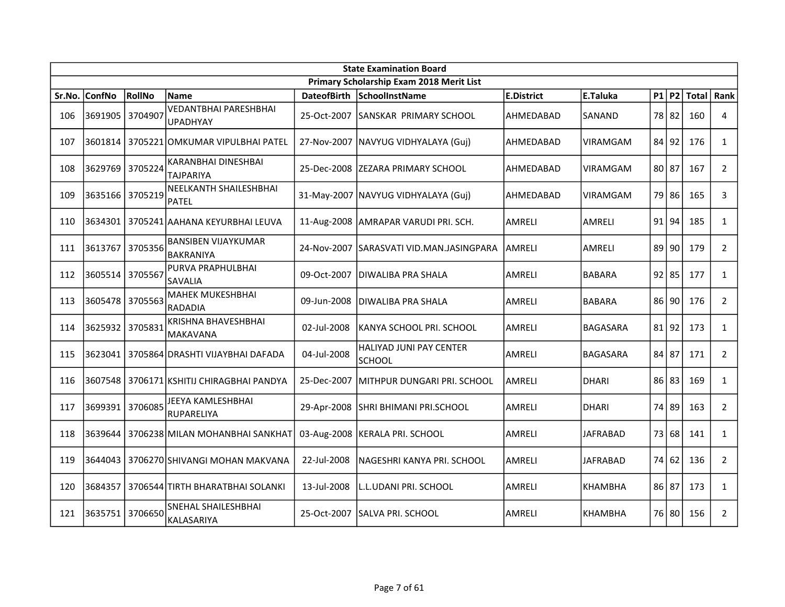|        | <b>State Examination Board</b> |         |                                                 |                    |                                                 |                   |                 |  |           |            |                |  |
|--------|--------------------------------|---------|-------------------------------------------------|--------------------|-------------------------------------------------|-------------------|-----------------|--|-----------|------------|----------------|--|
|        |                                |         |                                                 |                    | Primary Scholarship Exam 2018 Merit List        |                   |                 |  |           |            |                |  |
| Sr.No. | <b>ConfNo</b>                  | RollNo  | <b>Name</b>                                     | <b>DateofBirth</b> | SchoolInstName                                  | <b>E.District</b> | E.Taluka        |  | P1 P2     | Total Rank |                |  |
| 106    | 3691905                        | 3704907 | <b>VEDANTBHAI PARESHBHAI</b><br><b>UPADHYAY</b> | 25-Oct-2007        | <b>SANSKAR PRIMARY SCHOOL</b>                   | AHMEDABAD         | SANAND          |  | 78 82     | 160        | 4              |  |
| 107    | 3601814                        |         | 3705221 OMKUMAR VIPULBHAI PATEL                 |                    | 27-Nov-2007   NAVYUG VIDHYALAYA (Guj)           | AHMEDABAD         | VIRAMGAM        |  | 84 92     | 176        | $\mathbf{1}$   |  |
| 108    | 3629769 3705224                |         | KARANBHAI DINESHBAI<br><b>TAJPARIYA</b>         |                    | 25-Dec-2008   ZEZARA PRIMARY SCHOOL             | AHMEDABAD         | VIRAMGAM        |  | 80 87     | 167        | $\overline{2}$ |  |
| 109    | 3635166 3705219                |         | <b>NEELKANTH SHAILESHBHAI</b><br><b>PATEL</b>   |                    | 31-May-2007 NAVYUG VIDHYALAYA (Guj)             | AHMEDABAD         | <b>VIRAMGAM</b> |  | 79 86     | 165        | 3              |  |
| 110    |                                |         | 3634301   3705241 AAHANA KEYURBHAI LEUVA        |                    | 11-Aug-2008   AMRAPAR VARUDI PRI. SCH.          | <b>AMRELI</b>     | AMRELI          |  | 91 94     | 185        | $\mathbf{1}$   |  |
| 111    | 3613767                        | 3705356 | <b>BANSIBEN VIJAYKUMAR</b><br><b>BAKRANIYA</b>  | 24-Nov-2007        | ISARASVATI VID.MAN.JASINGPARA                   | AMRELI            | AMRELI          |  | 89 90     | 179        | $\overline{2}$ |  |
| 112    | 3605514                        | 3705567 | PURVA PRAPHULBHAI<br>SAVALIA                    | 09-Oct-2007        | <b>DIWALIBA PRA SHALA</b>                       | <b>AMRELI</b>     | <b>BABARA</b>   |  | $92$   85 | 177        | $\mathbf{1}$   |  |
| 113    | 3605478                        | 3705563 | <b>MAHEK MUKESHBHAI</b><br><b>RADADIA</b>       | 09-Jun-2008        | <b>DIWALIBA PRA SHALA</b>                       | <b>AMRELI</b>     | <b>BABARA</b>   |  | 86 90     | 176        | $\overline{2}$ |  |
| 114    | 3625932 3705831                |         | <b>KRISHNA BHAVESHBHAI</b><br><b>MAKAVANA</b>   | 02-Jul-2008        | KANYA SCHOOL PRI. SCHOOL                        | AMRELI            | <b>BAGASARA</b> |  | $81$   92 | 173        | $\mathbf{1}$   |  |
| 115    | 3623041                        |         | 3705864 DRASHTI VIJAYBHAI DAFADA                | 04-Jul-2008        | <b>HALIYAD JUNI PAY CENTER</b><br><b>SCHOOL</b> | <b>AMRELI</b>     | BAGASARA        |  | 84 87     | 171        | $\overline{2}$ |  |
| 116    | 3607548                        |         | 3706171   KSHITIJ CHIRAGBHAI PANDYA             | 25-Dec-2007        | İMITHPUR DUNGARI PRI. SCHOOL                    | <b>AMRELI</b>     | <b>DHARI</b>    |  | 86 83     | 169        | $\mathbf{1}$   |  |
| 117    | 3699391                        | 3706085 | JEEYA KAMLESHBHAI<br>RUPARELIYA                 | 29-Apr-2008        | <b>SHRI BHIMANI PRI.SCHOOL</b>                  | <b>AMRELI</b>     | <b>DHARI</b>    |  | 74 89     | 163        | $\overline{2}$ |  |
| 118    |                                |         | 3639644 3706238 MILAN MOHANBHAI SANKHAT         |                    | 03-Aug-2008  KERALA PRI. SCHOOL                 | AMRELI            | <b>JAFRABAD</b> |  | 73 68     | 141        | $\mathbf{1}$   |  |
| 119    | 3644043                        |         | 3706270 SHIVANGI MOHAN MAKVANA                  | 22-Jul-2008        | NAGESHRI KANYA PRI. SCHOOL                      | <b>AMRELI</b>     | <b>JAFRABAD</b> |  | 74 62     | 136        | $\overline{2}$ |  |
| 120    | 3684357                        |         | 3706544 TIRTH BHARATBHAI SOLANKI                | 13-Jul-2008        | L.L.UDANI PRI. SCHOOL                           | AMRELI            | <b>KHAMBHA</b>  |  | 86 87     | 173        | $\mathbf{1}$   |  |
| 121    | 3635751                        | 3706650 | SNEHAL SHAILESHBHAI<br>KALASARIYA               | 25-Oct-2007        | ISALVA PRI. SCHOOL                              | AMRELI            | <b>KHAMBHA</b>  |  | 76 80     | 156        | $2^{\circ}$    |  |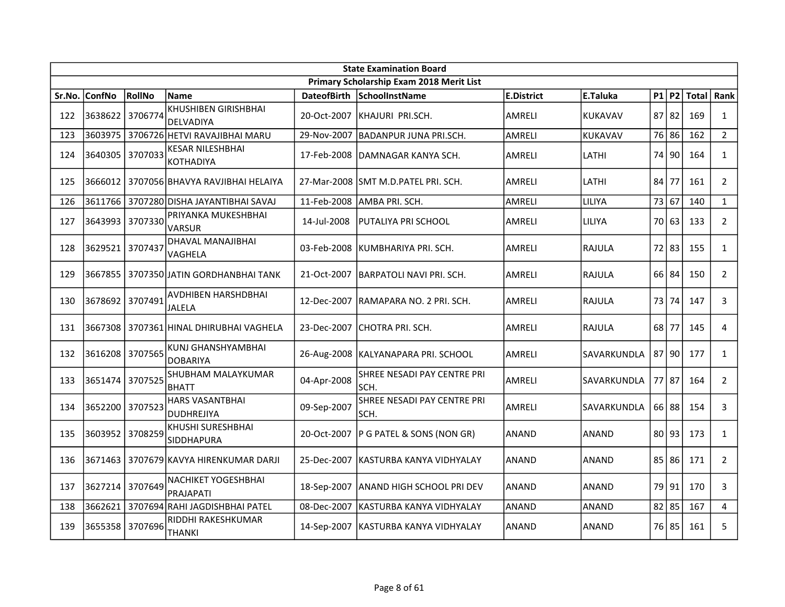|        | <b>State Examination Board</b> |         |                                                 |                    |                                          |                   |                |  |           |               |                |  |  |
|--------|--------------------------------|---------|-------------------------------------------------|--------------------|------------------------------------------|-------------------|----------------|--|-----------|---------------|----------------|--|--|
|        |                                |         |                                                 |                    | Primary Scholarship Exam 2018 Merit List |                   |                |  |           |               |                |  |  |
| Sr.No. | <b>ConfNo</b>                  | RollNo  | <b>Name</b>                                     | <b>DateofBirth</b> | SchoolInstName                           | <b>E.District</b> | E.Taluka       |  |           | $P1$ P2 Total | Rank           |  |  |
| 122    | 3638622                        | 3706774 | <b>KHUSHIBEN GIRISHBHAI</b><br><b>DELVADIYA</b> | 20-Oct-2007        | IKHAJURI PRI.SCH.                        | AMRELI            | <b>KUKAVAV</b> |  | $87$   82 | 169           | $\mathbf{1}$   |  |  |
| 123    | 3603975                        |         | 3706726 HETVI RAVAJIBHAI MARU                   | 29-Nov-2007        | <b>BADANPUR JUNA PRI.SCH.</b>            | <b>AMRELI</b>     | KUKAVAV        |  | 76 86     | 162           | $2^{\circ}$    |  |  |
| 124    | 3640305 3707033                |         | <b>KESAR NILESHBHAI</b><br><b>KOTHADIYA</b>     |                    | 17-Feb-2008 DAMNAGAR KANYA SCH.          | AMRELI            | LATHI          |  | 74   90   | 164           | $\mathbf{1}$   |  |  |
| 125    | 3666012                        |         | 3707056 BHAVYA RAVJIBHAI HELAIYA                |                    | 27-Mar-2008 ISMT M.D.PATEL PRI. SCH.     | AMRELI            | LATHI          |  | 84 77     | 161           | $\overline{2}$ |  |  |
| 126    | 3611766                        |         | 3707280 DISHA JAYANTIBHAI SAVAJ                 | 11-Feb-2008        | AMBA PRI. SCH.                           | <b>AMRELI</b>     | LILIYA         |  | 73 67     | 140           | $\mathbf{1}$   |  |  |
| 127    | 3643993                        | 3707330 | PRIYANKA MUKESHBHAI<br><b>VARSUR</b>            | 14-Jul-2008        | IPUTALIYA PRI SCHOOL                     | AMRELI            | LILIYA         |  | 70163     | 133           | $\overline{2}$ |  |  |
| 128    | 3629521 3707437                |         | <b>DHAVAL MANAJIBHAI</b><br>VAGHELA             | 03-Feb-2008        | KUMBHARIYA PRI. SCH.                     | <b>AMRELI</b>     | <b>RAJULA</b>  |  | 72 83     | 155           | $\mathbf{1}$   |  |  |
| 129    | 3667855                        |         | 3707350 JATIN GORDHANBHAI TANK                  | 21-Oct-2007        | BARPATOLI NAVI PRI. SCH.                 | AMRELI            | RAJULA         |  | 66 84     | 150           | $2^{\circ}$    |  |  |
| 130    | 3678692                        | 3707491 | <b>AVDHIBEN HARSHDBHAI</b><br><b>JALELA</b>     | 12-Dec-2007        | RAMAPARA NO. 2 PRI. SCH.                 | <b>AMRELI</b>     | RAJULA         |  | 73 74     | 147           | $\mathbf{3}$   |  |  |
| 131    |                                |         | 3667308 3707361 HINAL DHIRUBHAI VAGHELA         |                    | 23-Dec-2007 CHOTRA PRI. SCH.             | AMRELI            | RAJULA         |  | $68$ 77   | 145           | $\overline{4}$ |  |  |
| 132    | 3616208 3707565                |         | <b>KUNJ GHANSHYAMBHAI</b><br><b>DOBARIYA</b>    |                    | 26-Aug-2008   KALYANAPARA PRI. SCHOOL    | <b>AMRELI</b>     | SAVARKUNDLA    |  | 87 90     | 177           | $\mathbf{1}$   |  |  |
| 133    | 3651474 3707525                |         | SHUBHAM MALAYKUMAR<br><b>BHATT</b>              | 04-Apr-2008        | SHREE NESADI PAY CENTRE PRI<br>ISCH.     | AMRELI            | SAVARKUNDLA    |  | 77 87     | 164           | $2^{\circ}$    |  |  |
| 134    | 3652200 3707523                |         | <b>HARS VASANTBHAI</b><br><b>DUDHREJIYA</b>     | 09-Sep-2007        | SHREE NESADI PAY CENTRE PRI<br>SCH.      | <b>AMRELI</b>     | SAVARKUNDLA    |  | 66 88     | 154           | 3              |  |  |
| 135    | 3603952                        | 3708259 | KHUSHI SURESHBHAI<br>SIDDHAPURA                 | 20-Oct-2007        | P G PATEL & SONS (NON GR)                | <b>ANAND</b>      | <b>ANAND</b>   |  | 80 93     | 173           | $\mathbf{1}$   |  |  |
| 136    | 3671463                        |         | 3707679 KAVYA HIRENKUMAR DARJI                  | 25-Dec-2007        | IKASTURBA KANYA VIDHYALAY                | <b>ANAND</b>      | <b>ANAND</b>   |  | 85 86     | 171           | $\mathbf{2}$   |  |  |
| 137    | 3627214                        | 3707649 | <b>NACHIKET YOGESHBHAI</b><br>PRAJAPATI         | 18-Sep-2007        | ANAND HIGH SCHOOL PRI DEV                | <b>ANAND</b>      | <b>ANAND</b>   |  | 79   91   | 170           | 3              |  |  |
| 138    | 3662621                        |         | 3707694 RAHI JAGDISHBHAI PATEL                  | 08-Dec-2007        | KASTURBA KANYA VIDHYALAY                 | <b>ANAND</b>      | <b>ANAND</b>   |  | $82$ 85   | 167           | $\overline{4}$ |  |  |
| 139    | 3655358 3707696                |         | RIDDHI RAKESHKUMAR<br><b>THANKI</b>             |                    | 14-Sep-2007   KASTURBA KANYA VIDHYALAY   | <b>ANAND</b>      | ANAND          |  | 76 85     | 161           | 5              |  |  |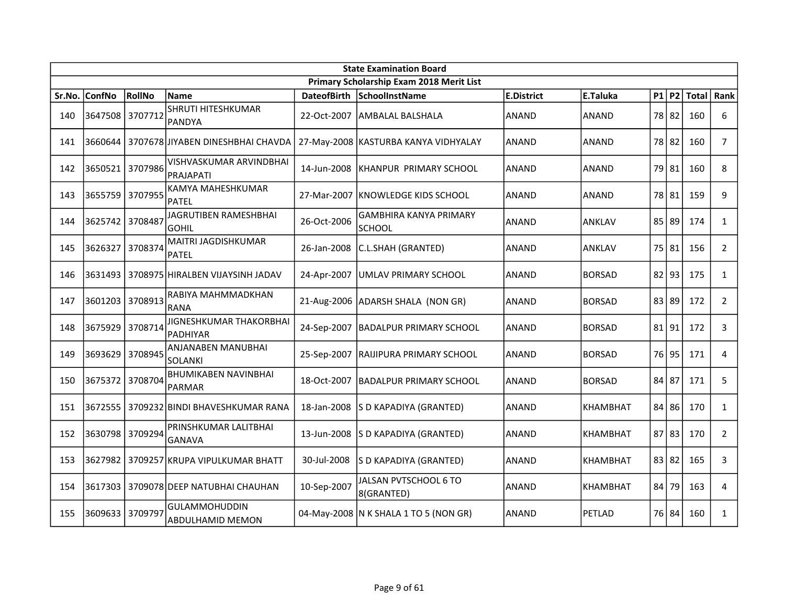|        | <b>State Examination Board</b> |         |                                              |                    |                                                |                   |                 |       |          |       |                |  |
|--------|--------------------------------|---------|----------------------------------------------|--------------------|------------------------------------------------|-------------------|-----------------|-------|----------|-------|----------------|--|
|        |                                |         |                                              |                    | Primary Scholarship Exam 2018 Merit List       |                   |                 |       |          |       |                |  |
| Sr.No. | <b>ConfNo</b>                  | RollNo  | <b>Name</b>                                  | <b>DateofBirth</b> | SchoolInstName                                 | <b>E.District</b> | E.Taluka        |       | P1 P2    | Total | Rank           |  |
| 140    | 3647508                        | 3707712 | SHRUTI HITESHKUMAR<br>PANDYA                 | 22-Oct-2007        | <b>AMBALAL BALSHALA</b>                        | <b>ANAND</b>      | ANAND           |       | 78 82    | 160   | 6              |  |
| 141    | 3660644                        |         | 3707678 JIYABEN DINESHBHAI CHAVDA            |                    | 27-May-2008 KASTURBA KANYA VIDHYALAY           | <b>ANAND</b>      | <b>ANAND</b>    |       | 78 82    | 160   | $\overline{7}$ |  |
| 142    | 3650521                        | 3707986 | VISHVASKUMAR ARVINDBHAI<br>PRAJAPATI         | 14-Jun-2008        | KHANPUR PRIMARY SCHOOL                         | ANAND             | <b>ANAND</b>    |       | 79 81    | 160   | 8              |  |
| 143    | 3655759                        | 3707955 | KAMYA MAHESHKUMAR<br><b>PATEL</b>            | 27-Mar-2007        | IKNOWLEDGE KIDS SCHOOL                         | <b>ANAND</b>      | <b>ANAND</b>    |       | 78 81    | 159   | 9              |  |
| 144    | 3625742 3708487                |         | JAGRUTIBEN RAMESHBHAI<br>GOHIL               | 26-Oct-2006        | <b>GAMBHIRA KANYA PRIMARY</b><br><b>SCHOOL</b> | ANAND             | ANKLAV          |       | 85 89    | 174   | $\mathbf{1}$   |  |
| 145    | 3626327                        | 3708374 | MAITRI JAGDISHKUMAR<br><b>PATEL</b>          | 26-Jan-2008        | C.L.SHAH (GRANTED)                             | ANAND             | ANKLAV          |       | 75 81    | 156   | $\overline{2}$ |  |
| 146    | 3631493                        |         | 3708975 HIRALBEN VIJAYSINH JADAV             | 24-Apr-2007        | UMLAV PRIMARY SCHOOL                           | ANAND             | <b>BORSAD</b>   |       | $82$  93 | 175   | $\mathbf{1}$   |  |
| 147    | 3601203                        | 3708913 | RABIYA MAHMMADKHAN<br><b>RANA</b>            |                    | 21-Aug-2006 ADARSH SHALA (NON GR)              | <b>ANAND</b>      | <b>BORSAD</b>   |       | 83 89    | 172   | $\overline{2}$ |  |
| 148    | 3675929                        | 3708714 | JIGNESHKUMAR THAKORBHAI<br><b>PADHIYAR</b>   |                    | 24-Sep-2007   BADALPUR PRIMARY SCHOOL          | <b>ANAND</b>      | <b>BORSAD</b>   |       | 81 91    | 172   | 3              |  |
| 149    | 3693629                        | 3708945 | ANJANABEN MANUBHAI<br>SOLANKI                | 25-Sep-2007        | <b>RAIJIPURA PRIMARY SCHOOL</b>                | ANAND             | <b>BORSAD</b>   |       | 76 95    | 171   | 4              |  |
| 150    | 3675372                        | 3708704 | <b>BHUMIKABEN NAVINBHAI</b><br><b>PARMAR</b> | 18-Oct-2007        | IBADALPUR PRIMARY SCHOOL                       | <b>ANAND</b>      | <b>BORSAD</b>   | 84 87 |          | 171   | 5              |  |
| 151    | 3672555                        |         | 3709232 BINDI BHAVESHKUMAR RANA              | 18-Jan-2008        | S D KAPADIYA (GRANTED)                         | <b>ANAND</b>      | KHAMBHAT        |       | 84 86    | 170   | $\mathbf{1}$   |  |
| 152    | 3630798 3709294                |         | PRINSHKUMAR LALITBHAI<br><b>GANAVA</b>       | 13-Jun-2008        | S D KAPADIYA (GRANTED)                         | <b>ANAND</b>      | <b>KHAMBHAT</b> |       | 87 83    | 170   | $\overline{2}$ |  |
| 153    | 3627982                        |         | 3709257 KRUPA VIPULKUMAR BHATT               | 30-Jul-2008        | S D KAPADIYA (GRANTED)                         | <b>ANAND</b>      | KHAMBHAT        |       | 83 82    | 165   | 3              |  |
| 154    | 3617303                        |         | 3709078 DEEP NATUBHAI CHAUHAN                | 10-Sep-2007        | JALSAN PVTSCHOOL 6 TO<br>8(GRANTED)            | ANAND             | KHAMBHAT        | 84    | 79       | 163   | 4              |  |
| 155    | 3609633                        | 3709797 | <b>GULAMMOHUDDIN</b><br>ABDULHAMID MEMON     |                    | 04-May-2008   N K SHALA 1 TO 5 (NON GR)        | <b>ANAND</b>      | PETLAD          |       | 76 84    | 160   | $\mathbf{1}$   |  |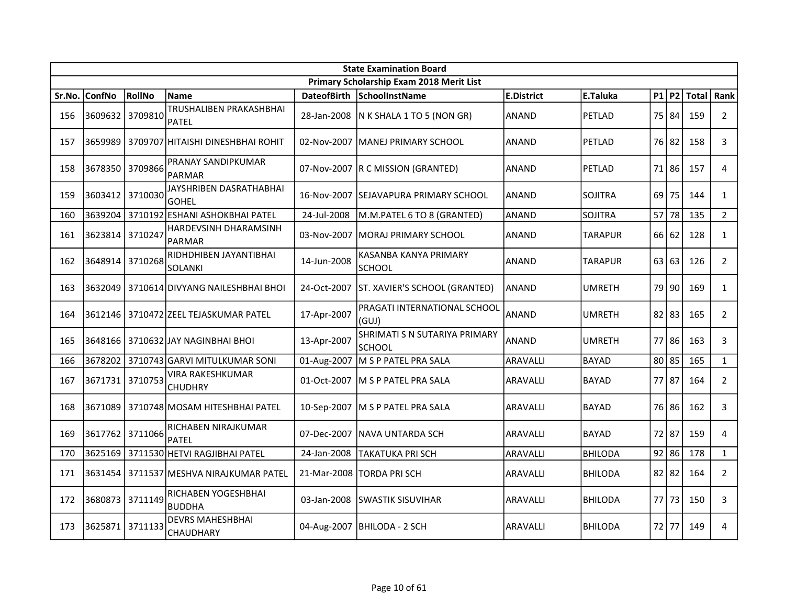|        | <b>State Examination Board</b> |         |                                        |                    |                                          |                   |                |    |           |               |                |  |  |
|--------|--------------------------------|---------|----------------------------------------|--------------------|------------------------------------------|-------------------|----------------|----|-----------|---------------|----------------|--|--|
|        |                                |         |                                        |                    | Primary Scholarship Exam 2018 Merit List |                   |                |    |           |               |                |  |  |
| Sr.No. | <b>ConfNo</b>                  | RollNo  | <b>Name</b>                            | <b>DateofBirth</b> | SchoolInstName                           | <b>E.District</b> | E.Taluka       |    |           | $P1$ P2 Total | <b>Rank</b>    |  |  |
| 156    | 3609632 3709810                |         | TRUSHALIBEN PRAKASHBHAI<br>PATEL       | 28-Jan-2008        | $\vert$ N K SHALA 1 TO 5 (NON GR)        | <b>ANAND</b>      | PETLAD         |    | 75 84     | 159           | $\overline{2}$ |  |  |
| 157    | 3659989                        |         | 3709707 HITAISHI DINESHBHAI ROHIT      |                    | 02-Nov-2007   MANEJ PRIMARY SCHOOL       | <b>ANAND</b>      | PETLAD         |    | 76 82     | 158           | 3              |  |  |
| 158    | 3678350                        | 3709866 | PRANAY SANDIPKUMAR<br>PARMAR           |                    | 07-Nov-2007   R C MISSION (GRANTED)      | <b>ANAND</b>      | PETLAD         |    | 71 86     | 157           | 4              |  |  |
| 159    | 3603412                        | 3710030 | JAYSHRIBEN DASRATHABHAI<br>GOHEL       | 16-Nov-2007        | ISEJAVAPURA PRIMARY SCHOOL               | <b>ANAND</b>      | <b>SOJITRA</b> | 69 | 75        | 144           | $\mathbf{1}$   |  |  |
| 160    | 3639204                        |         | 3710192 ESHANI ASHOKBHAI PATEL         | 24-Jul-2008        | M.M.PATEL 6 TO 8 (GRANTED)               | <b>ANAND</b>      | SOJITRA        |    | 57 78     | 135           | $\overline{2}$ |  |  |
| 161    | 3623814                        | 3710247 | HARDEVSINH DHARAMSINH<br><b>PARMAR</b> | 03-Nov-2007        | MORAJ PRIMARY SCHOOL                     | <b>ANAND</b>      | TARAPUR        |    | $66$ 62   | 128           | $\mathbf{1}$   |  |  |
| 162    | 3648914                        | 3710268 | RIDHDHIBEN JAYANTIBHAI<br>SOLANKI      | 14-Jun-2008        | KASANBA KANYA PRIMARY<br><b>SCHOOL</b>   | <b>ANAND</b>      | <b>TARAPUR</b> |    | 63 63     | 126           | $\overline{2}$ |  |  |
| 163    | 3632049                        |         | 3710614 DIVYANG NAILESHBHAI BHOI       | 24-Oct-2007        | ST. XAVIER'S SCHOOL (GRANTED)            | <b>ANAND</b>      | <b>UMRETH</b>  |    | 79 90     | 169           | $\mathbf{1}$   |  |  |
| 164    | 3612146                        |         | 3710472 ZEEL TEJASKUMAR PATEL          | 17-Apr-2007        | PRAGATI INTERNATIONAL SCHOOL<br>(GUI)    | <b>ANAND</b>      | <b>UMRETH</b>  |    | $82$   83 | 165           | $\overline{2}$ |  |  |
| 165    |                                |         | 3648166 3710632 JAY NAGINBHAI BHOI     | 13-Apr-2007        | SHRIMATI S N SUTARIYA PRIMARY<br>SCHOOL  | <b>ANAND</b>      | <b>UMRETH</b>  |    | 77 86     | 163           | 3              |  |  |
| 166    | 3678202                        |         | 3710743 GARVI MITULKUMAR SONI          | 01-Aug-2007        | M S P PATEL PRA SALA                     | <b>ARAVALLI</b>   | <b>BAYAD</b>   |    | $80$ 85   | 165           | $\mathbf{1}$   |  |  |
| 167    | 3671731 3710753                |         | VIRA RAKESHKUMAR<br>CHUDHRY            | 01-Oct-2007        | M S P PATEL PRA SALA                     | <b>ARAVALLI</b>   | <b>BAYAD</b>   |    | 77 87     | 164           | $\overline{2}$ |  |  |
| 168    | 3671089                        |         | 3710748 MOSAM HITESHBHAI PATEL         | 10-Sep-2007        | M S P PATEL PRA SALA                     | ARAVALLI          | <b>BAYAD</b>   |    | 76 86     | 162           | 3              |  |  |
| 169    | 3617762                        | 3711066 | RICHABEN NIRAJKUMAR<br><b>PATEL</b>    | 07-Dec-2007        | INAVA UNTARDA SCH                        | ARAVALLI          | <b>BAYAD</b>   |    | 72 87     | 159           | 4              |  |  |
| 170    | 3625169                        |         | 3711530 HETVI RAGJIBHAI PATEL          | 24-Jan-2008        | <b>TAKATUKA PRI SCH</b>                  | <b>ARAVALLI</b>   | <b>BHILODA</b> |    | $92$   86 | 178           | $\mathbf{1}$   |  |  |
| 171    | 3631454                        |         | 3711537 MESHVA NIRAJKUMAR PATEL        | 21-Mar-2008        | ITORDA PRI SCH                           | <b>ARAVALLI</b>   | <b>BHILODA</b> |    | $82$   82 | 164           | $\overline{2}$ |  |  |
| 172    | 3680873                        | 3711149 | RICHABEN YOGESHBHAI<br><b>BUDDHA</b>   | 03-Jan-2008        | <b>SWASTIK SISUVIHAR</b>                 | <b>ARAVALLI</b>   | <b>BHILODA</b> |    | 77 73     | 150           | 3              |  |  |
| 173    | 3625871                        | 3711133 | <b>DEVRS MAHESHBHAI</b><br>CHAUDHARY   |                    | 04-Aug-2007   BHILODA - 2 SCH            | ARAVALLI          | <b>BHILODA</b> |    | 72 77     | 149           | 4              |  |  |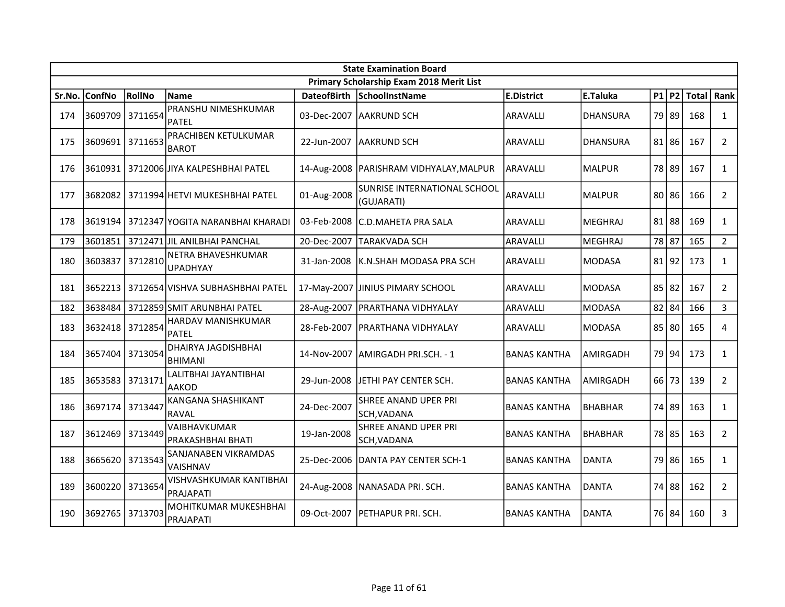|        | <b>State Examination Board</b> |         |                                        |                    |                                            |                     |                 |  |           |               |                |  |
|--------|--------------------------------|---------|----------------------------------------|--------------------|--------------------------------------------|---------------------|-----------------|--|-----------|---------------|----------------|--|
|        |                                |         |                                        |                    | Primary Scholarship Exam 2018 Merit List   |                     |                 |  |           |               |                |  |
| Sr.No. | ConfNo                         | RollNo  | <b>Name</b>                            | <b>DateofBirth</b> | SchoolInstName                             | <b>E.District</b>   | E.Taluka        |  |           | $P1$ P2 Total | Rank           |  |
| 174    | 3609709                        | 3711654 | PRANSHU NIMESHKUMAR<br><b>PATEL</b>    |                    | 03-Dec-2007   AAKRUND SCH                  | ARAVALLI            | <b>DHANSURA</b> |  | 79 89     | 168           | $\mathbf{1}$   |  |
| 175    | 3609691                        | 3711653 | PRACHIBEN KETULKUMAR<br><b>BAROT</b>   | 22-Jun-2007        | <b>AAKRUND SCH</b>                         | ARAVALLI            | <b>DHANSURA</b> |  | $81$   86 | 167           | $\overline{2}$ |  |
| 176    | 3610931                        |         | 3712006 JIYA KALPESHBHAI PATEL         |                    | 14-Aug-2008   PARISHRAM VIDHYALAY, MALPUR  | ARAVALLI            | <b>MALPUR</b>   |  | 78 89     | 167           | $\mathbf{1}$   |  |
| 177    |                                |         | 3682082 3711994 HETVI MUKESHBHAI PATEL | 01-Aug-2008        | SUNRISE INTERNATIONAL SCHOOL<br>(GUJARATI) | ARAVALLI            | MALPUR          |  | 80 86     | 166           | $\overline{2}$ |  |
| 178    | 3619194                        |         | 3712347 YOGITA NARANBHAI KHARADI       | 03-Feb-2008        | IC.D.MAHETA PRA SALA                       | <b>ARAVALLI</b>     | <b>MEGHRAJ</b>  |  | $81$   88 | 169           | $\mathbf{1}$   |  |
| 179    | 3601851                        |         | 3712471 JIL ANILBHAI PANCHAL           | 20-Dec-2007        | <b>TARAKVADA SCH</b>                       | ARAVALLI            | <b>MEGHRAJ</b>  |  | 78 87     | 165           | $\overline{2}$ |  |
| 180    | 3603837                        | 3712810 | NETRA BHAVESHKUMAR<br><b>UPADHYAY</b>  | 31-Jan-2008        | K.N.SHAH MODASA PRA SCH                    | ARAVALLI            | <b>MODASA</b>   |  | 81 92     | 173           | $\mathbf{1}$   |  |
| 181    | 3652213                        |         | 3712654 VISHVA SUBHASHBHAI PATEL       | 17-May-2007        | <b>JINIUS PIMARY SCHOOL</b>                | <b>ARAVALLI</b>     | <b>MODASA</b>   |  | $85$   82 | 167           | $\overline{2}$ |  |
| 182    | 3638484                        |         | 3712859 SMIT ARUNBHAI PATEL            |                    | 28-Aug-2007   PRARTHANA VIDHYALAY          | ARAVALLI            | <b>MODASA</b>   |  | $82$   84 | 166           | $\overline{3}$ |  |
| 183    | 3632418 3712854                |         | HARDAV MANISHKUMAR<br>PATEL            |                    | 28-Feb-2007   PRARTHANA VIDHYALAY          | ARAVALLI            | <b>MODASA</b>   |  | $85$   80 | 165           | 4              |  |
| 184    | 3657404                        | 3713054 | DHAIRYA JAGDISHBHAI<br><b>BHIMANI</b>  |                    | 14-Nov-2007 LAMIRGADH PRI.SCH. - 1         | <b>BANAS KANTHA</b> | AMIRGADH        |  | 79 94     | 173           | $\mathbf{1}$   |  |
| 185    | 3653583 3713171                |         | LALITBHAI JAYANTIBHAI<br>AAKOD         | 29-Jun-2008        | JETHI PAY CENTER SCH.                      | <b>BANAS KANTHA</b> | AMIRGADH        |  | 66 73     | 139           | $\overline{2}$ |  |
| 186    | 3697174                        | 3713447 | KANGANA SHASHIKANT<br><b>RAVAL</b>     | 24-Dec-2007        | SHREE ANAND UPER PRI<br>SCH, VADANA        | <b>BANAS KANTHA</b> | <b>BHABHAR</b>  |  | 74 89     | 163           | $\mathbf{1}$   |  |
| 187    | 3612469                        | 3713449 | VAIBHAVKUMAR<br>PRAKASHBHAI BHATI      | 19-Jan-2008        | SHREE ANAND UPER PRI<br>SCH, VADANA        | <b>BANAS KANTHA</b> | <b>BHABHAR</b>  |  | 78 85     | 163           | $\overline{2}$ |  |
| 188    | 3665620                        | 3713543 | SANJANABEN VIKRAMDAS<br>VAISHNAV       | 25-Dec-2006        | DANTA PAY CENTER SCH-1                     | <b>BANAS KANTHA</b> | <b>DANTA</b>    |  | 79 86     | 165           | $\mathbf{1}$   |  |
| 189    | 3600220                        | 3713654 | VISHVASHKUMAR KANTIBHAI<br>PRAJAPATI   |                    | 24-Aug-2008 NANASADA PRI. SCH.             | <b>BANAS KANTHA</b> | <b>DANTA</b>    |  | 74 88     | 162           | $\overline{2}$ |  |
| 190    | 3692765                        | 3713703 | MOHITKUMAR MUKESHBHAI<br>PRAJAPATI     | 09-Oct-2007        | <b>PETHAPUR PRI. SCH.</b>                  | <b>BANAS KANTHA</b> | DANTA           |  | 76 84     | 160           | 3              |  |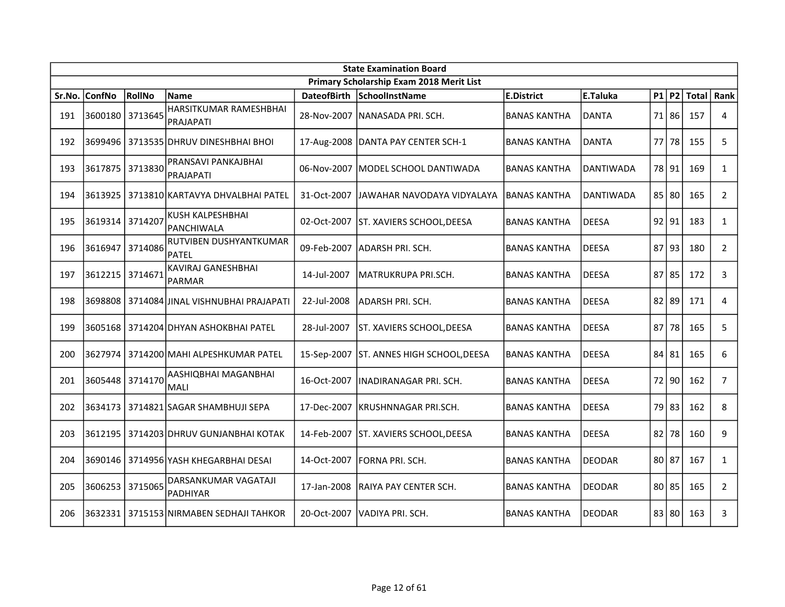|        | <b>State Examination Board</b> |         |                                            |                    |                                          |                     |               |  |           |     |                |  |
|--------|--------------------------------|---------|--------------------------------------------|--------------------|------------------------------------------|---------------------|---------------|--|-----------|-----|----------------|--|
|        |                                |         |                                            |                    | Primary Scholarship Exam 2018 Merit List |                     |               |  |           |     |                |  |
| Sr.No. | ConfNo                         | RollNo  | <b>Name</b>                                | <b>DateofBirth</b> | SchoolInstName                           | <b>E.District</b>   | E.Taluka      |  | $P1$ $P2$ |     | Total Rank     |  |
| 191    | 3600180                        | 3713645 | HARSITKUMAR RAMESHBHAI<br>PRAJAPATI        |                    | 28-Nov-2007   NANASADA PRI. SCH.         | <b>BANAS KANTHA</b> | DANTA         |  | 71 86     | 157 | 4              |  |
| 192    | 3699496                        |         | 3713535 DHRUV DINESHBHAI BHOI              |                    | 17-Aug-2008 DANTA PAY CENTER SCH-1       | <b>BANAS KANTHA</b> | DANTA         |  | 77 78     | 155 | 5              |  |
| 193    | 3617875                        | 3713830 | PRANSAVI PANKAJBHAI<br>PRAJAPATI           | 06-Nov-2007        | MODEL SCHOOL DANTIWADA                   | <b>BANAS KANTHA</b> | DANTIWADA     |  | 78 91     | 169 | $\mathbf{1}$   |  |
| 194    | 3613925                        |         | 3713810 KARTAVYA DHVALBHAI PATEL           | 31-Oct-2007        | JAWAHAR NAVODAYA VIDYALAYA               | <b>BANAS KANTHA</b> | DANTIWADA     |  | 85 80     | 165 | $\overline{2}$ |  |
| 195    | 3619314                        | 3714207 | <b>KUSH KALPESHBHAI</b><br>PANCHIWALA      | 02-Oct-2007        | ST. XAVIERS SCHOOL, DEESA                | <b>BANAS KANTHA</b> | <b>DEESA</b>  |  | 92 91     | 183 | $\mathbf{1}$   |  |
| 196    | 3616947                        | 3714086 | RUTVIBEN DUSHYANTKUMAR<br><b>PATEL</b>     | 09-Feb-2007        | ADARSH PRI. SCH.                         | <b>BANAS KANTHA</b> | <b>DEESA</b>  |  | 87 93     | 180 | $\overline{2}$ |  |
| 197    | 3612215                        | 3714671 | KAVIRAJ GANESHBHAI<br>PARMAR               | 14-Jul-2007        | MATRUKRUPA PRI.SCH.                      | <b>BANAS KANTHA</b> | <b>DEESA</b>  |  | $87$   85 | 172 | 3              |  |
| 198    | 3698808                        |         | 3714084 JINAL VISHNUBHAI PRAJAPATI         | 22-Jul-2008        | ADARSH PRI. SCH.                         | <b>BANAS KANTHA</b> | DEESA         |  | 82 89     | 171 | 4              |  |
| 199    |                                |         | 3605168   3714204 DHYAN ASHOKBHAI PATEL    | 28-Jul-2007        | ST. XAVIERS SCHOOL, DEESA                | <b>BANAS KANTHA</b> | <b>DEESA</b>  |  | 87 78     | 165 | 5              |  |
| 200    | 3627974                        |         | 3714200 MAHI ALPESHKUMAR PATEL             | 15-Sep-2007        | ST. ANNES HIGH SCHOOL, DEESA             | <b>BANAS KANTHA</b> | DEESA         |  | 84 81     | 165 | 6              |  |
| 201    | 3605448                        | 3714170 | AASHIQBHAI MAGANBHAI<br><b>MALI</b>        | 16-Oct-2007        | INADIRANAGAR PRI. SCH.                   | <b>BANAS KANTHA</b> | <b>DEESA</b>  |  | 72 90     | 162 | $\overline{7}$ |  |
| 202    | 3634173                        |         | 3714821 SAGAR SHAMBHUJI SEPA               | 17-Dec-2007        | KRUSHNNAGAR PRI.SCH.                     | <b>BANAS KANTHA</b> | DEESA         |  | 79 83     | 162 | 8              |  |
| 203    |                                |         | 3612195   3714203   DHRUV GUNJANBHAI KOTAK | 14-Feb-2007        | ST. XAVIERS SCHOOL, DEESA                | <b>BANAS KANTHA</b> | <b>DEESA</b>  |  | 82 78     | 160 | 9              |  |
| 204    | 3690146                        |         | 3714956 YASH KHEGARBHAI DESAI              | 14-Oct-2007        | FORNA PRI. SCH.                          | <b>BANAS KANTHA</b> | <b>DEODAR</b> |  | 80 87     | 167 | $\mathbf{1}$   |  |
| 205    | 3606253                        | 3715065 | DARSANKUMAR VAGATAJI<br>PADHIYAR           | 17-Jan-2008        | RAIYA PAY CENTER SCH.                    | <b>BANAS KANTHA</b> | DEODAR        |  | 80 85     | 165 | $\overline{2}$ |  |
| 206    | 3632331                        |         | 3715153 NIRMABEN SEDHAJI TAHKOR            | 20-Oct-2007        | lVADIYA PRI. SCH.                        | <b>BANAS KANTHA</b> | <b>DEODAR</b> |  | 83 80     | 163 | 3              |  |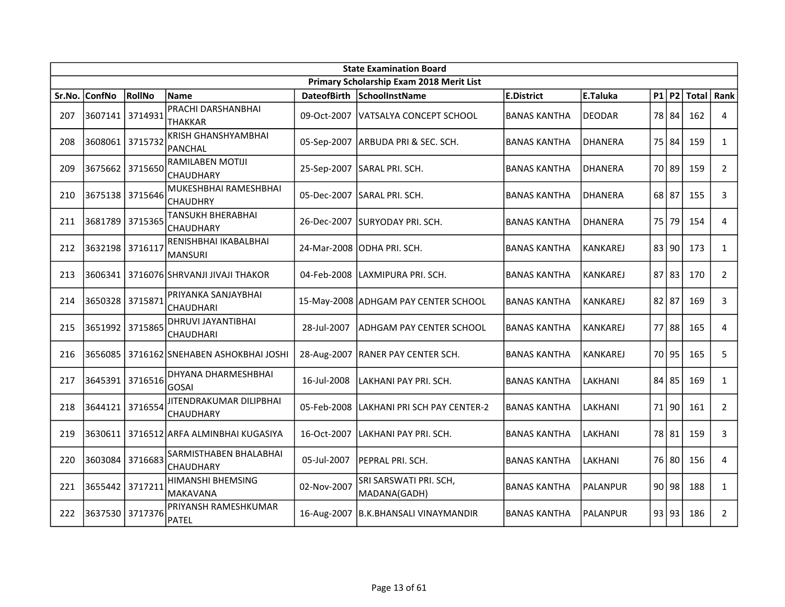|        | <b>State Examination Board</b> |         |                                               |                    |                                          |                     |                 |  |           |     |                |  |
|--------|--------------------------------|---------|-----------------------------------------------|--------------------|------------------------------------------|---------------------|-----------------|--|-----------|-----|----------------|--|
|        |                                |         |                                               |                    | Primary Scholarship Exam 2018 Merit List |                     |                 |  |           |     |                |  |
| Sr.No. | <b>ConfNo</b>                  | RollNo  | Name                                          | <b>DateofBirth</b> | SchoolInstName                           | <b>E.District</b>   | E.Taluka        |  | P1 P2     |     | Total   Rank   |  |
| 207    | 3607141                        | 3714931 | PRACHI DARSHANBHAI<br><b>THAKKAR</b>          | 09-Oct-2007        | VATSALYA CONCEPT SCHOOL                  | <b>BANAS KANTHA</b> | DEODAR          |  | 78 84     | 162 | 4              |  |
| 208    | 3608061 3715732                |         | <b>KRISH GHANSHYAMBHAI</b><br><b>PANCHAL</b>  | 05-Sep-2007        | ARBUDA PRI & SEC. SCH.                   | <b>BANAS KANTHA</b> | <b>DHANERA</b>  |  | 75 84     | 159 | $\mathbf{1}$   |  |
| 209    | 3675662                        | 3715650 | <b>RAMILABEN MOTIJI</b><br><b>CHAUDHARY</b>   | 25-Sep-2007        | SARAL PRI. SCH.                          | <b>BANAS KANTHA</b> | DHANERA         |  | 70 89     | 159 | $\overline{2}$ |  |
| 210    | 3675138 3715646                |         | MUKESHBHAI RAMESHBHAI<br><b>CHAUDHRY</b>      |                    | 05-Dec-2007 SARAL PRI. SCH.              | <b>BANAS KANTHA</b> | DHANERA         |  | $68$ 87   | 155 | 3              |  |
| 211    | 3681789                        | 3715365 | <b>TANSUKH BHERABHAI</b><br><b>CHAUDHARY</b>  |                    | 26-Dec-2007 SURYODAY PRI. SCH.           | <b>BANAS KANTHA</b> | <b>DHANERA</b>  |  | 75 79     | 154 | 4              |  |
| 212    | 3632198                        | 3716117 | RENISHBHAI IKABALBHAI<br>MANSURI              |                    | 24-Mar-2008 ODHA PRI. SCH.               | <b>BANAS KANTHA</b> | <b>KANKAREJ</b> |  | 83 90     | 173 | $\mathbf{1}$   |  |
| 213    | 3606341                        |         | 3716076 SHRVANJI JIVAJI THAKOR                | 04-Feb-2008        | LAXMIPURA PRI. SCH.                      | <b>BANAS KANTHA</b> | <b>KANKAREJ</b> |  | $87$   83 | 170 | $\mathbf{2}$   |  |
| 214    | 3650328                        | 3715871 | PRIYANKA SANJAYBHAI<br><b>CHAUDHARI</b>       |                    | 15-May-2008 ADHGAM PAY CENTER SCHOOL     | <b>BANAS KANTHA</b> | <b>KANKAREJ</b> |  | $82$   87 | 169 | 3              |  |
| 215    | 3651992                        | 3715865 | <b>DHRUVI JAYANTIBHAI</b><br><b>CHAUDHARI</b> | 28-Jul-2007        | <b>ADHGAM PAY CENTER SCHOOL</b>          | <b>BANAS KANTHA</b> | <b>KANKAREJ</b> |  | 77 88     | 165 | 4              |  |
| 216    | 3656085                        |         | 3716162 SNEHABEN ASHOKBHAI JOSHI              |                    | 28-Aug-2007   RANER PAY CENTER SCH.      | <b>BANAS KANTHA</b> | <b>KANKAREJ</b> |  | 70 95     | 165 | 5              |  |
| 217    | 3645391 3716516                |         | <b>DHYANA DHARMESHBHAI</b><br><b>GOSAI</b>    | 16-Jul-2008        | LAKHANI PAY PRI. SCH.                    | <b>BANAS KANTHA</b> | LAKHANI         |  | 84 85     | 169 | $\mathbf{1}$   |  |
| 218    | 3644121                        | 3716554 | JITENDRAKUMAR DILIPBHAI<br>CHAUDHARY          | 05-Feb-2008        | lLAKHANI PRI SCH PAY CENTER-2            | <b>BANAS KANTHA</b> | LAKHANI         |  | 71 90     | 161 | $\overline{2}$ |  |
| 219    | 3630611                        |         | 3716512 ARFA ALMINBHAI KUGASIYA               | 16-Oct-2007        | LAKHANI PAY PRI. SCH.                    | <b>BANAS KANTHA</b> | LAKHANI         |  | 78 81     | 159 | 3              |  |
| 220    | 3603084                        | 3716683 | SARMISTHABEN BHALABHAI<br>CHAUDHARY           | 05-Jul-2007        | IPEPRAL PRI. SCH.                        | <b>BANAS KANTHA</b> | LAKHANI         |  | 76 80     | 156 | $\overline{4}$ |  |
| 221    | 3655442                        | 3717211 | <b>HIMANSHI BHEMSING</b><br>MAKAVANA          | 02-Nov-2007        | SRI SARSWATI PRI. SCH,<br>MADANA(GADH)   | <b>BANAS KANTHA</b> | PALANPUR        |  | 90 98     | 188 | $\mathbf{1}$   |  |
| 222    | 3637530 3717376                |         | PRIYANSH RAMESHKUMAR<br><b>PATEL</b>          |                    | 16-Aug-2007 B.K.BHANSALI VINAYMANDIR     | <b>BANAS KANTHA</b> | IPALANPUR       |  | 93 93     | 186 | $\overline{2}$ |  |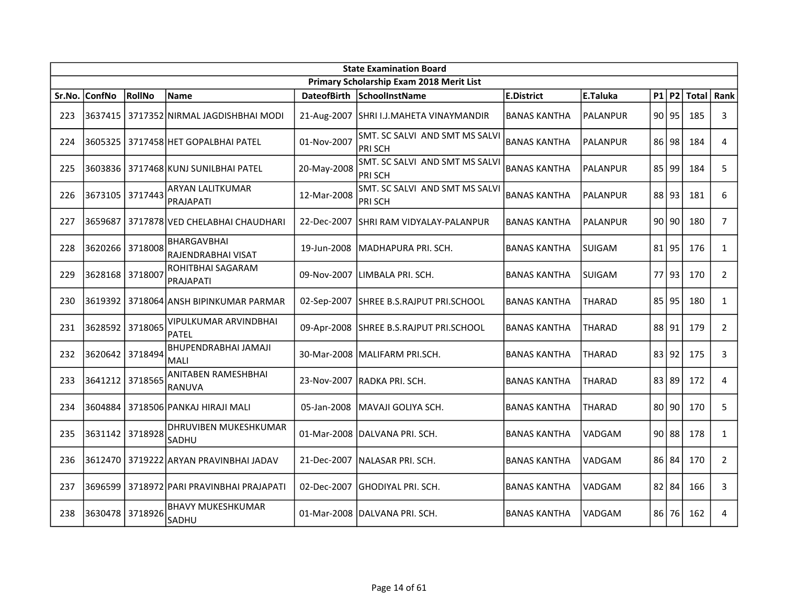|        | <b>State Examination Board</b> |         |                                       |                    |                                                 |                     |                 |  |           |       |                |
|--------|--------------------------------|---------|---------------------------------------|--------------------|-------------------------------------------------|---------------------|-----------------|--|-----------|-------|----------------|
|        |                                |         |                                       |                    | Primary Scholarship Exam 2018 Merit List        |                     |                 |  |           |       |                |
| Sr.No. | <b>ConfNo</b>                  | RollNo  | <b>Name</b>                           | <b>DateofBirth</b> | SchoolInstName                                  | <b>E.District</b>   | E.Taluka        |  | P1 P2     | Total | Rank           |
| 223    | 3637415                        |         | 3717352 NIRMAL JAGDISHBHAI MODI       |                    | 21-Aug-2007   SHRI I.J.MAHETA VINAYMANDIR       | <b>BANAS KANTHA</b> | <b>PALANPUR</b> |  | 90 95     | 185   | 3              |
| 224    | 3605325                        |         | 3717458 HET GOPALBHAI PATEL           | 01-Nov-2007        | SMT. SC SALVI AND SMT MS SALVI<br><b>PRISCH</b> | <b>BANAS KANTHA</b> | <b>PALANPUR</b> |  | $86$  98  | 184   | 4              |
| 225    | 3603836                        |         | 3717468 KUNJ SUNILBHAI PATEL          | 20-May-2008        | SMT. SC SALVI AND SMT MS SALVI<br><b>PRISCH</b> | <b>BANAS KANTHA</b> | <b>PALANPUR</b> |  | 85 99     | 184   | 5              |
| 226    | 3673105                        | 3717443 | ARYAN LALITKUMAR<br>PRAJAPATI         | 12-Mar-2008        | SMT. SC SALVI AND SMT MS SALVI<br>PRI SCH       | <b>BANAS KANTHA</b> | <b>PALANPUR</b> |  | 88 93     | 181   | 6              |
| 227    | 3659687                        |         | 3717878 VED CHELABHAI CHAUDHARI       | 22-Dec-2007        | <b>SHRI RAM VIDYALAY-PALANPUR</b>               | <b>BANAS KANTHA</b> | <b>PALANPUR</b> |  | 90 90     | 180   | $\overline{7}$ |
| 228    | 3620266                        | 3718008 | BHARGAVBHAI<br>RAJENDRABHAI VISAT     | 19-Jun-2008        | MADHAPURA PRI. SCH.                             | <b>BANAS KANTHA</b> | <b>SUIGAM</b>   |  | $81$   95 | 176   | $\mathbf{1}$   |
| 229    | 3628168                        | 3718007 | ROHITBHAI SAGARAM<br>PRAJAPATI        | 09-Nov-2007        | llimbala Pri. SCH.                              | <b>BANAS KANTHA</b> | <b>SUIGAM</b>   |  | 77 93     | 170   | $\overline{2}$ |
| 230    | 3619392                        |         | 3718064 ANSH BIPINKUMAR PARMAR        | 02-Sep-2007        | SHREE B.S.RAJPUT PRI.SCHOOL                     | <b>BANAS KANTHA</b> | THARAD          |  | 85 95     | 180   | $\mathbf{1}$   |
| 231    | 3628592 3718065                |         | VIPULKUMAR ARVINDBHAI<br><b>PATEL</b> |                    | 09-Apr-2008 SHREE B.S.RAJPUT PRI.SCHOOL         | <b>BANAS KANTHA</b> | THARAD          |  | 88 91     | 179   | $\overline{2}$ |
| 232    | 3620642                        | 3718494 | BHUPENDRABHAI JAMAJI<br>MALI          |                    | 30-Mar-2008   MALIFARM PRI.SCH.                 | <b>BANAS KANTHA</b> | <b>THARAD</b>   |  | 83 92     | 175   | 3              |
| 233    | 3641212                        | 3718565 | ANITABEN RAMESHBHAI<br>RANUVA         | 23-Nov-2007        | RADKA PRI. SCH.                                 | <b>BANAS KANTHA</b> | <b>THARAD</b>   |  | 83 89     | 172   | 4              |
| 234    | 3604884                        |         | 3718506 PANKAJ HIRAJI MALI            | 05-Jan-2008        | MAVAJI GOLIYA SCH.                              | <b>BANAS KANTHA</b> | <b>THARAD</b>   |  | 80 90     | 170   | 5              |
| 235    | 3631142 3718928                |         | DHRUVIBEN MUKESHKUMAR<br>SADHU        |                    | 01-Mar-2008 DALVANA PRI. SCH.                   | <b>BANAS KANTHA</b> | VADGAM          |  | $90$   88 | 178   | $\mathbf{1}$   |
| 236    | 3612470                        |         | 3719222 ARYAN PRAVINBHAI JADAV        | 21-Dec-2007        | NALASAR PRI. SCH.                               | <b>BANAS KANTHA</b> | VADGAM          |  | 86 84     | 170   | $\overline{2}$ |
| 237    | 3696599                        |         | 3718972 PARI PRAVINBHAI PRAJAPATI     | 02-Dec-2007        | <b>GHODIYAL PRI. SCH.</b>                       | <b>BANAS KANTHA</b> | VADGAM          |  | $82$ 84   | 166   | 3              |
| 238    | 3630478                        | 3718926 | <b>BHAVY MUKESHKUMAR</b><br>SADHU     |                    | 01-Mar-2008   DALVANA PRI. SCH.                 | <b>BANAS KANTHA</b> | VADGAM          |  | 86 76     | 162   | 4              |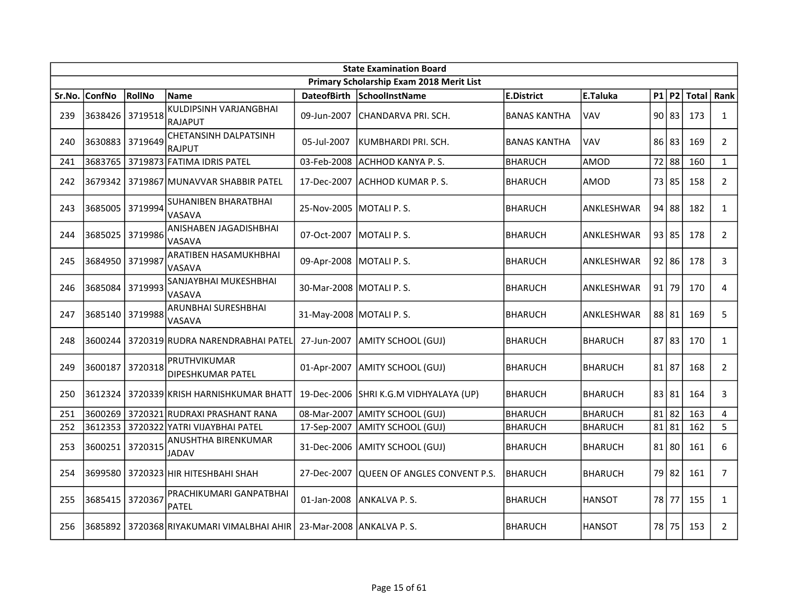|        | <b>State Examination Board</b> |               |                                                |                           |                                          |                     |                |  |           |              |                |  |
|--------|--------------------------------|---------------|------------------------------------------------|---------------------------|------------------------------------------|---------------------|----------------|--|-----------|--------------|----------------|--|
|        |                                |               |                                                |                           | Primary Scholarship Exam 2018 Merit List |                     |                |  |           |              |                |  |
| Sr.No. | <b>ConfNo</b>                  | <b>RollNo</b> | <b>Name</b>                                    | <b>DateofBirth</b>        | SchoolInstName                           | <b>E.District</b>   | E.Taluka       |  | $P1$ $P2$ | <b>Total</b> | Rank           |  |
| 239    | 3638426                        | 3719518       | KULDIPSINH VARJANGBHAI<br>RAJAPUT              | 09-Jun-2007               | CHANDARVA PRI. SCH.                      | <b>BANAS KANTHA</b> | <b>VAV</b>     |  | 90 83     | 173          | $\mathbf{1}$   |  |
| 240    | 3630883                        | 3719649       | <b>CHETANSINH DALPATSINH</b><br>RAJPUT         | 05-Jul-2007               | KUMBHARDI PRI. SCH.                      | <b>BANAS KANTHA</b> | VAV            |  | 86 83     | 169          | $\mathbf{2}$   |  |
| 241    | 3683765                        |               | 3719873 FATIMA IDRIS PATEL                     | 03-Feb-2008               | ACHHOD KANYA P.S.                        | <b>BHARUCH</b>      | AMOD           |  | 72 88     | 160          | $\mathbf{1}$   |  |
| 242    | 3679342                        |               | 3719867 MUNAVVAR SHABBIR PATEL                 | 17-Dec-2007               | ACHHOD KUMAR P.S.                        | <b>BHARUCH</b>      | AMOD           |  | 73 85     | 158          | $\overline{2}$ |  |
| 243    | 3685005                        | 3719994       | ISUHANIBEN BHARATBHAI<br>lvasava               | 25-Nov-2005               | lMOTALI P. S.                            | <b>BHARUCH</b>      | lANKLESHWAR    |  | 94 88     | 182          | $\mathbf{1}$   |  |
| 244    | 3685025                        | 3719986       | <b>ANISHABEN JAGADISHBHAI</b><br><b>VASAVA</b> | 07-Oct-2007               | MOTALI P.S.                              | <b>BHARUCH</b>      | ANKLESHWAR     |  | 93 85     | 178          | $\overline{2}$ |  |
| 245    | 3684950                        | 3719987       | <b>ARATIBEN HASAMUKHBHAI</b><br><b>VASAVA</b>  | 09-Apr-2008               | MOTALI P.S.                              | <b>BHARUCH</b>      | ANKLESHWAR     |  | $92$   86 | 178          | 3              |  |
| 246    | 3685084                        | 3719993       | SANJAYBHAI MUKESHBHAI<br><b>VASAVA</b>         | 30-Mar-2008   MOTALI P.S. |                                          | <b>BHARUCH</b>      | lANKLESHWAR    |  | 91 79     | 170          | $\overline{4}$ |  |
| 247    | 3685140                        | 3719988       | <b>ARUNBHAI SURESHBHAI</b><br>VASAVA           | 31-May-2008 MOTALI P.S.   |                                          | <b>BHARUCH</b>      | ANKLESHWAR     |  | 88 81     | 169          | 5              |  |
| 248    | 3600244                        |               | 3720319 RUDRA NARENDRABHAI PATEL               | 27-Jun-2007               | AMITY SCHOOL (GUJ)                       | <b>BHARUCH</b>      | BHARUCH        |  | 87 83     | 170          | $\mathbf{1}$   |  |
| 249    | 3600187                        | 3720318       | PRUTHVIKUMAR<br>DIPESHKUMAR PATEL              | 01-Apr-2007               | AMITY SCHOOL (GUJ)                       | <b>BHARUCH</b>      | BHARUCH        |  | 81 87     | 168          | $\overline{2}$ |  |
| 250    | 3612324                        |               | 3720339 KRISH HARNISHKUMAR BHATT               | 19-Dec-2006               | SHRI K.G.M VIDHYALAYA (UP)               | <b>BHARUCH</b>      | BHARUCH        |  | 83 81     | 164          | 3              |  |
| 251    | 3600269                        |               | 3720321 RUDRAXI PRASHANT RANA                  | 08-Mar-2007               | AMITY SCHOOL (GUJ)                       | <b>BHARUCH</b>      | <b>BHARUCH</b> |  | $81$   82 | 163          | 4              |  |
| 252    | 3612353                        |               | 3720322 YATRI VIJAYBHAI PATEL                  | 17-Sep-2007               | AMITY SCHOOL (GUJ)                       | <b>BHARUCH</b>      | BHARUCH        |  | $81$   81 | 162          | 5              |  |
| 253    | 3600251                        | 3720315       | ANUSHTHA BIRENKUMAR<br><b>JADAV</b>            | 31-Dec-2006               | AMITY SCHOOL (GUJ)                       | <b>BHARUCH</b>      | BHARUCH        |  | $81$   80 | 161          | 6              |  |
| 254    | 3699580                        |               | 3720323 HIR HITESHBAHI SHAH                    | 27-Dec-2007               | QUEEN OF ANGLES CONVENT P.S.             | <b>BHARUCH</b>      | <b>BHARUCH</b> |  | 79 82     | 161          | $\overline{7}$ |  |
| 255    | 3685415                        | 3720367       | PRACHIKUMARI GANPATBHAI<br>PATEL               | 01-Jan-2008               | ANKALVA P.S.                             | <b>BHARUCH</b>      | <b>HANSOT</b>  |  | 78 77     | 155          | $\mathbf{1}$   |  |
| 256    | 3685892                        |               | 3720368 RIYAKUMARI VIMALBHAI AHIR              |                           | 23-Mar-2008 JANKALVA P.S.                | <b>BHARUCH</b>      | <b>HANSOT</b>  |  | 78 75     | 153          | $\overline{2}$ |  |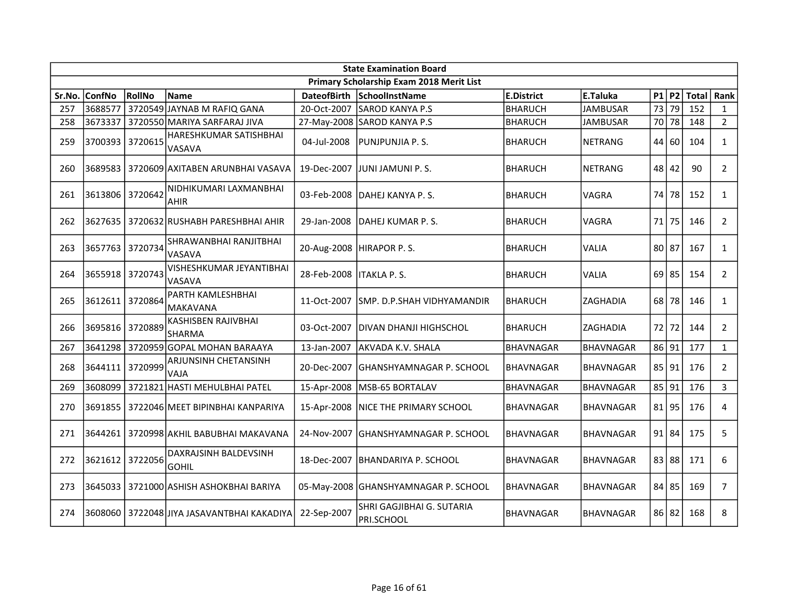|        | <b>State Examination Board</b> |               |                                                |                    |                                          |                   |                  |           |              |       |                |  |
|--------|--------------------------------|---------------|------------------------------------------------|--------------------|------------------------------------------|-------------------|------------------|-----------|--------------|-------|----------------|--|
|        |                                |               |                                                |                    | Primary Scholarship Exam 2018 Merit List |                   |                  |           |              |       |                |  |
| Sr.No. | <b>ConfNo</b>                  | <b>RollNo</b> | <b>Name</b>                                    | <b>DateofBirth</b> | SchoolInstName                           | <b>E.District</b> | E.Taluka         |           | $P1$ $P2$    | Total | Rank           |  |
| 257    | 3688577                        |               | 3720549 JAYNAB M RAFIQ GANA                    | 20-Oct-2007        | <b>SAROD KANYA P.S</b>                   | <b>BHARUCH</b>    | <b>JAMBUSAR</b>  | 73        | 79           | 152   | $\mathbf{1}$   |  |
| 258    | 3673337                        |               | 3720550 MARIYA SARFARAJ JIVA                   |                    | 27-May-2008 SAROD KANYA P.S              | <b>BHARUCH</b>    | <b>JAMBUSAR</b>  |           | 70 78        | 148   | $2^{\circ}$    |  |
| 259    | 3700393                        | 3720615       | <b>HARESHKUMAR SATISHBHAI</b><br><b>VASAVA</b> | 04-Jul-2008        | PUNJPUNJIA P. S.                         | <b>BHARUCH</b>    | NETRANG          |           | 44 60        | 104   | $\mathbf{1}$   |  |
| 260    | 3689583                        |               | 3720609 AXITABEN ARUNBHAI VASAVA               | 19-Dec-2007        | JUNI JAMUNI P. S.                        | <b>BHARUCH</b>    | INETRANG         |           | $48 \mid 42$ | 90    | $\overline{2}$ |  |
| 261    | 3613806                        | 3720642       | NIDHIKUMARI LAXMANBHAI<br>AHIR                 | 03-Feb-2008        | DAHEJ KANYA P. S.                        | <b>BHARUCH</b>    | VAGRA            |           | 74 78        | 152   | $\mathbf{1}$   |  |
| 262    | 3627635                        |               | 3720632 RUSHABH PARESHBHAI AHIR                | 29-Jan-2008        | DAHEJ KUMAR P. S.                        | <b>BHARUCH</b>    | VAGRA            | 71        | 75           | 146   | $\overline{2}$ |  |
| 263    | 3657763                        | 3720734       | SHRAWANBHAI RANJITBHAI<br><b>VASAVA</b>        | 20-Aug-2008        | HIRAPOR P.S.                             | <b>BHARUCH</b>    | VALIA            | 80 87     |              | 167   | $\mathbf{1}$   |  |
| 264    | 3655918                        | 3720743       | VISHESHKUMAR JEYANTIBHAI<br><b>VASAVA</b>      | 28-Feb-2008        | <b>ITAKLA P.S.</b>                       | <b>BHARUCH</b>    | VALIA            |           | $69$ 85      | 154   | $\overline{2}$ |  |
| 265    | 3612611                        | 3720864       | PARTH KAMLESHBHAI<br>MAKAVANA                  | 11-Oct-2007        | SMP. D.P.SHAH VIDHYAMANDIR               | <b>BHARUCH</b>    | IZAGHADIA        |           | 68 78        | 146   | $\mathbf{1}$   |  |
| 266    | 3695816 3720889                |               | <b>KASHISBEN RAJIVBHAI</b><br><b>SHARMA</b>    | 03-Oct-2007        | DIVAN DHANJI HIGHSCHOL                   | <b>BHARUCH</b>    | <b>ZAGHADIA</b>  |           | 72 72        | 144   | $\overline{2}$ |  |
| 267    | 3641298                        |               | 3720959 GOPAL MOHAN BARAAYA                    | 13-Jan-2007        | AKVADA K.V. SHALA                        | <b>BHAVNAGAR</b>  | BHAVNAGAR        | 86 91     |              | 177   | $\mathbf{1}$   |  |
| 268    | 3644111                        | 3720999       | ARJUNSINH CHETANSINH<br>VAJA                   | 20-Dec-2007        | IGHANSHYAMNAGAR P. SCHOOL                | <b>BHAVNAGAR</b>  | <b>BHAVNAGAR</b> |           | 85 91        | 176   | $\overline{2}$ |  |
| 269    | 3608099                        |               | 3721821 HASTI MEHULBHAI PATEL                  | 15-Apr-2008        | MSB-65 BORTALAV                          | <b>BHAVNAGAR</b>  | BHAVNAGAR        | 85 91     |              | 176   | $\mathbf{3}$   |  |
| 270    | 3691855                        |               | 3722046 MEET BIPINBHAI KANPARIYA               | 15-Apr-2008        | NICE THE PRIMARY SCHOOL                  | <b>BHAVNAGAR</b>  | BHAVNAGAR        | $81$   95 |              | 176   | $\overline{4}$ |  |
| 271    | 3644261                        |               | 3720998 AKHIL BABUBHAI MAKAVANA                | 24-Nov-2007        | GHANSHYAMNAGAR P. SCHOOL                 | <b>BHAVNAGAR</b>  | <b>BHAVNAGAR</b> |           | $91$   84    | 175   | 5              |  |
| 272    | 3621612                        | 3722056       | DAXRAJSINH BALDEVSINH<br><b>GOHIL</b>          | 18-Dec-2007        | IBHANDARIYA P. SCHOOL                    | <b>BHAVNAGAR</b>  | IBHAVNAGAR       |           | 83 88        | 171   | 6              |  |
| 273    | 3645033                        |               | 3721000 ASHISH ASHOKBHAI BARIYA                |                    | 05-May-2008 GHANSHYAMNAGAR P. SCHOOL     | <b>BHAVNAGAR</b>  | <b>BHAVNAGAR</b> |           | $84$ 85      | 169   | $\overline{7}$ |  |
| 274    | 3608060                        |               | 3722048 JIYA JASAVANTBHAI KAKADIYA             | 22-Sep-2007        | SHRI GAGJIBHAI G. SUTARIA<br>PRI.SCHOOL  | <b>BHAVNAGAR</b>  | <b>BHAVNAGAR</b> |           | 86 82        | 168   | 8              |  |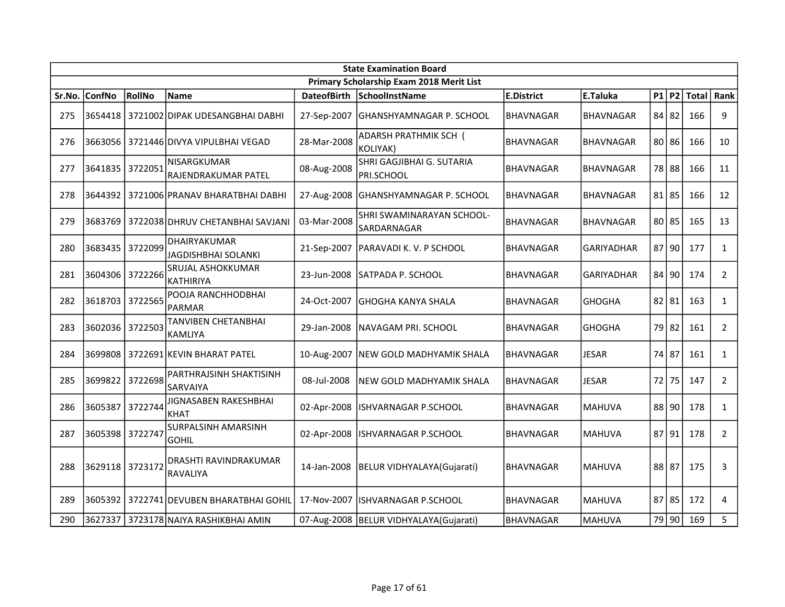|        | <b>State Examination Board</b> |               |                                           |                    |                                           |                   |                   |  |           |              |                |  |
|--------|--------------------------------|---------------|-------------------------------------------|--------------------|-------------------------------------------|-------------------|-------------------|--|-----------|--------------|----------------|--|
|        |                                |               |                                           |                    | Primary Scholarship Exam 2018 Merit List  |                   |                   |  |           |              |                |  |
| Sr.No. | <b>ConfNo</b>                  | <b>RollNo</b> | <b>Name</b>                               | <b>DateofBirth</b> | SchoolInstName                            | <b>E.District</b> | E.Taluka          |  | $P1$ P2   | Total   Rank |                |  |
| 275    | 3654418                        |               | 3721002 DIPAK UDESANGBHAI DABHI           | 27-Sep-2007        | GHANSHYAMNAGAR P. SCHOOL                  | BHAVNAGAR         | <b>BHAVNAGAR</b>  |  | 84 82     | 166          | 9              |  |
| 276    | 3663056                        |               | 3721446 DIVYA VIPULBHAI VEGAD             | 28-Mar-2008        | ADARSH PRATHMIK SCH (<br>KOLIYAK)         | <b>BHAVNAGAR</b>  | <b>BHAVNAGAR</b>  |  | $80$   86 | 166          | 10             |  |
| 277    | 3641835                        | 3722051       | NISARGKUMAR<br>RAJENDRAKUMAR PATEL        | 08-Aug-2008        | SHRI GAGJIBHAI G. SUTARIA<br>PRI.SCHOOL   | <b>BHAVNAGAR</b>  | BHAVNAGAR         |  | 78 88     | 166          | 11             |  |
| 278    |                                |               | 3644392   3721006 PRANAV BHARATBHAI DABHI |                    | 27-Aug-2008 GHANSHYAMNAGAR P. SCHOOL      | <b>BHAVNAGAR</b>  | <b>BHAVNAGAR</b>  |  | $81$   85 | 166          | 12             |  |
| 279    | 3683769                        |               | 3722038 DHRUV CHETANBHAI SAVJANI          | 03-Mar-2008        | SHRI SWAMINARAYAN SCHOOL-<br>SARDARNAGAR  | <b>BHAVNAGAR</b>  | <b>BHAVNAGAR</b>  |  | $80$   85 | 165          | 13             |  |
| 280    | 3683435                        | 3722099       | DHAIRYAKUMAR<br>JAGDISHBHAI SOLANKI       | 21-Sep-2007        | PARAVADI K. V. P SCHOOL                   | BHAVNAGAR         | GARIYADHAR        |  | 87 90     | 177          | $\mathbf{1}$   |  |
| 281    | 3604306                        | 3722266       | SRUJAL ASHOKKUMAR<br><b>KATHIRIYA</b>     | 23-Jun-2008        | SATPADA P. SCHOOL                         | <b>BHAVNAGAR</b>  | <b>GARIYADHAR</b> |  | 84 90     | 174          | $\overline{2}$ |  |
| 282    | 3618703                        | 3722565       | POOJA RANCHHODBHAI<br>PARMAR              | 24-Oct-2007        | GHOGHA KANYA SHALA                        | BHAVNAGAR         | <b>GHOGHA</b>     |  | $82$   81 | 163          | $\mathbf{1}$   |  |
| 283    | 3602036 3722503                |               | TANVIBEN CHETANBHAI<br><b>KAMLIYA</b>     | 29-Jan-2008        | NAVAGAM PRI. SCHOOL                       | <b>BHAVNAGAR</b>  | GHOGHA            |  | 79 82     | 161          | $\overline{2}$ |  |
| 284    | 3699808                        |               | 3722691 KEVIN BHARAT PATEL                |                    | 10-Aug-2007 NEW GOLD MADHYAMIK SHALA      | BHAVNAGAR         | <b>JESAR</b>      |  | 74 87     | 161          | $\mathbf{1}$   |  |
| 285    | 3699822                        | 3722698       | PARTHRAJSINH SHAKTISINH<br>SARVAIYA       | 08-Jul-2008        | NEW GOLD MADHYAMIK SHALA                  | <b>BHAVNAGAR</b>  | <b>JESAR</b>      |  | 72 75     | 147          | $\overline{2}$ |  |
| 286    | 3605387                        | 3722744       | JIGNASABEN RAKESHBHAI<br><b>KHAT</b>      | 02-Apr-2008        | <b>ISHVARNAGAR P.SCHOOL</b>               | <b>BHAVNAGAR</b>  | <b>IMAHUVA</b>    |  | $88$ 90   | 178          | $\mathbf{1}$   |  |
| 287    | 3605398                        | 3722747       | SURPALSINH AMARSINH<br>gohil              | 02-Apr-2008        | ISHVARNAGAR P.SCHOOL                      | <b>BHAVNAGAR</b>  | <b>MAHUVA</b>     |  | 87 91     | 178          | $\overline{2}$ |  |
| 288    | 3629118                        | 3723172       | DRASHTI RAVINDRAKUMAR<br>RAVALIYA         | 14-Jan-2008        | <b>BELUR VIDHYALAYA(Gujarati)</b>         | <b>BHAVNAGAR</b>  | <b>MAHUVA</b>     |  | 88 87     | 175          | 3              |  |
| 289    | 3605392                        |               | 3722741 DEVUBEN BHARATBHAI GOHIL          | 17-Nov-2007        | ISHVARNAGAR P.SCHOOL                      | <b>BHAVNAGAR</b>  | <b>IMAHUVA</b>    |  | $87$   85 | 172          | 4              |  |
| 290    | 3627337                        |               | 3723178 NAIYA RASHIKBHAI AMIN             |                    | 07-Aug-2008   BELUR VIDHYALAYA (Gujarati) | <b>BHAVNAGAR</b>  | MAHUVA            |  | 79 90     | 169          | 5              |  |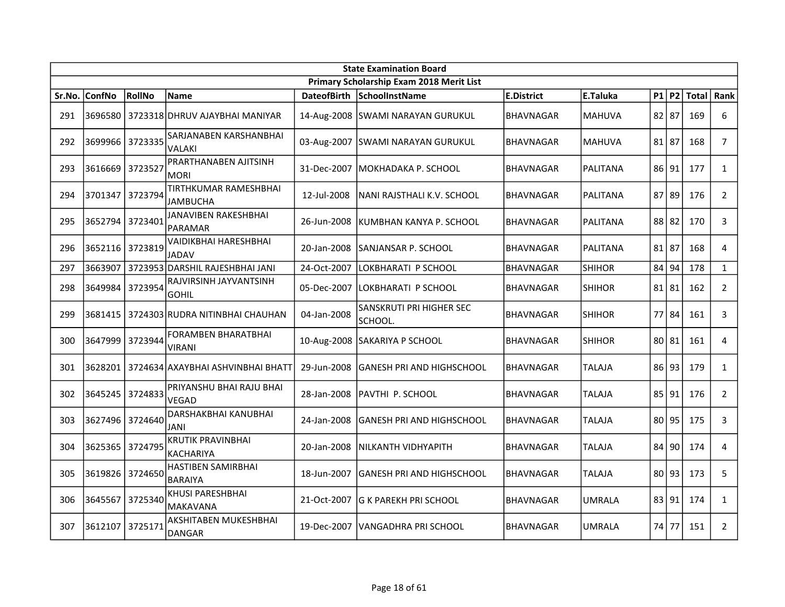|        | <b>State Examination Board</b> |         |                                             |                    |                                          |                   |                 |           |           |       |                |  |
|--------|--------------------------------|---------|---------------------------------------------|--------------------|------------------------------------------|-------------------|-----------------|-----------|-----------|-------|----------------|--|
|        |                                |         |                                             |                    | Primary Scholarship Exam 2018 Merit List |                   |                 |           |           |       |                |  |
| Sr.No. | <b>ConfNo</b>                  | RollNo  | Name                                        | <b>DateofBirth</b> | SchoolInstName                           | <b>E.District</b> | E.Taluka        |           | $P1$ P2   | Total | Rank           |  |
| 291    |                                |         | I3696580   3723318 DHRUV AJAYBHAI MANIYAR   |                    | 14-Aug-2008 SWAMI NARAYAN GURUKUL        | <b>BHAVNAGAR</b>  | <b>MAHUVA</b>   | $82$   87 |           | 169   | 6              |  |
| 292    | 3699966                        | 3723335 | SARJANABEN KARSHANBHAI<br>VALAKI            |                    | 03-Aug-2007 SWAMI NARAYAN GURUKUL        | <b>BHAVNAGAR</b>  | <b>MAHUVA</b>   | 81 87     |           | 168   | $\overline{7}$ |  |
| 293    | 3616669                        | 3723527 | PRARTHANABEN AJITSINH<br><b>MORI</b>        |                    | 31-Dec-2007   MOKHADAKA P. SCHOOL        | <b>BHAVNAGAR</b>  | PALITANA        | 86 91     |           | 177   | $\mathbf{1}$   |  |
| 294    | 3701347                        | 3723794 | TIRTHKUMAR RAMESHBHAI<br>JAMBUCHA           | 12-Jul-2008        | NANI RAJSTHALI K.V. SCHOOL               | <b>BHAVNAGAR</b>  | PALITANA        |           | $87$   89 | 176   | $\overline{2}$ |  |
| 295    | 3652794                        | 3723401 | JANAVIBEN RAKESHBHAI<br>PARAMAR             | 26-Jun-2008        | KUMBHAN KANYA P. SCHOOL                  | <b>BHAVNAGAR</b>  | PALITANA        |           | 88 82     | 170   | 3              |  |
| 296    | 3652116 3723819                |         | VAIDIKBHAI HARESHBHAI<br>JADAV              | 20-Jan-2008        | SANJANSAR P. SCHOOL                      | <b>BHAVNAGAR</b>  | <b>PALITANA</b> | 81 87     |           | 168   | 4              |  |
| 297    | 3663907                        |         | 3723953 DARSHIL RAJESHBHAI JANI             | 24-Oct-2007        | LOKBHARATI P SCHOOL                      | <b>BHAVNAGAR</b>  | <b>SHIHOR</b>   | 84 94     |           | 178   | $\mathbf{1}$   |  |
| 298    | 3649984                        | 3723954 | RAJVIRSINH JAYVANTSINH<br><b>GOHIL</b>      | 05-Dec-2007        | LOKBHARATI P SCHOOL                      | <b>BHAVNAGAR</b>  | <b>SHIHOR</b>   | 81 81     |           | 162   | $\overline{2}$ |  |
| 299    | 3681415                        |         | 3724303 RUDRA NITINBHAI CHAUHAN             | 04-Jan-2008        | SANSKRUTI PRI HIGHER SEC<br>SCHOOL.      | <b>BHAVNAGAR</b>  | <b>SHIHOR</b>   |           | 77 84     | 161   | 3              |  |
| 300    | 3647999                        | 3723944 | <b>FORAMBEN BHARATBHAI</b><br>VIRANI        |                    | 10-Aug-2008 SAKARIYA P SCHOOL            | <b>BHAVNAGAR</b>  | <b>SHIHOR</b>   | 80 81     |           | 161   | 4              |  |
| 301    |                                |         | 3628201   3724634 АХАҮВНАІ АSHVINBHAI ВНАТТ | 29-Jun-2008        | GANESH PRI AND HIGHSCHOOL                | <b>BHAVNAGAR</b>  | <b>TALAJA</b>   |           | 86 93     | 179   | $\mathbf{1}$   |  |
| 302    | 3645245                        | 3724833 | PRIYANSHU BHAI RAJU BHAI<br>VEGAD           | 28-Jan-2008        | <b>PAVTHI P. SCHOOL</b>                  | <b>BHAVNAGAR</b>  | <b>TALAJA</b>   | 85 91     |           | 176   | $\overline{2}$ |  |
| 303    | 3627496                        | 3724640 | DARSHAKBHAI KANUBHAI<br>JANI                | 24-Jan-2008        | <b>GANESH PRI AND HIGHSCHOOL</b>         | <b>BHAVNAGAR</b>  | <b>TALAJA</b>   |           | 80 95     | 175   | 3              |  |
| 304    | 3625365                        | 3724795 | <b>KRUTIK PRAVINBHAI</b><br>KACHARIYA       | 20-Jan-2008        | NILKANTH VIDHYAPITH                      | BHAVNAGAR         | <b>TALAJA</b>   |           | 84   90   | 174   | 4              |  |
| 305    | 3619826                        | 3724650 | HASTIBEN SAMIRBHAI<br><b>BARAIYA</b>        | 18-Jun-2007        | GANESH PRI AND HIGHSCHOOL                | <b>BHAVNAGAR</b>  | <b>TALAJA</b>   |           | 80 93     | 173   | 5              |  |
| 306    | 3645567                        | 3725340 | KHUSI PARESHBHAI<br><b>MAKAVANA</b>         | 21-Oct-2007        | <b>G K PAREKH PRI SCHOOL</b>             | <b>BHAVNAGAR</b>  | <b>UMRALA</b>   | 83 91     |           | 174   | $\mathbf{1}$   |  |
| 307    | 3612107                        | 3725171 | AKSHITABEN MUKESHBHAI<br><b>DANGAR</b>      |                    | 19-Dec-2007   VANGADHRA PRI SCHOOL       | BHAVNAGAR         | <b>UMRALA</b>   |           | 74 77     | 151   | $\overline{2}$ |  |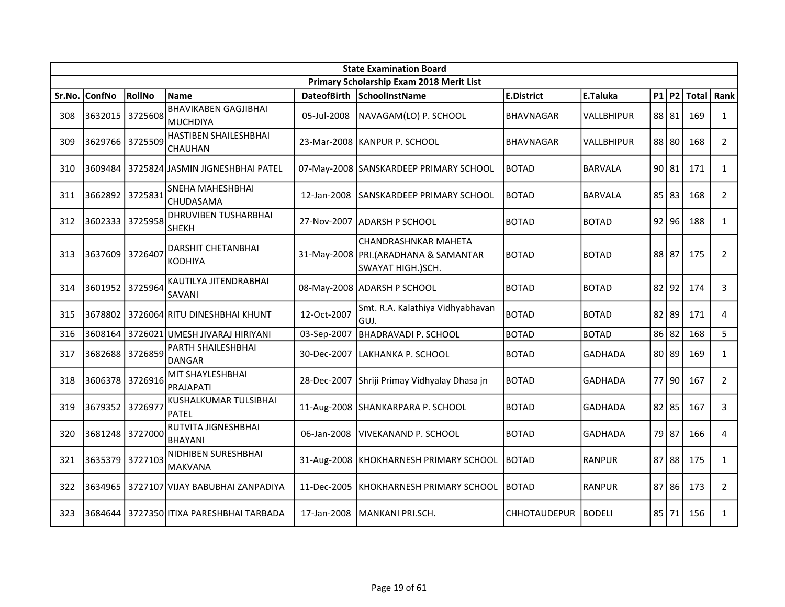|        | <b>State Examination Board</b> |         |                                                |                    |                                                                                      |                     |                |  |           |              |                |  |
|--------|--------------------------------|---------|------------------------------------------------|--------------------|--------------------------------------------------------------------------------------|---------------------|----------------|--|-----------|--------------|----------------|--|
|        |                                |         |                                                |                    | Primary Scholarship Exam 2018 Merit List                                             |                     |                |  |           |              |                |  |
| Sr.No. | ConfNo                         | RollNo  | <b>Name</b>                                    | <b>DateofBirth</b> | SchoolInstName                                                                       | <b>E.District</b>   | E.Taluka       |  | $P1$ $P2$ | <b>Total</b> | Rank           |  |
| 308    | 3632015                        | 3725608 | <b>BHAVIKABEN GAGJIBHAI</b><br><b>MUCHDIYA</b> | 05-Jul-2008        | NAVAGAM(LO) P. SCHOOL                                                                | <b>BHAVNAGAR</b>    | VALLBHIPUR     |  | 88 81     | 169          | $\mathbf{1}$   |  |
| 309    | 3629766 3725509                |         | HASTIBEN SHAILESHBHAI<br>CHAUHAN               |                    | 23-Mar-2008  KANPUR P. SCHOOL                                                        | <b>BHAVNAGAR</b>    | VALLBHIPUR     |  | 88 80     | 168          | $\overline{2}$ |  |
| 310    | 3609484                        |         | 3725824 JASMIN JIGNESHBHAI PATEL               |                    | 07-May-2008 SANSKARDEEP PRIMARY SCHOOL                                               | <b>BOTAD</b>        | <b>BARVALA</b> |  | 90 81     | 171          | $\mathbf{1}$   |  |
| 311    | 3662892 3725831                |         | SNEHA MAHESHBHAI<br>CHUDASAMA                  | 12-Jan-2008        | SANSKARDEEP PRIMARY SCHOOL                                                           | <b>BOTAD</b>        | <b>BARVALA</b> |  | 85 83     | 168          | $\overline{2}$ |  |
| 312    | 3602333                        | 3725958 | <b>DHRUVIBEN TUSHARBHAI</b><br>SHEKH           |                    | 27-Nov-2007 JADARSH P SCHOOL                                                         | BOTAD               | <b>BOTAD</b>   |  | $92$ 96   | 188          | $\mathbf{1}$   |  |
| 313    | 3637609                        | 3726407 | DARSHIT CHETANBHAI<br><b>KODHIYA</b>           |                    | CHANDRASHNKAR MAHETA<br>31-May-2008   PRI. (ARADHANA & SAMANTAR<br>SWAYAT HIGH.)SCH. | <b>BOTAD</b>        | <b>BOTAD</b>   |  | 88 87     | 175          | $\overline{2}$ |  |
| 314    | 3601952                        | 3725964 | KAUTILYA JITENDRABHAI<br>SAVANI                |                    | 08-May-2008 ADARSH P SCHOOL                                                          | BOTAD               | <b>BOTAD</b>   |  | $82$  92  | 174          | 3              |  |
| 315    | 3678802                        |         | 3726064 RITU DINESHBHAI KHUNT                  | 12-Oct-2007        | Smt. R.A. Kalathiya Vidhyabhavan<br>GUJ.                                             | BOTAD               | <b>BOTAD</b>   |  | $82$   89 | 171          | 4              |  |
| 316    | 3608164                        |         | 3726021 UMESH JIVARAJ HIRIYANI                 | 03-Sep-2007        | <b>BHADRAVADI P. SCHOOL</b>                                                          | BOTAD               | <b>BOTAD</b>   |  | 86 82     | 168          | 5              |  |
| 317    | 3682688                        | 3726859 | PARTH SHAILESHBHAI<br><b>DANGAR</b>            | 30-Dec-2007        | LAKHANKA P. SCHOOL                                                                   | <b>BOTAD</b>        | <b>GADHADA</b> |  | 80 89     | 169          | $\mathbf{1}$   |  |
| 318    | 3606378 3726916                |         | MIT SHAYLESHBHAI<br>PRAJAPATI                  | 28-Dec-2007        | Shriji Primay Vidhyalay Dhasa jn                                                     | <b>BOTAD</b>        | <b>GADHADA</b> |  | 77 90     | 167          | $\overline{2}$ |  |
| 319    | 3679352                        | 3726977 | KUSHALKUMAR TULSIBHAI<br><b>PATEL</b>          |                    | 11-Aug-2008 SHANKARPARA P. SCHOOL                                                    | <b>BOTAD</b>        | <b>GADHADA</b> |  | $82$   85 | 167          | 3              |  |
| 320    | 3681248 3727000                |         | RUTVITA JIGNESHBHAI<br><b>BHAYANI</b>          | 06-Jan-2008        | <b>VIVEKANAND P. SCHOOL</b>                                                          | BOTAD               | <b>GADHADA</b> |  | 79 87     | 166          | 4              |  |
| 321    | 3635379                        | 3727103 | NIDHIBEN SURESHBHAI<br><b>MAKVANA</b>          |                    | 31-Aug-2008   KHOKHARNESH PRIMARY SCHOOL                                             | <b>BOTAD</b>        | <b>RANPUR</b>  |  | $87$ 88   | 175          | $\mathbf{1}$   |  |
| 322    | 3634965                        |         | 3727107 VIJAY BABUBHAI ZANPADIYA               | 11-Dec-2005        | KHOKHARNESH PRIMARY SCHOOL                                                           | <b>BOTAD</b>        | <b>RANPUR</b>  |  | $87$ 86   | 173          | $\overline{2}$ |  |
| 323    | 3684644                        |         | 3727350 ITIXA PARESHBHAI TARBADA               | 17-Jan-2008        | İMANKANI PRI.SCH.                                                                    | <b>CHHOTAUDEPUR</b> | BODELI         |  | 85 71     | 156          | $\mathbf{1}$   |  |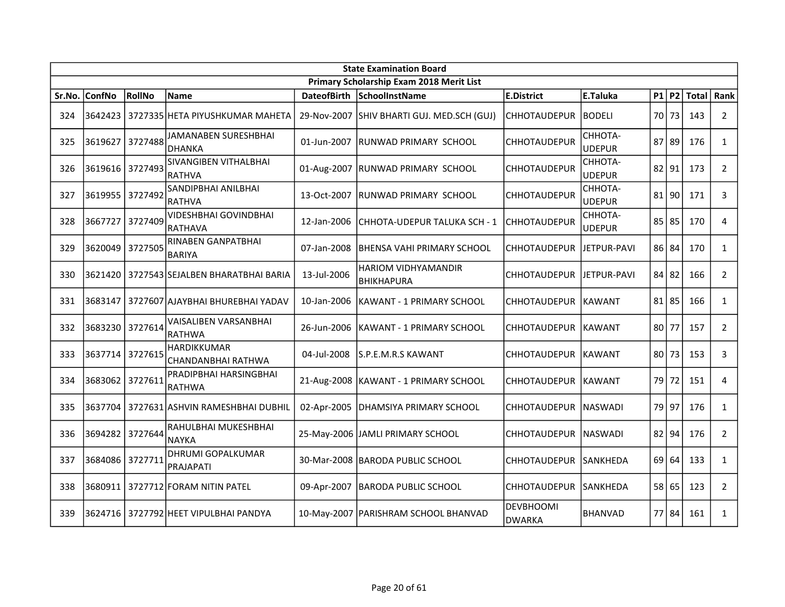|        | <b>State Examination Board</b> |         |                                           |                    |                                                 |                                   |                          |  |           |       |                |
|--------|--------------------------------|---------|-------------------------------------------|--------------------|-------------------------------------------------|-----------------------------------|--------------------------|--|-----------|-------|----------------|
|        |                                |         |                                           |                    | Primary Scholarship Exam 2018 Merit List        |                                   |                          |  |           |       |                |
| Sr.No. | <b>ConfNo</b>                  | RollNo  | Name                                      | <b>DateofBirth</b> | SchoolInstName                                  | <b>E.District</b>                 | E.Taluka                 |  | $P1$ P2   | Total | Rank           |
| 324    | 3642423                        |         | 3727335 HETA PIYUSHKUMAR MAHETA           | 29-Nov-2007        | SHIV BHARTI GUJ. MED.SCH (GUJ)                  | <b>CHHOTAUDEPUR</b>               | IBODELI                  |  | 70 73     | 143   | $\overline{2}$ |
| 325    | 3619627                        | 3727488 | JAMANABEN SURESHBHAI<br><b>DHANKA</b>     | 01-Jun-2007        | RUNWAD PRIMARY SCHOOL                           | <b>CHHOTAUDEPUR</b>               | СННОТА-<br>UDEPUR        |  | $87$ 89   | 176   | $\mathbf{1}$   |
| 326    | 3619616 3727493                |         | SIVANGIBEN VITHALBHAI<br>RATHVA           | 01-Aug-2007        | <b>RUNWAD PRIMARY SCHOOL</b>                    | <b>CHHOTAUDEPUR</b>               | CHHOTA-<br>UDEPUR        |  | $82$  91  | 173   | $\overline{2}$ |
| 327    | 3619955                        | 3727492 | SANDIPBHAI ANILBHAI<br>RATHVA             | 13-Oct-2007        | IRUNWAD PRIMARY SCHOOL                          | <b>CHHOTAUDEPUR</b>               | CHHOTA-<br><b>UDEPUR</b> |  | 81 90     | 171   | 3              |
| 328    | 3667727                        | 3727409 | <b>VIDESHBHAI GOVINDBHAI</b><br>IRATHAVA  | 12-Jan-2006        | CHHOTA-UDEPUR TALUKA SCH - 1                    | <b>CHHOTAUDEPUR</b>               | СННОТА-<br><b>UDEPUR</b> |  | 85 85     | 170   | 4              |
| 329    | 3620049                        | 3727505 | RINABEN GANPATBHAI<br><b>BARIYA</b>       | 07-Jan-2008        | BHENSA VAHI PRIMARY SCHOOL                      | <b>CHHOTAUDEPUR</b>               | JETPUR-PAVI              |  | 86 84     | 170   | $\mathbf{1}$   |
| 330    | 3621420                        |         | 3727543 SEJALBEN BHARATBHAI BARIA         | 13-Jul-2006        | <b>HARIOM VIDHYAMANDIR</b><br><b>BHIKHAPURA</b> | <b>CHHOTAUDEPUR</b>               | JETPUR-PAVI              |  | 84 82     | 166   | $\overline{2}$ |
| 331    | 3683147                        |         | 3727607 AJAYBHAI BHUREBHAI YADAV          | 10-Jan-2006        | KAWANT - 1 PRIMARY SCHOOL                       | <b>CHHOTAUDEPUR</b>               | <b>IKAWANT</b>           |  | $81$   85 | 166   | $\mathbf{1}$   |
| 332    | 3683230                        | 3727614 | lVAISALIBEN VARSANBHAI<br>RATHWA          | 26-Jun-2006        | KAWANT - 1 PRIMARY SCHOOL                       | <b>CHHOTAUDEPUR</b>               | <b>IKAWANT</b>           |  | $80$   77 | 157   | $\overline{2}$ |
| 333    | 3637714                        | 3727615 | <b>HARDIKKUMAR</b><br> CHANDANBHAI RATHWA | 04-Jul-2008        | S.P.E.M.R.S KAWANT                              | <b>CHHOTAUDEPUR</b>               | KAWANT                   |  | 80 73     | 153   | 3              |
| 334    | 3683062                        | 3727611 | PRADIPBHAI HARSINGBHAI<br>RATHWA          |                    | 21-Aug-2008   KAWANT - 1 PRIMARY SCHOOL         | <b>CHHOTAUDEPUR</b>               | KAWANT                   |  | 79 72     | 151   | 4              |
| 335    | 3637704                        |         | 3727631 ASHVIN RAMESHBHAI DUBHIL          | 02-Apr-2005        | DHAMSIYA PRIMARY SCHOOL                         | <b>CHHOTAUDEPUR</b>               | <b>NASWADI</b>           |  | 79 97     | 176   | $\mathbf{1}$   |
| 336    | 3694282                        | 3727644 | RAHULBHAI MUKESHBHAI<br>NAYKA             |                    | 25-May-2006 JAMLI PRIMARY SCHOOL                | <b>CHHOTAUDEPUR</b>               | <b>INASWADI</b>          |  | $82$ 94   | 176   | $\overline{2}$ |
| 337    | 3684086                        | 3727711 | <b>DHRUMI GOPALKUMAR</b><br>PRAJAPATI     |                    | 30-Mar-2008   BARODA PUBLIC SCHOOL              | <b>CHHOTAUDEPUR</b>               | SANKHEDA                 |  | 69 64     | 133   | $\mathbf{1}$   |
| 338    | 3680911                        |         | 3727712 FORAM NITIN PATEL                 | 09-Apr-2007        | <b>BARODA PUBLIC SCHOOL</b>                     | <b>CHHOTAUDEPUR</b>               | ISANKHEDA                |  | 58 65     | 123   | $\overline{2}$ |
| 339    |                                |         | 3624716 3727792 HEET VIPULBHAI PANDYA     |                    | 10-May-2007   PARISHRAM SCHOOL BHANVAD          | <b>DEVBHOOMI</b><br><b>DWARKA</b> | BHANVAD                  |  | 77 84     | 161   | $\mathbf{1}$   |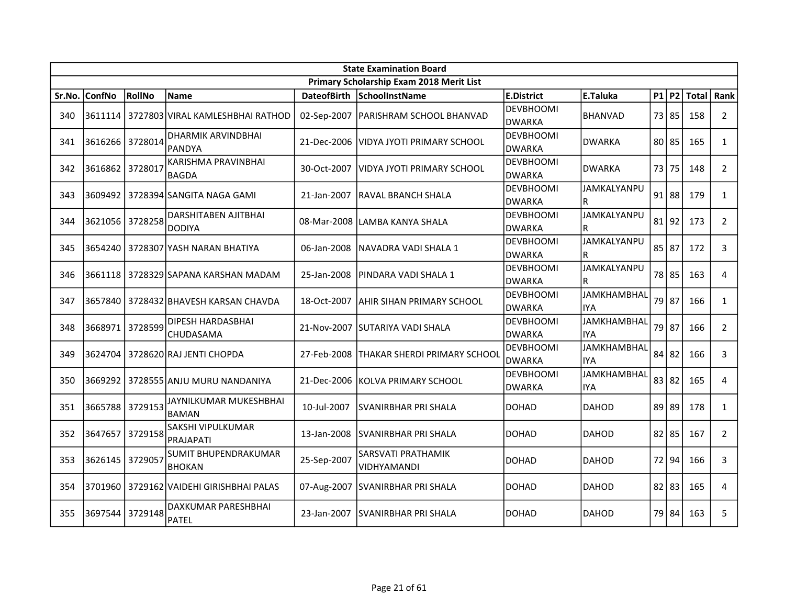|        | <b>State Examination Board</b> |         |                                        |             |                                          |                                   |                                  |  |           |              |                |
|--------|--------------------------------|---------|----------------------------------------|-------------|------------------------------------------|-----------------------------------|----------------------------------|--|-----------|--------------|----------------|
|        |                                |         |                                        |             | Primary Scholarship Exam 2018 Merit List |                                   |                                  |  |           |              |                |
| Sr.No. | <b>ConfNo</b>                  | RollNo  | <b>Name</b>                            |             | DateofBirth SchoolInstName               | <b>E.District</b>                 | E.Taluka                         |  | $P1$ P2   | <b>Total</b> | Rank           |
| 340    | 3611114                        |         | 3727803 VIRAL KAMLESHBHAI RATHOD       |             | 02-Sep-2007   PARISHRAM SCHOOL BHANVAD   | <b>DEVBHOOMI</b><br><b>DWARKA</b> | <b>BHANVAD</b>                   |  | 73 85     | 158          | $\overline{2}$ |
| 341    | 3616266                        | 3728014 | DHARMIK ARVINDBHAI<br><b>PANDYA</b>    | 21-Dec-2006 | VIDYA JYOTI PRIMARY SCHOOL               | <b>DEVBHOOMI</b><br><b>DWARKA</b> | <b>DWARKA</b>                    |  | $80$   85 | 165          | $\mathbf{1}$   |
| 342    | 3616862                        | 3728017 | KARISHMA PRAVINBHAI<br><b>BAGDA</b>    | 30-Oct-2007 | VIDYA JYOTI PRIMARY SCHOOL               | <b>DEVBHOOMI</b><br>DWARKA        | <b>DWARKA</b>                    |  | 73 75     | 148          | $\overline{2}$ |
| 343    |                                |         | 3609492   3728394   SANGITA NAGA GAMI  | 21-Jan-2007 | <b>RAVAL BRANCH SHALA</b>                | DEVBHOOMI<br><b>DWARKA</b>        | JAMKALYANPU<br>R                 |  | $91$ 88   | 179          | $\mathbf{1}$   |
| 344    | 3621056                        | 3728258 | DARSHITABEN AJITBHAI<br><b>DODIYA</b>  |             | 08-Mar-2008 LAMBA KANYA SHALA            | <b>DEVBHOOMI</b><br><b>DWARKA</b> | JAMKALYANPU<br>R                 |  | 81 92     | 173          | $\overline{2}$ |
| 345    | 3654240                        |         | 3728307 YASH NARAN BHATIYA             | 06-Jan-2008 | INAVADRA VADI SHALA 1                    | <b>DEVBHOOMI</b><br><b>DWARKA</b> | JAMKALYANPU<br>R                 |  | 85 87     | 172          | 3              |
| 346    | 3661118                        |         | 3728329 SAPANA KARSHAN MADAM           | 25-Jan-2008 | PINDARA VADI SHALA 1                     | <b>DEVBHOOMI</b><br><b>DWARKA</b> | JAMKALYANPU<br>R                 |  | 78 85     | 163          | 4              |
| 347    | 3657840                        |         | 3728432 BHAVESH KARSAN CHAVDA          | 18-Oct-2007 | IAHIR SIHAN PRIMARY SCHOOL               | <b>DEVBHOOMI</b><br><b>DWARKA</b> | <b>JAMKHAMBHAL</b><br><b>IYA</b> |  | 79 87     | 166          | $\mathbf{1}$   |
| 348    | 3668971                        | 3728599 | DIPESH HARDASBHAI<br>CHUDASAMA         |             | 21-Nov-2007 SUTARIYA VADI SHALA          | DEVBHOOMI<br><b>DWARKA</b>        | <b>JAMKHAMBHAL</b><br><b>IYA</b> |  | 79 87     | 166          | $\overline{2}$ |
| 349    | 3624704                        |         | 3728620 RAJ JENTI CHOPDA               | 27-Feb-2008 | <b>THAKAR SHERDI PRIMARY SCHOOL</b>      | <b>DEVBHOOMI</b><br><b>DWARKA</b> | <b>JAMKHAMBHAL</b><br><b>IYA</b> |  | 84 82     | 166          | 3              |
| 350    | 3669292                        |         | 3728555 ANJU MURU NANDANIYA            |             | 21-Dec-2006 KOLVA PRIMARY SCHOOL         | DEVBHOOMI<br><b>DWARKA</b>        | <b>JAMKHAMBHAL</b><br><b>IYA</b> |  | 83 82     | 165          | 4              |
| 351    | 3665788                        | 3729153 | JAYNILKUMAR MUKESHBHAI<br><b>BAMAN</b> | 10-Jul-2007 | <b>SVANIRBHAR PRI SHALA</b>              | <b>DOHAD</b>                      | <b>DAHOD</b>                     |  | 89 89     | 178          | $\mathbf{1}$   |
| 352    | 3647657                        | 3729158 | SAKSHI VIPULKUMAR<br>PRAJAPATI         | 13-Jan-2008 | ISVANIRBHAR PRI SHALA                    | <b>DOHAD</b>                      | <b>DAHOD</b>                     |  | $82$   85 | 167          | $\overline{2}$ |
| 353    | 3626145                        | 3729057 | SUMIT BHUPENDRAKUMAR<br><b>BHOKAN</b>  | 25-Sep-2007 | SARSVATI PRATHAMIK<br>VIDHYAMANDI        | <b>DOHAD</b>                      | <b>DAHOD</b>                     |  | 72 94     | 166          | 3              |
| 354    | 3701960                        |         | 3729162 VAIDEHI GIRISHBHAI PALAS       | 07-Aug-2007 | <b>SVANIRBHAR PRI SHALA</b>              | <b>DOHAD</b>                      | <b>DAHOD</b>                     |  | $82$   83 | 165          | 4              |
| 355    | 3697544                        | 3729148 | DAXKUMAR PARESHBHAI<br><b>PATEL</b>    | 23-Jan-2007 | <b>ISVANIRBHAR PRI SHALA</b>             | DOHAD                             | <b>DAHOD</b>                     |  | 79 84     | 163          | 5              |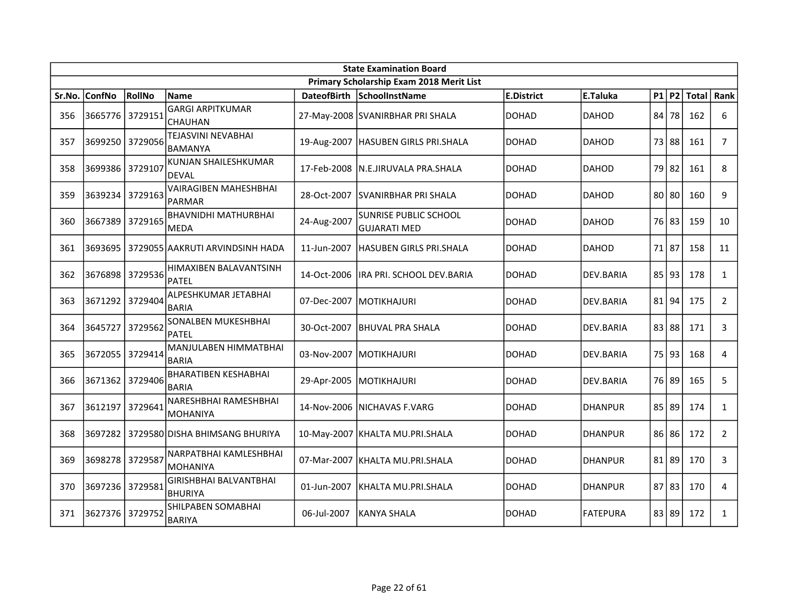|        | <b>State Examination Board</b> |         |                                                 |             |                                                     |                   |                 |    |       |              |                |  |
|--------|--------------------------------|---------|-------------------------------------------------|-------------|-----------------------------------------------------|-------------------|-----------------|----|-------|--------------|----------------|--|
|        |                                |         |                                                 |             | Primary Scholarship Exam 2018 Merit List            |                   |                 |    |       |              |                |  |
| Sr.No. | ConfNo                         | RollNo  | <b>Name</b>                                     |             | DateofBirth SchoolInstName                          | <b>E.District</b> | E.Taluka        |    | P1 P2 | <b>Total</b> | Rank           |  |
| 356    | 3665776                        | 3729151 | <b>GARGI ARPITKUMAR</b><br>CHAUHAN              |             | 27-May-2008 SVANIRBHAR PRI SHALA                    | <b>DOHAD</b>      | <b>DAHOD</b>    | 84 | 78    | 162          | 6              |  |
| 357    | 3699250 3729056                |         | TEJASVINI NEVABHAI<br><b>BAMANYA</b>            |             | 19-Aug-2007   HASUBEN GIRLS PRI.SHALA               | <b>DOHAD</b>      | <b>DAHOD</b>    |    | 73 88 | 161          | $\overline{7}$ |  |
| 358    | 3699386                        | 3729107 | KUNJAN SHAILESHKUMAR<br><b>DEVAL</b>            | 17-Feb-2008 | N.E.JIRUVALA PRA.SHALA                              | <b>DOHAD</b>      | <b>DAHOD</b>    |    | 79 82 | 161          | 8              |  |
| 359    | 3639234 3729163                |         | <b>VAIRAGIBEN MAHESHBHAI</b><br><b>PARMAR</b>   | 28-Oct-2007 | <b>SVANIRBHAR PRI SHALA</b>                         | <b>DOHAD</b>      | <b>DAHOD</b>    |    | 80 80 | 160          | 9              |  |
| 360    | 3667389                        | 3729165 | <b>BHAVNIDHI MATHURBHAI</b><br>MEDA             | 24-Aug-2007 | <b>SUNRISE PUBLIC SCHOOL</b><br><b>GUJARATI MED</b> | <b>DOHAD</b>      | <b>DAHOD</b>    |    | 76 83 | 159          | 10             |  |
| 361    | 3693695                        |         | 3729055 AAKRUTI ARVINDSINH HADA                 | 11-Jun-2007 | <b>HASUBEN GIRLS PRI.SHALA</b>                      | <b>DOHAD</b>      | <b>DAHOD</b>    |    | 71 87 | 158          | 11             |  |
| 362    | 3676898                        | 3729536 | HIMAXIBEN BALAVANTSINH<br><b>PATEL</b>          | 14-Oct-2006 | IRA PRI. SCHOOL DEV.BARIA                           | <b>DOHAD</b>      | DEV.BARIA       |    | 85 93 | 178          | $\mathbf{1}$   |  |
| 363    | 3671292                        | 3729404 | ALPESHKUMAR JETABHAI<br><b>BARIA</b>            |             | 07-Dec-2007 MOTIKHAJURI                             | <b>DOHAD</b>      | DEV.BARIA       |    | 81 94 | 175          | $\overline{2}$ |  |
| 364    | 3645727                        | 3729562 | SONALBEN MUKESHBHAI<br>PATEL                    | 30-Oct-2007 | <b>BHUVAL PRA SHALA</b>                             | <b>DOHAD</b>      | DEV.BARIA       |    | 83 88 | 171          | 3              |  |
| 365    | 3672055                        | 3729414 | MANJULABEN HIMMATBHAI<br><b>BARIA</b>           |             | 03-Nov-2007 MOTIKHAJURI                             | <b>DOHAD</b>      | DEV.BARIA       |    | 75 93 | 168          | 4              |  |
| 366    | 3671362 3729406                |         | <b>BHARATIBEN KESHABHAI</b><br><b>BARIA</b>     | 29-Apr-2005 | MOTIKHAJURI                                         | <b>DOHAD</b>      | DEV.BARIA       |    | 76 89 | 165          | 5              |  |
| 367    | 3612197                        | 3729641 | NARESHBHAI RAMESHBHAI<br>MOHANIYA               |             | 14-Nov-2006 NICHAVAS F.VARG                         | <b>DOHAD</b>      | <b>DHANPUR</b>  |    | 85 89 | 174          | $\mathbf{1}$   |  |
| 368    |                                |         | 3697282   3729580 DISHA BHIMSANG BHURIYA        |             | 10-May-2007 KHALTA MU.PRI.SHALA                     | <b>DOHAD</b>      | <b>DHANPUR</b>  |    | 86 86 | 172          | $\overline{2}$ |  |
| 369    | 3698278                        | 3729587 | NARPATBHAI KAMLESHBHAI<br><b>MOHANIYA</b>       | 07-Mar-2007 | KHALTA MU.PRI.SHALA                                 | <b>DOHAD</b>      | <b>DHANPUR</b>  |    | 81 89 | 170          | 3              |  |
| 370    | 3697236                        | 3729581 | <b>GIRISHBHAI BALVANTBHAI</b><br><b>BHURIYA</b> | 01-Jun-2007 | KHALTA MU.PRI.SHALA                                 | <b>DOHAD</b>      | <b>DHANPUR</b>  |    | 87 83 | 170          | 4              |  |
| 371    | 3627376                        | 3729752 | SHILPABEN SOMABHAI<br><b>BARIYA</b>             | 06-Jul-2007 | lkanya Shala                                        | DOHAD             | <b>FATEPURA</b> |    | 83 89 | 172          | $\mathbf{1}$   |  |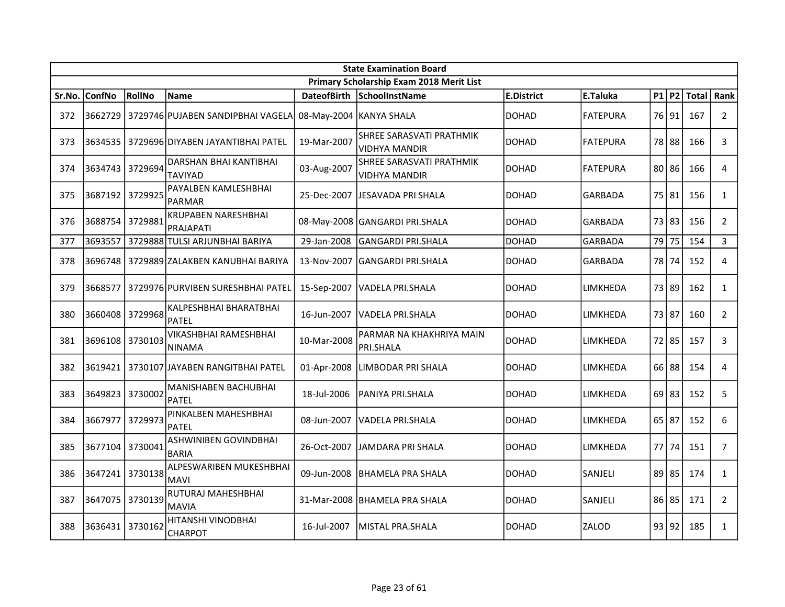|        | <b>State Examination Board</b> |         |                                              |                    |                                           |                   |                 |       |           |       |                |  |
|--------|--------------------------------|---------|----------------------------------------------|--------------------|-------------------------------------------|-------------------|-----------------|-------|-----------|-------|----------------|--|
|        |                                |         |                                              |                    | Primary Scholarship Exam 2018 Merit List  |                   |                 |       |           |       |                |  |
| Sr.No. | <b>ConfNo</b>                  | RollNo  | Name                                         | <b>DateofBirth</b> | <b>SchoolInstName</b>                     | <b>E.District</b> | E.Taluka        |       | $P1$ P2   | Total | Rank           |  |
| 372    | 3662729                        |         | l 3729746lPUJABEN SANDIPBHAI VAGELA          |                    | 08-May-2004 KANYA SHALA                   | DOHAD             | <b>FATEPURA</b> |       | 76 91     | 167   | $\overline{2}$ |  |
| 373    | 3634535                        |         | 3729696 DIYABEN JAYANTIBHAI PATEL            | 19-Mar-2007        | SHREE SARASVATI PRATHMIK<br>VIDHYA MANDIR | DOHAD             | <b>FATEPURA</b> |       | 78 88     | 166   | 3              |  |
| 374    | 3634743   3729694              |         | DARSHAN BHAI KANTIBHAI<br>TAVIYAD            | 03-Aug-2007        | SHREE SARASVATI PRATHMIK<br>VIDHYA MANDIR | <b>DOHAD</b>      | <b>FATEPURA</b> |       | $80$   86 | 166   | $\overline{4}$ |  |
| 375    | 3687192                        | 3729925 | PAYALBEN KAMLESHBHAI<br><b>PARMAR</b>        | 25-Dec-2007        | <b>JJESAVADA PRI SHALA</b>                | <b>DOHAD</b>      | <b>GARBADA</b>  |       | 75 81     | 156   | $\mathbf{1}$   |  |
| 376    | 3688754                        | 3729881 | <b>KRUPABEN NARESHBHAI</b><br>PRAJAPATI      |                    | 08-May-2008 GANGARDI PRI.SHALA            | <b>DOHAD</b>      | <b>GARBADA</b>  |       | 73 83     | 156   | $\overline{2}$ |  |
| 377    | 3693557                        |         | 3729888 TULSI ARJUNBHAI BARIYA               | 29-Jan-2008        | GANGARDI PRI.SHALA                        | DOHAD             | <b>GARBADA</b>  |       | 79 75     | 154   | $\overline{3}$ |  |
| 378    | 3696748                        |         | 3729889 ZALAKBEN KANUBHAI BARIYA             | 13-Nov-2007        | GANGARDI PRI.SHALA                        | DOHAD             | <b>GARBADA</b>  |       | 78 74     | 152   | $\overline{4}$ |  |
| 379    | 3668577                        |         | 3729976 PURVIBEN SURESHBHAI PATEL            | 15-Sep-2007        | VADELA PRI.SHALA                          | DOHAD             | LIMKHEDA        |       | 73 89     | 162   | $\mathbf{1}$   |  |
| 380    | 3660408                        | 3729968 | KALPESHBHAI BHARATBHAI<br><b>PATEL</b>       | 16-Jun-2007        | VADELA PRI.SHALA                          | DOHAD             | LIMKHEDA        | 73 87 |           | 160   | $\overline{2}$ |  |
| 381    | 3696108 3730103                |         | VIKASHBHAI RAMESHBHAI<br><b>NINAMA</b>       | 10-Mar-2008        | PARMAR NA KHAKHRIYA MAIN<br>PRI.SHALA     | <b>DOHAD</b>      | LIMKHEDA        |       | 72 85     | 157   | 3              |  |
| 382    |                                |         | 3619421   3730107 JAYABEN RANGITBHAI PATEL   | 01-Apr-2008        | LIMBODAR PRI SHALA                        | DOHAD             | LIMKHEDA        |       | 66 88     | 154   | 4              |  |
| 383    | 3649823                        | 3730002 | MANISHABEN BACHUBHAI<br>PATEL                | 18-Jul-2006        | IPANIYA PRI.SHALA                         | <b>DOHAD</b>      | LIMKHEDA        |       | $69$ 83   | 152   | 5              |  |
| 384    | 3667977                        | 3729973 | PINKALBEN MAHESHBHAI<br><b>PATEL</b>         | 08-Jun-2007        | VADELA PRI.SHALA                          | DOHAD             | LIMKHEDA        |       | $65$ 87   | 152   | 6              |  |
| 385    | 3677104                        | 3730041 | <b>ASHWINIBEN GOVINDBHAI</b><br><b>BARIA</b> | 26-Oct-2007        | JAMDARA PRI SHALA                         | <b>DOHAD</b>      | LIMKHEDA        |       | 77   74   | 151   | $\overline{7}$ |  |
| 386    | 3647241                        | 3730138 | ALPESWARIBEN MUKESHBHAI<br><b>MAVI</b>       | 09-Jun-2008        | BHAMELA PRA SHALA                         | DOHAD             | SANJELI         |       | $89$   85 | 174   | $\mathbf{1}$   |  |
| 387    | 3647075                        | 3730139 | RUTURAJ MAHESHBHAI<br><b>MAVIA</b>           |                    | 31-Mar-2008 BHAMELA PRA SHALA             | <b>DOHAD</b>      | SANJELI         |       | $86$   85 | 171   | $2^{\circ}$    |  |
| 388    | 3636431                        | 3730162 | HITANSHI VINODBHAI<br>CHARPOT                | 16-Jul-2007        | lMISTAL PRA.SHALA                         | DOHAD             | ZALOD           |       | 93 92     | 185   | $\mathbf{1}$   |  |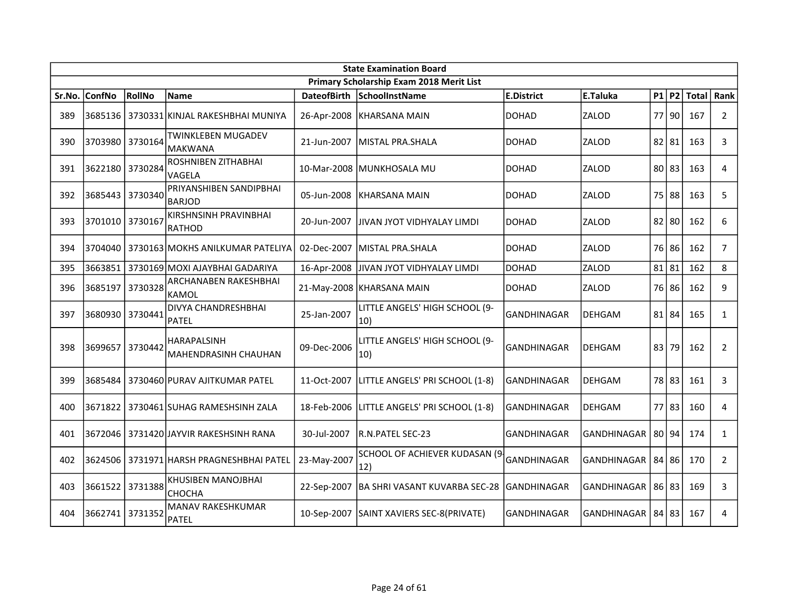|        | <b>State Examination Board</b> |         |                                            |                    |                                                |                    |                    |    |           |              |                |  |
|--------|--------------------------------|---------|--------------------------------------------|--------------------|------------------------------------------------|--------------------|--------------------|----|-----------|--------------|----------------|--|
|        |                                |         |                                            |                    | Primary Scholarship Exam 2018 Merit List       |                    |                    |    |           |              |                |  |
| Sr.No. | <b>ConfNo</b>                  | RollNo  | <b>Name</b>                                | <b>DateofBirth</b> | SchoolInstName                                 | <b>E.District</b>  | E.Taluka           |    | P1 P2     | <b>Total</b> | Rank           |  |
| 389    | 3685136                        |         | 3730331 KINJAL RAKESHBHAI MUNIYA           | 26-Apr-2008        | KHARSANA MAIN                                  | <b>DOHAD</b>       | ZALOD              |    | 77 90     | 167          | $\overline{2}$ |  |
| 390    | 3703980                        | 3730164 | TWINKLEBEN MUGADEV<br><b>MAKWANA</b>       | 21-Jun-2007        | MISTAL PRA.SHALA                               | <b>DOHAD</b>       | ZALOD              |    | $82$   81 | 163          | 3              |  |
| 391    | 3622180                        | 3730284 | ROSHNIBEN ZITHABHAI<br>VAGELA              |                    | 10-Mar-2008 MUNKHOSALA MU                      | DOHAD              | ZALOD              |    | 80 83     | 163          | 4              |  |
| 392    | 3685443                        | 3730340 | PRIYANSHIBEN SANDIPBHAI<br><b>BARJOD</b>   | 05-Jun-2008        | KHARSANA MAIN                                  | <b>DOHAD</b>       | ZALOD              |    | 75 88     | 163          | 5              |  |
| 393    | 3701010 3730167                |         | KIRSHNSINH PRAVINBHAI<br><b>RATHOD</b>     | 20-Jun-2007        | JIVAN JYOT VIDHYALAY LIMDI                     | <b>DOHAD</b>       | ZALOD              |    | $82$   80 | 162          | 6              |  |
| 394    | 3704040                        |         | 3730163 MOKHS ANILKUMAR PATELIYA           | 02-Dec-2007        | lMISTAL PRA.SHALA                              | <b>DOHAD</b>       | ZALOD              |    | 76 86     | 162          | $\overline{7}$ |  |
| 395    | 3663851                        |         | 3730169 MOXI AJAYBHAI GADARIYA             | 16-Apr-2008        | JIVAN JYOT VIDHYALAY LIMDI                     | <b>DOHAD</b>       | ZALOD              |    | $81$   81 | 162          | 8              |  |
| 396    | 3685197                        | 3730328 | ARCHANABEN RAKESHBHAI<br><b>KAMOL</b>      |                    | 21-May-2008 KHARSANA MAIN                      | <b>DOHAD</b>       | ZALOD              |    | 76 86     | 162          | 9              |  |
| 397    | 3680930                        | 3730441 | DIVYA CHANDRESHBHAI<br>PATEL               | 25-Jan-2007        | LITTLE ANGELS' HIGH SCHOOL (9-<br>$ 10\rangle$ | <b>GANDHINAGAR</b> | <b>DEHGAM</b>      |    | 81 84     | 165          | $\mathbf{1}$   |  |
| 398    | 3699657                        | 3730442 | HARAPALSINH<br><b>MAHENDRASINH CHAUHAN</b> | 09-Dec-2006        | LITTLE ANGELS' HIGH SCHOOL (9-<br>$ 10\rangle$ | <b>GANDHINAGAR</b> | <b>DEHGAM</b>      | 83 | 79        | 162          | $\overline{2}$ |  |
| 399    | 3685484                        |         | 3730460 PURAV AJITKUMAR PATEL              | 11-Oct-2007        | LITTLE ANGELS' PRI SCHOOL (1-8)                | GANDHINAGAR        | <b>DEHGAM</b>      |    | 78 83     | 161          | 3              |  |
| 400    | 3671822                        |         | 3730461 SUHAG RAMESHSINH ZALA              | 18-Feb-2006        | LITTLE ANGELS' PRI SCHOOL (1-8)                | <b>GANDHINAGAR</b> | <b>DEHGAM</b>      |    | $77$ 83   | 160          | 4              |  |
| 401    | 3672046                        |         | 3731420 JAYVIR RAKESHSINH RANA             | 30-Jul-2007        | R.N.PATEL SEC-23                               | <b>GANDHINAGAR</b> | <b>GANDHINAGAR</b> |    | 80 94     | 174          | $\mathbf{1}$   |  |
| 402    | 3624506                        |         | 3731971 HARSH PRAGNESHBHAI PATEL           | 23-May-2007        | SCHOOL OF ACHIEVER KUDASAN (9-<br> 12)         | GANDHINAGAR        | GANDHINAGAR        |    | 84 86     | 170          | 2              |  |
| 403    | 3661522                        | 3731388 | <b>KHUSIBEN MANOJBHAI</b><br>CHOCHA        | 22-Sep-2007        | BA SHRI VASANT KUVARBA SEC-28                  | GANDHINAGAR        | <b>GANDHINAGAR</b> |    | 86 83     | 169          | 3              |  |
| 404    | 3662741                        | 3731352 | <b>MANAV RAKESHKUMAR</b><br><b>PATEL</b>   |                    | 10-Sep-2007 SAINT XAVIERS SEC-8(PRIVATE)       | <b>GANDHINAGAR</b> | <b>GANDHINAGAR</b> |    | 84 83     | 167          | 4              |  |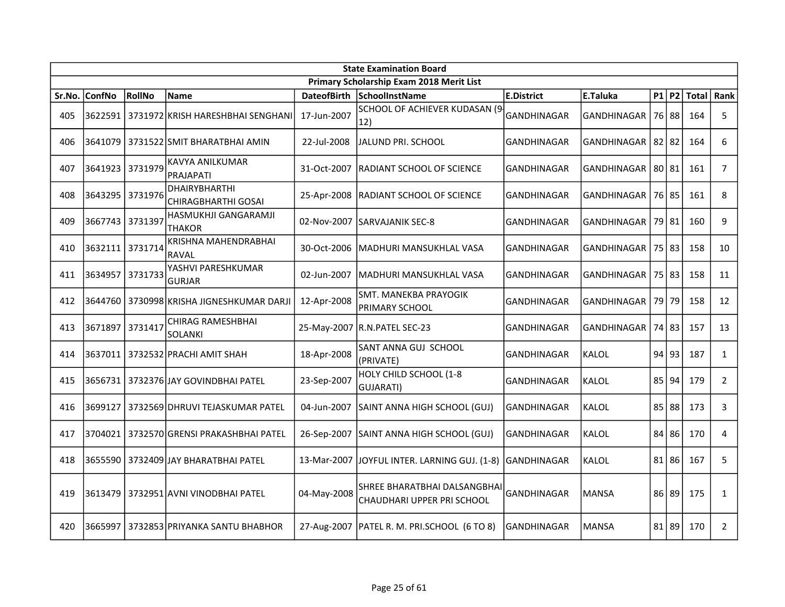|        | <b>State Examination Board</b> |         |                                           |                    |                                                            |                    |                    |  |           |              |                |  |  |
|--------|--------------------------------|---------|-------------------------------------------|--------------------|------------------------------------------------------------|--------------------|--------------------|--|-----------|--------------|----------------|--|--|
|        |                                |         |                                           |                    | Primary Scholarship Exam 2018 Merit List                   |                    |                    |  |           |              |                |  |  |
| Sr.No. | <b>ConfNo</b>                  | RollNo  | <b>Name</b>                               | <b>DateofBirth</b> | SchoolInstName                                             | <b>E.District</b>  | E.Taluka           |  | $P1$ $P2$ | <b>Total</b> | Rank           |  |  |
| 405    |                                |         | 3622591 3731972 KRISH HARESHBHAI SENGHANI | 17-Jun-2007        | SCHOOL OF ACHIEVER KUDASAN (9-<br>12)                      | GANDHINAGAR        | <b>GANDHINAGAR</b> |  | 76 88     | 164          | 5              |  |  |
| 406    | 3641079                        |         | 3731522 SMIT BHARATBHAI AMIN              | 22-Jul-2008        | JALUND PRI. SCHOOL                                         | <b>GANDHINAGAR</b> | GANDHINAGAR        |  | $82$   82 | 164          | 6              |  |  |
| 407    | 3641923                        | 3731979 | KAVYA ANILKUMAR<br><b>PRAJAPATI</b>       | 31-Oct-2007        | <b>RADIANT SCHOOL OF SCIENCE</b>                           | <b>GANDHINAGAR</b> | <b>GANDHINAGAR</b> |  | 80 81     | 161          | 7              |  |  |
| 408    | 3643295                        | 3731976 | DHAIRYBHARTHI<br>CHIRAGBHARTHI GOSAI      | 25-Apr-2008        | RADIANT SCHOOL OF SCIENCE                                  | <b>GANDHINAGAR</b> | GANDHINAGAR        |  | 76 85     | 161          | 8              |  |  |
| 409    | 3667743                        | 3731397 | HASMUKHJI GANGARAMJI<br><b>THAKOR</b>     | 02-Nov-2007        | <b>ISARVAJANIK SEC-8</b>                                   | <b>GANDHINAGAR</b> | GANDHINAGAR        |  | 79 81     | 160          | 9              |  |  |
| 410    | 3632111                        | 3731714 | KRISHNA MAHENDRABHAI<br><b>RAVAL</b>      | 30-Oct-2006        | MADHURI MANSUKHLAL VASA                                    | <b>GANDHINAGAR</b> | GANDHINAGAR        |  | 75 83     | 158          | 10             |  |  |
| 411    | 3634957                        | 3731733 | YASHVI PARESHKUMAR<br><b>GURJAR</b>       | 02-Jun-2007        | İMADHURI MANSUKHLAL VASA                                   | <b>GANDHINAGAR</b> | GANDHINAGAR        |  | 75 83     | 158          | 11             |  |  |
| 412    | 3644760                        |         | 3730998 KRISHA JIGNESHKUMAR DARJI         | 12-Apr-2008        | SMT. MANEKBA PRAYOGIK<br>PRIMARY SCHOOL                    | <b>GANDHINAGAR</b> | GANDHINAGAR        |  | 79 79     | 158          | 12             |  |  |
| 413    | 3671897                        | 3731417 | CHIRAG RAMESHBHAI<br>SOLANKI              |                    | 25-May-2007 R.N.PATEL SEC-23                               | <b>GANDHINAGAR</b> | GANDHINAGAR        |  | 74183     | 157          | 13             |  |  |
| 414    |                                |         | 3637011   3732532   PRACHI AMIT SHAH      | 18-Apr-2008        | SANT ANNA GUJ SCHOOL<br>(PRIVATE)                          | <b>GANDHINAGAR</b> | <b>KALOL</b>       |  | 94 93     | 187          | $\mathbf{1}$   |  |  |
| 415    |                                |         | 3656731   3732376 JAY GOVINDBHAI PATEL    | 23-Sep-2007        | HOLY CHILD SCHOOL (1-8<br>GUJARATI)                        | <b>GANDHINAGAR</b> | KALOL              |  | $85$ 94   | 179          | $\overline{2}$ |  |  |
| 416    | 3699127                        |         | 3732569 DHRUVI TEJASKUMAR PATEL           | 04-Jun-2007        | SAINT ANNA HIGH SCHOOL (GUJ)                               | GANDHINAGAR        | KALOL              |  | 85 88     | 173          | 3              |  |  |
| 417    | 3704021                        |         | 3732570 GRENSI PRAKASHBHAI PATEL          | 26-Sep-2007        | SAINT ANNA HIGH SCHOOL (GUJ)                               | GANDHINAGAR        | KALOL              |  | 84 86     | 170          | 4              |  |  |
| 418    | 3655590                        |         | 3732409 JAY BHARATBHAI PATEL              | 13-Mar-2007        | JOYFUL INTER. LARNING GUJ. (1-8)                           | GANDHINAGAR        | KALOL              |  | $81$   86 | 167          | 5              |  |  |
| 419    | 3613479                        |         | 3732951 AVNI VINODBHAI PATEL              | 04-May-2008        | SHREE BHARATBHAI DALSANGBHAI<br>CHAUDHARI UPPER PRI SCHOOL | <b>GANDHINAGAR</b> | <b>MANSA</b>       |  | 86 89     | 175          | $\mathbf{1}$   |  |  |
| 420    | 3665997                        |         | 3732853 PRIYANKA SANTU BHABHOR            |                    | 27-Aug-2007   PATEL R. M. PRI.SCHOOL (6 TO 8)              | <b>GANDHINAGAR</b> | <b>MANSA</b>       |  | 81 89     | 170          | $\overline{2}$ |  |  |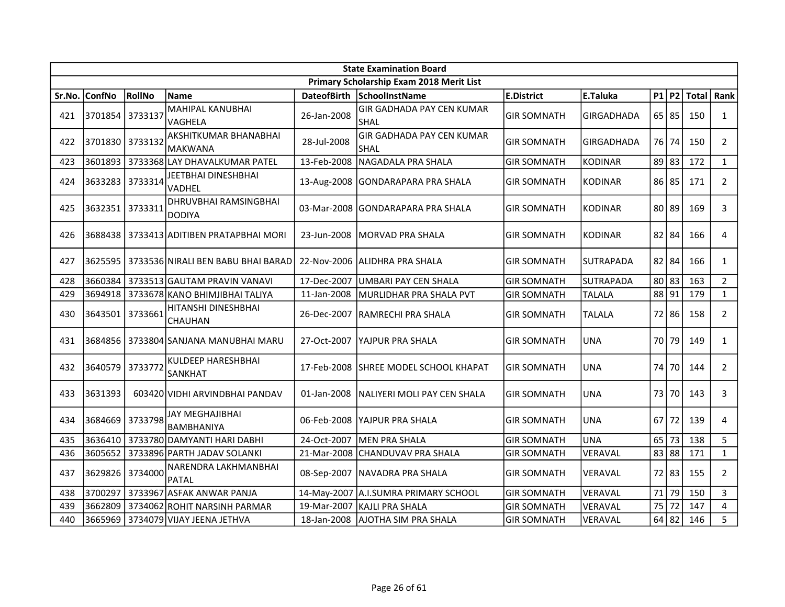|        | <b>State Examination Board</b> |               |                                         |                    |                                                 |                    |                   |  |           |     |                |  |
|--------|--------------------------------|---------------|-----------------------------------------|--------------------|-------------------------------------------------|--------------------|-------------------|--|-----------|-----|----------------|--|
|        |                                |               |                                         |                    | Primary Scholarship Exam 2018 Merit List        |                    |                   |  |           |     |                |  |
| Sr.No. | <b>ConfNo</b>                  | <b>RollNo</b> | Name                                    | <b>DateofBirth</b> | SchoolInstName                                  | <b>E.District</b>  | E.Taluka          |  | $P1$ $P2$ |     | Total   Rank   |  |
| 421    | 3701854                        | 3733137       | MAHIPAL KANUBHAI<br>VAGHELA             | 26-Jan-2008        | <b>GIR GADHADA PAY CEN KUMAR</b><br><b>SHAL</b> | <b>GIR SOMNATH</b> | <b>GIRGADHADA</b> |  | 65 85     | 150 | $\mathbf{1}$   |  |
| 422    | 3701830                        | 3733132       | AKSHITKUMAR BHANABHAI<br><b>MAKWANA</b> | 28-Jul-2008        | <b>GIR GADHADA PAY CEN KUMAR</b><br>SHAL        | <b>GIR SOMNATH</b> | GIRGADHADA        |  | 76 74     | 150 | $\overline{2}$ |  |
| 423    | 3601893                        |               | 3733368 LAY DHAVALKUMAR PATEL           | 13-Feb-2008        | NAGADALA PRA SHALA                              | <b>GIR SOMNATH</b> | KODINAR           |  | 89 83     | 172 | $\mathbf{1}$   |  |
| 424    | 3633283                        | 3733314       | JEETBHAI DINESHBHAI<br>VADHEL           |                    | 13-Aug-2008 GONDARAPARA PRA SHALA               | <b>GIR SOMNATH</b> | KODINAR           |  | $86$ 85   | 171 | $\overline{2}$ |  |
| 425    | 3632351 3733311                |               | DHRUVBHAI RAMSINGBHAI<br><b>DODIYA</b>  |                    | 03-Mar-2008 GONDARAPARA PRA SHALA               | <b>GIR SOMNATH</b> | KODINAR           |  | 80 89     | 169 | 3              |  |
| 426    | 3688438                        |               | 3733413 ADITIBEN PRATAPBHAI MORI        | 23-Jun-2008        | lMORVAD PRA SHALA                               | <b>GIR SOMNATH</b> | KODINAR           |  | $82$ 84   | 166 | $\overline{4}$ |  |
| 427    | 3625595                        |               | 3733536 NIRALI BEN BABU BHAI BARAD      | 22-Nov-2006        | IALIDHRA PRA SHALA                              | <b>GIR SOMNATH</b> | <b>SUTRAPADA</b>  |  | $82$   84 | 166 | $\mathbf{1}$   |  |
| 428    | 3660384                        |               | 3733513 GAUTAM PRAVIN VANAVI            | 17-Dec-2007        | <b>UMBARI PAY CEN SHALA</b>                     | <b>GIR SOMNATH</b> | SUTRAPADA         |  | $80$   83 | 163 | $2^{\circ}$    |  |
| 429    | 3694918                        |               | 3733678 KANO BHIMJIBHAI TALIYA          | 11-Jan-2008        | MURLIDHAR PRA SHALA PVT                         | <b>GIR SOMNATH</b> | <b>TALALA</b>     |  | 88 91     | 179 | $\mathbf{1}$   |  |
| 430    | 3643501 3733661                |               | HITANSHI DINESHBHAI<br>CHAUHAN          | 26-Dec-2007        | <b>RAMRECHI PRA SHALA</b>                       | <b>GIR SOMNATH</b> | <b>TALALA</b>     |  | 72 86     | 158 | $\overline{2}$ |  |
| 431    | 3684856                        |               | 3733804 SANJANA MANUBHAI MARU           | 27-Oct-2007        | IYAJPUR PRA SHALA                               | <b>GIR SOMNATH</b> | UNA               |  | 70 79     | 149 | $\mathbf{1}$   |  |
| 432    | 3640579                        | 3733772       | KULDEEP HARESHBHAI<br>SANKHAT           | 17-Feb-2008        | SHREE MODEL SCHOOL KHAPAT                       | <b>GIR SOMNATH</b> | UNA               |  | 74 70     | 144 | $2^{\circ}$    |  |
| 433    | 3631393                        |               | 603420 VIDHI ARVINDBHAI PANDAV          | 01-Jan-2008        | NALIYERI MOLI PAY CEN SHALA                     | <b>GIR SOMNATH</b> | UNA               |  | 73 70     | 143 | $\mathbf{3}$   |  |
| 434    | 3684669                        | 3733798       | JAY MEGHAJIBHAI<br><b>BAMBHANIYA</b>    | 06-Feb-2008        | lYAJPUR PRA SHALA                               | <b>GIR SOMNATH</b> | UNA               |  | $67$ 72   | 139 | 4              |  |
| 435    | 3636410                        |               | 3733780 DAMYANTI HARI DABHI             | 24-Oct-2007        | MEN PRA SHALA                                   | <b>GIR SOMNATH</b> | UNA               |  | $65$ 73   | 138 | 5              |  |
| 436    | 3605652                        |               | 3733896 PARTH JADAV SOLANKI             | 21-Mar-2008        | <b>CHANDUVAV PRA SHALA</b>                      | <b>GIR SOMNATH</b> | VERAVAL           |  | 83 88     | 171 | $\mathbf{1}$   |  |
| 437    | 3629826                        | 3734000       | NARENDRA LAKHMANBHAI<br>PATAL           | 08-Sep-2007        | NAVADRA PRA SHALA                               | <b>GIR SOMNATH</b> | VERAVAL           |  | 72 83     | 155 | $\overline{2}$ |  |
| 438    | 3700297                        |               | 3733967 ASFAK ANWAR PANJA               |                    | 14-May-2007 A.I.SUMRA PRIMARY SCHOOL            | <b>GIR SOMNATH</b> | VERAVAL           |  | 71 79     | 150 | $\mathbf{3}$   |  |
| 439    | 3662809                        |               | 3734062 ROHIT NARSINH PARMAR            | 19-Mar-2007        | KAJLI PRA SHALA                                 | <b>GIR SOMNATH</b> | VERAVAL           |  | 75 72     | 147 | $\overline{4}$ |  |
| 440    | 3665969                        |               | 3734079 VIJAY JEENA JETHVA              | 18-Jan-2008        | <b>AJOTHA SIM PRA SHALA</b>                     | <b>GIR SOMNATH</b> | VERAVAL           |  | $64$ 82   | 146 | 5              |  |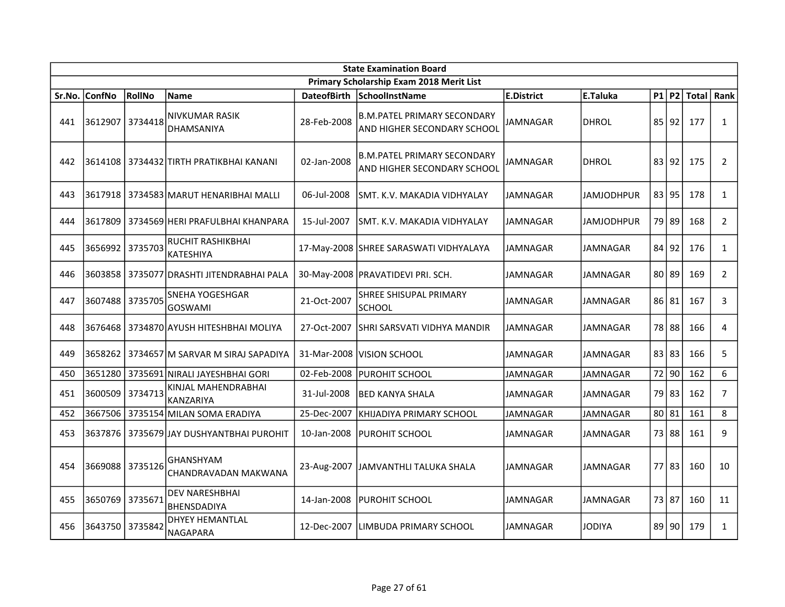|        | <b>State Examination Board</b> |               |                                              |                    |                                                                   |                   |                   |       |           |       |                |  |  |
|--------|--------------------------------|---------------|----------------------------------------------|--------------------|-------------------------------------------------------------------|-------------------|-------------------|-------|-----------|-------|----------------|--|--|
|        |                                |               |                                              |                    | Primary Scholarship Exam 2018 Merit List                          |                   |                   |       |           |       |                |  |  |
| Sr.No. | <b>ConfNo</b>                  | <b>RollNo</b> | <b>Name</b>                                  | <b>DateofBirth</b> | SchoolInstName                                                    | <b>E.District</b> | E.Taluka          |       | $P1$ $P2$ | Total | Rank           |  |  |
| 441    | 3612907                        | 3734418       | <b>NIVKUMAR RASIK</b><br>DHAMSANIYA          | 28-Feb-2008        | <b>B.M.PATEL PRIMARY SECONDARY</b><br>AND HIGHER SECONDARY SCHOOL | <b>JAMNAGAR</b>   | <b>DHROL</b>      |       | 85 92     | 177   | $\mathbf{1}$   |  |  |
| 442    |                                |               | 3614108 3734432 TIRTH PRATIKBHAI KANANI      | 02-Jan-2008        | <b>B.M.PATEL PRIMARY SECONDARY</b><br>AND HIGHER SECONDARY SCHOOL | IAMNAGAR          | <b>DHROL</b>      |       | 83 92     | 175   | $\overline{2}$ |  |  |
| 443    | 3617918                        |               | 3734583 MARUT HENARIBHAI MALLI               | 06-Jul-2008        | SMT. K.V. MAKADIA VIDHYALAY                                       | JAMNAGAR          | <b>JAMJODHPUR</b> |       | 83 95     | 178   | $\mathbf{1}$   |  |  |
| 444    | 3617809                        |               | 3734569 HERI PRAFULBHAI KHANPARA             | 15-Jul-2007        | SMT. K.V. MAKADIA VIDHYALAY                                       | JAMNAGAR          | JAMJODHPUR        |       | 79 89     | 168   | $\overline{2}$ |  |  |
| 445    | 3656992                        | 3735703       | <b>RUCHIT RASHIKBHAI</b><br><b>KATESHIYA</b> |                    | 17-May-2008 SHREE SARASWATI VIDHYALAYA                            | JAMNAGAR          | JAMNAGAR          |       | $84$  92  | 176   | $\mathbf{1}$   |  |  |
| 446    | 3603858                        |               | 3735077 DRASHTI JITENDRABHAI PALA            |                    | 30-May-2008   PRAVATIDEVI PRI. SCH.                               | <b>JAMNAGAR</b>   | JAMNAGAR          |       | $80$   89 | 169   | $\overline{2}$ |  |  |
| 447    | 3607488                        | 3735705       | <b>SNEHA YOGESHGAR</b><br><b>GOSWAMI</b>     | 21-Oct-2007        | <b>SHREE SHISUPAL PRIMARY</b><br>SCHOOL                           | <b>JAMNAGAR</b>   | <b>JAMNAGAR</b>   |       | 86 81     | 167   | 3              |  |  |
| 448    | 3676468                        |               | 3734870 AYUSH HITESHBHAI MOLIYA              | 27-Oct-2007        | SHRI SARSVATI VIDHYA MANDIR                                       | <b>JAMNAGAR</b>   | JAMNAGAR          |       | 78 88     | 166   | $\overline{4}$ |  |  |
| 449    |                                |               | 3658262 3734657 M SARVAR M SIRAJ SAPADIYA    |                    | 31-Mar-2008   VISION SCHOOL                                       | <b>JAMNAGAR</b>   | <b>JAMNAGAR</b>   |       | 83 83     | 166   | 5              |  |  |
| 450    | 3651280                        |               | 3735691 NIRALI JAYESHBHAI GORI               | 02-Feb-2008        | <b>PUROHIT SCHOOL</b>                                             | JAMNAGAR          | JAMNAGAR          |       | 72 90     | 162   | 6              |  |  |
| 451    | 3600509                        | 3734713       | KINJAL MAHENDRABHAI<br>KANZARIYA             | 31-Jul-2008        | <b>BED KANYA SHALA</b>                                            | JAMNAGAR          | JAMNAGAR          |       | 79 83     | 162   | $\overline{7}$ |  |  |
| 452    | 3667506                        |               | 3735154 MILAN SOMA ERADIYA                   | 25-Dec-2007        | KHIJADIYA PRIMARY SCHOOL                                          | JAMNAGAR          | JAMNAGAR          | 80 81 |           | 161   | 8              |  |  |
| 453    | 3637876                        |               | 3735679 JAY DUSHYANTBHAI PUROHIT             | 10-Jan-2008        | PUROHIT SCHOOL                                                    | JAMNAGAR          | JAMNAGAR          |       | 73 88     | 161   | 9              |  |  |
| 454    | 3669088 3735126                |               | <b>GHANSHYAM</b><br>CHANDRAVADAN MAKWANA     | 23-Aug-2007        | JJAMVANTHLI TALUKA SHALA                                          | JAMNAGAR          | JAMNAGAR          |       | $77$ 83   | 160   | 10             |  |  |
| 455    | 3650769                        | 3735671       | <b>DEV NARESHBHAI</b><br>BHENSDADIYA         | 14-Jan-2008        | <b>PUROHIT SCHOOL</b>                                             | <b>JAMNAGAR</b>   | <b>JAMNAGAR</b>   | 73 87 |           | 160   | 11             |  |  |
| 456    | 3643750                        | 3735842       | <b>DHYEY HEMANTLAL</b><br><b>NAGAPARA</b>    | 12-Dec-2007        | LIMBUDA PRIMARY SCHOOL                                            | JAMNAGAR          | <b>JODIYA</b>     |       | 89 90     | 179   | $\mathbf{1}$   |  |  |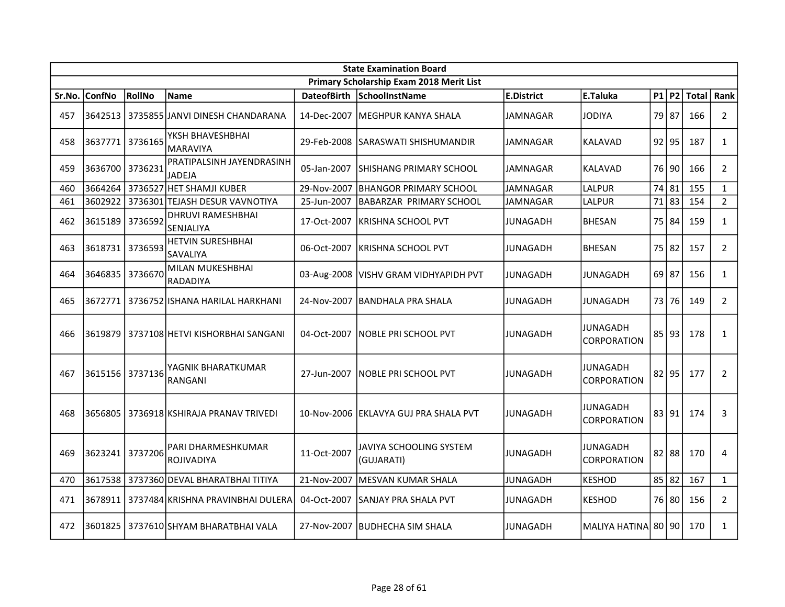|        | <b>State Examination Board</b> |               |                                           |                    |                                          |                   |                                |           |           |              |                |  |
|--------|--------------------------------|---------------|-------------------------------------------|--------------------|------------------------------------------|-------------------|--------------------------------|-----------|-----------|--------------|----------------|--|
|        |                                |               |                                           |                    | Primary Scholarship Exam 2018 Merit List |                   |                                |           |           |              |                |  |
| Sr.No. | <b>ConfNo</b>                  | <b>RollNo</b> | Name                                      | <b>DateofBirth</b> | SchoolInstName                           | <b>E.District</b> | E.Taluka                       |           | $P1$ $P2$ | <b>Total</b> | Rank           |  |
| 457    | 3642513                        |               | 3735855 JANVI DINESH CHANDARANA           |                    | 14-Dec-2007 IMEGHPUR KANYA SHALA         | <b>JAMNAGAR</b>   | <b>JODIYA</b>                  |           | 79 87     | 166          | $\overline{2}$ |  |
| 458    | 3637771 3736165                |               | YKSH BHAVESHBHAI<br><b>MARAVIYA</b>       | 29-Feb-2008        | <b>SARASWATI SHISHUMANDIR</b>            | <b>JAMNAGAR</b>   | KALAVAD                        |           | $92$ 95   | 187          | $\mathbf{1}$   |  |
| 459    | 3636700 3736231                |               | PRATIPALSINH JAYENDRASINH<br>JADEJA       | 05-Jan-2007        | ISHISHANG PRIMARY SCHOOL                 | JAMNAGAR          | KALAVAD                        |           | 76 90     | 166          | $\overline{2}$ |  |
| 460    | 3664264                        | 3736527       | <b>HET SHAMJI KUBER</b>                   | 29-Nov-2007        | <b>BHANGOR PRIMARY SCHOOL</b>            | <b>JAMNAGAR</b>   | LALPUR                         | 74 81     |           | 155          | $\mathbf{1}$   |  |
| 461    | 3602922                        | 3736301       | TEJASH DESUR VAVNOTIYA                    | 25-Jun-2007        | <b>BABARZAR PRIMARY SCHOOL</b>           | <b>JAMNAGAR</b>   | LALPUR                         |           | 71 83     | 154          | $\overline{2}$ |  |
| 462    | 3615189                        | 3736592       | DHRUVI RAMESHBHAI<br>SENJALIYA            | 17-Oct-2007        | KRISHNA SCHOOL PVT                       | JUNAGADH          | <b>BHESAN</b>                  |           | 75 84     | 159          | $\mathbf{1}$   |  |
| 463    | 3618731                        | 3736593       | <b>HETVIN SURESHBHAI</b><br>SAVALIYA      | 06-Oct-2007        | KRISHNA SCHOOL PVT                       | JUNAGADH          | <b>BHESAN</b>                  | 75 82     |           | 157          | $\overline{2}$ |  |
| 464    | 3646835                        | 3736670       | MILAN MUKESHBHAI<br><b>RADADIYA</b>       |                    | 03-Aug-2008   VISHV GRAM VIDHYAPIDH PVT  | JUNAGADH          | JUNAGADH                       |           | $69$ 87   | 156          | $\mathbf{1}$   |  |
| 465    | 3672771                        |               | 3736752 ISHANA HARILAL HARKHANI           | 24-Nov-2007        | IBANDHALA PRA SHALA                      | JUNAGADH          | JUNAGADH                       |           | 73 76     | 149          | $\overline{2}$ |  |
| 466    | 3619879                        |               | 3737108 HETVI KISHORBHAI SANGANI          | 04-Oct-2007        | INOBLE PRI SCHOOL PVT                    | <b>JUNAGADH</b>   | JUNAGADH<br><b>CORPORATION</b> |           | 85 93     | 178          | $\mathbf{1}$   |  |
| 467    | 3615156                        | 3737136       | YAGNIK BHARATKUMAR<br>RANGANI             | 27-Jun-2007        | INOBLE PRI SCHOOL PVT                    | JUNAGADH          | JUNAGADH<br>CORPORATION        |           | $82$  95  | 177          | $\overline{2}$ |  |
| 468    | 3656805                        |               | 3736918 KSHIRAJA PRANAV TRIVEDI           |                    | 10-Nov-2006 EKLAVYA GUJ PRA SHALA PVT    | <b>JUNAGADH</b>   | JUNAGADH<br>CORPORATION        |           | 83 91     | 174          | 3              |  |
| 469    | 3623241                        | 3737206       | PARI DHARMESHKUMAR<br>ROJIVADIYA          | 11-Oct-2007        | JAVIYA SCHOOLING SYSTEM<br>(GUJARATI)    | JUNAGADH          | JUNAGADH<br>CORPORATION        |           | $82$   88 | 170          | 4              |  |
| 470    |                                |               | 3617538   3737360 DEVAL BHARATBHAI TITIYA | 21-Nov-2007        | MESVAN KUMAR SHALA                       | <b>JUNAGADH</b>   | <b>KESHOD</b>                  | $85$   82 |           | 167          | $\mathbf{1}$   |  |
| 471    | 3678911                        |               | 3737484 KRISHNA PRAVINBHAI DULERA         | 04-Oct-2007        | SANJAY PRA SHALA PVT                     | JUNAGADH          | <b>KESHOD</b>                  |           | 76 80     | 156          | $\overline{2}$ |  |
| 472    | 3601825                        |               | 3737610 SHYAM BHARATBHAI VALA             | 27-Nov-2007        | <b>IBUDHECHA SIM SHALA</b>               | <b>JUNAGADH</b>   | <b>MALIYA HATINA</b>           |           | 80190     | 170          | $\mathbf{1}$   |  |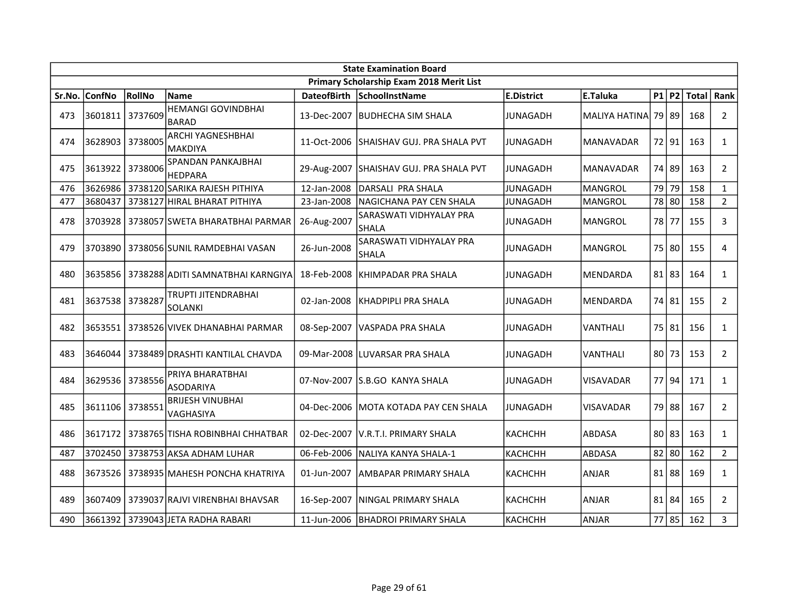|        | <b>State Examination Board</b> |         |                                              |                    |                                          |                   |                  |  |           |       |                |  |
|--------|--------------------------------|---------|----------------------------------------------|--------------------|------------------------------------------|-------------------|------------------|--|-----------|-------|----------------|--|
|        |                                |         |                                              |                    | Primary Scholarship Exam 2018 Merit List |                   |                  |  |           |       |                |  |
| Sr.No. | <b>ConfNo</b>                  | RollNo  | <b>Name</b>                                  | <b>DateofBirth</b> | SchoolInstName                           | <b>E.District</b> | E.Taluka         |  | $P1$ P2   | Total | Rank           |  |
| 473    | 3601811                        | 3737609 | <b>HEMANGI GOVINDBHAI</b><br><b>BARAD</b>    | 13-Dec-2007        | <b>IBUDHECHA SIM SHALA</b>               | <b>JUNAGADH</b>   | MALIYA HATINA    |  | 79 89     | 168   | $\overline{2}$ |  |
| 474    | 3628903                        | 3738005 | <b>ARCHI YAGNESHBHAI</b><br><b>MAKDIYA</b>   | 11-Oct-2006        | ISHAISHAV GUJ. PRA SHALA PVT             | JUNAGADH          | <b>MANAVADAR</b> |  | 72 91     | 163   | $\mathbf{1}$   |  |
| 475    | 3613922                        | 3738006 | SPANDAN PANKAJBHAI<br><b>HEDPARA</b>         | 29-Aug-2007        | SHAISHAV GUJ. PRA SHALA PVT              | <b>JUNAGADH</b>   | <b>MANAVADAR</b> |  | 74 89     | 163   | $\overline{2}$ |  |
| 476    | 3626986                        |         | 3738120 SARIKA RAJESH PITHIYA                | 12-Jan-2008        | DARSALI PRA SHALA                        | <b>JUNAGADH</b>   | MANGROL          |  | 79 79     | 158   | $\mathbf{1}$   |  |
| 477    | 3680437                        |         | 3738127 HIRAL BHARAT PITHIYA                 | 23-Jan-2008        | NAGICHANA PAY CEN SHALA                  | <b>JUNAGADH</b>   | MANGROL          |  | 78 80     | 158   | $\overline{2}$ |  |
| 478    | 3703928                        |         | 3738057 SWETA BHARATBHAI PARMAR              | 26-Aug-2007        | SARASWATI VIDHYALAY PRA<br><b>SHALA</b>  | <b>JUNAGADH</b>   | MANGROL          |  | 78 77     | 155   | 3              |  |
| 479    | 3703890                        |         | 3738056 SUNIL RAMDEBHAI VASAN                | 26-Jun-2008        | SARASWATI VIDHYALAY PRA<br><b>SHALA</b>  | <b>JUNAGADH</b>   | <b>MANGROL</b>   |  | 75 80     | 155   | $\overline{4}$ |  |
| 480    | 3635856                        |         | 3738288 ADITI SAMNATBHAI KARNGIYA            | 18-Feb-2008        | KHIMPADAR PRA SHALA                      | <b>JUNAGADH</b>   | <b>MENDARDA</b>  |  | 81 83     | 164   | $\mathbf{1}$   |  |
| 481    | 3637538                        | 3738287 | TRUPTI JITENDRABHAI<br>SOLANKI               | 02-Jan-2008        | KHADPIPLI PRA SHALA                      | <b>JUNAGADH</b>   | MENDARDA         |  | 74 81     | 155   | $\overline{2}$ |  |
| 482    |                                |         | 3653551   3738526 VIVEK DHANABHAI PARMAR     | 08-Sep-2007        | lVASPADA PRA SHALA                       | JUNAGADH          | <b>VANTHALI</b>  |  | 75 81     | 156   | $\mathbf{1}$   |  |
| 483    | 3646044                        |         | 3738489 DRASHTI KANTILAL CHAVDA              |                    | 09-Mar-2008 LUVARSAR PRA SHALA           | JUNAGADH          | VANTHALI         |  | 80 73     | 153   | $\overline{2}$ |  |
| 484    | 3629536                        | 3738556 | PRIYA BHARATBHAI<br><b>ASODARIYA</b>         | 07-Nov-2007        | S.B.GO KANYA SHALA                       | <b>JUNAGADH</b>   | <b>VISAVADAR</b> |  | 77 94     | 171   | $\mathbf{1}$   |  |
| 485    | 3611106                        | 3738551 | <b>BRIJESH VINUBHAI</b><br>VAGHASIYA         | 04-Dec-2006        | MOTA KOTADA PAY CEN SHALA                | <b>JUNAGADH</b>   | VISAVADAR        |  | 79 88     | 167   | $\overline{2}$ |  |
| 486    |                                |         | 3617172   3738765   TISHA ROBINBHAI CHHATBAR | 02-Dec-2007        | V.R.T.I. PRIMARY SHALA                   | <b>КАСНСНН</b>    | ABDASA           |  | $80$   83 | 163   | $\mathbf{1}$   |  |
| 487    | 3702450                        |         | 3738753 AKSA ADHAM LUHAR                     | 06-Feb-2006        | NALIYA KANYA SHALA-1                     | <b>КАСНСНН</b>    | ABDASA           |  | $82$ 80   | 162   | $2^{\circ}$    |  |
| 488    | 3673526                        |         | 3738935 MAHESH PONCHA KHATRIYA               | 01-Jun-2007        | AMBAPAR PRIMARY SHALA                    | <b>КАСНСНН</b>    | ANJAR            |  | 81 88     | 169   | $\mathbf{1}$   |  |
| 489    | 3607409                        |         | 3739037 RAJVI VIRENBHAI BHAVSAR              | 16-Sep-2007        | NINGAL PRIMARY SHALA                     | <b>КАСНСНН</b>    | <b>ANJAR</b>     |  | 81 84     | 165   | $\overline{2}$ |  |
| 490    | 3661392                        |         | 3739043 JETA RADHA RABARI                    | 11-Jun-2006        | <b>BHADROI PRIMARY SHALA</b>             | КАСНСНН           | ANJAR            |  | $77$ 85   | 162   | $\overline{3}$ |  |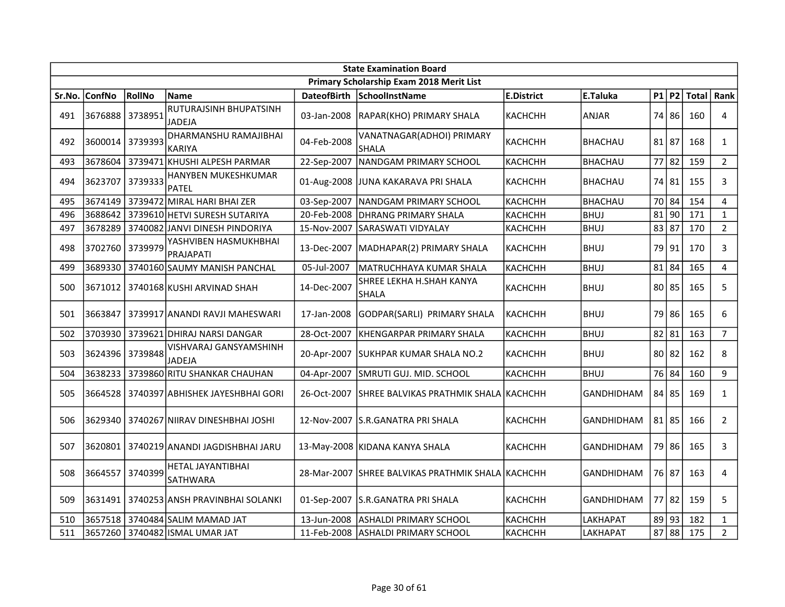|        | <b>State Examination Board</b> |         |                                        |                    |                                           |                   |                   |  |           |       |                |  |
|--------|--------------------------------|---------|----------------------------------------|--------------------|-------------------------------------------|-------------------|-------------------|--|-----------|-------|----------------|--|
|        |                                |         |                                        |                    | Primary Scholarship Exam 2018 Merit List  |                   |                   |  |           |       |                |  |
| Sr.No. | <b>ConfNo</b>                  | RollNo  | <b>Name</b>                            | <b>DateofBirth</b> | SchoolInstName                            | <b>E.District</b> | E.Taluka          |  | P1 P2     | Total | Rank           |  |
| 491    | 3676888                        | 3738951 | RUTURAJSINH BHUPATSINH<br>JADEJA       | 03-Jan-2008        | RAPAR(KHO) PRIMARY SHALA                  | <b>КАСНСНН</b>    | ANJAR             |  | 74 86     | 160   | 4              |  |
| 492    | 3600014                        | 3739393 | DHARMANSHU RAMAJIBHAI<br><b>KARIYA</b> | 04-Feb-2008        | VANATNAGAR(ADHOI) PRIMARY<br><b>SHALA</b> | <b>КАСНСНН</b>    | BHACHAU           |  | $81$   87 | 168   | $\mathbf{1}$   |  |
| 493    | 3678604                        |         | 3739471 KHUSHI ALPESH PARMAR           | 22-Sep-2007        | NANDGAM PRIMARY SCHOOL                    | КАСНСНН           | BHACHAU           |  | $77$ 82   | 159   | $\overline{2}$ |  |
| 494    | 3623707                        | 3739333 | HANYBEN MUKESHKUMAR<br>PATEL           | 01-Aug-2008        | JUNA KAKARAVA PRI SHALA                   | <b>КАСНСНН</b>    | BHACHAU           |  | 74 81     | 155   | 3              |  |
| 495    | 3674149                        |         | 3739472 MIRAL HARI BHAI ZER            | 03-Sep-2007        | NANDGAM PRIMARY SCHOOL                    | <b>КАСНСНН</b>    | <b>BHACHAU</b>    |  | 70 84     | 154   | 4              |  |
| 496    | 3688642                        |         | 3739610 HETVI SURESH SUTARIYA          | 20-Feb-2008        | IDHRANG PRIMARY SHALA                     | КАСНСНН           | <b>BHUJ</b>       |  | $81$ 90   | 171   | $\mathbf{1}$   |  |
| 497    | 3678289                        |         | 3740082 JANVI DINESH PINDORIYA         | 15-Nov-2007        | SARASWATI VIDYALAY                        | КАСНСНН           | BHUJ              |  | 83 87     | 170   | $\overline{2}$ |  |
| 498    | 3702760                        | 3739979 | YASHVIBEN HASMUKHBHAI<br>PRAJAPATI     | 13-Dec-2007        | MADHAPAR(2) PRIMARY SHALA                 | КАСНСНН           | BHUJ              |  | 79 91     | 170   | 3              |  |
| 499    | 3689330                        |         | 3740160 SAUMY MANISH PANCHAL           | 05-Jul-2007        | MATRUCHHAYA KUMAR SHALA                   | <b>КАСНСНН</b>    | <b>BHUJ</b>       |  | $81$ 84   | 165   | $\overline{4}$ |  |
| 500    | 3671012                        |         | 3740168 KUSHI ARVINAD SHAH             | 14-Dec-2007        | SHREE LEKHA H.SHAH KANYA<br><b>SHALA</b>  | <b>КАСНСНН</b>    | <b>BHUJ</b>       |  | 80 85     | 165   | 5              |  |
| 501    | 3663847                        |         | 3739917 ANANDI RAVJI MAHESWARI         | 17-Jan-2008        | GODPAR(SARLI) PRIMARY SHALA               | КАСНСНН           | <b>BHUJ</b>       |  | 79 86     | 165   | 6              |  |
| 502    | 3703930                        |         | 3739621 DHIRAJ NARSI DANGAR            | 28-Oct-2007        | KHENGARPAR PRIMARY SHALA                  | КАСНСНН           | BHUJ              |  | $82$   81 | 163   | $\overline{7}$ |  |
| 503    | 3624396                        | 3739848 | VISHVARAJ GANSYAMSHINH<br>JADEJA       | 20-Apr-2007        | <b>SUKHPAR KUMAR SHALA NO.2</b>           | KACHCHH           | <b>BHUJ</b>       |  | 80 82     | 162   | 8              |  |
| 504    | 3638233                        |         | 3739860 RITU SHANKAR CHAUHAN           | 04-Apr-2007        | SMRUTI GUJ. MID. SCHOOL                   | КАСНСНН           | BHUJ              |  | 76 84     | 160   | 9              |  |
| 505    | 3664528                        |         | 3740397 ABHISHEK JAYESHBHAI GORI       | 26-Oct-2007        | SHREE BALVIKAS PRATHMIK SHALA   KACHCHH   |                   | <b>GANDHIDHAM</b> |  | 84 85     | 169   | $\mathbf{1}$   |  |
| 506    | 3629340                        |         | 3740267 NIIRAV DINESHBHAI JOSHI        | 12-Nov-2007        | lS.R.GANATRA PRI SHALA                    | КАСНСНН           | <b>GANDHIDHAM</b> |  | 81 85     | 166   | $\overline{2}$ |  |
| 507    | 3620801                        |         | 3740219 ANANDI JAGDISHBHAI JARU        |                    | 13-May-2008 KIDANA KANYA SHALA            | <b>KACHCHH</b>    | <b>GANDHIDHAM</b> |  | 79 86     | 165   | $\mathbf{3}$   |  |
| 508    | 3664557                        | 3740399 | HETAL JAYANTIBHAI<br>SATHWARA          | 28-Mar-2007        | ISHREE BALVIKAS PRATHMIK SHALA İKACHCHH   |                   | <b>GANDHIDHAM</b> |  | 76   87   | 163   | 4              |  |
| 509    | 3631491                        |         | 3740253 ANSH PRAVINBHAI SOLANKI        | 01-Sep-2007        | S.R.GANATRA PRI SHALA                     | <b>KACHCHH</b>    | <b>GANDHIDHAM</b> |  | $77$ 82   | 159   | 5              |  |
| 510    |                                |         | 3657518 3740484 SALIM MAMAD JAT        | 13-Jun-2008        | ASHALDI PRIMARY SCHOOL                    | <b>КАСНСНН</b>    | LAKHAPAT          |  | 89 93     | 182   | $\mathbf{1}$   |  |
| 511    |                                |         | 3657260   3740482  ISMAL UMAR JAT      | 11-Feb-2008        | <b>ASHALDI PRIMARY SCHOOL</b>             | <b>КАСНСНН</b>    | LAKHAPAT          |  | $87$ 88   | 175   | $2^{\circ}$    |  |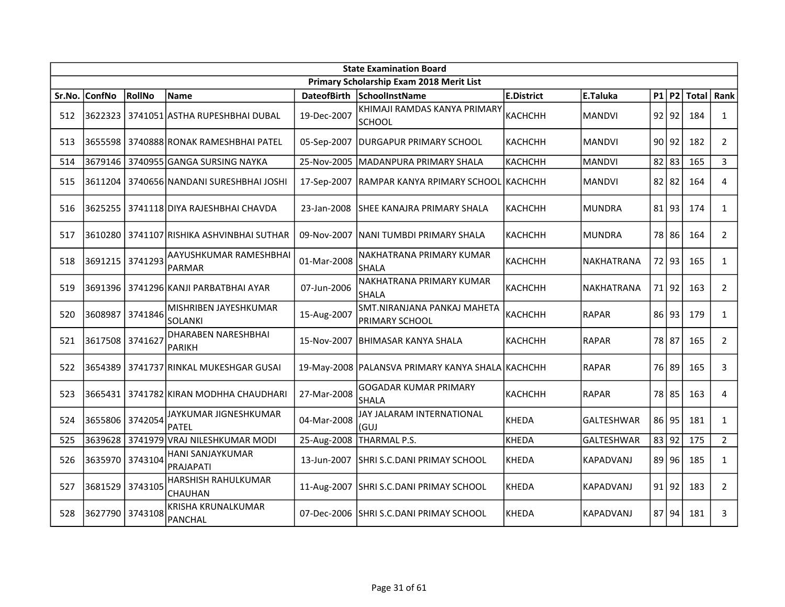|        | <b>State Examination Board</b> |         |                                             |             |                                                      |                   |                   |  |           |              |                |  |
|--------|--------------------------------|---------|---------------------------------------------|-------------|------------------------------------------------------|-------------------|-------------------|--|-----------|--------------|----------------|--|
|        |                                |         |                                             |             | Primary Scholarship Exam 2018 Merit List             |                   |                   |  |           |              |                |  |
| Sr.No. | <b>ConfNo</b>                  | RollNo  | <b>Name</b>                                 |             | DateofBirth SchoolInstName                           | <b>E.District</b> | E.Taluka          |  | P1 P2     | <b>Total</b> | Rank           |  |
| 512    | 3622323                        |         | 3741051 ASTHA RUPESHBHAI DUBAL              | 19-Dec-2007 | KHIMAJI RAMDAS KANYA PRIMARY<br><b>SCHOOL</b>        | <b>КАСНСНН</b>    | <b>MANDVI</b>     |  | $92$  92  | 184          | $\mathbf{1}$   |  |
| 513    | 3655598                        |         | 3740888 RONAK RAMESHBHAI PATEL              | 05-Sep-2007 | <b>DURGAPUR PRIMARY SCHOOL</b>                       | <b>KACHCHH</b>    | <b>MANDVI</b>     |  | 90 92     | 182          | $\overline{2}$ |  |
| 514    | 3679146                        |         | 3740955 GANGA SURSING NAYKA                 | 25-Nov-2005 | MADANPURA PRIMARY SHALA                              | <b>КАСНСНН</b>    | <b>MANDVI</b>     |  | $82$   83 | 165          | 3              |  |
| 515    | 3611204                        |         | 3740656 NANDANI SURESHBHAI JOSHI            |             | 17-Sep-2007   RAMPAR KANYA RPIMARY SCHOOL KACHCHH    |                   | <b>MANDVI</b>     |  | $82$   82 | 164          | 4              |  |
| 516    |                                |         | 3625255   3741118 DIYA RAJESHBHAI CHAVDA    | 23-Jan-2008 | SHEE KANAJRA PRIMARY SHALA                           | <b>КАСНСНН</b>    | <b>MUNDRA</b>     |  | 81 93     | 174          | $\mathbf{1}$   |  |
| 517    | 3610280                        |         | 3741107 RISHIKA ASHVINBHAI SUTHAR           | 09-Nov-2007 | NANI TUMBDI PRIMARY SHALA                            | <b>КАСНСНН</b>    | <b>MUNDRA</b>     |  | 78 86     | 164          | $\overline{2}$ |  |
| 518    | 3691215                        | 3741293 | AAYUSHKUMAR RAMESHBHAI<br>PARMAR            | 01-Mar-2008 | NAKHATRANA PRIMARY KUMAR<br><b>SHALA</b>             | <b>КАСНСНН</b>    | NAKHATRANA        |  | 72 93     | 165          | $\mathbf{1}$   |  |
| 519    | 3691396                        |         | 3741296 KANJI PARBATBHAI AYAR               | 07-Jun-2006 | NAKHATRANA PRIMARY KUMAR<br><b>SHALA</b>             | каснснн           | NAKHATRANA        |  | 71 92     | 163          | $2^{\circ}$    |  |
| 520    | 3608987                        | 3741846 | MISHRIBEN JAYESHKUMAR<br>SOLANKI            | 15-Aug-2007 | SMT.NIRANJANA PANKAJ MAHETA<br><b>PRIMARY SCHOOL</b> | <b>КАСНСНН</b>    | <b>RAPAR</b>      |  | 86 93     | 179          | $\mathbf{1}$   |  |
| 521    | 3617508 3741627                |         | DHARABEN NARESHBHAI<br><b>PARIKH</b>        | 15-Nov-2007 | <b>BHIMASAR KANYA SHALA</b>                          | <b>КАСНСНН</b>    | <b>RAPAR</b>      |  | 78 87     | 165          | $\overline{2}$ |  |
| 522    | 3654389                        |         | 3741737 RINKAL MUKESHGAR GUSAI              |             | 19-May-2008   PALANSVA PRIMARY KANYA SHALA KACHCHH   |                   | <b>RAPAR</b>      |  | 76 89     | 165          | 3              |  |
| 523    | 3665431                        |         | 3741782 KIRAN MODHHA CHAUDHARI              | 27-Mar-2008 | <b>GOGADAR KUMAR PRIMARY</b><br><b>SHALA</b>         | <b>КАСНСНН</b>    | <b>RAPAR</b>      |  | 78 85     | 163          | 4              |  |
| 524    | 3655806                        | 3742054 | JAYKUMAR JIGNESHKUMAR<br><b>PATEL</b>       | 04-Mar-2008 | JAY JALARAM INTERNATIONAL<br>(GUJ                    | <b>KHEDA</b>      | GALTESHWAR        |  | $86$   95 | 181          | $\mathbf{1}$   |  |
| 525    | 3639628                        |         | 3741979 VRAJ NILESHKUMAR MODI               |             | 25-Aug-2008 THARMAL P.S.                             | <b>KHEDA</b>      | <b>GALTESHWAR</b> |  | 83 92     | 175          | $\overline{2}$ |  |
| 526    | 3635970                        | 3743104 | HANI SANJAYKUMAR<br>PRAJAPATI               | 13-Jun-2007 | SHRI S.C.DANI PRIMAY SCHOOL                          | <b>KHEDA</b>      | KAPADVANJ         |  | 89 96     | 185          | $\mathbf{1}$   |  |
| 527    | 3681529                        | 3743105 | HARSHISH RAHULKUMAR<br>CHAUHAN              | 11-Aug-2007 | SHRI S.C.DANI PRIMAY SCHOOL                          | <b>KHEDA</b>      | KAPADVANJ         |  | 91 92     | 183          | $\overline{2}$ |  |
| 528    | 3627790                        | 3743108 | <b>KRISHA KRUNALKUMAR</b><br><b>PANCHAL</b> |             | 07-Dec-2006 SHRI S.C.DANI PRIMAY SCHOOL              | <b>KHEDA</b>      | <b>KAPADVANJ</b>  |  | 87 94     | 181          | 3              |  |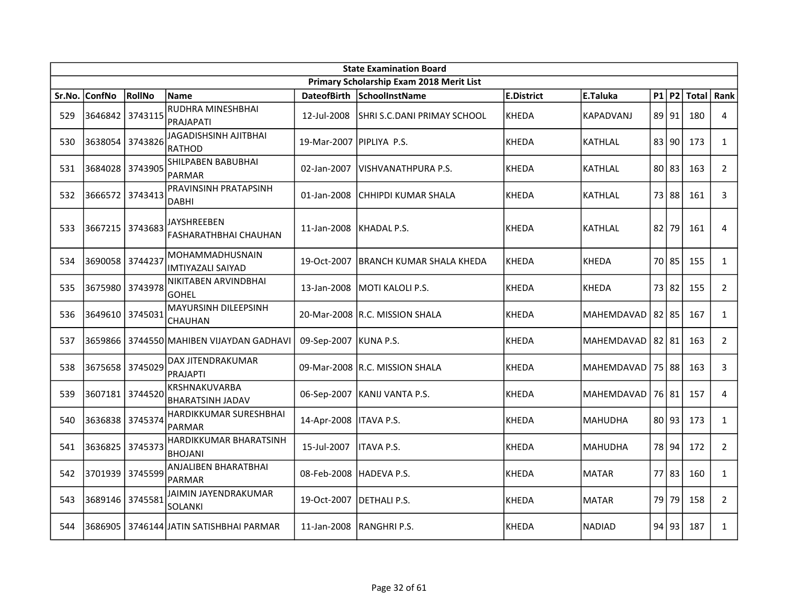|        | <b>State Examination Board</b> |         |                                               |                            |                                          |                   |                |  |           |               |                |  |  |
|--------|--------------------------------|---------|-----------------------------------------------|----------------------------|------------------------------------------|-------------------|----------------|--|-----------|---------------|----------------|--|--|
|        |                                |         |                                               |                            | Primary Scholarship Exam 2018 Merit List |                   |                |  |           |               |                |  |  |
| Sr.No. | <b>ConfNo</b>                  | RollNo  | <b>Name</b>                                   | <b>DateofBirth</b>         | SchoolInstName                           | <b>E.District</b> | E.Taluka       |  |           | $P1$ P2 Total | Rank           |  |  |
| 529    | 3646842                        | 3743115 | RUDHRA MINESHBHAI<br>PRAJAPATI                | 12-Jul-2008                | ISHRI S.C.DANI PRIMAY SCHOOL             | KHEDA             | KAPADVANJ      |  | 89   91   | 180           | 4              |  |  |
| 530    | 3638054 3743826                |         | <b>JAGADISHSINH AJITBHAI</b><br><b>RATHOD</b> | 19-Mar-2007   PIPLIYA P.S. |                                          | KHEDA             | <b>KATHLAL</b> |  | 83 90     | 173           | $\mathbf{1}$   |  |  |
| 531    | 3684028 3743905                |         | SHILPABEN BABUBHAI<br><b>PARMAR</b>           | 02-Jan-2007                | lVISHVANATHPURA P.S.                     | KHEDA             | <b>KATHLAL</b> |  | 80 83     | 163           | $\overline{2}$ |  |  |
| 532    | 3666572                        | 3743413 | PRAVINSINH PRATAPSINH<br><b>DABHI</b>         | 01-Jan-2008                | CHHIPDI KUMAR SHALA                      | <b>KHEDA</b>      | <b>KATHLAL</b> |  | 73 88     | 161           | $\mathbf{3}$   |  |  |
| 533    | 3667215                        | 3743683 | JAYSHREEBEN<br><b>FASHARATHBHAI CHAUHAN</b>   | 11-Jan-2008                | IKHADAL P.S.                             | <b>KHEDA</b>      | <b>KATHLAL</b> |  | 82 79     | 161           | 4              |  |  |
| 534    | 3690058 3744237                |         | MOHAMMADHUSNAIN<br><b>IMTIYAZALI SAIYAD</b>   | 19-Oct-2007                | IBRANCH KUMAR SHALA KHEDA                | <b>KHEDA</b>      | <b>KHEDA</b>   |  | 70 85     | 155           | $\mathbf{1}$   |  |  |
| 535    | 3675980 3743978                |         | NIKITABEN ARVINDBHAI<br><b>GOHEL</b>          | 13-Jan-2008                | MOTI KALOLI P.S.                         | <b>KHEDA</b>      | KHEDA          |  | 73 82     | 155           | $\overline{2}$ |  |  |
| 536    | 3649610 3745031                |         | MAYURSINH DILEEPSINH<br><b>CHAUHAN</b>        |                            | 20-Mar-2008 R.C. MISSION SHALA           | <b>KHEDA</b>      | MAHEMDAVAD     |  | $82$   85 | 167           | $\mathbf{1}$   |  |  |
| 537    |                                |         | 3659866 3744550 MAHIBEN VIJAYDAN GADHAVI      | 09-Sep-2007 KUNA P.S.      |                                          | KHEDA             | MAHEMDAVAD     |  | 82 81     | 163           | $\overline{2}$ |  |  |
| 538    | 3675658 3745029                |         | DAX JITENDRAKUMAR<br><b>PRAJAPTI</b>          |                            | 09-Mar-2008 R.C. MISSION SHALA           | KHEDA             | MAHEMDAVAD     |  | 75 88     | 163           | 3              |  |  |
| 539    | 3607181 3744520                |         | KRSHNAKUVARBA<br><b>BHARATSINH JADAV</b>      |                            | 06-Sep-2007 KANIJ VANTA P.S.             | KHEDA             | MAHEMDAVAD     |  | 76 81     | 157           | $\overline{4}$ |  |  |
| 540    | 3636838                        | 3745374 | HARDIKKUMAR SURESHBHAI<br><b>PARMAR</b>       | 14-Apr-2008                | <b>IITAVA P.S.</b>                       | <b>KHEDA</b>      | <b>MAHUDHA</b> |  | 80 93     | 173           | $\mathbf{1}$   |  |  |
| 541    | 3636825                        | 3745373 | HARDIKKUMAR BHARATSINH<br><b>BHOJANI</b>      | 15-Jul-2007                | <b>ITAVA P.S.</b>                        | <b>KHEDA</b>      | <b>MAHUDHA</b> |  | 78 94     | 172           | $\overline{2}$ |  |  |
| 542    | 3701939                        | 3745599 | <b>ANJALIBEN BHARATBHAI</b><br><b>PARMAR</b>  | 08-Feb-2008                | IHADEVA P.S.                             | <b>KHEDA</b>      | <b>MATAR</b>   |  | 77 83     | 160           | $\mathbf{1}$   |  |  |
| 543    | 3689146                        | 3745581 | JAIMIN JAYENDRAKUMAR<br><b>SOLANKI</b>        | 19-Oct-2007                | DETHALI P.S.                             | KHEDA             | <b>MATAR</b>   |  | 79 79     | 158           | $2^{\circ}$    |  |  |
| 544    | 3686905                        |         | l 3746144 JATIN SATISHBHAI PARMAR             | 11-Jan-2008                | IRANGHRI P.S.                            | KHEDA             | NADIAD         |  | 94 93     | 187           | $\mathbf{1}$   |  |  |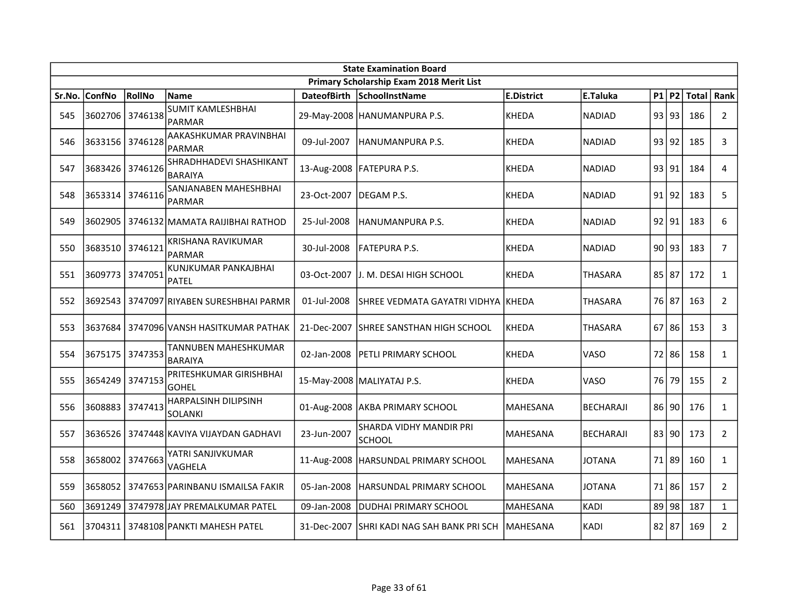|        | <b>State Examination Board</b> |         |                                            |             |                                            |                   |                  |  |           |                    |                |  |  |
|--------|--------------------------------|---------|--------------------------------------------|-------------|--------------------------------------------|-------------------|------------------|--|-----------|--------------------|----------------|--|--|
|        |                                |         |                                            |             | Primary Scholarship Exam 2018 Merit List   |                   |                  |  |           |                    |                |  |  |
| Sr.No. | <b>ConfNo</b>                  | RollNo  | <b>Name</b>                                |             | DateofBirth SchoolInstName                 | <b>E.District</b> | E.Taluka         |  |           | $P1$ P2 Total Rank |                |  |  |
| 545    | 3602706 3746138                |         | <b>SUMIT KAMLESHBHAI</b><br><b>PARMAR</b>  |             | 29-May-2008 HANUMANPURA P.S.               | KHEDA             | <b>NADIAD</b>    |  | 93 93     | 186                | $2^{\circ}$    |  |  |
| 546    | 3633156 3746128                |         | AAKASHKUMAR PRAVINBHAI<br><b>PARMAR</b>    | 09-Jul-2007 | HANUMANPURA P.S.                           | KHEDA             | <b>NADIAD</b>    |  | 93 92     | 185                | 3              |  |  |
| 547    | 3683426 3746126                |         | SHRADHHADEVI SHASHIKANT<br><b>BARAIYA</b>  |             | 13-Aug-2008   FATEPURA P.S.                | <b>KHEDA</b>      | <b>NADIAD</b>    |  | 93 91     | 184                | 4              |  |  |
| 548    | 3653314 3746116                |         | SANJANABEN MAHESHBHAI<br>PARMAR            | 23-Oct-2007 | DEGAM P.S.                                 | <b>KHEDA</b>      | <b>NADIAD</b>    |  | 91 92     | 183                | 5              |  |  |
| 549    | 3602905                        |         | 3746132 MAMATA RAIJIBHAI RATHOD            | 25-Jul-2008 | HANUMANPURA P.S.                           | <b>KHEDA</b>      | <b>NADIAD</b>    |  | 92 91     | 183                | 6              |  |  |
| 550    | 3683510 3746121                |         | <b>KRISHANA RAVIKUMAR</b><br><b>PARMAR</b> | 30-Jul-2008 | <b>FATEPURA P.S.</b>                       | <b>KHEDA</b>      | <b>NADIAD</b>    |  | 90 93     | 183                | $\overline{7}$ |  |  |
| 551    | 3609773 3747051                |         | KUNJKUMAR PANKAJBHAI<br><b>PATEL</b>       | 03-Oct-2007 | lJ. M. DESAI HIGH SCHOOL                   | <b>KHEDA</b>      | <b>THASARA</b>   |  | 85 87     | 172                | $\mathbf{1}$   |  |  |
| 552    |                                |         | 3692543 3747097 RIYABEN SURESHBHAI PARMR   | 01-Jul-2008 | SHREE VEDMATA GAYATRI VIDHYA  KHEDA        |                   | <b>THASARA</b>   |  | 76 87     | 163                | $2^{\circ}$    |  |  |
| 553    |                                |         | 3637684   3747096 VANSH HASITKUMAR PATHAK  |             | 21-Dec-2007 SHREE SANSTHAN HIGH SCHOOL     | KHEDA             | <b>THASARA</b>   |  | $67$ 86   | 153                | 3              |  |  |
| 554    | 3675175 3747353                |         | TANNUBEN MAHESHKUMAR<br><b>BARAIYA</b>     | 02-Jan-2008 | <b>PETLI PRIMARY SCHOOL</b>                | KHEDA             | VASO             |  | 72 86     | 158                | $\mathbf{1}$   |  |  |
| 555    | 3654249 3747153                |         | PRITESHKUMAR GIRISHBHAI<br><b>GOHEL</b>    |             | 15-May-2008 MALIYATAJ P.S.                 | <b>KHEDA</b>      | VASO             |  | 76179     | 155                | $\overline{2}$ |  |  |
| 556    | 3608883                        | 3747413 | HARPALSINH DILIPSINH<br>SOLANKI            |             | 01-Aug-2008 AKBA PRIMARY SCHOOL            | <b>MAHESANA</b>   | <b>BECHARAJI</b> |  | 86 90     | 176                | $\mathbf{1}$   |  |  |
| 557    | 3636526                        |         | 3747448 KAVIYA VIJAYDAN GADHAVI            | 23-Jun-2007 | SHARDA VIDHY MANDIR PRI<br>ISCHOOL         | <b>MAHESANA</b>   | <b>BECHARAJI</b> |  | 83 90     | 173                | $\overline{2}$ |  |  |
| 558    | 3658002                        | 3747663 | YATRI SANJIVKUMAR<br>VAGHELA               |             | 11-Aug-2008   HARSUNDAL PRIMARY SCHOOL     | <b>MAHESANA</b>   | <b>JOTANA</b>    |  | 71 89     | 160                | $\mathbf{1}$   |  |  |
| 559    |                                |         | 3658052   3747653 PARINBANU ISMAILSA FAKIR | 05-Jan-2008 | IHARSUNDAL PRIMARY SCHOOL                  | <b>MAHESANA</b>   | <b>JOTANA</b>    |  | 71 86     | 157                | $\overline{2}$ |  |  |
| 560    |                                |         | 3691249 3747978 JAY PREMALKUMAR PATEL      | 09-Jan-2008 | <b>DUDHAI PRIMARY SCHOOL</b>               | <b>MAHESANA</b>   | <b>KADI</b>      |  | 89 98     | 187                | $\mathbf{1}$   |  |  |
| 561    |                                |         | 3704311   3748108 PANKTI MAHESH PATEL      |             | 31-Dec-2007 SHRI KADI NAG SAH BANK PRI SCH | lMAHESANA         | KADI             |  | $82$   87 | 169                | $\overline{2}$ |  |  |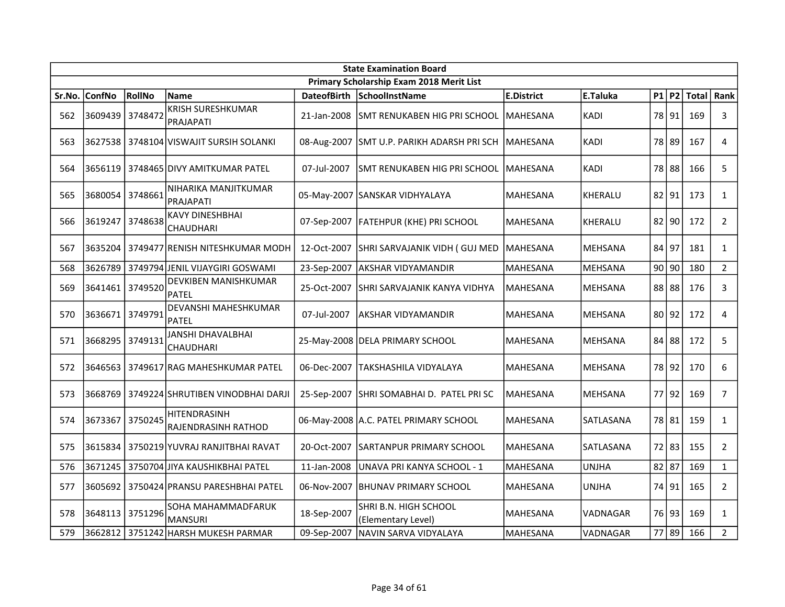|        | <b>State Examination Board</b> |         |                                             |                    |                                             |                   |                |           |       |              |                |  |
|--------|--------------------------------|---------|---------------------------------------------|--------------------|---------------------------------------------|-------------------|----------------|-----------|-------|--------------|----------------|--|
|        |                                |         |                                             |                    | Primary Scholarship Exam 2018 Merit List    |                   |                |           |       |              |                |  |
| Sr.No. | <b>ConfNo</b>                  | RollNo  | <b>Name</b>                                 | <b>DateofBirth</b> | SchoolInstName                              | <b>E.District</b> | E.Taluka       |           | P1 P2 | <b>Total</b> | Rank           |  |
| 562    | 3609439                        | 3748472 | <b>KRISH SURESHKUMAR</b><br>PRAJAPATI       | 21-Jan-2008        | SMT RENUKABEN HIG PRI SCHOOL                | lMAHESANA         | <b>KADI</b>    |           | 78 91 | 169          | 3              |  |
| 563    |                                |         | 3627538   3748104   VISWAJIT SURSIH SOLANKI |                    | 08-Aug-2007 SMT U.P. PARIKH ADARSH PRI SCH  | MAHESANA          | <b>KADI</b>    |           | 78 89 | 167          | 4              |  |
| 564    | 3656119                        |         | 3748465 DIVY AMITKUMAR PATEL                | 07-Jul-2007        | ISMT RENUKABEN HIG PRI SCHOOL               | lMAHESANA         | <b>KADI</b>    |           | 78 88 | 166          | 5              |  |
| 565    | 3680054                        | 3748661 | NIHARIKA MANJITKUMAR<br>PRAJAPATI           |                    | 05-May-2007  SANSKAR VIDHYALAYA             | MAHESANA          | KHERALU        |           | 82 91 | 173          | $\mathbf{1}$   |  |
| 566    | 3619247                        | 3748638 | <b>KAVY DINESHBHAI</b><br>CHAUDHARI         | 07-Sep-2007        | <b>FATEHPUR (KHE) PRI SCHOOL</b>            | <b>MAHESANA</b>   | KHERALU        | $82$ 90   |       | 172          | $\overline{2}$ |  |
| 567    | 3635204                        |         | 3749477 RENISH NITESHKUMAR MODH             | 12-Oct-2007        | SHRI SARVAJANIK VIDH (GUJ MED               | <b>MAHESANA</b>   | MEHSANA        | $84$   97 |       | 181          | $\mathbf{1}$   |  |
| 568    | 3626789                        |         | 3749794 JENIL VIJAYGIRI GOSWAMI             | 23-Sep-2007        | <b>AKSHAR VIDYAMANDIR</b>                   | <b>MAHESANA</b>   | <b>MEHSANA</b> | 90 90     |       | 180          | $2^{\circ}$    |  |
| 569    | 3641461                        | 3749520 | DEVKIBEN MANISHKUMAR<br>PATEL               | 25-Oct-2007        | ISHRI SARVAJANIK KANYA VIDHYA               | MAHESANA          | MEHSANA        |           | 88 88 | 176          | 3              |  |
| 570    | 3636671                        | 3749791 | DEVANSHI MAHESHKUMAR<br><b>PATEL</b>        | 07-Jul-2007        | AKSHAR VIDYAMANDIR                          | <b>MAHESANA</b>   | MEHSANA        |           | 80 92 | 172          | 4              |  |
| 571    | 3668295 3749131                |         | JANSHI DHAVALBHAI<br>CHAUDHARI              |                    | 25-May-2008   DELA PRIMARY SCHOOL           | <b>MAHESANA</b>   | MEHSANA        |           | 84 88 | 172          | 5              |  |
| 572    | 3646563                        |         | 3749617 RAG MAHESHKUMAR PATEL               | 06-Dec-2007        | lTAKSHASHILA VIDYALAYA                      | <b>MAHESANA</b>   | <b>MEHSANA</b> |           | 78 92 | 170          | 6              |  |
| 573    | 3668769                        |         | 3749224 SHRUTIBEN VINODBHAI DARJI           | 25-Sep-2007        | SHRI SOMABHAI D. PATEL PRI SC               | MAHESANA          | MEHSANA        |           | 77 92 | 169          | $\overline{7}$ |  |
| 574    | 3673367                        | 3750245 | HITENDRASINH<br>RAJENDRASINH RATHOD         |                    | 06-May-2008 A.C. PATEL PRIMARY SCHOOL       | <b>MAHESANA</b>   | SATLASANA      |           | 78 81 | 159          | $\mathbf{1}$   |  |
| 575    | 3615834                        |         | 3750219 YUVRAJ RANJITBHAI RAVAT             | 20-Oct-2007        | ISARTANPUR PRIMARY SCHOOL                   | <b>MAHESANA</b>   | SATLASANA      |           | 72 83 | 155          | $\overline{2}$ |  |
| 576    |                                |         | 3671245   3750704 JIYA KAUSHIKBHAI PATEL    | 11-Jan-2008        | UNAVA PRI KANYA SCHOOL - 1                  | <b>MAHESANA</b>   | <b>UNJHA</b>   | $82$   87 |       | 169          | $\mathbf{1}$   |  |
| 577    | 3605692                        |         | 3750424 PRANSU PARESHBHAI PATEL             | 06-Nov-2007        | <b>BHUNAV PRIMARY SCHOOL</b>                | <b>MAHESANA</b>   | <b>UNJHA</b>   |           | 74 91 | 165          | $\overline{2}$ |  |
| 578    | 3648113                        | 3751296 | SOHA MAHAMMADFARUK<br><b>MANSURI</b>        | 18-Sep-2007        | SHRI B.N. HIGH SCHOOL<br>(Elementary Level) | <b>MAHESANA</b>   | VADNAGAR       |           | 76 93 | 169          | $\mathbf{1}$   |  |
| 579    |                                |         | 3662812 3751242 HARSH MUKESH PARMAR         | 09-Sep-2007        | NAVIN SARVA VIDYALAYA                       | MAHESANA          | VADNAGAR       |           | 77 89 | 166          | $\overline{2}$ |  |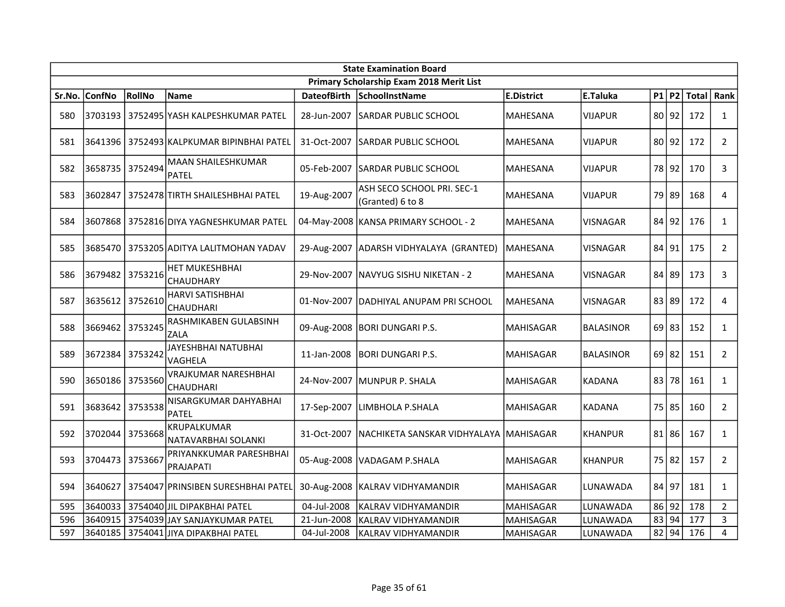|        | <b>State Examination Board</b> |         |                                             |                    |                                                |                   |                  |       |           |               |                |  |
|--------|--------------------------------|---------|---------------------------------------------|--------------------|------------------------------------------------|-------------------|------------------|-------|-----------|---------------|----------------|--|
|        |                                |         |                                             |                    | Primary Scholarship Exam 2018 Merit List       |                   |                  |       |           |               |                |  |
| Sr.No. | <b>ConfNo</b>                  | RollNo  | <b>Name</b>                                 | <b>DateofBirth</b> | SchoolInstName                                 | <b>E.District</b> | E.Taluka         |       |           | $P1$ P2 Total | Rank           |  |
| 580    |                                |         | 3703193   3752495   YASH KALPESHKUMAR PATEL | 28-Jun-2007        | ISARDAR PUBLIC SCHOOL                          | <b>MAHESANA</b>   | <b>VIJAPUR</b>   |       | 80 92     | 172           | $\mathbf{1}$   |  |
| 581    | 3641396                        |         | 3752493 KALPKUMAR BIPINBHAI PATEL           | 31-Oct-2007        | SARDAR PUBLIC SCHOOL                           | <b>MAHESANA</b>   | <b>VIJAPUR</b>   |       | 80 92     | 172           | $\overline{2}$ |  |
| 582    | 3658735                        | 3752494 | <b>MAAN SHAILESHKUMAR</b><br>PATEL          | 05-Feb-2007        | <b>SARDAR PUBLIC SCHOOL</b>                    | <b>MAHESANA</b>   | <b>VIJAPUR</b>   |       | 78192     | 170           | 3              |  |
| 583    | 3602847                        |         | 3752478 TIRTH SHAILESHBHAI PATEL            | 19-Aug-2007        | ASH SECO SCHOOL PRI. SEC-1<br>(Granted) 6 to 8 | MAHESANA          | <b>VIJAPUR</b>   |       | 79 89     | 168           | 4              |  |
| 584    | 3607868                        |         | 3752816 DIYA YAGNESHKUMAR PATEL             |                    | 04-May-2008 KANSA PRIMARY SCHOOL - 2           | <b>MAHESANA</b>   | <b>VISNAGAR</b>  | 84 92 |           | 176           | $\mathbf{1}$   |  |
| 585    |                                |         | 3685470   3753205 ADITYA LALITMOHAN YADAV   |                    | 29-Aug-2007 ADARSH VIDHYALAYA (GRANTED)        | <b>MAHESANA</b>   | <b>VISNAGAR</b>  |       | 84 91     | 175           | $\overline{2}$ |  |
| 586    | 3679482 3753216                |         | <b>HET MUKESHBHAI</b><br>CHAUDHARY          |                    | 29-Nov-2007   NAVYUG SISHU NIKETAN - 2         | <b>MAHESANA</b>   | VISNAGAR         | 84 89 |           | 173           | 3              |  |
| 587    | 3635612                        | 3752610 | <b>HARVI SATISHBHAI</b><br>CHAUDHARI        | 01-Nov-2007        | DADHIYAL ANUPAM PRI SCHOOL                     | MAHESANA          | <b>VISNAGAR</b>  | 83 89 |           | 172           | 4              |  |
| 588    | 3669462 3753245                |         | RASHMIKABEN GULABSINH<br>ZALA               |                    | 09-Aug-2008 BORI DUNGARI P.S.                  | <b>MAHISAGAR</b>  | <b>BALASINOR</b> |       | 69 83     | 152           | $\mathbf{1}$   |  |
| 589    | 3672384                        | 3753242 | JAYESHBHAI NATUBHAI<br>VAGHELA              | 11-Jan-2008        | <b>BORI DUNGARI P.S.</b>                       | <b>MAHISAGAR</b>  | <b>BALASINOR</b> |       | $69$   82 | 151           | $\overline{2}$ |  |
| 590    | 3650186                        | 3753560 | VRAJKUMAR NARESHBHAI<br>CHAUDHARI           |                    | 24-Nov-2007 MUNPUR P. SHALA                    | <b>MAHISAGAR</b>  | <b>KADANA</b>    |       | 83 78     | 161           | $\mathbf{1}$   |  |
| 591    | 3683642                        | 3753538 | NISARGKUMAR DAHYABHAI<br><b>PATEL</b>       | 17-Sep-2007        | LIMBHOLA P.SHALA                               | <b>MAHISAGAR</b>  | <b>KADANA</b>    |       | 75 85     | 160           | $\overline{2}$ |  |
| 592    | 3702044                        | 3753668 | KRUPALKUMAR<br>NATAVARBHAI SOLANKI          | 31-Oct-2007        | NACHIKETA SANSKAR VIDHYALAYA                   | <b>MAHISAGAR</b>  | <b>KHANPUR</b>   |       | $81$   86 | 167           | $\mathbf{1}$   |  |
| 593    | 3704473                        | 3753667 | PRIYANKKUMAR PARESHBHAI<br>PRAJAPATI        |                    | 05-Aug-2008   VADAGAM P.SHALA                  | <b>MAHISAGAR</b>  | <b>KHANPUR</b>   |       | 75 82     | 157           | $\overline{2}$ |  |
| 594    | 3640627                        |         | 3754047 PRINSIBEN SURESHBHAI PATEL          |                    | 30-Aug-2008   KALRAV VIDHYAMANDIR              | <b>MAHISAGAR</b>  | LUNAWADA         | 84 97 |           | 181           | $\mathbf{1}$   |  |
| 595    | 3640033                        |         | 3754040 JIL DIPAKBHAI PATEL                 | 04-Jul-2008        | <b>KALRAV VIDHYAMANDIR</b>                     | <b>MAHISAGAR</b>  | LUNAWADA         | 86 92 |           | 178           | $\overline{2}$ |  |
| 596    | 3640915                        |         | 3754039 JAY SANJAYKUMAR PATEL               | 21-Jun-2008        | KALRAV VIDHYAMANDIR                            | <b>MAHISAGAR</b>  | LUNAWADA         | 83 94 |           | 177           | 3              |  |
| 597    |                                |         | 3640185   3754041 JIYA DIPAKBHAI PATEL      | 04-Jul-2008        | KALRAV VIDHYAMANDIR                            | <b>MAHISAGAR</b>  | LUNAWADA         |       | 82 94     | 176           | $\overline{4}$ |  |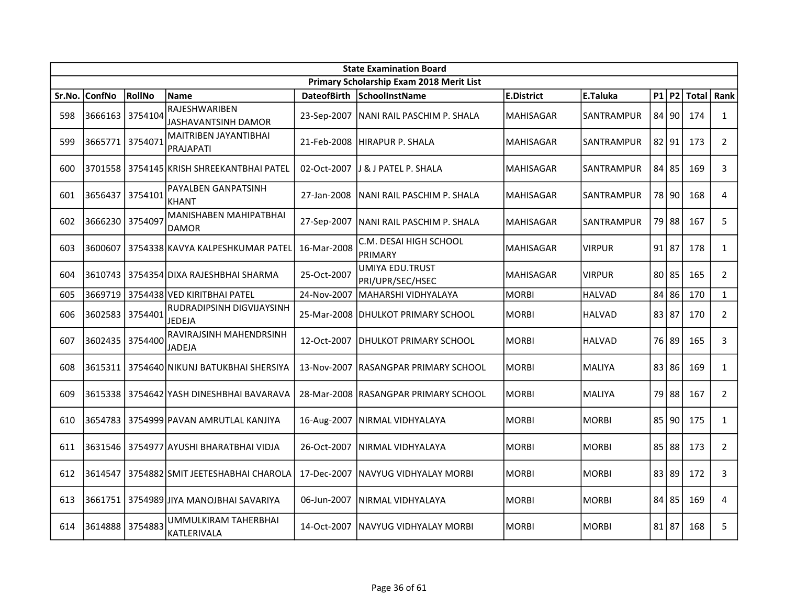|        | <b>State Examination Board</b> |         |                                                  |                    |                                            |                   |                   |  |           |              |                |  |  |
|--------|--------------------------------|---------|--------------------------------------------------|--------------------|--------------------------------------------|-------------------|-------------------|--|-----------|--------------|----------------|--|--|
|        |                                |         |                                                  |                    | Primary Scholarship Exam 2018 Merit List   |                   |                   |  |           |              |                |  |  |
| Sr.No. | <b>ConfNo</b>                  | RollNo  | <b>Name</b>                                      | <b>DateofBirth</b> | SchoolInstName                             | <b>E.District</b> | E.Taluka          |  | P1 P2     | <b>Total</b> | Rank           |  |  |
| 598    | 3666163                        | 3754104 | RAJESHWARIBEN<br>JASHAVANTSINH DAMOR             |                    | 23-Sep-2007   NANI RAIL PASCHIM P. SHALA   | <b>MAHISAGAR</b>  | <b>SANTRAMPUR</b> |  | 84 90     | 174          | $\mathbf{1}$   |  |  |
| 599    | 3665771 3754071                |         | <b>MAITRIBEN JAYANTIBHAI</b><br><b>PRAJAPATI</b> | 21-Feb-2008        | HIRAPUR P. SHALA                           | <b>MAHISAGAR</b>  | <b>SANTRAMPUR</b> |  | 82 91     | 173          | $\overline{2}$ |  |  |
| 600    |                                |         | 3701558 3754145 KRISH SHREEKANTBHAI PATEL        | 02-Oct-2007        | IJ & J PATEL P. SHALA                      | <b>MAHISAGAR</b>  | <b>SANTRAMPUR</b> |  | 84 85     | 169          | 3              |  |  |
| 601    | 3656437                        | 3754101 | PAYALBEN GANPATSINH<br><b>KHANT</b>              | 27-Jan-2008        | NANI RAIL PASCHIM P. SHALA                 | <b>MAHISAGAR</b>  | SANTRAMPUR        |  | 78 90     | 168          | 4              |  |  |
| 602    | 3666230                        | 3754097 | <b>MANISHABEN MAHIPATBHAI</b><br><b>DAMOR</b>    | 27-Sep-2007        | NANI RAIL PASCHIM P. SHALA                 | <b>MAHISAGAR</b>  | SANTRAMPUR        |  | 79 88     | 167          | 5              |  |  |
| 603    | 3600607                        |         | 3754338 KAVYA KALPESHKUMAR PATEL                 | 16-Mar-2008        | C.M. DESAI HIGH SCHOOL<br>PRIMARY          | <b>MAHISAGAR</b>  | <b>VIRPUR</b>     |  | $91$   87 | 178          | $\mathbf{1}$   |  |  |
| 604    | 3610743                        |         | l 3754354 DIXA RAJESHBHAI SHARMA                 | 25-Oct-2007        | <b>UMIYA EDU.TRUST</b><br>PRI/UPR/SEC/HSEC | <b>MAHISAGAR</b>  | <b>VIRPUR</b>     |  | $80$   85 | 165          | $\overline{2}$ |  |  |
| 605    | 3669719                        |         | 3754438 VED KIRITBHAI PATEL                      | 24-Nov-2007        | MAHARSHI VIDHYALAYA                        | <b>MORBI</b>      | <b>HALVAD</b>     |  | 84 86     | 170          | $\mathbf{1}$   |  |  |
| 606    | 3602583 3754401                |         | RUDRADIPSINH DIGVIJAYSINH<br><b>JEDEJA</b>       |                    | 25-Mar-2008 DHULKOT PRIMARY SCHOOL         | <b>MORBI</b>      | <b>HALVAD</b>     |  | 83 87     | 170          | $2^{\circ}$    |  |  |
| 607    | 3602435 3754400                |         | RAVIRAJSINH MAHENDRSINH<br><b>JADEJA</b>         | 12-Oct-2007        | IDHULKOT PRIMARY SCHOOL                    | <b>MORBI</b>      | <b>HALVAD</b>     |  | 76 89     | 165          | 3              |  |  |
| 608    |                                |         | 3615311   3754640 NIKUNJ BATUKBHAI SHERSIYA      |                    | 13-Nov-2007 RASANGPAR PRIMARY SCHOOL       | <b>MORBI</b>      | MALIYA            |  | 83 86     | 169          | $\mathbf{1}$   |  |  |
| 609    |                                |         | 3615338 3754642 YASH DINESHBHAI BAVARAVA         |                    | 28-Mar-2008 RASANGPAR PRIMARY SCHOOL       | <b>MORBI</b>      | <b>MALIYA</b>     |  | 79 88     | 167          | $\overline{2}$ |  |  |
| 610    |                                |         | 3654783 3754999 PAVAN AMRUTLAL KANJIYA           |                    | 16-Aug-2007   NIRMAL VIDHYALAYA            | <b>MORBI</b>      | <b>MORBI</b>      |  | 85 90     | 175          | $\mathbf{1}$   |  |  |
| 611    | 3631546                        |         | 3754977 AYUSHI BHARATBHAI VIDJA                  | 26-Oct-2007        | İNIRMAL VIDHYALAYA                         | <b>MORBI</b>      | <b>MORBI</b>      |  | 85 88     | 173          | $\overline{2}$ |  |  |
| 612    | 3614547                        |         | 3754882 SMIT JEETESHABHAI CHAROLA                | 17-Dec-2007        | INAVYUG VIDHYALAY MORBI                    | <b>MORBI</b>      | <b>MORBI</b>      |  | 83 89     | 172          | 3              |  |  |
| 613    | 3661751                        |         | 3754989 JIYA MANOJBHAI SAVARIYA                  | 06-Jun-2007        | NIRMAL VIDHYALAYA                          | <b>MORBI</b>      | <b>MORBI</b>      |  | 84 85     | 169          | 4              |  |  |
| 614    | 3614888                        | 3754883 | UMMULKIRAM TAHERBHAI<br>KATLERIVALA              | 14-Oct-2007        | INAVYUG VIDHYALAY MORBI                    | <b>MORBI</b>      | <b>MORBI</b>      |  | 81 87     | 168          | 5              |  |  |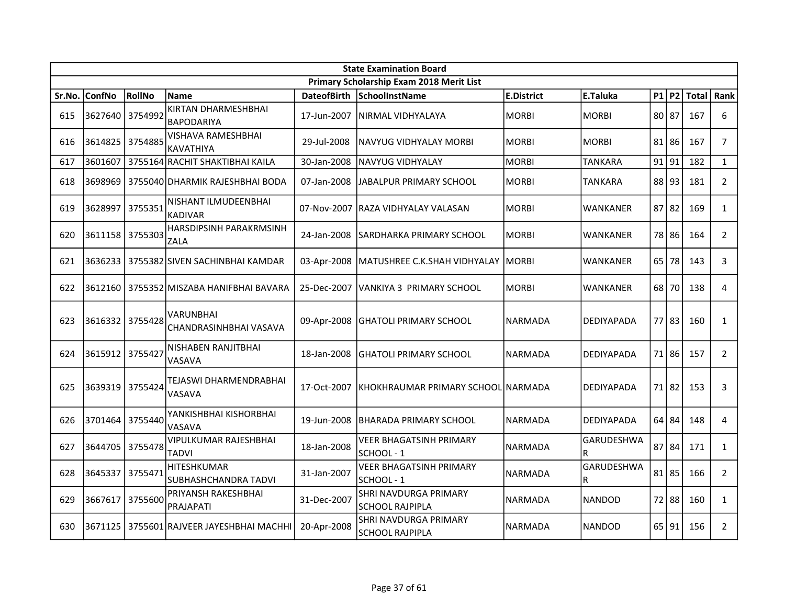|        | <b>State Examination Board</b> |         |                                            |                    |                                                        |                   |                   |       |           |               |                |  |  |
|--------|--------------------------------|---------|--------------------------------------------|--------------------|--------------------------------------------------------|-------------------|-------------------|-------|-----------|---------------|----------------|--|--|
|        |                                |         |                                            |                    | Primary Scholarship Exam 2018 Merit List               |                   |                   |       |           |               |                |  |  |
| Sr.No. | <b>ConfNo</b>                  | RollNo  | <b>Name</b>                                | <b>DateofBirth</b> | <b>SchoolInstName</b>                                  | <b>E.District</b> | E.Taluka          |       |           | $P1$ P2 Total | Rank           |  |  |
| 615    | 3627640 3754992                |         | KIRTAN DHARMESHBHAI<br><b>BAPODARIYA</b>   | 17-Jun-2007        | INIRMAL VIDHYALAYA                                     | <b>MORBI</b>      | <b>MORBI</b>      |       | 80 87     | 167           | 6              |  |  |
| 616    | 3614825                        | 3754885 | VISHAVA RAMESHBHAI<br><b>KAVATHIYA</b>     | 29-Jul-2008        | NAVYUG VIDHYALAY MORBI                                 | <b>MORBI</b>      | <b>MORBI</b>      |       | $81$   86 | 167           | $\overline{7}$ |  |  |
| 617    | 3601607                        |         | 3755164 RACHIT SHAKTIBHAI KAILA            | 30-Jan-2008        | INAVYUG VIDHYALAY                                      | <b>MORBI</b>      | <b>TANKARA</b>    | 91 91 |           | 182           | $\mathbf{1}$   |  |  |
| 618    | 3698969                        |         | 3755040 DHARMIK RAJESHBHAI BODA            | 07-Jan-2008        | JABALPUR PRIMARY SCHOOL                                | <b>MORBI</b>      | <b>TANKARA</b>    |       | 88 93     | 181           | $\overline{2}$ |  |  |
| 619    | 3628997                        | 3755351 | NISHANT ILMUDEENBHAI<br><b>KADIVAR</b>     |                    | 07-Nov-2007 RAZA VIDHYALAY VALASAN                     | <b>MORBI</b>      | WANKANER          |       | $87$   82 | 169           | $\mathbf{1}$   |  |  |
| 620    | 3611158 3755303                |         | HARSDIPSINH PARAKRMSINH<br>ZALA            | 24-Jan-2008        | SARDHARKA PRIMARY SCHOOL                               | <b>MORBI</b>      | WANKANER          |       | 78 86     | 164           | $\overline{2}$ |  |  |
| 621    | 3636233                        |         | 3755382 SIVEN SACHINBHAI KAMDAR            | 03-Apr-2008        | MATUSHREE C.K.SHAH VIDHYALAY                           | <b>MORBI</b>      | WANKANER          |       | $65$ 78   | 143           | 3              |  |  |
| 622    |                                |         | 3612160   3755352 MISZABA HANIFBHAI BAVARA | 25-Dec-2007        | IVANKIYA 3  PRIMARY SCHOOL                             | <b>MORBI</b>      | WANKANER          |       | 68 70     | 138           | $\overline{4}$ |  |  |
| 623    | 3616332                        | 3755428 | <b>VARUNBHAI</b><br>CHANDRASINHBHAI VASAVA | 09-Apr-2008        | IGHATOLI PRIMARY SCHOOL                                | <b>NARMADA</b>    | DEDIYAPADA        |       | 77 83     | 160           | $\mathbf{1}$   |  |  |
| 624    | 3615912 3755427                |         | NISHABEN RANJITBHAI<br>VASAVA              | 18-Jan-2008        | <b>GHATOLI PRIMARY SCHOOL</b>                          | <b>NARMADA</b>    | <b>DEDIYAPADA</b> |       | 71 86     | 157           | $\overline{2}$ |  |  |
| 625    | 3639319 3755424                |         | TEJASWI DHARMENDRABHAI<br>VASAVA           | 17-Oct-2007        | KHOKHRAUMAR PRIMARY SCHOOL NARMADA                     |                   | DEDIYAPADA        |       | 71 82     | 153           | 3              |  |  |
| 626    | 3701464                        | 3755440 | YANKISHBHAI KISHORBHAI<br>VASAVA           | 19-Jun-2008        | IBHARADA PRIMARY SCHOOL                                | <b>NARMADA</b>    | <b>DEDIYAPADA</b> |       | 64 84     | 148           | $\overline{4}$ |  |  |
| 627    | 3644705                        | 3755478 | VIPULKUMAR RAJESHBHAI<br><b>TADVI</b>      | 18-Jan-2008        | VEER BHAGATSINH PRIMARY<br>SCHOOL - 1                  | <b>NARMADA</b>    | GARUDESHWA<br>R   |       | 87 84     | 171           | $\mathbf{1}$   |  |  |
| 628    | 3645337                        | 3755471 | HITESHKUMAR<br><b>SUBHASHCHANDRA TADVI</b> | 31-Jan-2007        | <b>VEER BHAGATSINH PRIMARY</b><br>lschool - 1          | <b>NARMADA</b>    | GARUDESHWA<br>R   |       | $81$   85 | 166           | $\overline{2}$ |  |  |
| 629    | 3667617                        | 3755600 | PRIYANSH RAKESHBHAI<br>PRAJAPATI           | 31-Dec-2007        | <b>SHRI NAVDURGA PRIMARY</b><br><b>SCHOOL RAJPIPLA</b> | <b>NARMADA</b>    | <b>NANDOD</b>     |       | 72 88     | 160           | $\mathbf{1}$   |  |  |
| 630    | 3671125                        |         | 3755601 RAJVEER JAYESHBHAI MACHHI          | 20-Apr-2008        | SHRI NAVDURGA PRIMARY<br><b>SCHOOL RAJPIPLA</b>        | <b>NARMADA</b>    | <b>NANDOD</b>     |       | 65 91     | 156           | $\overline{2}$ |  |  |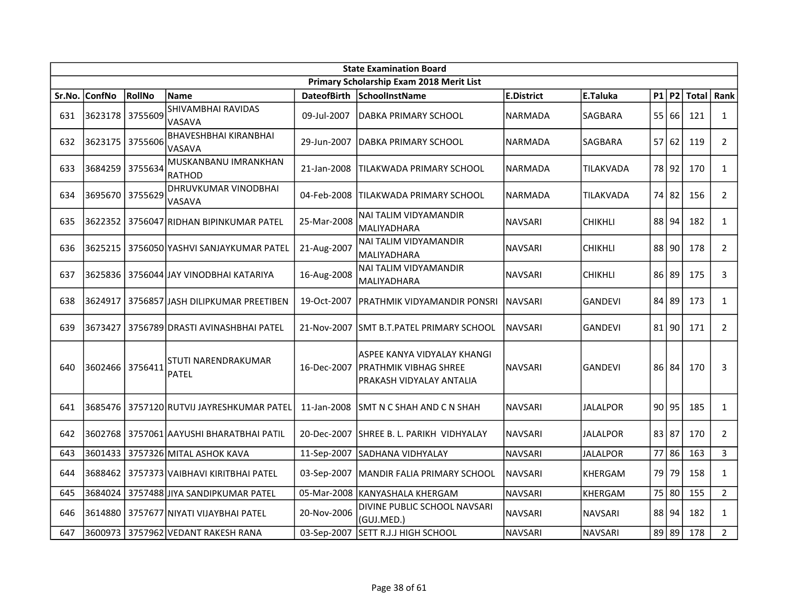|        | <b>State Examination Board</b> |         |                                              |                    |                                                                                           |                   |                 |       |       |               |                |  |  |
|--------|--------------------------------|---------|----------------------------------------------|--------------------|-------------------------------------------------------------------------------------------|-------------------|-----------------|-------|-------|---------------|----------------|--|--|
|        |                                |         |                                              |                    | Primary Scholarship Exam 2018 Merit List                                                  |                   |                 |       |       |               |                |  |  |
| Sr.No. | <b>ConfNo</b>                  | RollNo  | <b>Name</b>                                  | <b>DateofBirth</b> | <b>SchoolInstName</b>                                                                     | <b>E.District</b> | E.Taluka        |       |       | $P1$ P2 Total | Rank           |  |  |
| 631    | 3623178 3755609                |         | SHIVAMBHAI RAVIDAS<br>VASAVA                 | 09-Jul-2007        | IDABKA PRIMARY SCHOOL                                                                     | <b>NARMADA</b>    | SAGBARA         |       | 55 66 | 121           | $\mathbf{1}$   |  |  |
| 632    | 3623175 3755606                |         | <b>BHAVESHBHAI KIRANBHAI</b><br>VASAVA       | 29-Jun-2007        | IDABKA PRIMARY SCHOOL                                                                     | <b>NARMADA</b>    | SAGBARA         |       | 57 62 | 119           | $\overline{2}$ |  |  |
| 633    | 3684259 3755634                |         | MUSKANBANU IMRANKHAN<br><b>RATHOD</b>        | 21-Jan-2008        | ITILAKWADA PRIMARY SCHOOL                                                                 | NARMADA           | TILAKVADA       |       | 78 92 | 170           | $\mathbf{1}$   |  |  |
| 634    | 3695670                        | 3755629 | DHRUVKUMAR VINODBHAI<br>VASAVA               | 04-Feb-2008        | ITILAKWADA PRIMARY SCHOOL                                                                 | NARMADA           | TILAKVADA       |       | 74 82 | 156           | $\overline{2}$ |  |  |
| 635    | 3622352                        |         | 3756047 RIDHAN BIPINKUMAR PATEL              | 25-Mar-2008        | NAI TALIM VIDYAMANDIR<br><b>MALIYADHARA</b>                                               | <b>NAVSARI</b>    | <b>CHIKHLI</b>  |       | 88 94 | 182           | $\mathbf{1}$   |  |  |
| 636    | 3625215                        |         | 3756050 YASHVI SANJAYKUMAR PATEL             | 21-Aug-2007        | <b>NAI TALIM VIDYAMANDIR</b><br>MALIYADHARA                                               | <b>NAVSARI</b>    | <b>CHIKHLI</b>  |       | 88 90 | 178           | $\overline{2}$ |  |  |
| 637    | 3625836                        |         | 3756044 JJAY VINODBHAI KATARIYA              | 16-Aug-2008        | NAI TALIM VIDYAMANDIR<br><b>MALIYADHARA</b>                                               | <b>NAVSARI</b>    | <b>CHIKHLI</b>  |       | 86 89 | 175           | 3              |  |  |
| 638    | 3624917                        |         | 3756857 JASH DILIPKUMAR PREETIBEN            | 19-Oct-2007        | PRATHMIK VIDYAMANDIR PONSRI                                                               | NAVSARI           | <b>GANDEVI</b>  |       | 84 89 | 173           | $\mathbf{1}$   |  |  |
| 639    | 3673427                        |         | 3756789 DRASTI AVINASHBHAI PATEL             |                    | 21-Nov-2007 SMT B.T.PATEL PRIMARY SCHOOL                                                  | <b>NAVSARI</b>    | <b>GANDEVI</b>  |       | 81 90 | 171           | $2^{\circ}$    |  |  |
| 640    | 3602466 3756411                |         | STUTI NARENDRAKUMAR<br><b>PATEL</b>          | 16-Dec-2007        | lASPEE KANYA VIDYALAY KHANGI<br><b>PRATHMIK VIBHAG SHREE</b><br>IPRAKASH VIDYALAY ANTALIA | <b>NAVSARI</b>    | <b>GANDEVI</b>  |       | 86 84 | 170           | 3              |  |  |
| 641    |                                |         | 3685476 3757120 RUTVIJ JAYRESHKUMAR PATEL    | 11-Jan-2008        | SMT N C SHAH AND C N SHAH                                                                 | <b>NAVSARI</b>    | <b>JALALPOR</b> |       | 90 95 | 185           | $\mathbf{1}$   |  |  |
| 642    | 3602768                        |         | 3757061 AAYUSHI BHARATBHAI PATIL             | 20-Dec-2007        | ISHREE B. L. PARIKH  VIDHYALAY                                                            | <b>NAVSARI</b>    | JALALPOR        | 83 87 |       | 170           | $\overline{2}$ |  |  |
| 643    | 3601433                        |         | l 3757326lMITAL ASHOK KAVA                   | 11-Sep-2007        | <b>SADHANA VIDHYALAY</b>                                                                  | <b>NAVSARI</b>    | <b>JALALPOR</b> |       | 77 86 | 163           | $\mathbf{3}$   |  |  |
| 644    |                                |         | 3688462   3757373   VAIBHAVI KIRITBHAI PATEL | 03-Sep-2007        | MANDIR FALIA PRIMARY SCHOOL                                                               | <b>NAVSARI</b>    | <b>KHERGAM</b>  |       | 79 79 | 158           | $\mathbf{1}$   |  |  |
| 645    |                                |         | 3684024 3757488 JIYA SANDIPKUMAR PATEL       |                    | 05-Mar-2008 KANYASHALA KHERGAM                                                            | <b>NAVSARI</b>    | <b>KHERGAM</b>  |       | 75 80 | 155           | $\overline{2}$ |  |  |
| 646    |                                |         | 3614880   3757677 NIYATI VIJAYBHAI PATEL     | 20-Nov-2006        | DIVINE PUBLIC SCHOOL NAVSARI<br>(GUJ.MED.)                                                | <b>NAVSARI</b>    | <b>NAVSARI</b>  |       | 88 94 | 182           | $\mathbf{1}$   |  |  |
| 647    |                                |         | 3600973 3757962 VEDANT RAKESH RANA           |                    | 03-Sep-2007 SETT R.J.J HIGH SCHOOL                                                        | <b>NAVSARI</b>    | <b>NAVSARI</b>  |       | 89 89 | 178           | $2^{\circ}$    |  |  |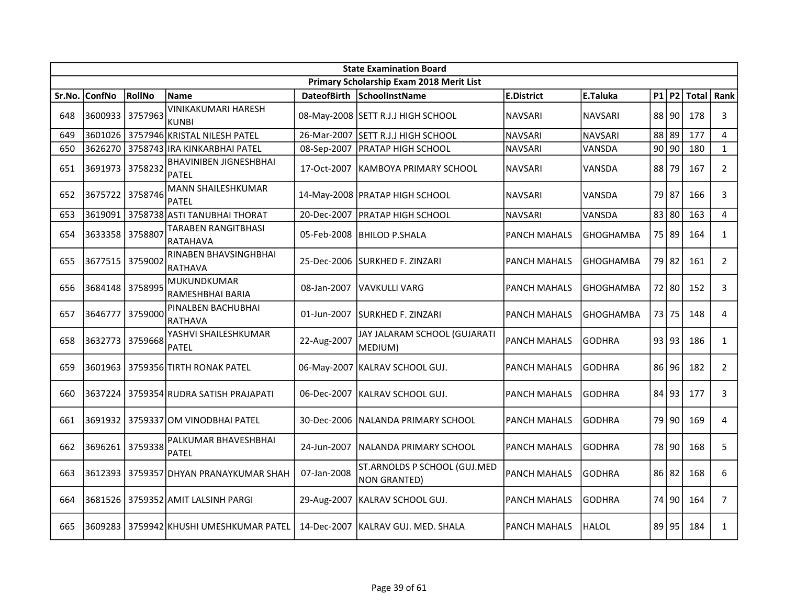| <b>State Examination Board</b> |                 |         |                                           |             |                                              |                     |                  |    |         |       |                |  |
|--------------------------------|-----------------|---------|-------------------------------------------|-------------|----------------------------------------------|---------------------|------------------|----|---------|-------|----------------|--|
|                                |                 |         |                                           |             | Primary Scholarship Exam 2018 Merit List     |                     |                  |    |         |       |                |  |
| Sr.No.                         | <b>ConfNo</b>   | RollNo  | <b>Name</b>                               |             | DateofBirth SchoolInstName                   | <b>E.District</b>   | E.Taluka         |    | P1 P2   | Total | Rank           |  |
| 648                            | 3600933         | 3757963 | VINIKAKUMARI HARESH<br><b>KUNBI</b>       |             | 08-May-2008 SETT R.J.J HIGH SCHOOL           | <b>NAVSARI</b>      | <b>NAVSARI</b>   |    | 88 90   | 178   | 3              |  |
| 649                            |                 |         | 3601026 3757946 KRISTAL NILESH PATEL      |             | 26-Mar-2007 SETT R.J.J HIGH SCHOOL           | <b>NAVSARI</b>      | <b>NAVSARI</b>   |    | 88 89   | 177   | 4              |  |
| 650                            |                 |         | 3626270   3758743 IRA KINKARBHAI PATEL    | 08-Sep-2007 | <b>PRATAP HIGH SCHOOL</b>                    | <b>NAVSARI</b>      | VANSDA           |    | $90$ 90 | 180   | $\mathbf{1}$   |  |
| 651                            | 3691973         | 3758232 | <b>BHAVINIBEN JIGNESHBHAI</b><br>PATEL    | 17-Oct-2007 | KAMBOYA PRIMARY SCHOOL                       | <b>NAVSARI</b>      | VANSDA           | 88 | 79      | 167   | $\overline{2}$ |  |
| 652                            | 3675722         | 3758746 | <b>MANN SHAILESHKUMAR</b><br><b>PATEL</b> |             | 14-May-2008   PRATAP HIGH SCHOOL             | <b>NAVSARI</b>      | VANSDA           |    | 79 87   | 166   | 3              |  |
| 653                            | 3619091         |         | 3758738 ASTI TANUBHAI THORAT              | 20-Dec-2007 | <b>PRATAP HIGH SCHOOL</b>                    | <b>NAVSARI</b>      | VANSDA           |    | 83 80   | 163   | 4              |  |
| 654                            | 3633358 3758807 |         | TARABEN RANGITBHASI<br><b>RATAHAVA</b>    | 05-Feb-2008 | <b>BHILOD P.SHALA</b>                        | <b>PANCH MAHALS</b> | GHOGHAMBA        |    | 75 89   | 164   | $\mathbf{1}$   |  |
| 655                            | 3677515 3759002 |         | RINABEN BHAVSINGHBHAI<br><b>RATHAVA</b>   |             | 25-Dec-2006 SURKHED F. ZINZARI               | <b>PANCH MAHALS</b> | <b>GHOGHAMBA</b> |    | 79 82   | 161   | $\overline{2}$ |  |
| 656                            | 3684148         | 3758995 | MUKUNDKUMAR<br>RAMESHBHAI BARIA           | 08-Jan-2007 | VAVKULLI VARG                                | <b>PANCH MAHALS</b> | <b>GHOGHAMBA</b> |    | 72 80   | 152   | 3              |  |
| 657                            | 3646777         | 3759000 | PINALBEN BACHUBHAI<br><b>RATHAVA</b>      | 01-Jun-2007 | <b>SURKHED F. ZINZARI</b>                    | <b>PANCH MAHALS</b> | <b>GHOGHAMBA</b> |    | 73 75   | 148   | 4              |  |
| 658                            | 3632773 3759668 |         | YASHVI SHAILESHKUMAR<br><b>PATEL</b>      | 22-Aug-2007 | JAY JALARAM SCHOOL (GUJARATI<br>MEDIUM)      | <b>PANCH MAHALS</b> | <b>GODHRA</b>    |    | 93 93   | 186   | $\mathbf{1}$   |  |
| 659                            |                 |         | 3601963   3759356 TIRTH RONAK PATEL       |             | 06-May-2007   KALRAV SCHOOL GUJ.             | <b>PANCH MAHALS</b> | <b>GODHRA</b>    |    | 86 96   | 182   | $\overline{2}$ |  |
| 660                            | 3637224         |         | 3759354 RUDRA SATISH PRAJAPATI            | 06-Dec-2007 | IKALRAV SCHOOL GUJ.                          | <b>PANCH MAHALS</b> | <b>GODHRA</b>    |    | 84 93   | 177   | 3              |  |
| 661                            | 3691932         |         | 3759337 OM VINODBHAI PATEL                | 30-Dec-2006 | NALANDA PRIMARY SCHOOL                       | <b>PANCH MAHALS</b> | <b>GODHRA</b>    |    | 79 90   | 169   | 4              |  |
| 662                            | 3696261         | 3759338 | PALKUMAR BHAVESHBHAI<br>PATEL             | 24-Jun-2007 | INALANDA PRIMARY SCHOOL                      | <b>PANCH MAHALS</b> | <b>GODHRA</b>    |    | 78 90   | 168   | 5              |  |
| 663                            | 3612393         |         | 3759357 DHYAN PRANAYKUMAR SHAH            | 07-Jan-2008 | ST.ARNOLDS P SCHOOL (GUJ.MED<br>NON GRANTED) | <b>PANCH MAHALS</b> | <b>GODHRA</b>    |    | 86 82   | 168   | 6              |  |
| 664                            | 3681526         |         | 3759352 AMIT LALSINH PARGI                | 29-Aug-2007 | KALRAV SCHOOL GUJ.                           | <b>PANCH MAHALS</b> | <b>GODHRA</b>    |    | 74 90   | 164   | $\overline{7}$ |  |
| 665                            | 3609283         |         | 3759942 KHUSHI UMESHKUMAR PATEL           | 14-Dec-2007 | IKALRAV GUJ. MED. SHALA                      | <b>PANCH MAHALS</b> | <b>HALOL</b>     |    | 89 95   | 184   | $\mathbf{1}$   |  |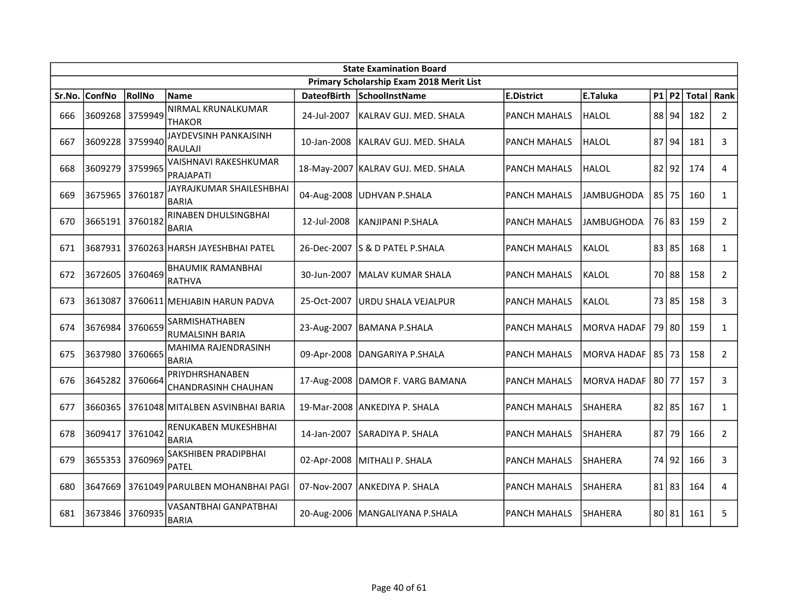|        | <b>State Examination Board</b> |         |                                           |                    |                                          |                     |                    |  |           |       |                |  |
|--------|--------------------------------|---------|-------------------------------------------|--------------------|------------------------------------------|---------------------|--------------------|--|-----------|-------|----------------|--|
|        |                                |         |                                           |                    | Primary Scholarship Exam 2018 Merit List |                     |                    |  |           |       |                |  |
| Sr.No. | <b>ConfNo</b>                  | RollNo  | <b>Name</b>                               | <b>DateofBirth</b> | SchoolInstName                           | <b>E.District</b>   | E.Taluka           |  | $P1$ P2   | Total | Rank           |  |
| 666    | 3609268                        | 3759949 | NIRMAL KRUNALKUMAR<br><b>THAKOR</b>       | 24-Jul-2007        | KALRAV GUJ. MED. SHALA                   | <b>PANCH MAHALS</b> | HALOL              |  | 88 94     | 182   | $\overline{2}$ |  |
| 667    | 3609228                        | 3759940 | JAYDEVSINH PANKAJSINH<br><b>RAULAJI</b>   | 10-Jan-2008        | KALRAV GUJ. MED. SHALA                   | <b>PANCH MAHALS</b> | HALOL              |  | 87 94     | 181   | 3              |  |
| 668    | 3609279                        | 3759965 | VAISHNAVI RAKESHKUMAR<br>PRAJAPATI        |                    | 18-May-2007   KALRAV GUJ. MED. SHALA     | <b>PANCH MAHALS</b> | lhalol             |  | $82$  92  | 174   | $\overline{4}$ |  |
| 669    | 3675965                        | 3760187 | JAYRAJKUMAR SHAILESHBHAI<br><b>BARIA</b>  |                    | 04-Aug-2008 UDHVAN P.SHALA               | <b>PANCH MAHALS</b> | <b>JAMBUGHODA</b>  |  | 85 75     | 160   | $\mathbf{1}$   |  |
| 670    | 3665191 3760182                |         | RINABEN DHULSINGBHAI<br><b>BARIA</b>      | 12-Jul-2008        | KANJIPANI P.SHALA                        | <b>PANCH MAHALS</b> | <b>JAMBUGHODA</b>  |  | 76 83     | 159   | $\overline{2}$ |  |
| 671    | 3687931                        |         | 3760263 HARSH JAYESHBHAI PATEL            | 26-Dec-2007        | lS & D PATEL P.SHALA                     | <b>PANCH MAHALS</b> | <b>KALOL</b>       |  | 83 85     | 168   | $\mathbf{1}$   |  |
| 672    | 3672605                        | 3760469 | <b>BHAUMIK RAMANBHAI</b><br><b>RATHVA</b> | 30-Jun-2007        | <b>MALAV KUMAR SHALA</b>                 | <b>PANCH MAHALS</b> | KALOL              |  | 70 88     | 158   | $\overline{2}$ |  |
| 673    | 3613087                        |         | 3760611 MEHJABIN HARUN PADVA              | 25-Oct-2007        | URDU SHALA VEJALPUR                      | <b>PANCH MAHALS</b> | KALOL              |  | 73 85     | 158   | 3              |  |
| 674    | 3676984                        | 3760659 | SARMISHATHABEN<br><b>RUMALSINH BARIA</b>  |                    | 23-Aug-2007   BAMANA P.SHALA             | <b>PANCH MAHALS</b> | IMORVA HADAF       |  | 79 80     | 159   | $\mathbf{1}$   |  |
| 675    | 3637980                        | 3760665 | MAHIMA RAJENDRASINH<br><b>BARIA</b>       | 09-Apr-2008        | DANGARIYA P.SHALA                        | <b>PANCH MAHALS</b> | MORVA HADAF        |  | 85 73     | 158   | $\overline{2}$ |  |
| 676    | 3645282                        | 3760664 | PRIYDHRSHANABEN<br>CHANDRASINH CHAUHAN    |                    | 17-Aug-2008   DAMOR F. VARG BAMANA       | <b>PANCH MAHALS</b> | <b>MORVA HADAF</b> |  | 80 77     | 157   | 3              |  |
| 677    | 3660365                        |         | 3761048 MITALBEN ASVINBHAI BARIA          |                    | 19-Mar-2008 ANKEDIYA P. SHALA            | <b>PANCH MAHALS</b> | SHAHERA            |  | $82$   85 | 167   | $\mathbf{1}$   |  |
| 678    | 3609417                        | 3761042 | RENUKABEN MUKESHBHAI<br><b>BARIA</b>      | 14-Jan-2007        | SARADIYA P. SHALA                        | <b>PANCH MAHALS</b> | <b>SHAHERA</b>     |  | 87 79     | 166   | $\overline{2}$ |  |
| 679    | 3655353                        | 3760969 | SAKSHIBEN PRADIPBHAI<br><b>PATEL</b>      | 02-Apr-2008        | MITHALI P. SHALA                         | <b>PANCH MAHALS</b> | SHAHERA            |  | 74 92     | 166   | 3              |  |
| 680    | 3647669                        |         | 3761049 PARULBEN MOHANBHAI PAGI           | 07-Nov-2007        | ANKEDIYA P. SHALA                        | <b>PANCH MAHALS</b> | <b>SHAHERA</b>     |  | 81 83     | 164   | 4              |  |
| 681    | 3673846                        | 3760935 | VASANTBHAI GANPATBHAI<br><b>BARIA</b>     |                    | 20-Aug-2006   MANGALIYANA P.SHALA        | <b>PANCH MAHALS</b> | lshahera           |  | 80 81     | 161   | 5              |  |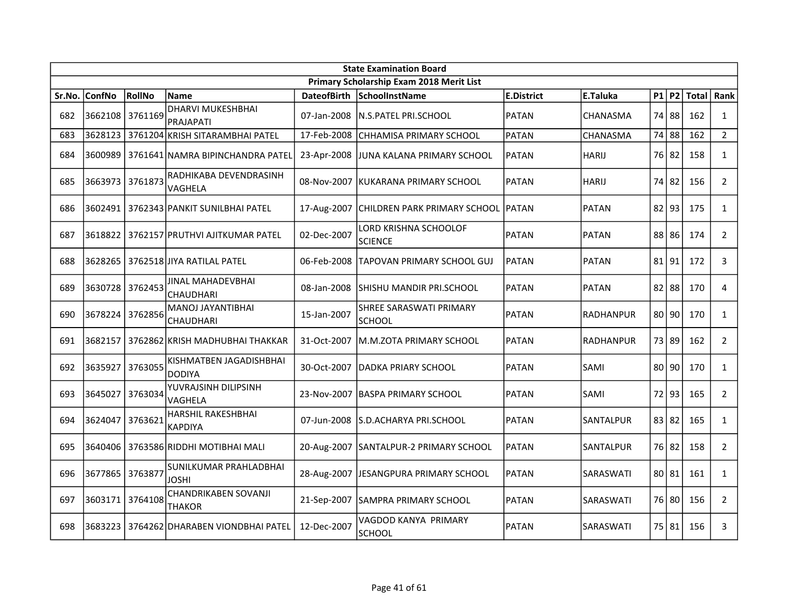|        | <b>State Examination Board</b> |         |                                          |             |                                          |                   |                  |  |           |       |                |  |  |
|--------|--------------------------------|---------|------------------------------------------|-------------|------------------------------------------|-------------------|------------------|--|-----------|-------|----------------|--|--|
|        |                                |         |                                          |             | Primary Scholarship Exam 2018 Merit List |                   |                  |  |           |       |                |  |  |
| Sr.No. | <b>ConfNo</b>                  | RollNo  | <b>Name</b>                              |             | DateofBirth SchoolInstName               | <b>E.District</b> | E.Taluka         |  | P1 P2     | Total | Rank           |  |  |
| 682    | 3662108 3761169                |         | DHARVI MUKESHBHAI<br>PRAJAPATI           | 07-Jan-2008 | <b>IN.S.PATEL PRI.SCHOOL</b>             | <b>PATAN</b>      | CHANASMA         |  | 74 88     | 162   | $\mathbf{1}$   |  |  |
| 683    | 3628123                        |         | 3761204 KRISH SITARAMBHAI PATEL          | 17-Feb-2008 | CHHAMISA PRIMARY SCHOOL                  | PATAN             | CHANASMA         |  | 74 88     | 162   | $\overline{2}$ |  |  |
| 684    | 3600989                        |         | 3761641 NAMRA BIPINCHANDRA PATEL         | 23-Apr-2008 | JUNA KALANA PRIMARY SCHOOL               | <b>PATAN</b>      | <b>HARIJ</b>     |  | 76 82     | 158   | $\mathbf{1}$   |  |  |
| 685    | 3663973                        | 3761873 | RADHIKABA DEVENDRASINH<br>VAGHELA        |             | 08-Nov-2007 KUKARANA PRIMARY SCHOOL      | <b>PATAN</b>      | <b>HARIJ</b>     |  | 74 82     | 156   | $\overline{2}$ |  |  |
| 686    | 3602491                        |         | 3762343 PANKIT SUNILBHAI PATEL           |             | 17-Aug-2007 CHILDREN PARK PRIMARY SCHOOL | PATAN             | <b>PATAN</b>     |  | $82$  93  | 175   | $\mathbf{1}$   |  |  |
| 687    | 3618822                        |         | 3762157 PRUTHVI AJITKUMAR PATEL          | 02-Dec-2007 | LORD KRISHNA SCHOOLOF<br><b>SCIENCE</b>  | <b>PATAN</b>      | <b>PATAN</b>     |  | 88 86     | 174   | $2^{\circ}$    |  |  |
| 688    | 3628265                        |         | 3762518 JJIYA RATILAL PATEL              | 06-Feb-2008 | ITAPOVAN PRIMARY SCHOOL GUJ              | <b>PATAN</b>      | <b>PATAN</b>     |  | 81 91     | 172   | 3              |  |  |
| 689    | 3630728                        | 3762453 | JINAL MAHADEVBHAI<br><b>CHAUDHARI</b>    | 08-Jan-2008 | SHISHU MANDIR PRI.SCHOOL                 | <b>PATAN</b>      | <b>PATAN</b>     |  | $82$   88 | 170   | 4              |  |  |
| 690    | 3678224                        | 3762856 | MANOJ JAYANTIBHAI<br>CHAUDHARI           | 15-Jan-2007 | SHREE SARASWATI PRIMARY<br><b>SCHOOL</b> | <b>PATAN</b>      | <b>RADHANPUR</b> |  | $80$  90  | 170   | $\mathbf{1}$   |  |  |
| 691    | 3682157                        |         | 3762862 KRISH MADHUBHAI THAKKAR          | 31-Oct-2007 | M.M.ZOTA PRIMARY SCHOOL                  | <b>PATAN</b>      | <b>RADHANPUR</b> |  | 73 89     | 162   | $\overline{2}$ |  |  |
| 692    | 3635927                        | 3763055 | KISHMATBEN JAGADISHBHAI<br><b>DODIYA</b> | 30-Oct-2007 | DADKA PRIARY SCHOOL                      | PATAN             | SAMI             |  | 80 90     | 170   | $\mathbf{1}$   |  |  |
| 693    | 3645027                        | 3763034 | YUVRAJSINH DILIPSINH<br>VAGHELA          | 23-Nov-2007 | <b>IBASPA PRIMARY SCHOOL</b>             | <b>PATAN</b>      | SAMI             |  | 72 93     | 165   | $\overline{2}$ |  |  |
| 694    | 3624047                        | 3763621 | HARSHIL RAKESHBHAI<br><b>KAPDIYA</b>     | 07-Jun-2008 | S.D.ACHARYA PRI.SCHOOL                   | <b>PATAN</b>      | SANTALPUR        |  | 83 82     | 165   | $\mathbf{1}$   |  |  |
| 695    | 3640406                        |         | 3763586 RIDDHI MOTIBHAI MALI             |             | 20-Aug-2007 SANTALPUR-2 PRIMARY SCHOOL   | <b>PATAN</b>      | SANTALPUR        |  | 76 82     | 158   | $\overline{2}$ |  |  |
| 696    | 3677865                        | 3763877 | SUNILKUMAR PRAHLADBHAI<br>JOSHI          | 28-Aug-2007 | JESANGPURA PRIMARY SCHOOL                | <b>PATAN</b>      | SARASWATI        |  | 80 81     | 161   | $\mathbf{1}$   |  |  |
| 697    | 3603171                        | 3764108 | CHANDRIKABEN SOVANJI<br><b>THAKOR</b>    | 21-Sep-2007 | SAMPRA PRIMARY SCHOOL                    | <b>PATAN</b>      | SARASWATI        |  | 76 80     | 156   | $2^{\circ}$    |  |  |
| 698    | 3683223                        |         | 3764262 DHARABEN VIONDBHAI PATEL         | 12-Dec-2007 | VAGDOD KANYA PRIMARY<br><b>SCHOOL</b>    | PATAN             | SARASWATI        |  | 75 81     | 156   | 3              |  |  |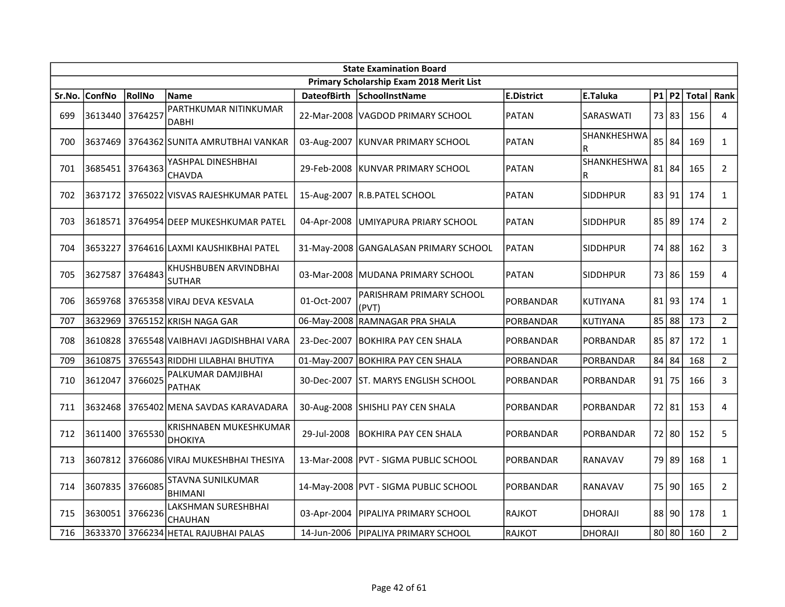|        | <b>State Examination Board</b> |         |                                           |                    |                                          |                   |                  |  |         |                    |                |  |  |
|--------|--------------------------------|---------|-------------------------------------------|--------------------|------------------------------------------|-------------------|------------------|--|---------|--------------------|----------------|--|--|
|        |                                |         |                                           |                    | Primary Scholarship Exam 2018 Merit List |                   |                  |  |         |                    |                |  |  |
| Sr.No. | <b>ConfNo</b>                  | RollNo  | <b>Name</b>                               | <b>DateofBirth</b> | SchoolInstName                           | <b>E.District</b> | E.Taluka         |  |         | $P1$ P2 Total Rank |                |  |  |
| 699    | 3613440 3764257                |         | PARTHKUMAR NITINKUMAR<br><b>DABHI</b>     |                    | 22-Mar-2008   VAGDOD PRIMARY SCHOOL      | <b>PATAN</b>      | SARASWATI        |  | 73 83   | 156                | 4              |  |  |
| 700    |                                |         | 3637469   3764362 SUNITA AMRUTBHAI VANKAR |                    | 03-Aug-2007   KUNVAR PRIMARY SCHOOL      | PATAN             | SHANKHESHWA<br>R |  | $85$ 84 | 169                | $\mathbf{1}$   |  |  |
| 701    | 3685451                        | 3764363 | YASHPAL DINESHBHAI<br><b>CHAVDA</b>       |                    | 29-Feb-2008   KUNVAR PRIMARY SCHOOL      | PATAN             | SHANKHESHWA<br>R |  | 81 84   | 165                | $\overline{2}$ |  |  |
| 702    | 3637172                        |         | 3765022 VISVAS RAJESHKUMAR PATEL          |                    | 15-Aug-2007 R.B.PATEL SCHOOL             | <b>PATAN</b>      | <b>SIDDHPUR</b>  |  | 83 91   | 174                | $\mathbf{1}$   |  |  |
| 703    | 3618571                        |         | 3764954 DEEP MUKESHKUMAR PATEL            | 04-Apr-2008        | UMIYAPURA PRIARY SCHOOL                  | <b>PATAN</b>      | <b>SIDDHPUR</b>  |  | 85 89   | 174                | $\overline{2}$ |  |  |
| 704    | 3653227                        |         | 3764616 LAXMI KAUSHIKBHAI PATEL           |                    | 31-May-2008 GANGALASAN PRIMARY SCHOOL    | <b>PATAN</b>      | <b>SIDDHPUR</b>  |  | 74 88   | 162                | 3              |  |  |
| 705    | 3627587                        | 3764843 | KHUSHBUBEN ARVINDBHAI<br><b>SUTHAR</b>    |                    | 03-Mar-2008 MUDANA PRIMARY SCHOOL        | <b>PATAN</b>      | <b>SIDDHPUR</b>  |  | 73 86   | 159                | $\overline{4}$ |  |  |
| 706    | 3659768                        |         | 3765358 VIRAJ DEVA KESVALA                | 01-Oct-2007        | PARISHRAM PRIMARY SCHOOL<br>(PVT)        | PORBANDAR         | IKUTIYANA        |  | 81 93   | 174                | $\mathbf{1}$   |  |  |
| 707    | 3632969                        |         | 3765152 KRISH NAGA GAR                    |                    | 06-May-2008 RAMNAGAR PRA SHALA           | PORBANDAR         | KUTIYANA         |  | 85 88   | 173                | $2^{\circ}$    |  |  |
| 708    |                                |         | 3610828 3765548 VAIBHAVI JAGDISHBHAI VARA |                    | 23-Dec-2007 BOKHIRA PAY CEN SHALA        | PORBANDAR         | <b>PORBANDAR</b> |  | 85 87   | 172                | $\mathbf{1}$   |  |  |
| 709    | 3610875                        |         | 3765543 RIDDHI LILABHAI BHUTIYA           |                    | 01-May-2007 BOKHIRA PAY CEN SHALA        | PORBANDAR         | PORBANDAR        |  | 84 84   | 168                | $\overline{2}$ |  |  |
| 710    | 3612047                        | 3766025 | PALKUMAR DAMJIBHAI<br><b>PATHAK</b>       |                    | 30-Dec-2007 IST. MARYS ENGLISH SCHOOL    | <b>PORBANDAR</b>  | <b>PORBANDAR</b> |  | $91$ 75 | 166                | 3              |  |  |
| 711    | 3632468                        |         | 3765402 MENA SAVDAS KARAVADARA            |                    | 30-Aug-2008 SHISHLI PAY CEN SHALA        | PORBANDAR         | PORBANDAR        |  | 72 81   | 153                | $\overline{4}$ |  |  |
| 712    | 3611400                        | 3765530 | KRISHNABEN MUKESHKUMAR<br><b>DHOKIYA</b>  | 29-Jul-2008        | BOKHIRA PAY CEN SHALA                    | <b>PORBANDAR</b>  | <b>PORBANDAR</b> |  | 72 80   | 152                | 5              |  |  |
| 713    |                                |         | 3607812 3766086 VIRAJ MUKESHBHAI THESIYA  |                    | 13-Mar-2008   PVT - SIGMA PUBLIC SCHOOL  | <b>PORBANDAR</b>  | RANAVAV          |  | 79 89   | 168                | $\mathbf{1}$   |  |  |
| 714    | 3607835                        | 3766085 | STAVNA SUNILKUMAR<br><b>BHIMANI</b>       |                    | 14-May-2008 PVT - SIGMA PUBLIC SCHOOL    | <b>PORBANDAR</b>  | <b>RANAVAV</b>   |  | 75 90   | 165                | $\mathbf{2}$   |  |  |
| 715    | 3630051                        | 3766236 | LAKSHMAN SURESHBHAI<br><b>CHAUHAN</b>     |                    | 03-Apr-2004   PIPALIYA PRIMARY SCHOOL    | <b>RAJKOT</b>     | <b>DHORAJI</b>   |  | 88 90   | 178                | $\mathbf{1}$   |  |  |
| 716    |                                |         | 3633370 3766234 HETAL RAJUBHAI PALAS      | 14-Jun-2006        | <b>PIPALIYA PRIMARY SCHOOL</b>           | RAJKOT            | <b>DHORAJI</b>   |  | 80 80   | 160                | $\overline{2}$ |  |  |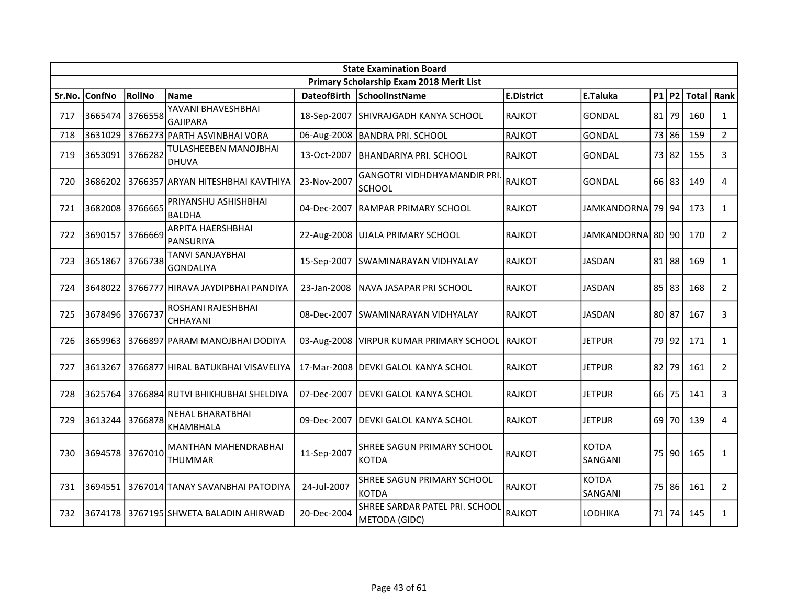|        | <b>State Examination Board</b> |         |                                               |                    |                                                     |                   |                         |       |         |     |                |  |  |
|--------|--------------------------------|---------|-----------------------------------------------|--------------------|-----------------------------------------------------|-------------------|-------------------------|-------|---------|-----|----------------|--|--|
|        |                                |         |                                               |                    | Primary Scholarship Exam 2018 Merit List            |                   |                         |       |         |     |                |  |  |
| Sr.No. | <b>ConfNo</b>                  | RollNo  | <b>Name</b>                                   | <b>DateofBirth</b> | SchoolInstName                                      | <b>E.District</b> | E.Taluka                |       | $P1$ P2 |     | Total   Rank   |  |  |
| 717    | 3665474                        | 3766558 | YAVANI BHAVESHBHAI<br><b>GAJIPARA</b>         | 18-Sep-2007        | SHIVRAJGADH KANYA SCHOOL                            | <b>RAJKOT</b>     | <b>GONDAL</b>           |       | 81 79   | 160 | $\mathbf{1}$   |  |  |
| 718    | 3631029                        |         | 3766273 PARTH ASVINBHAI VORA                  |                    | 06-Aug-2008   BANDRA PRI. SCHOOL                    | <b>RAJKOT</b>     | <b>GONDAL</b>           |       | 73 86   | 159 | $2^{\circ}$    |  |  |
| 719    | 3653091 3766282                |         | TULASHEEBEN MANOJBHAI<br><b>DHUVA</b>         | 13-Oct-2007        | <b>BHANDARIYA PRI. SCHOOL</b>                       | RAJKOT            | <b>GONDAL</b>           |       | 73 82   | 155 | 3              |  |  |
| 720    | 3686202                        |         | 3766357 ARYAN HITESHBHAI KAVTHIYA             | 23-Nov-2007        | <b>GANGOTRI VIDHDHYAMANDIR PRI</b><br><b>SCHOOL</b> | RAJKOT            | <b>GONDAL</b>           |       | 66 83   | 149 | $\overline{4}$ |  |  |
| 721    | 3682008 3766665                |         | PRIYANSHU ASHISHBHAI<br><b>BALDHA</b>         | 04-Dec-2007        | <b>RAMPAR PRIMARY SCHOOL</b>                        | <b>RAJKOT</b>     | <b>JAMKANDORNA</b>      |       | 79 94   | 173 | $\mathbf{1}$   |  |  |
| 722    | 3690157                        | 3766669 | <b>ARPITA HAERSHBHAI</b><br><b>PANSURIYA</b>  | 22-Aug-2008        | <b>UJALA PRIMARY SCHOOL</b>                         | RAJKOT            | JAMKANDORNA 80 90       |       |         | 170 | $\overline{2}$ |  |  |
| 723    | 3651867                        | 3766738 | TANVI SANJAYBHAI<br>GONDALIYA                 | 15-Sep-2007        | <b>SWAMINARAYAN VIDHYALAY</b>                       | <b>RAJKOT</b>     | <b>JASDAN</b>           |       | 81 88   | 169 | $\mathbf{1}$   |  |  |
| 724    | 3648022                        |         | 3766777 HIRAVA JAYDIPBHAI PANDIYA             | 23-Jan-2008        | NAVA JASAPAR PRI SCHOOL                             | <b>RAJKOT</b>     | <b>JASDAN</b>           |       | 85 83   | 168 | $2^{\circ}$    |  |  |
| 725    | 3678496                        | 3766737 | ROSHANI RAJESHBHAI<br><b>CHHAYANI</b>         |                    | 08-Dec-2007 SWAMINARAYAN VIDHYALAY                  | <b>RAJKOT</b>     | <b>JASDAN</b>           | 80 87 |         | 167 | 3              |  |  |
| 726    |                                |         | 3659963   3766897   PARAM MANOJBHAI DODIYA    |                    | 03-Aug-2008   VIRPUR KUMAR PRIMARY SCHOOL RAJKOT    |                   | <b>JETPUR</b>           |       | 79 92   | 171 | $\mathbf{1}$   |  |  |
| 727    | 3613267                        |         | 3766877 HIRAL BATUKBHAI VISAVELIYA            |                    | 17-Mar-2008   DEVKI GALOL KANYA SCHOL               | <b>RAJKOT</b>     | JETPUR                  |       | 82 79   | 161 | $\overline{2}$ |  |  |
| 728    | 3625764                        |         | 3766884 RUTVI BHIKHUBHAI SHELDIYA             | 07-Dec-2007        | DEVKI GALOL KANYA SCHOL                             | <b>RAJKOT</b>     | <b>JETPUR</b>           |       | $66$ 75 | 141 | 3              |  |  |
| 729    | 3613244 3766878                |         | <b>NEHAL BHARATBHAI</b><br><b>KHAMBHALA</b>   | 09-Dec-2007        | <b>DEVKI GALOL KANYA SCHOL</b>                      | RAJKOT            | <b>JETPUR</b>           |       | 69 70   | 139 | $\overline{4}$ |  |  |
| 730    | 3694578 3767010                |         | <b>MANTHAN MAHENDRABHAI</b><br><b>THUMMAR</b> | 11-Sep-2007        | SHREE SAGUN PRIMARY SCHOOL<br>KOTDA                 | <b>RAJKOT</b>     | <b>KOTDA</b><br>SANGANI |       | 75 90   | 165 | $\mathbf{1}$   |  |  |
| 731    | 3694551                        |         | 3767014 TANAY SAVANBHAI PATODIYA              | 24-Jul-2007        | SHREE SAGUN PRIMARY SCHOOL<br>IKOTDA                | <b>RAJKOT</b>     | <b>KOTDA</b><br>SANGANI |       | 75 86   | 161 | $\overline{2}$ |  |  |
| 732    |                                |         | 3674178 3767195 SHWETA BALADIN AHIRWAD        | 20-Dec-2004        | SHREE SARDAR PATEL PRI. SCHOOL<br>METODA (GIDC)     | <b>RAJKOT</b>     | LODHIKA                 |       | 71 74   | 145 | $\mathbf{1}$   |  |  |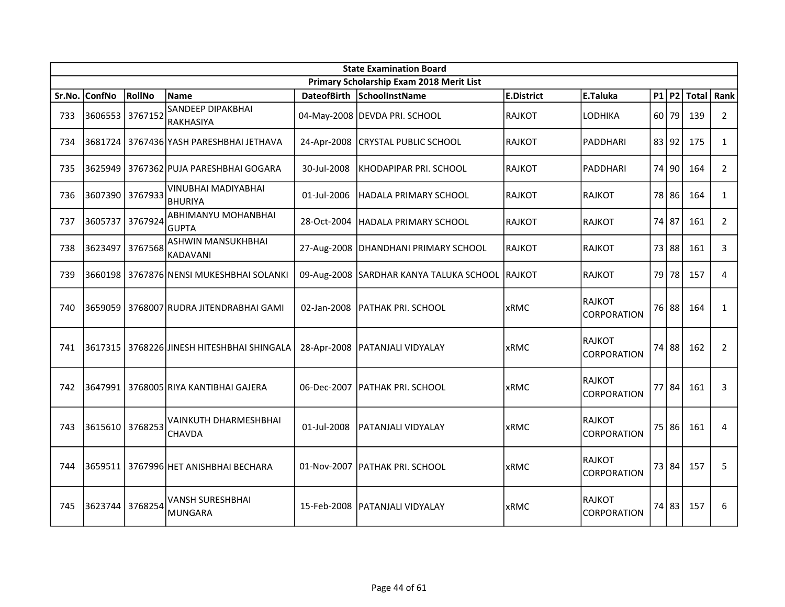|        | <b>State Examination Board</b> |         |                                              |                    |                                          |                   |                                     |  |       |              |                |  |
|--------|--------------------------------|---------|----------------------------------------------|--------------------|------------------------------------------|-------------------|-------------------------------------|--|-------|--------------|----------------|--|
|        |                                |         |                                              |                    | Primary Scholarship Exam 2018 Merit List |                   |                                     |  |       |              |                |  |
| Sr.No. | <b>ConfNo</b>                  | RollNo  | <b>Name</b>                                  | <b>DateofBirth</b> | SchoolInstName                           | <b>E.District</b> | E.Taluka                            |  | P1 P2 | <b>Total</b> | Rank           |  |
| 733    | 3606553                        | 3767152 | SANDEEP DIPAKBHAI<br>RAKHASIYA               |                    | 04-May-2008 DEVDA PRI. SCHOOL            | <b>RAJKOT</b>     | LODHIKA                             |  | 60 79 | 139          | $\overline{2}$ |  |
| 734    | 3681724                        |         | 3767436 YASH PARESHBHAI JETHAVA              | 24-Apr-2008        | <b>CRYSTAL PUBLIC SCHOOL</b>             | <b>RAJKOT</b>     | <b>PADDHARI</b>                     |  | 83 92 | 175          | $\mathbf{1}$   |  |
| 735    | 3625949                        |         | 3767362 PUJA PARESHBHAI GOGARA               | 30-Jul-2008        | KHODAPIPAR PRI. SCHOOL                   | <b>RAJKOT</b>     | PADDHARI                            |  | 74 90 | 164          | $2^{\circ}$    |  |
| 736    | 3607390 3767933                |         | VINUBHAI MADIYABHAI<br><b>BHURIYA</b>        | 01-Jul-2006        | HADALA PRIMARY SCHOOL                    | RAJKOT            | <b>RAJKOT</b>                       |  | 78 86 | 164          | $\mathbf{1}$   |  |
| 737    | 3605737                        | 3767924 | ABHIMANYU MOHANBHAI<br><b>GUPTA</b>          | 28-Oct-2004        | <b>HADALA PRIMARY SCHOOL</b>             | <b>RAJKOT</b>     | <b>RAJKOT</b>                       |  | 74 87 | 161          | $\overline{2}$ |  |
| 738    | 3623497                        | 3767568 | <b>ASHWIN MANSUKHBHAI</b><br><b>KADAVANI</b> |                    | 27-Aug-2008   DHANDHANI PRIMARY SCHOOL   | <b>RAJKOT</b>     | <b>RAJKOT</b>                       |  | 73 88 | 161          | 3              |  |
| 739    | 3660198                        |         | 3767876 NENSI MUKESHBHAI SOLANKI             |                    | 09-Aug-2008 SARDHAR KANYA TALUKA SCHOOL  | RAJKOT            | <b>RAJKOT</b>                       |  | 79 78 | 157          | 4              |  |
| 740    | 3659059                        |         | 3768007 RUDRA JITENDRABHAI GAMI              | 02-Jan-2008        | <b>PATHAK PRI. SCHOOL</b>                | <b>xRMC</b>       | <b>RAJKOT</b><br>CORPORATION        |  | 76 88 | 164          | $\mathbf{1}$   |  |
| 741    | 3617315                        |         | 3768226 JINESH HITESHBHAI SHINGALA           | 28-Apr-2008        | <b>PATANJALI VIDYALAY</b>                | xRMC              | <b>RAJKOT</b><br>CORPORATION        |  | 74 88 | 162          | $\overline{2}$ |  |
| 742    | 3647991                        |         | 3768005 RIYA KANTIBHAI GAJERA                | 06-Dec-2007        | <b>IPATHAK PRI. SCHOOL</b>               | <b>xRMC</b>       | <b>RAJKOT</b><br><b>CORPORATION</b> |  | 77 84 | 161          | 3              |  |
| 743    | 3615610                        | 3768253 | VAINKUTH DHARMESHBHAI<br>CHAVDA              | 01-Jul-2008        | PATANJALI VIDYALAY                       | xRMC              | <b>RAJKOT</b><br>CORPORATION        |  | 75 86 | 161          | 4              |  |
| 744    | 3659511                        |         | 3767996 HET ANISHBHAI BECHARA                |                    | 01-Nov-2007   PATHAK PRI. SCHOOL         | <b>xRMC</b>       | <b>RAJKOT</b><br>CORPORATION        |  | 73 84 | 157          | 5              |  |
| 745    | 3623744                        | 3768254 | VANSH SURESHBHAI<br><b>MUNGARA</b>           |                    | 15-Feb-2008   PATANJALI VIDYALAY         | <b>xRMC</b>       | <b>RAJKOT</b><br>CORPORATION        |  | 74 83 | 157          | 6              |  |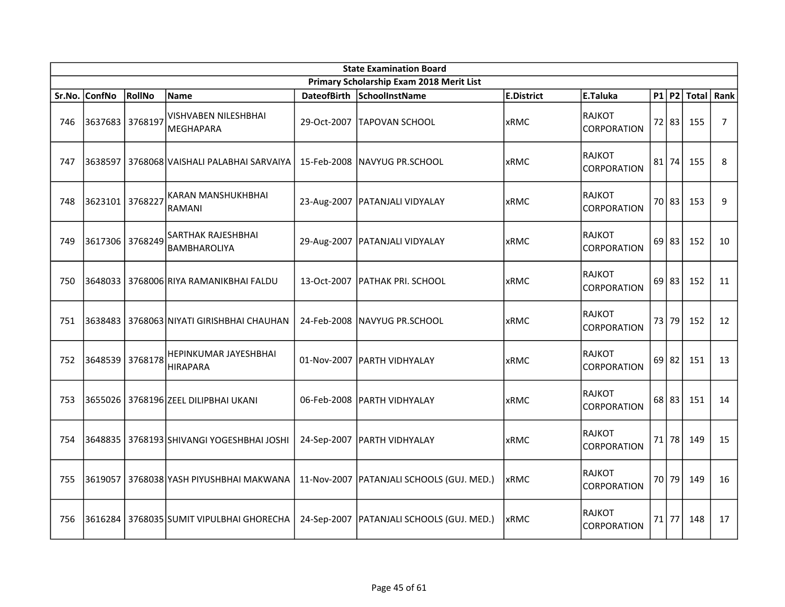|        | <b>State Examination Board</b> |         |                                              |                    |                                             |                   |                                     |  |         |                        |    |  |
|--------|--------------------------------|---------|----------------------------------------------|--------------------|---------------------------------------------|-------------------|-------------------------------------|--|---------|------------------------|----|--|
|        |                                |         |                                              |                    | Primary Scholarship Exam 2018 Merit List    |                   |                                     |  |         |                        |    |  |
| Sr.No. | <b>ConfNo</b>                  | RollNo  | <b>Name</b>                                  | <b>DateofBirth</b> | SchoolInstName                              | <b>E.District</b> | E.Taluka                            |  |         | P1   P2   Total   Rank |    |  |
| 746    | 3637683 3768197                |         | VISHVABEN NILESHBHAI<br><b>MEGHAPARA</b>     | 29-Oct-2007        | <b>TAPOVAN SCHOOL</b>                       | <b>xRMC</b>       | RAJKOT<br><b>CORPORATION</b>        |  | 72 83   | 155                    | 7  |  |
| 747    |                                |         | 3638597   3768068 VAISHALI PALABHAI SARVAIYA |                    | 15-Feb-2008 INAVYUG PR.SCHOOL               | <b>xRMC</b>       | <b>RAJKOT</b><br><b>CORPORATION</b> |  | 81 74   | 155                    | 8  |  |
| 748    | 3623101                        | 3768227 | KARAN MANSHUKHBHAI<br><b>RAMANI</b>          |                    | 23-Aug-2007   PATANJALI VIDYALAY            | <b>xRMC</b>       | <b>RAJKOT</b><br><b>CORPORATION</b> |  | 70 83   | 153                    | 9  |  |
| 749    | 3617306 3768249                |         | SARTHAK RAJESHBHAI<br><b>BAMBHAROLIYA</b>    |                    | 29-Aug-2007   PATANJALI VIDYALAY            | <b>xRMC</b>       | <b>RAJKOT</b><br><b>CORPORATION</b> |  | $69$ 83 | 152                    | 10 |  |
| 750    |                                |         | 3648033   3768006 RIYA RAMANIKBHAI FALDU     | 13-Oct-2007        | <b>PATHAK PRI. SCHOOL</b>                   | <b>xRMC</b>       | RAJKOT<br><b>CORPORATION</b>        |  | 69 83   | 152                    | 11 |  |
| 751    |                                |         | 3638483   3768063 NIYATI GIRISHBHAI CHAUHAN  |                    | 24-Feb-2008   NAVYUG PR.SCHOOL              | <b>xRMC</b>       | <b>RAJKOT</b><br><b>CORPORATION</b> |  | 73 79   | 152                    | 12 |  |
| 752    | 3648539 3768178                |         | HEPINKUMAR JAYESHBHAI<br><b>HIRAPARA</b>     |                    | 01-Nov-2007 PARTH VIDHYALAY                 | <b>xRMC</b>       | <b>RAJKOT</b><br><b>CORPORATION</b> |  | $69$ 82 | 151                    | 13 |  |
| 753    |                                |         | 3655026   3768196   ZEEL DILIPBHAI UKANI     |                    | 06-Feb-2008   PARTH VIDHYALAY               | <b>xRMC</b>       | RAJKOT<br>CORPORATION               |  | 68 83   | 151                    | 14 |  |
| 754    |                                |         | 3648835   3768193 SHIVANGI YOGESHBHAI JOSHI  |                    | 24-Sep-2007   PARTH VIDHYALAY               | <b>xRMC</b>       | <b>RAJKOT</b><br>CORPORATION        |  | $71$ 78 | 149                    | 15 |  |
| 755    |                                |         | 3619057   3768038 YASH PIYUSHBHAI MAKWANA    |                    | 11-Nov-2007   PATANJALI SCHOOLS (GUJ. MED.) | xRMC              | <b>RAJKOT</b><br>CORPORATION        |  | 70 79   | 149                    | 16 |  |
| 756    |                                |         | 3616284 3768035 SUMIT VIPULBHAI GHORECHA     |                    | 24-Sep-2007   PATANJALI SCHOOLS (GUJ. MED.) | xRMC              | RAJKOT<br><b>CORPORATION</b>        |  | $71$ 77 | 148                    | 17 |  |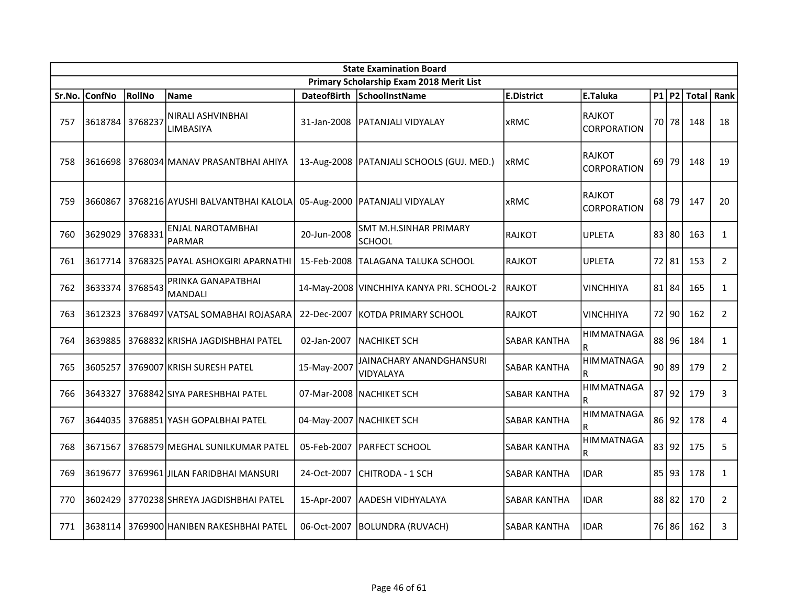|        | <b>State Examination Board</b> |         |                                             |                    |                                             |                     |                                     |  |         |     |                    |  |  |
|--------|--------------------------------|---------|---------------------------------------------|--------------------|---------------------------------------------|---------------------|-------------------------------------|--|---------|-----|--------------------|--|--|
|        |                                |         |                                             |                    | Primary Scholarship Exam 2018 Merit List    |                     |                                     |  |         |     |                    |  |  |
| Sr.No. | <b>ConfNo</b>                  | RollNo  | Name                                        | <b>DateofBirth</b> | SchoolInstName                              | <b>E.District</b>   | E.Taluka                            |  |         |     | $P1$ P2 Total Rank |  |  |
| 757    | 3618784 3768237                |         | NIRALI ASHVINBHAI<br>LIMBASIYA              | 31-Jan-2008        | <b>PATANJALI VIDYALAY</b>                   | <b>xRMC</b>         | <b>RAJKOT</b><br><b>CORPORATION</b> |  | 70   78 | 148 | 18                 |  |  |
| 758    |                                |         | 3616698 3768034 MANAV PRASANTBHAI AHIYA     |                    | 13-Aug-2008   PATANJALI SCHOOLS (GUJ. MED.) | <b>xRMC</b>         | <b>RAJKOT</b><br><b>CORPORATION</b> |  | $69$ 79 | 148 | 19                 |  |  |
| 759    | 3660867                        |         | 3768216 AYUSHI BALVANTBHAI KALOLA           |                    | 05-Aug-2000   PATANJALI VIDYALAY            | xRMC                | <b>RAJKOT</b><br><b>CORPORATION</b> |  | 68 79   | 147 | 20                 |  |  |
| 760    | 3629029                        | 3768331 | <b>ENJAL NAROTAMBHAI</b><br><b>PARMAR</b>   | 20-Jun-2008        | SMT M.H.SINHAR PRIMARY<br>SCHOOL            | <b>RAJKOT</b>       | <b>UPLETA</b>                       |  | 83 80   | 163 | $\mathbf{1}$       |  |  |
| 761    |                                |         | 3617714   3768325 PAYAL ASHOKGIRI APARNATHI | 15-Feb-2008        | <b>TALAGANA TALUKA SCHOOL</b>               | RAJKOT              | <b>UPLETA</b>                       |  | 72 81   | 153 | $2^{\circ}$        |  |  |
| 762    | 3633374                        | 3768543 | PRINKA GANAPATBHAI<br><b>MANDALI</b>        |                    | 14-May-2008 VINCHHIYA KANYA PRI. SCHOOL-2   | <b>RAJKOT</b>       | <b>VINCHHIYA</b>                    |  | 81 84   | 165 | $\mathbf{1}$       |  |  |
| 763    |                                |         | 3612323   3768497 VATSAL SOMABHAI ROJASARA  |                    | 22-Dec-2007 KOTDA PRIMARY SCHOOL            | RAJKOT              | <b>VINCHHIYA</b>                    |  | 72 90   | 162 | $2^{\circ}$        |  |  |
| 764    |                                |         | 3639885   3768832 KRISHA JAGDISHBHAI PATEL  | 02-Jan-2007        | <b>INACHIKET SCH</b>                        | <b>SABAR KANTHA</b> | <b>HIMMATNAGA</b><br>R.             |  | 88 96   | 184 | $\mathbf{1}$       |  |  |
| 765    |                                |         | 3605257 3769007 KRISH SURESH PATEL          | 15-May-2007        | JAINACHARY ANANDGHANSURI<br>VIDYALAYA       | <b>SABAR KANTHA</b> | <b>HIMMATNAGA</b><br>R              |  | 90 89   | 179 | $2^{\circ}$        |  |  |
| 766    | 3643327                        |         | 3768842 SIYA PARESHBHAI PATEL               |                    | 07-Mar-2008   NACHIKET SCH                  | <b>SABAR KANTHA</b> | <b>HIMMATNAGA</b><br>R              |  | 87 92   | 179 | 3                  |  |  |
| 767    | 3644035                        |         | 3768851 YASH GOPALBHAI PATEL                |                    | 04-May-2007 NACHIKET SCH                    | <b>SABAR KANTHA</b> | <b>HIMMATNAGA</b><br>R              |  | 86 92   | 178 | 4                  |  |  |
| 768    | 3671567                        |         | 3768579 MEGHAL SUNILKUMAR PATEL             | 05-Feb-2007        | PARFECT SCHOOL                              | SABAR KANTHA        | <b>HIMMATNAGA</b><br>R              |  | 83 92   | 175 | 5                  |  |  |
| 769    | 3619677                        |         | 3769961 JJILAN FARIDBHAI MANSURI            | 24-Oct-2007        | CHITRODA - 1 SCH                            | <b>SABAR KANTHA</b> | <b>IDAR</b>                         |  | 85 93   | 178 | $\mathbf{1}$       |  |  |
| 770    | 3602429                        |         | 3770238 SHREYA JAGDISHBHAI PATEL            | 15-Apr-2007        | <b>AADESH VIDHYALAYA</b>                    | <b>SABAR KANTHA</b> | <b>IDAR</b>                         |  | 88 82   | 170 | $2^{\circ}$        |  |  |
| 771    | 3638114                        |         | S769900 HANIBEN RAKESHBHAI PATEL            | 06-Oct-2007        | <b>BOLUNDRA (RUVACH)</b>                    | <b>SABAR KANTHA</b> | <b>IDAR</b>                         |  | 76 86   | 162 | 3                  |  |  |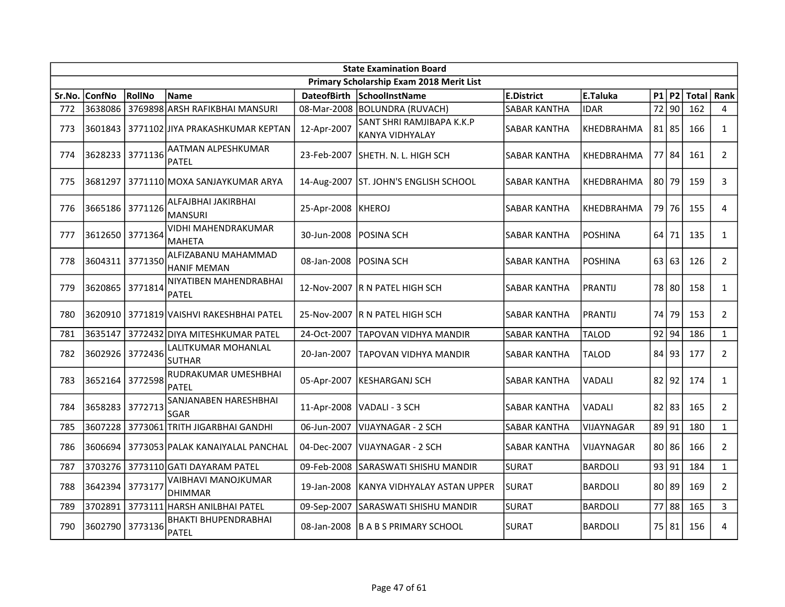| <b>State Examination Board</b> |                 |               |                                             |                    |                                              |                     |                   |       |           |       |                |  |
|--------------------------------|-----------------|---------------|---------------------------------------------|--------------------|----------------------------------------------|---------------------|-------------------|-------|-----------|-------|----------------|--|
|                                |                 |               |                                             |                    | Primary Scholarship Exam 2018 Merit List     |                     |                   |       |           |       |                |  |
| Sr.No.                         | <b>ConfNo</b>   | <b>RollNo</b> | <b>Name</b>                                 | <b>DateofBirth</b> | SchoolInstName                               | <b>E.District</b>   | E.Taluka          |       | $P1$ P2   | Total | Rank           |  |
| 772                            | 3638086         |               | 3769898 ARSH RAFIKBHAI MANSURI              |                    | 08-Mar-2008   BOLUNDRA (RUVACH)              | <b>SABAR KANTHA</b> | <b>IDAR</b>       |       | 72 90     | 162   | $\overline{4}$ |  |
| 773                            | 3601843         |               | 3771102 JIYA PRAKASHKUMAR KEPTAN            | 12-Apr-2007        | SANT SHRI RAMJIBAPA K.K.P<br>KANYA VIDHYALAY | SABAR KANTHA        | KHEDBRAHMA        |       | $81$   85 | 166   | $\mathbf{1}$   |  |
| 774                            | 3628233         | 3771136       | AATMAN ALPESHKUMAR<br>PATEL                 | 23-Feb-2007        | lsheth. N. L. High Sch                       | SABAR KANTHA        | KHEDBRAHMA        |       | 77 84     | 161   | $\overline{2}$ |  |
| 775                            | 3681297         |               | 3771110 MOXA SANJAYKUMAR ARYA               | 14-Aug-2007        | <b>ST. JOHN'S ENGLISH SCHOOL</b>             | SABAR KANTHA        | KHEDBRAHMA        |       | $80$   79 | 159   | 3              |  |
| 776                            | 3665186         | 3771126       | ALFAJBHAI JAKIRBHAI<br>IMANSURI             | 25-Apr-2008        | KHEROJ                                       | SABAR KANTHA        | KHEDBRAHMA        |       | 79 76     | 155   | 4              |  |
| 777                            | 3612650 3771364 |               | <b>VIDHI MAHENDRAKUMAR</b><br><b>MAHETA</b> | 30-Jun-2008        | IPOSINA SCH                                  | SABAR KANTHA        | POSHINA           |       | $64$ 71   | 135   | $\mathbf{1}$   |  |
| 778                            | 3604311 3771350 |               | ALFIZABANU MAHAMMAD<br><b>HANIF MEMAN</b>   | 08-Jan-2008        | <b>POSINA SCH</b>                            | SABAR KANTHA        | POSHINA           |       | 63 63     | 126   | $2^{\circ}$    |  |
| 779                            | 3620865         | 3771814       | NIYATIBEN MAHENDRABHAI<br><b>PATEL</b>      | 12-Nov-2007        | R N PATEL HIGH SCH                           | <b>SABAR KANTHA</b> | PRANTIJ           |       | 78 80     | 158   | $\mathbf{1}$   |  |
| 780                            | 3620910         |               | 3771819 VAISHVI RAKESHBHAI PATEL            |                    | 25-Nov-2007 IR N PATEL HIGH SCH              | SABAR KANTHA        | <b>PRANTIJ</b>    |       | 74 79     | 153   | $\overline{2}$ |  |
| 781                            | 3635147         |               | 3772432 DIYA MITESHKUMAR PATEL              | 24-Oct-2007        | <b>TAPOVAN VIDHYA MANDIR</b>                 | <b>SABAR KANTHA</b> | <b>TALOD</b>      |       | $92$ 94   | 186   | $\mathbf{1}$   |  |
| 782                            | 3602926         | 3772436       | LALITKUMAR MOHANLAL<br>ISUTHAR              | 20-Jan-2007        | TAPOVAN VIDHYA MANDIR                        | SABAR KANTHA        | TALOD             |       | 84 93     | 177   | $\overline{2}$ |  |
| 783                            | 3652164         | 3772598       | RUDRAKUMAR UMESHBHAI<br><b>PATEL</b>        | 05-Apr-2007        | KESHARGANJ SCH                               | SABAR KANTHA        | VADALI            |       | $82$  92  | 174   | $\mathbf{1}$   |  |
| 784                            | 3658283         | 3772713       | SANJANABEN HARESHBHAI<br><b>SGAR</b>        | 11-Apr-2008        | lVADALI - 3 SCH                              | <b>SABAR KANTHA</b> | VADALI            |       | $82$   83 | 165   | $\overline{2}$ |  |
| 785                            | 3607228         |               | 3773061 TRITH JIGARBHAI GANDHI              | 06-Jun-2007        | lVIJAYNAGAR - 2 SCH                          | <b>SABAR KANTHA</b> | <b>VIJAYNAGAR</b> |       | 89 91     | 180   | $\mathbf{1}$   |  |
| 786                            | 3606694         |               | 3773053 PALAK KANAIYALAL PANCHAL            | 04-Dec-2007        | VIJAYNAGAR - 2 SCH                           | SABAR KANTHA        | VIJAYNAGAR        |       | 80 86     | 166   | $\overline{2}$ |  |
| 787                            |                 |               | 3703276 3773110 GATI DAYARAM PATEL          | 09-Feb-2008        | ISARASWATI SHISHU MANDIR                     | <b>SURAT</b>        | BARDOLI           | 93 91 |           | 184   | $\mathbf{1}$   |  |
| 788                            | 3642394         | 3773177       | <b>VAIBHAVI MANOJKUMAR</b><br>DHIMMAR       | 19-Jan-2008        | KANYA VIDHYALAY ASTAN UPPER                  | <b>SURAT</b>        | <b>BARDOLI</b>    |       | 80 89     | 169   | $\overline{2}$ |  |
| 789                            | 3702891         |               | 3773111 HARSH ANILBHAI PATEL                | 09-Sep-2007        | SARASWATI SHISHU MANDIR                      | <b>SURAT</b>        | <b>BARDOLI</b>    |       | 77 88     | 165   | $\mathbf{3}$   |  |
| 790                            | 3602790         | 3773136       | <b>BHAKTI BHUPENDRABHAI</b><br>PATEL        | 08-Jan-2008        | IB A B S PRIMARY SCHOOL                      | <b>SURAT</b>        | BARDOLI           |       | 75 81     | 156   | 4              |  |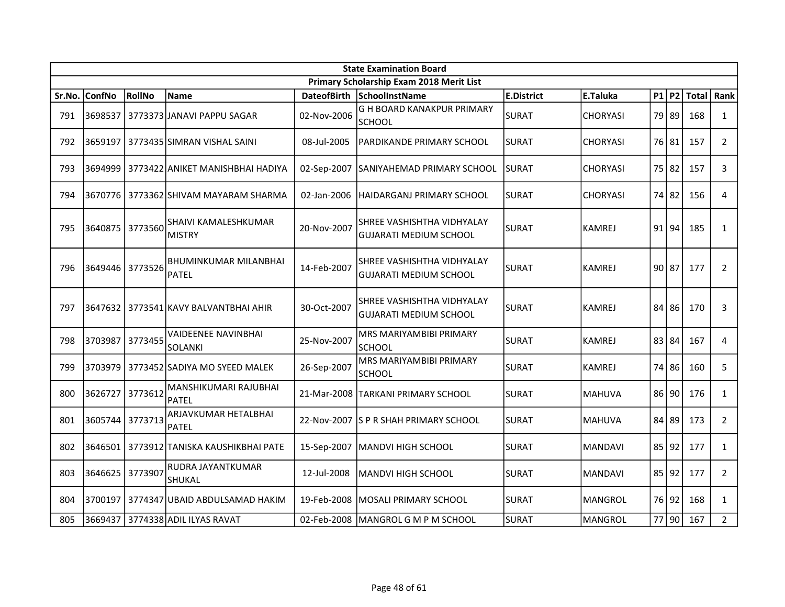|        | <b>State Examination Board</b> |         |                                              |             |                                                             |                   |                 |       |       |       |                |  |  |
|--------|--------------------------------|---------|----------------------------------------------|-------------|-------------------------------------------------------------|-------------------|-----------------|-------|-------|-------|----------------|--|--|
|        |                                |         |                                              |             | Primary Scholarship Exam 2018 Merit List                    |                   |                 |       |       |       |                |  |  |
| Sr.No. | <b>ConfNo</b>                  | RollNo  | <b>Name</b>                                  |             | DateofBirth SchoolInstName                                  | <b>E.District</b> | E.Taluka        |       | P1 P2 | Total | Rank           |  |  |
| 791    | 3698537                        |         | 3773373 JANAVI PAPPU SAGAR                   | 02-Nov-2006 | G H BOARD KANAKPUR PRIMARY<br><b>SCHOOL</b>                 | SURAT             | <b>CHORYASI</b> |       | 79 89 | 168   | $\mathbf{1}$   |  |  |
| 792    | 3659197                        |         | 3773435 SIMRAN VISHAL SAINI                  | 08-Jul-2005 | PARDIKANDE PRIMARY SCHOOL                                   | <b>SURAT</b>      | <b>CHORYASI</b> |       | 76 81 | 157   | $\overline{2}$ |  |  |
| 793    | 3694999                        |         | 3773422 ANIKET MANISHBHAI HADIYA             | 02-Sep-2007 | SANIYAHEMAD PRIMARY SCHOOL                                  | <b>SURAT</b>      | <b>CHORYASI</b> | 75 82 |       | 157   | 3              |  |  |
| 794    |                                |         | 3670776   3773362   SHIVAM MAYARAM SHARMA    | 02-Jan-2006 | IHAIDARGANJ PRIMARY SCHOOL                                  | lsurat            | <b>CHORYASI</b> | 74 82 |       | 156   | 4              |  |  |
| 795    | 3640875                        | 3773560 | SHAIVI KAMALESHKUMAR<br><b>MISTRY</b>        | 20-Nov-2007 | SHREE VASHISHTHA VIDHYALAY<br><b>GUJARATI MEDIUM SCHOOL</b> | <b>SURAT</b>      | <b>KAMREJ</b>   |       | 91 94 | 185   | $\mathbf{1}$   |  |  |
| 796    | 3649446 3773526                |         | <b>BHUMINKUMAR MILANBHAI</b><br><b>PATEL</b> | 14-Feb-2007 | SHREE VASHISHTHA VIDHYALAY<br><b>GUJARATI MEDIUM SCHOOL</b> | <b>SURAT</b>      | <b>KAMREJ</b>   | 90 87 |       | 177   | $\overline{2}$ |  |  |
| 797    | 3647632                        |         | 3773541 KAVY BALVANTBHAI AHIR                | 30-Oct-2007 | SHREE VASHISHTHA VIDHYALAY<br><b>GUJARATI MEDIUM SCHOOL</b> | lsurat            | <b>KAMREJ</b>   |       | 84 86 | 170   | 3              |  |  |
| 798    | 3703987                        | 3773455 | VAIDEENEE NAVINBHAI<br><b>SOLANKI</b>        | 25-Nov-2007 | MRS MARIYAMBIBI PRIMARY<br>SCHOOL                           | <b>SURAT</b>      | <b>KAMREJ</b>   | 83 84 |       | 167   | 4              |  |  |
| 799    | 3703979                        |         | 3773452 SADIYA MO SYEED MALEK                | 26-Sep-2007 | MRS MARIYAMBIBI PRIMARY<br>SCHOOL                           | <b>SURAT</b>      | KAMREJ          |       | 74 86 | 160   | 5              |  |  |
| 800    | 3626727                        | 3773612 | MANSHIKUMARI RAJUBHAI<br><b>PATEL</b>        |             | 21-Mar-2008   TARKANI PRIMARY SCHOOL                        | <b>SURAT</b>      | <b>MAHUVA</b>   |       | 86 90 | 176   | $\mathbf{1}$   |  |  |
| 801    | 3605744                        | 3773713 | ARJAVKUMAR HETALBHAI<br><b>PATEL</b>         |             | 22-Nov-2007 S P R SHAH PRIMARY SCHOOL                       | lsurat            | <b>MAHUVA</b>   | 84 89 |       | 173   | $\overline{2}$ |  |  |
| 802    | 3646501                        |         | 3773912 TANISKA KAUSHIKBHAI PATE             | 15-Sep-2007 | MANDVI HIGH SCHOOL                                          | <b>SURAT</b>      | <b>MANDAVI</b>  |       | 85 92 | 177   | $\mathbf{1}$   |  |  |
| 803    | 3646625                        | 3773907 | RUDRA JAYANTKUMAR<br>SHUKAL                  | 12-Jul-2008 | MANDVI HIGH SCHOOL                                          | SURAT             | <b>MANDAVI</b>  | 85 92 |       | 177   | $\overline{2}$ |  |  |
| 804    | 3700197                        |         | 3774347 UBAID ABDULSAMAD HAKIM               | 19-Feb-2008 | MOSALI PRIMARY SCHOOL                                       | <b>SURAT</b>      | <b>MANGROL</b>  |       | 76 92 | 168   | $\mathbf{1}$   |  |  |
| 805    | 3669437                        |         | 3774338 ADIL ILYAS RAVAT                     |             | 02-Feb-2008   MANGROL G M P M SCHOOL                        | <b>SURAT</b>      | <b>MANGROL</b>  |       | 77 90 | 167   | $\overline{2}$ |  |  |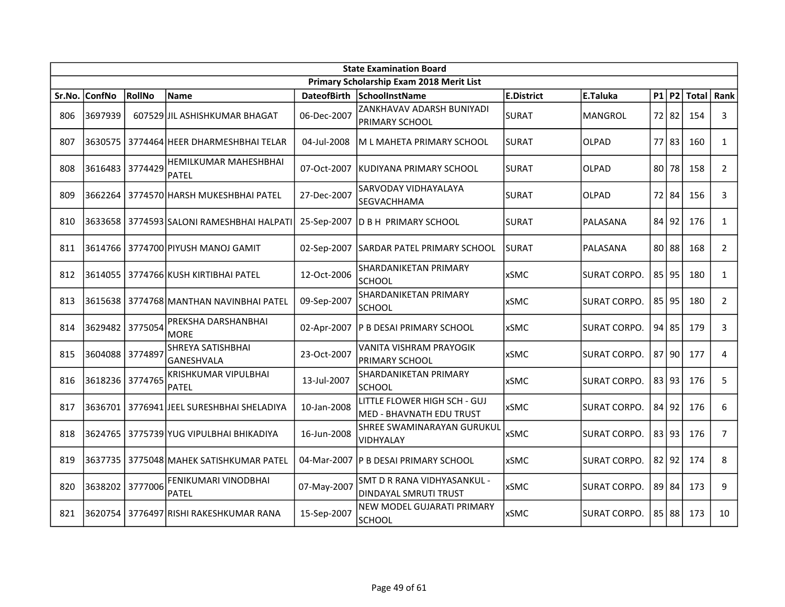|        | <b>State Examination Board</b><br>Primary Scholarship Exam 2018 Merit List |         |                                              |             |                                                          |                   |                     |  |           |                 |                |  |
|--------|----------------------------------------------------------------------------|---------|----------------------------------------------|-------------|----------------------------------------------------------|-------------------|---------------------|--|-----------|-----------------|----------------|--|
|        |                                                                            |         |                                              |             |                                                          |                   |                     |  |           |                 |                |  |
| Sr.No. | <b>ConfNo</b>                                                              | RollNo  | Name                                         |             | DateofBirth SchoolInstName                               | <b>E.District</b> | E.Taluka            |  |           | P1   P2   Total | Rank           |  |
| 806    | 3697939                                                                    |         | 607529 JJIL ASHISHKUMAR BHAGAT               | 06-Dec-2007 | ZANKHAVAV ADARSH BUNIYADI<br><b>PRIMARY SCHOOL</b>       | <b>SURAT</b>      | IMANGROL            |  | 72 82     | 154             | 3              |  |
| 807    | 3630575                                                                    |         | 3774464 HEER DHARMESHBHAI TELAR              | 04-Jul-2008 | IM L MAHETA PRIMARY SCHOOL                               | <b>SURAT</b>      | <b>OLPAD</b>        |  | 77 83     | 160             | $\mathbf{1}$   |  |
| 808    | 3616483 3774429                                                            |         | <b>HEMILKUMAR MAHESHBHAI</b><br><b>PATEL</b> | 07-Oct-2007 | IKUDIYANA PRIMARY SCHOOL                                 | <b>SURAT</b>      | <b>OLPAD</b>        |  | 80 78     | 158             | $\overline{2}$ |  |
| 809    |                                                                            |         | 3662264 3774570 HARSH MUKESHBHAI PATEL       | 27-Dec-2007 | SARVODAY VIDHAYALAYA<br>SEGVACHHAMA                      | SURAT             | <b>OLPAD</b>        |  | 72 84     | 156             | 3              |  |
| 810    |                                                                            |         | 3633658   3774593 SALONI RAMESHBHAI HALPATI  | 25-Sep-2007 | <b>D B H PRIMARY SCHOOL</b>                              | <b>SURAT</b>      | PALASANA            |  | 84 92     | 176             | $\mathbf{1}$   |  |
| 811    | 3614766                                                                    |         | 3774700 PIYUSH MANOJ GAMIT                   | 02-Sep-2007 | <b>SARDAR PATEL PRIMARY SCHOOL</b>                       | <b>SURAT</b>      | PALASANA            |  | $80$   88 | 168             | $2^{\circ}$    |  |
| 812    | 3614055                                                                    |         | 3774766 KUSH KIRTIBHAI PATEL                 | 12-Oct-2006 | <b>SHARDANIKETAN PRIMARY</b><br>lschool                  | <b>xSMC</b>       | <b>SURAT CORPO.</b> |  | $85$  95  | 180             | $\mathbf{1}$   |  |
| 813    | 3615638                                                                    |         | 3774768 MANTHAN NAVINBHAI PATEL              | 09-Sep-2007 | <b>SHARDANIKETAN PRIMARY</b><br>SCHOOL                   | <b>xSMC</b>       | <b>SURAT CORPO.</b> |  | 85 95     | 180             | $\overline{2}$ |  |
| 814    | 3629482 3775054                                                            |         | PREKSHA DARSHANBHAI<br><b>MORE</b>           | 02-Apr-2007 | <b>P B DESAI PRIMARY SCHOOL</b>                          | <b>xSMC</b>       | <b>SURAT CORPO.</b> |  | 94 85     | 179             | 3              |  |
| 815    | 3604088                                                                    | 3774897 | <b>SHREYA SATISHBHAI</b><br>GANESHVALA       | 23-Oct-2007 | VANITA VISHRAM PRAYOGIK<br><b>PRIMARY SCHOOL</b>         | <b>xSMC</b>       | <b>SURAT CORPO.</b> |  | $87$ 90   | 177             | 4              |  |
| 816    | 3618236 3774765                                                            |         | <b>KRISHKUMAR VIPULBHAI</b><br><b>PATEL</b>  | 13-Jul-2007 | SHARDANIKETAN PRIMARY<br>SCHOOL                          | <b>xSMC</b>       | <b>SURAT CORPO.</b> |  | 83 93     | 176             | 5              |  |
| 817    | 3636701                                                                    |         | 3776941 JEEL SURESHBHAI SHELADIYA            | 10-Jan-2008 | LITTLE FLOWER HIGH SCH - GUJ<br>MED - BHAVNATH EDU TRUST | <b>xSMC</b>       | <b>SURAT CORPO.</b> |  | 84 92     | 176             | 6              |  |
| 818    |                                                                            |         | 3624765   3775739 YUG VIPULBHAI BHIKADIYA    | 16-Jun-2008 | SHREE SWAMINARAYAN GURUKUL<br>VIDHYALAY                  | xSMC              | <b>SURAT CORPO.</b> |  | 83 93     | 176             | $\overline{7}$ |  |
| 819    | 3637735                                                                    |         | 3775048 MAHEK SATISHKUMAR PATEL              | 04-Mar-2007 | <b>P B DESAI PRIMARY SCHOOL</b>                          | <b>xSMC</b>       | <b>SURAT CORPO.</b> |  | 82 92     | 174             | 8              |  |
| 820    | 3638202                                                                    | 3777006 | FENIKUMARI VINODBHAI<br><b>PATEL</b>         | 07-May-2007 | ISMT D R RANA VIDHYASANKUL -<br>DINDAYAL SMRUTI TRUST    | <b>xSMC</b>       | <b>SURAT CORPO.</b> |  | $89$ 84   | 173             | 9              |  |
| 821    | 3620754                                                                    |         | 3776497 RISHI RAKESHKUMAR RANA               | 15-Sep-2007 | NEW MODEL GUJARATI PRIMARY<br>SCHOOL                     | <b>xSMC</b>       | <b>SURAT CORPO.</b> |  | 85 88     | 173             | 10             |  |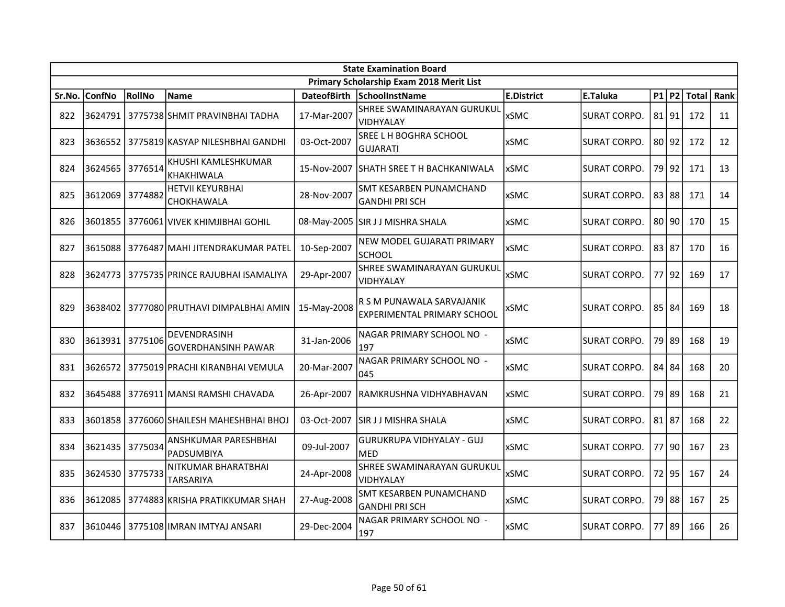|        | <b>State Examination Board</b> |               |                                            |                    |                                                                 |                   |                     |  |           |       |      |  |  |
|--------|--------------------------------|---------------|--------------------------------------------|--------------------|-----------------------------------------------------------------|-------------------|---------------------|--|-----------|-------|------|--|--|
|        |                                |               |                                            |                    | Primary Scholarship Exam 2018 Merit List                        |                   |                     |  |           |       |      |  |  |
| Sr.No. | ConfNo                         | <b>RollNo</b> | <b>Name</b>                                | <b>DateofBirth</b> | SchoolInstName                                                  | <b>E.District</b> | E.Taluka            |  | $P1$ $P2$ | Total | Rank |  |  |
| 822    | 3624791                        |               | 3775738 SHMIT PRAVINBHAI TADHA             | 17-Mar-2007        | SHREE SWAMINARAYAN GURUKUL<br>VIDHYALAY                         | xSMC              | SURAT CORPO.        |  | 81   91   | 172   | 11   |  |  |
| 823    |                                |               | 3636552   3775819 KASYAP NILESHBHAI GANDHI | 03-Oct-2007        | SREE L H BOGHRA SCHOOL<br><b>GUJARATI</b>                       | <b>xSMC</b>       | <b>SURAT CORPO.</b> |  | 80 92     | 172   | 12   |  |  |
| 824    | 3624565 3776514                |               | KHUSHI KAMLESHKUMAR<br>KHAKHIWALA          |                    | 15-Nov-2007 ISHATH SREE T H BACHKANIWALA                        | <b>xSMC</b>       | <b>SURAT CORPO.</b> |  | 79   92   | 171   | 13   |  |  |
| 825    | 3612069                        | 3774882       | <b>HETVII KEYURBHAI</b><br>CHOKHAWALA      | 28-Nov-2007        | SMT KESARBEN PUNAMCHAND<br><b>GANDHI PRI SCH</b>                | xSMC              | <b>SURAT CORPO.</b> |  | 83 88     | 171   | 14   |  |  |
| 826    | 3601855                        |               | 3776061 VIVEK KHIMJIBHAI GOHIL             |                    | 08-May-2005 SIR J J MISHRA SHALA                                | <b>xSMC</b>       | SURAT CORPO.        |  | 80 90     | 170   | 15   |  |  |
| 827    | 3615088                        |               | 3776487 MAHI JITENDRAKUMAR PATEL           | 10-Sep-2007        | NEW MODEL GUJARATI PRIMARY<br>SCHOOL                            | <b>xSMC</b>       | <b>SURAT CORPO.</b> |  | 83 87     | 170   | 16   |  |  |
| 828    | 3624773                        |               | 3775735 PRINCE RAJUBHAI ISAMALIYA          | 29-Apr-2007        | SHREE SWAMINARAYAN GURUKUL<br><b>VIDHYALAY</b>                  | <b>xSMC</b>       | SURAT CORPO.        |  | 77 92     | 169   | 17   |  |  |
| 829    | 3638402                        |               | 3777080 PRUTHAVI DIMPALBHAI AMIN           | 15-May-2008        | R S M PUNAWALA SARVAJANIK<br><b>EXPERIMENTAL PRIMARY SCHOOL</b> | xSMC              | <b>SURAT CORPO.</b> |  | 85 84     | 169   | 18   |  |  |
| 830    | 3613931                        | 3775106       | DEVENDRASINH<br><b>GOVERDHANSINH PAWAR</b> | 31-Jan-2006        | NAGAR PRIMARY SCHOOL NO -<br>197                                | <b>xSMC</b>       | <b>SURAT CORPO.</b> |  | 79   89   | 168   | 19   |  |  |
| 831    |                                |               | 3626572   3775019 PRACHI KIRANBHAI VEMULA  | 20-Mar-2007        | NAGAR PRIMARY SCHOOL NO -<br>045                                | <b>xSMC</b>       | <b>SURAT CORPO.</b> |  | 84 84     | 168   | 20   |  |  |
| 832    |                                |               | 3645488   3776911 MANSI RAMSHI CHAVADA     | 26-Apr-2007        | RAMKRUSHNA VIDHYABHAVAN                                         | <b>xSMC</b>       | SURAT CORPO.        |  | 79   89   | 168   | 21   |  |  |
| 833    | 3601858                        |               | 3776060 SHAILESH MAHESHBHAI BHOJ           | 03-Oct-2007        | ISIR J J MISHRA SHALA                                           | xSMC              | SURAT CORPO.        |  | $81$   87 | 168   | 22   |  |  |
| 834    | 3621435                        | 3775034       | ANSHKUMAR PARESHBHAI<br><b>PADSUMBIYA</b>  | 09-Jul-2007        | <b>GURUKRUPA VIDHYALAY - GUJ</b><br><b>MED</b>                  | <b>xSMC</b>       | SURAT CORPO.        |  | 77   90   | 167   | 23   |  |  |
| 835    | 3624530                        | 3775733       | NITKUMAR BHARATBHAI<br><b>TARSARIYA</b>    | 24-Apr-2008        | SHREE SWAMINARAYAN GURUKUL<br>VIDHYALAY                         | <b>xSMC</b>       | <b>SURAT CORPO.</b> |  | 72   95   | 167   | 24   |  |  |
| 836    | 3612085                        |               | 3774883 KRISHA PRATIKKUMAR SHAH            | 27-Aug-2008        | <b>SMT KESARBEN PUNAMCHAND</b><br><b>GANDHI PRI SCH</b>         | <b>xSMC</b>       | <b>SURAT CORPO.</b> |  | 79 88     | 167   | 25   |  |  |
| 837    | 3610446                        |               | 3775108 IIMRAN IMTYAJ ANSARI               | 29-Dec-2004        | NAGAR PRIMARY SCHOOL NO -<br>197                                | xSMC              | <b>SURAT CORPO.</b> |  | 77 89     | 166   | 26   |  |  |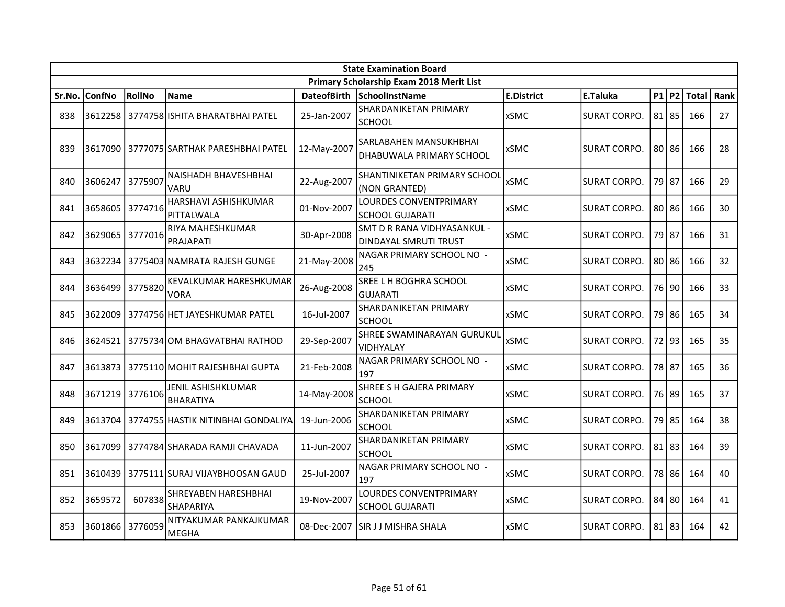|        | <b>State Examination Board</b><br>Primary Scholarship Exam 2018 Merit List |         |                                              |                    |                                                      |                   |                     |  |           |              |      |  |  |
|--------|----------------------------------------------------------------------------|---------|----------------------------------------------|--------------------|------------------------------------------------------|-------------------|---------------------|--|-----------|--------------|------|--|--|
|        |                                                                            |         |                                              |                    |                                                      |                   |                     |  |           |              |      |  |  |
| Sr.No. | <b>ConfNo</b>                                                              | RollNo  | <b>Name</b>                                  | <b>DateofBirth</b> | SchoolInstName                                       | <b>E.District</b> | E.Taluka            |  | $P1$ $P2$ | <b>Total</b> | Rank |  |  |
| 838    |                                                                            |         | 3612258 3774758 ISHITA BHARATBHAI PATEL      | 25-Jan-2007        | SHARDANIKETAN PRIMARY<br>SCHOOL                      | <b>xSMC</b>       | <b>SURAT CORPO.</b> |  | 81 85     | 166          | 27   |  |  |
| 839    |                                                                            |         | 3617090 3777075 SARTHAK PARESHBHAI PATEL     | 12-May-2007        | SARLABAHEN MANSUKHBHAI<br>DHABUWALA PRIMARY SCHOOL   | <b>xSMC</b>       | <b>SURAT CORPO.</b> |  | 80 86     | 166          | 28   |  |  |
| 840    | 3606247                                                                    | 3775907 | NAISHADH BHAVESHBHAI<br>VARU                 | 22-Aug-2007        | <b>SHANTINIKETAN PRIMARY SCHOOL</b><br>(NON GRANTED) | <b>xSMC</b>       | <b>SURAT CORPO.</b> |  | 79 87     | 166          | 29   |  |  |
| 841    | 3658605                                                                    | 3774716 | HARSHAVI ASHISHKUMAR<br>PITTALWALA           | 01-Nov-2007        | LOURDES CONVENTPRIMARY<br><b>SCHOOL GUJARATI</b>     | <b>xSMC</b>       | <b>SURAT CORPO.</b> |  | 80 86     | 166          | 30   |  |  |
| 842    | 3629065                                                                    | 3777016 | RIYA MAHESHKUMAR<br><b>PRAJAPATI</b>         | 30-Apr-2008        | SMT D R RANA VIDHYASANKUL -<br>DINDAYAL SMRUTI TRUST | <b>xSMC</b>       | SURAT CORPO.        |  | 79   87   | 166          | 31   |  |  |
| 843    | 3632234                                                                    |         | 3775403 NAMRATA RAJESH GUNGE                 | 21-May-2008        | NAGAR PRIMARY SCHOOL NO -<br>245                     | <b>xSMC</b>       | <b>SURAT CORPO.</b> |  | 80 86     | 166          | 32   |  |  |
| 844    | 3636499                                                                    | 3775820 | <b>KEVALKUMAR HARESHKUMAR</b><br><b>VORA</b> | 26-Aug-2008        | SREE L H BOGHRA SCHOOL<br>GUJARATI                   | <b>xSMC</b>       | <b>SURAT CORPO.</b> |  | 76 90     | 166          | 33   |  |  |
| 845    | 3622009                                                                    |         | 3774756 HET JAYESHKUMAR PATEL                | 16-Jul-2007        | <b>SHARDANIKETAN PRIMARY</b><br>SCHOOL               | <b>xSMC</b>       | <b>SURAT CORPO.</b> |  | 79 86     | 165          | 34   |  |  |
| 846    |                                                                            |         | 3624521 3775734 OM BHAGVATBHAI RATHOD        | 29-Sep-2007        | SHREE SWAMINARAYAN GURUKUL<br><b>VIDHYALAY</b>       | <b>xSMC</b>       | SURAT CORPO.        |  | 72 93     | 165          | 35   |  |  |
| 847    | 3613873                                                                    |         | 3775110 MOHIT RAJESHBHAI GUPTA               | 21-Feb-2008        | NAGAR PRIMARY SCHOOL NO -<br>197                     | <b>xSMC</b>       | <b>SURAT CORPO.</b> |  | 78 87     | 165          | 36   |  |  |
| 848    | 3671219 3776106                                                            |         | JENIL ASHISHKLUMAR<br><b>BHARATIYA</b>       | 14-May-2008        | SHREE S H GAJERA PRIMARY<br><b>SCHOOL</b>            | xSMC              | <b>SURAT CORPO.</b> |  | 76 89     | 165          | 37   |  |  |
| 849    | 3613704                                                                    |         | 3774755 HASTIK NITINBHAI GONDALIYA           | 19-Jun-2006        | SHARDANIKETAN PRIMARY<br><b>SCHOOL</b>               | <b>xSMC</b>       | <b>SURAT CORPO.</b> |  | 79 85     | 164          | 38   |  |  |
| 850    | 3617099                                                                    |         | 3774784 SHARADA RAMJI CHAVADA                | 11-Jun-2007        | SHARDANIKETAN PRIMARY<br>SCHOOL                      | <b>xSMC</b>       | <b>SURAT CORPO.</b> |  | $81$   83 | 164          | 39   |  |  |
| 851    | 3610439                                                                    |         | 37751111SURAJ VIJAYBHOOSAN GAUD              | 25-Jul-2007        | NAGAR PRIMARY SCHOOL NO -<br>197                     | <b>xSMC</b>       | <b>SURAT CORPO.</b> |  | 78 86     | 164          | 40   |  |  |
| 852    | 3659572                                                                    | 607838  | SHREYABEN HARESHBHAI<br><b>SHAPARIYA</b>     | 19-Nov-2007        | LOURDES CONVENTPRIMARY<br><b>SCHOOL GUJARATI</b>     | <b>xSMC</b>       | <b>SURAT CORPO.</b> |  | 84 80     | 164          | 41   |  |  |
| 853    | 3601866                                                                    | 3776059 | NITYAKUMAR PANKAJKUMAR<br>MEGHA              | 08-Dec-2007        | ISIR J J MISHRA SHALA                                | <b>xSMC</b>       | <b>SURAT CORPO.</b> |  | 81 83     | 164          | 42   |  |  |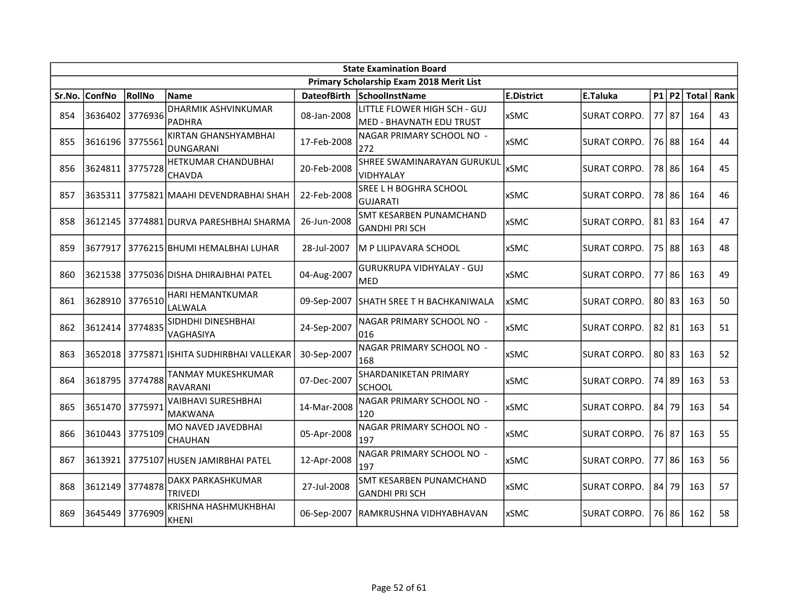|        |               |         |                                              |                    | <b>State Examination Board</b>                           |                   |                     |       |           |       |      |
|--------|---------------|---------|----------------------------------------------|--------------------|----------------------------------------------------------|-------------------|---------------------|-------|-----------|-------|------|
|        |               |         |                                              |                    | Primary Scholarship Exam 2018 Merit List                 |                   |                     |       |           |       |      |
| Sr.No. | <b>ConfNo</b> | RollNo  | <b>Name</b>                                  | <b>DateofBirth</b> | SchoolInstName                                           | <b>E.District</b> | E.Taluka            |       | $P1$ P2   | Total | Rank |
| 854    | 3636402       | 3776936 | DHARMIK ASHVINKUMAR<br><b>PADHRA</b>         | 08-Jan-2008        | LITTLE FLOWER HIGH SCH - GUJ<br>MED - BHAVNATH EDU TRUST | xSMC              | <b>SURAT CORPO.</b> | 77 87 |           | 164   | 43   |
| 855    | 3616196       | 3775561 | KIRTAN GHANSHYAMBHAI<br><b>DUNGARANI</b>     | 17-Feb-2008        | NAGAR PRIMARY SCHOOL NO -<br>272                         | <b>xSMC</b>       | <b>SURAT CORPO.</b> |       | 76 88     | 164   | 44   |
| 856    | 3624811       | 3775728 | <b>HETKUMAR CHANDUBHAI</b><br>CHAVDA         | 20-Feb-2008        | SHREE SWAMINARAYAN GURUKUL<br>VIDHYALAY                  | <b>xSMC</b>       | <b>SURAT CORPO.</b> |       | 78 86     | 164   | 45   |
| 857    |               |         | 3635311   3775821 MAAHI DEVENDRABHAI SHAH    | 22-Feb-2008        | SREE L H BOGHRA SCHOOL<br><b>GUJARATI</b>                | <b>xSMC</b>       | SURAT CORPO.        |       | 78 86     | 164   | 46   |
| 858    |               |         | 3612145   3774881 DURVA PARESHBHAI SHARMA    | 26-Jun-2008        | SMT KESARBEN PUNAMCHAND<br><b>GANDHI PRI SCH</b>         | <b>xSMC</b>       | <b>SURAT CORPO.</b> |       | 81 83     | 164   | 47   |
| 859    | 3677917       |         | 3776215 BHUMI HEMALBHAI LUHAR                | 28-Jul-2007        | M P LILIPAVARA SCHOOL                                    | <b>xSMC</b>       | SURAT CORPO.        |       | 75 88     | 163   | 48   |
| 860    | 3621538       |         | 3775036 DISHA DHIRAJBHAI PATEL               | 04-Aug-2007        | <b>GURUKRUPA VIDHYALAY - GUJ</b><br><b>MED</b>           | <b>xSMC</b>       | SURAT CORPO.        |       | 77 86     | 163   | 49   |
| 861    | 3628910       | 3776510 | <b>HARI HEMANTKUMAR</b><br>LALWALA           | 09-Sep-2007        | ISHATH SREE T H BACHKANIWALA                             | <b>xSMC</b>       | SURAT CORPO.        | 80 83 |           | 163   | 50   |
| 862    | 3612414       | 3774835 | SIDHDHI DINESHBHAI<br>VAGHASIYA              | 24-Sep-2007        | NAGAR PRIMARY SCHOOL NO -<br>016                         | xSMC              | <b>SURAT CORPO.</b> |       | $82$   81 | 163   | 51   |
| 863    | 3652018       |         | 3775871 ISHITA SUDHIRBHAI VALLEKAR           | 30-Sep-2007        | NAGAR PRIMARY SCHOOL NO -<br>168                         | <b>xSMC</b>       | SURAT CORPO.        | 80 83 |           | 163   | 52   |
| 864    | 3618795       | 3774788 | TANMAY MUKESHKUMAR<br><b>RAVARANI</b>        | 07-Dec-2007        | <b>SHARDANIKETAN PRIMARY</b><br>lschool                  | <b>xSMC</b>       | <b>SURAT CORPO.</b> |       | 74 89     | 163   | 53   |
| 865    | 3651470       | 3775971 | <b>VAIBHAVI SURESHBHAI</b><br><b>MAKWANA</b> | 14-Mar-2008        | NAGAR PRIMARY SCHOOL NO -<br>120                         | xSMC              | <b>SURAT CORPO.</b> |       | 84 79     | 163   | 54   |
| 866    | 3610443       | 3775109 | MO NAVED JAVEDBHAI<br><b>CHAUHAN</b>         | 05-Apr-2008        | NAGAR PRIMARY SCHOOL NO -<br>197                         | xSMC              | <b>SURAT CORPO.</b> |       | 76 87     | 163   | 55   |
| 867    | 3613921       |         | 3775107 HUSEN JAMIRBHAI PATEL                | 12-Apr-2008        | NAGAR PRIMARY SCHOOL NO -<br>197                         | <b>xSMC</b>       | <b>SURAT CORPO.</b> |       | 77 86     | 163   | 56   |
| 868    | 3612149       | 3774878 | DAKX PARKASHKUMAR<br><b>TRIVEDI</b>          | 27-Jul-2008        | SMT KESARBEN PUNAMCHAND<br><b>GANDHI PRI SCH</b>         | <b>xSMC</b>       | SURAT CORPO.        |       | 84 79     | 163   | 57   |
| 869    | 3645449       | 3776909 | KRISHNA HASHMUKHBHAI<br><b>KHENI</b>         | 06-Sep-2007        | lRAMKRUSHNA VIDHYABHAVAN                                 | <b>xSMC</b>       | SURAT CORPO.        |       | 76 86     | 162   | 58   |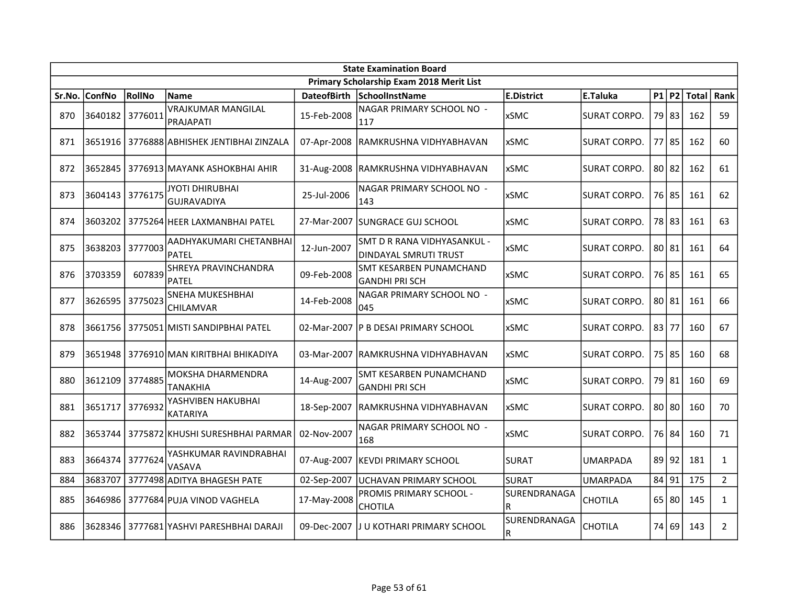| <b>State Examination Board</b> |               |         |                                              |                    |                                                             |                   |                     |       |           |              |                |  |
|--------------------------------|---------------|---------|----------------------------------------------|--------------------|-------------------------------------------------------------|-------------------|---------------------|-------|-----------|--------------|----------------|--|
|                                |               |         |                                              |                    | Primary Scholarship Exam 2018 Merit List                    |                   |                     |       |           |              |                |  |
| Sr.No.                         | <b>ConfNo</b> | RollNo  | <b>Name</b>                                  | <b>DateofBirth</b> | SchoolInstName                                              | <b>E.District</b> | E.Taluka            |       | $P1$ $P2$ | <b>Total</b> | Rank           |  |
| 870                            | 3640182       | 3776011 | <b>VRAJKUMAR MANGILAL</b><br>PRAJAPATI       | 15-Feb-2008        | NAGAR PRIMARY SCHOOL NO -<br>117                            | <b>xSMC</b>       | <b>SURAT CORPO.</b> |       | 79 83     | 162          | 59             |  |
| 871                            |               |         | 3651916   3776888 ABHISHEK JENTIBHAI ZINZALA | 07-Apr-2008        | RAMKRUSHNA VIDHYABHAVAN                                     | <b>xSMC</b>       | <b>SURAT CORPO.</b> | 77    | l 85      | 162          | 60             |  |
| 872                            | 3652845       |         | 3776913 MAYANK ASHOKBHAI AHIR                |                    | 31-Aug-2008 RAMKRUSHNA VIDHYABHAVAN                         | <b>xSMC</b>       | SURAT CORPO.        | 80 82 |           | 162          | 61             |  |
| 873                            | 3604143       | 3776175 | JYOTI DHIRUBHAI<br><b>GUJRAVADIYA</b>        | 25-Jul-2006        | NAGAR PRIMARY SCHOOL NO -<br>143                            | <b>xSMC</b>       | SURAT CORPO.        |       | 76 85     | 161          | 62             |  |
| 874                            | 3603202       |         | 3775264 HEER LAXMANBHAI PATEL                | 27-Mar-2007        | ISUNGRACE GUJ SCHOOL                                        | xSMC              | SURAT CORPO.        |       | 78 83     | 161          | 63             |  |
| 875                            | 3638203       | 3777003 | AADHYAKUMARI CHETANBHAI<br><b>PATEL</b>      | 12-Jun-2007        | SMT D R RANA VIDHYASANKUL -<br><b>DINDAYAL SMRUTI TRUST</b> | <b>xSMC</b>       | SURAT CORPO.        |       | 80 81     | 161          | 64             |  |
| 876                            | 3703359       | 607839  | SHREYA PRAVINCHANDRA<br><b>PATFI</b>         | 09-Feb-2008        | <b>SMT KESARBEN PUNAMCHAND</b><br><b>GANDHI PRI SCH</b>     | <b>xSMC</b>       | SURAT CORPO.        |       | 76 85     | 161          | 65             |  |
| 877                            | 3626595       | 3775023 | SNEHA MUKESHBHAI<br>CHILAMVAR                | 14-Feb-2008        | NAGAR PRIMARY SCHOOL NO -<br>045                            | <b>xSMC</b>       | SURAT CORPO.        |       | 80 81     | 161          | 66             |  |
| 878                            |               |         | 3661756   3775051 MISTI SANDIPBHAI PATEL     |                    | 02-Mar-2007  P B DESAI PRIMARY SCHOOL                       | <b>xSMC</b>       | SURAT CORPO.        | 83 77 |           | 160          | 67             |  |
| 879                            |               |         | 3651948 3776910 MAN KIRITBHAI BHIKADIYA      |                    | 03-Mar-2007 RAMKRUSHNA VIDHYABHAVAN                         | <b>xSMC</b>       | <b>SURAT CORPO.</b> |       | 75 85     | 160          | 68             |  |
| 880                            | 3612109       | 3774885 | MOKSHA DHARMENDRA<br>TANAKHIA                | 14-Aug-2007        | SMT KESARBEN PUNAMCHAND<br><b>GANDHI PRI SCH</b>            | <b>xSMC</b>       | <b>SURAT CORPO.</b> |       | 79 81     | 160          | 69             |  |
| 881                            | 3651717       | 3776932 | YASHVIBEN HAKUBHAI<br><b>KATARIYA</b>        | 18-Sep-2007        | RAMKRUSHNA VIDHYABHAVAN                                     | <b>xSMC</b>       | <b>SURAT CORPO.</b> |       | $80$   80 | 160          | 70             |  |
| 882                            | 3653744       |         | 3775872 KHUSHI SURESHBHAI PARMAR             | 02-Nov-2007        | NAGAR PRIMARY SCHOOL NO -<br>168                            | <b>xSMC</b>       | SURAT CORPO.        |       | 76 84     | 160          | 71             |  |
| 883                            | 3664374       | 3777624 | YASHKUMAR RAVINDRABHAI<br>VASAVA             | 07-Aug-2007        | KEVDI PRIMARY SCHOOL                                        | <b>SURAT</b>      | <b>UMARPADA</b>     |       | 89 92     | 181          | $\mathbf{1}$   |  |
| 884                            | 3683707       |         | 3777498 ADITYA BHAGESH PATE                  | 02-Sep-2007        | UCHAVAN PRIMARY SCHOOL                                      | <b>SURAT</b>      | <b>UMARPADA</b>     | 84 91 |           | 175          | $2^{\circ}$    |  |
| 885                            | 3646986       |         | 3777684 PUJA VINOD VAGHELA                   | 17-May-2008        | PROMIS PRIMARY SCHOOL -<br><b>CHOTILA</b>                   | SURENDRANAGA<br>R | <b>CHOTILA</b>      |       | $65$ 80   | 145          | $\mathbf{1}$   |  |
| 886                            | 3628346       |         | 3777681 YASHVI PARESHBHAI DARAJI             | 09-Dec-2007        | J U KOTHARI PRIMARY SCHOOL                                  | SURENDRANAGA<br>R | <b>CHOTILA</b>      |       | 74 69     | 143          | $\overline{2}$ |  |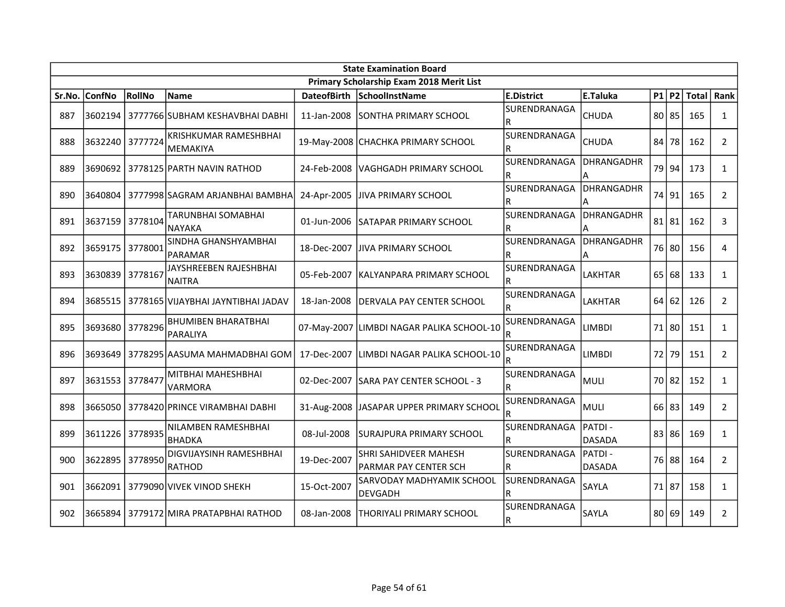|        | <b>State Examination Board</b> |         |                                          |                    |                                                       |                          |                         |    |           |       |                |
|--------|--------------------------------|---------|------------------------------------------|--------------------|-------------------------------------------------------|--------------------------|-------------------------|----|-----------|-------|----------------|
|        |                                |         |                                          |                    | Primary Scholarship Exam 2018 Merit List              |                          |                         |    |           |       |                |
| Sr.No. | ConfNo                         | RollNo  | <b>Name</b>                              | <b>DateofBirth</b> | SchoolInstName                                        | <b>E.District</b>        | E.Taluka                |    | $P1$ P2   | Total | Rank           |
| 887    | 3602194                        |         | 3777766 SUBHAM KESHAVBHAI DABHI          | 11-Jan-2008        | SONTHA PRIMARY SCHOOL                                 | SURENDRANAGA<br>lR.      | <b>CHUDA</b>            |    | 80 85     | 165   | $\mathbf{1}$   |
| 888    | 3632240                        | 3777724 | <b>KRISHKUMAR RAMESHBHAI</b><br>MEMAKIYA |                    | 19-May-2008 CHACHKA PRIMARY SCHOOL                    | SURENDRANAGA<br>R        | <b>CHUDA</b>            | 84 | 78        | 162   | $\overline{2}$ |
| 889    | 3690692                        |         | 3778125 PARTH NAVIN RATHOD               | 24-Feb-2008        | VAGHGADH PRIMARY SCHOOL                               | SURENDRANAGA<br>R        | <b>DHRANGADHR</b><br>A  |    | 79 94     | 173   | $\mathbf{1}$   |
| 890    | 3640804                        |         | 3777998 SAGRAM ARJANBHAI BAMBHA          | 24-Apr-2005        | JIVA PRIMARY SCHOOL                                   | SURENDRANAGA<br>R        | DHRANGADHR<br>А         |    | 74 91     | 165   | $\overline{2}$ |
| 891    | 3637159                        | 3778104 | TARUNBHAI SOMABHAI<br><b>NAYAKA</b>      | 01-Jun-2006        | ISATAPAR PRIMARY SCHOOL                               | SURENDRANAGA<br>R        | <b>DHRANGADHR</b>       |    | $81$   81 | 162   | 3              |
| 892    | 3659175                        | 3778001 | SINDHA GHANSHYAMBHAI<br>PARAMAR          | 18-Dec-2007        | <b>JIVA PRIMARY SCHOOL</b>                            | SURENDRANAGA<br>R        | DHRANGADHR<br>А         |    | 76 80     | 156   | 4              |
| 893    | 3630839                        | 3778167 | JAYSHREEBEN RAJESHBHAI<br><b>NAITRA</b>  | 05-Feb-2007        | IKALYANPARA PRIMARY SCHOOL                            | SURENDRANAGA<br>R        | <b>LAKHTAR</b>          |    | 65 68     | 133   | $\mathbf{1}$   |
| 894    | 3685515                        |         | 3778165 VIJAYBHAI JAYNTIBHAI JADAV       | 18-Jan-2008        | IDERVALA PAY CENTER SCHOOL                            | <b>SURENDRANAGA</b><br>R | <b>LAKHTAR</b>          |    | 64 62     | 126   | $\overline{2}$ |
| 895    | 3693680                        | 3778296 | <b>BHUMIBEN BHARATBHAI</b><br>PARALIYA   |                    | 07-May-2007 LIMBDI NAGAR PALIKA SCHOOL-10             | SURENDRANAGA<br>R        | LIMBDI                  |    | 71 80     | 151   | $\mathbf{1}$   |
| 896    | 3693649                        |         | 3778295 AASUMA MAHMADBHAI GOM            | 17-Dec-2007        | LIMBDI NAGAR PALIKA SCHOOL-10                         | SURENDRANAGA<br>R        | LIMBDI                  | 72 | 79        | 151   | $\overline{2}$ |
| 897    | 3631553                        | 3778477 | MITBHAI MAHESHBHAI<br>VARMORA            | 02-Dec-2007        | <b>SARA PAY CENTER SCHOOL - 3</b>                     | SURENDRANAGA<br>R        | MULI                    |    | 70 82     | 152   | $\mathbf{1}$   |
| 898    |                                |         | 3665050 3778420 PRINCE VIRAMBHAI DABHI   |                    | 31-Aug-2008 JASAPAR UPPER PRIMARY SCHOOL              | SURENDRANAGA<br>R        | <b>MULI</b>             |    | $66$ 83   | 149   | $\overline{2}$ |
| 899    | 3611226                        | 3778935 | NILAMBEN RAMESHBHAI<br><b>BHADKA</b>     | 08-Jul-2008        | <b>SURAJPURA PRIMARY SCHOOL</b>                       | SURENDRANAGA<br>R        | PATDI-<br><b>DASADA</b> |    | 83 86     | 169   | $\mathbf{1}$   |
| 900    | 3622895                        | 3778950 | DIGVIJAYSINH RAMESHBHAI<br>RATHOD        | 19-Dec-2007        | SHRI SAHIDVEER MAHESH<br><b>PARMAR PAY CENTER SCH</b> | SURENDRANAGA<br>R        | PATDI-<br><b>DASADA</b> |    | 76 88     | 164   | $\overline{2}$ |
| 901    | 3662091                        |         | 3779090 VIVEK VINOD SHEKH                | 15-Oct-2007        | <b>SARVODAY MADHYAMIK SCHOOL</b><br>DEVGADH           | SURENDRANAGA             | SAYLA                   |    | 71 87     | 158   | $\mathbf{1}$   |
| 902    | 3665894                        |         | 3779172 MIRA PRATAPBHAI RATHOD           | 08-Jan-2008        | <b>THORIYALI PRIMARY SCHOOL</b>                       | SURENDRANAGA             | SAYLA                   |    | 80 69     | 149   | $\overline{2}$ |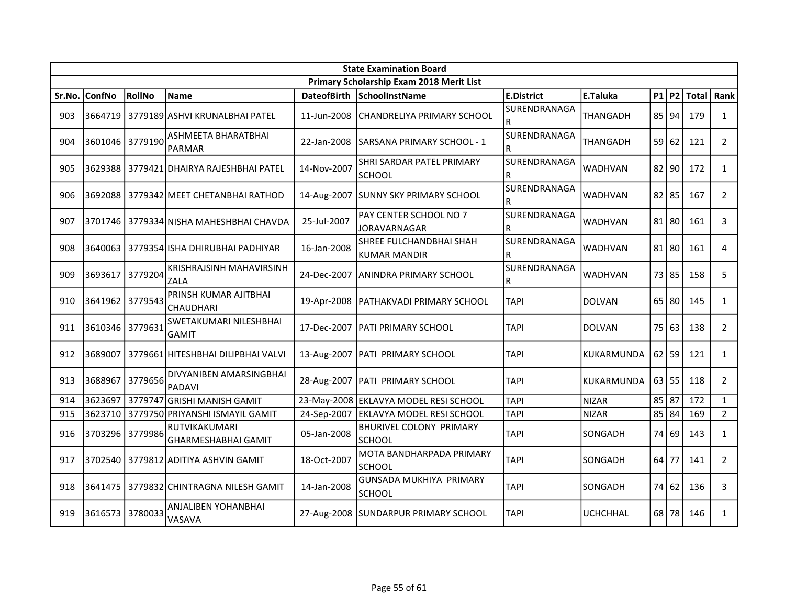|        | <b>State Examination Board</b> |         |                                             |                    |                                            |                          |                 |  |           |            |                |  |
|--------|--------------------------------|---------|---------------------------------------------|--------------------|--------------------------------------------|--------------------------|-----------------|--|-----------|------------|----------------|--|
|        |                                |         |                                             |                    | Primary Scholarship Exam 2018 Merit List   |                          |                 |  |           |            |                |  |
| Sr.No. | <b>ConfNo</b>                  | RollNo  | <b>Name</b>                                 | <b>DateofBirth</b> | SchoolInstName                             | <b>E.District</b>        | E.Taluka        |  | $P1$ P2   | Total Rank |                |  |
| 903    | 3664719                        |         | 3779189 ASHVI KRUNALBHAI PATEL              | 11-Jun-2008        | CHANDRELIYA PRIMARY SCHOOL                 | SURENDRANAGA<br>R        | THANGADH        |  | 85 94     | 179        | $\mathbf{1}$   |  |
| 904    | 3601046                        | 3779190 | ASHMEETA BHARATBHAI<br><b>PARMAR</b>        | 22-Jan-2008        | SARSANA PRIMARY SCHOOL - 1                 | SURENDRANAGA<br>R        | <b>THANGADH</b> |  | 59 62     | 121        | $\overline{2}$ |  |
| 905    | 3629388                        |         | 3779421 DHAIRYA RAJESHBHAI PATEL            | 14-Nov-2007        | SHRI SARDAR PATEL PRIMARY<br><b>SCHOOL</b> | SURENDRANAGA<br>R        | <b>WADHVAN</b>  |  | $82$ 90   | 172        | $\mathbf{1}$   |  |
| 906    |                                |         | 3692088 3779342 MEET CHETANBHAI RATHOD      | 14-Aug-2007        | <b>SUNNY SKY PRIMARY SCHOOL</b>            | SURENDRANAGA<br>R        | WADHVAN         |  | $82$   85 | 167        | $\overline{2}$ |  |
| 907    |                                |         | 3701746   3779334 NISHA MAHESHBHAI CHAVDA   | 25-Jul-2007        | PAY CENTER SCHOOL NO 7<br>JORAVARNAGAR     | SURENDRANAGA<br>R        | WADHVAN         |  | $81$   80 | 161        | 3              |  |
| 908    | 3640063                        |         | 3779354 ISHA DHIRUBHAI PADHIYAR             | 16-Jan-2008        | SHREE FULCHANDBHAI SHAH<br>KUMAR MANDIR    | SURENDRANAGA<br>R        | <b>WADHVAN</b>  |  | $81$   80 | 161        | $\overline{4}$ |  |
| 909    | 3693617                        | 3779204 | KRISHRAJSINH MAHAVIRSINH<br>ZALA            | 24-Dec-2007        | ANINDRA PRIMARY SCHOOL                     | <b>SURENDRANAGA</b><br>R | <b>WADHVAN</b>  |  | 73 85     | 158        | 5              |  |
| 910    | 3641962                        | 3779543 | PRINSH KUMAR AJITBHAI<br>CHAUDHARI          | 19-Apr-2008        | <b>PATHAKVADI PRIMARY SCHOOL</b>           | <b>TAPI</b>              | <b>DOLVAN</b>   |  | $65$ 80   | 145        | $\mathbf{1}$   |  |
| 911    | 3610346 3779631                |         | SWETAKUMARI NILESHBHAI<br>GAMIT             | 17-Dec-2007        | <b>IPATI PRIMARY SCHOOL</b>                | <b>TAPI</b>              | <b>DOLVAN</b>   |  | 75 63     | 138        | $\overline{2}$ |  |
| 912    | 3689007                        |         | 3779661 HITESHBHAI DILIPBHAI VALVI          |                    | 13-Aug-2007   PATI PRIMARY SCHOOL          | <b>TAPI</b>              | KUKARMUNDA      |  | $62$ 59   | 121        | $\mathbf{1}$   |  |
| 913    | 3688967                        | 3779656 | DIVYANIBEN AMARSINGBHAI<br><b>PADAVI</b>    | 28-Aug-2007        | <b>PATI PRIMARY SCHOOL</b>                 | <b>TAPI</b>              | KUKARMUNDA      |  | 63 55     | 118        | $\overline{2}$ |  |
| 914    | 3623697                        | 3779747 | <b>GRISHI MANISH GAMIT</b>                  | 23-May-2008        | <b>EKLAVYA MODEL RESI SCHOOL</b>           | <b>TAPI</b>              | <b>NIZAR</b>    |  | 85 87     | 172        | $\mathbf{1}$   |  |
| 915    | 3623710                        |         | 3779750 PRIYANSHI ISMAYIL GAMIT             | 24-Sep-2007        | <b>EKLAVYA MODEL RESI SCHOOL</b>           | <b>TAPI</b>              | <b>NIZAR</b>    |  | 85 84     | 169        | $2^{\circ}$    |  |
| 916    | 3703296                        | 3779986 | RUTVIKAKUMARI<br><b>GHARMESHABHAI GAMIT</b> | 05-Jan-2008        | <b>BHURIVEL COLONY PRIMARY</b><br>SCHOOL   | <b>TAPI</b>              | SONGADH         |  | 74 69     | 143        | $\mathbf{1}$   |  |
| 917    | 3702540                        |         | 3779812 ADITIYA ASHVIN GAMIT                | 18-Oct-2007        | MOTA BANDHARPADA PRIMARY<br><b>SCHOOL</b>  | <b>TAPI</b>              | SONGADH         |  | $64$ 77   | 141        | $\overline{2}$ |  |
| 918    | 3641475                        |         | 3779832 CHINTRAGNA NILESH GAMIT             | 14-Jan-2008        | GUNSADA MUKHIYA PRIMARY<br><b>SCHOOL</b>   | <b>TAPI</b>              | SONGADH         |  | 74 62     | 136        | 3              |  |
| 919    | 3616573                        | 3780033 | ANJALIBEN YOHANBHAI<br>VASAVA               |                    | 27-Aug-2008 SUNDARPUR PRIMARY SCHOOL       | <b>TAPI</b>              | <b>UCHCHHAL</b> |  | 68 78     | 146        | $\mathbf{1}$   |  |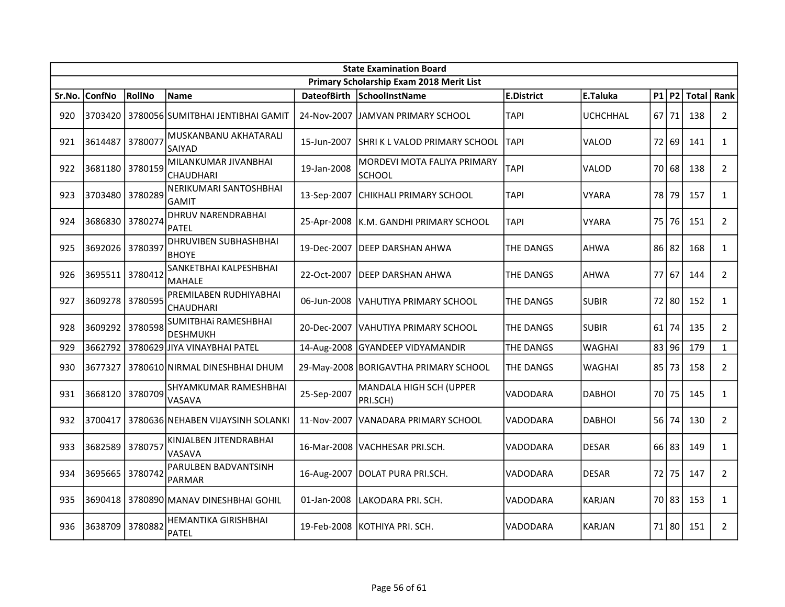|        | <b>State Examination Board</b> |               |                                              |                    |                                              |                   |               |         |           |              |                |  |  |
|--------|--------------------------------|---------------|----------------------------------------------|--------------------|----------------------------------------------|-------------------|---------------|---------|-----------|--------------|----------------|--|--|
|        |                                |               |                                              |                    | Primary Scholarship Exam 2018 Merit List     |                   |               |         |           |              |                |  |  |
| Sr.No. | <b>ConfNo</b>                  | <b>RollNo</b> | Name                                         | <b>DateofBirth</b> | <b>SchoolInstName</b>                        | <b>E.District</b> | E.Taluka      |         | $P1$ $P2$ | <b>Total</b> | Rank           |  |  |
| 920    | 3703420                        |               | l 3780056lSUMITBHAI JENTIBHAI GAMIT          |                    | 24-Nov-2007 JJAMVAN PRIMARY SCHOOL           | TAPI              | UCHCHHAL      |         | $67$   71 | 138          | $\overline{2}$ |  |  |
| 921    | 3614487                        | 3780077       | MUSKANBANU AKHATARALI<br>SAIYAD              | 15-Jun-2007        | ISHRI K L VALOD PRIMARY SCHOOL               | <b>TAPI</b>       | VALOD         |         | 72 69     | 141          | $\mathbf{1}$   |  |  |
| 922    | 3681180 3780159                |               | MILANKUMAR JIVANBHAI<br>CHAUDHARI            | 19-Jan-2008        | MORDEVI MOTA FALIYA PRIMARY<br><b>SCHOOL</b> | TAPI              | VALOD         |         | 70 68     | 138          | $\overline{2}$ |  |  |
| 923    | 3703480                        | 3780289       | NERIKUMARI SANTOSHBHAI<br>GAMIT              | 13-Sep-2007        | CHIKHALI PRIMARY SCHOOL                      | TAPI              | <b>VYARA</b>  | 78      | 79        | 157          | $\mathbf{1}$   |  |  |
| 924    | 3686830                        | 3780274       | <b>DHRUV NARENDRABHAI</b><br><b>PATEL</b>    |                    | 25-Apr-2008   K.M. GANDHI PRIMARY SCHOOL     | TAPI              | <b>VYARA</b>  |         | 75176     | 151          | $\overline{2}$ |  |  |
| 925    | 3692026                        | 3780397       | <b>DHRUVIBEN SUBHASHBHAI</b><br><b>BHOYE</b> | 19-Dec-2007        | <b>DEEP DARSHAN AHWA</b>                     | THE DANGS         | <b>AHWA</b>   | 86 82   |           | 168          | $\mathbf{1}$   |  |  |
| 926    | 3695511 3780412                |               | SANKETBHAI KALPESHBHAI<br><b>MAHALE</b>      | 22-Oct-2007        | IDEEP DARSHAN AHWA                           | THE DANGS         | <b>AHWA</b>   | $77$ 67 |           | 144          | $\mathbf{2}$   |  |  |
| 927    | 3609278                        | 3780595       | PREMILABEN RUDHIYABHAI<br>CHAUDHARI          | 06-Jun-2008        | VAHUTIYA PRIMARY SCHOOL                      | THE DANGS         | <b>SUBIR</b>  |         | 72 80     | 152          | $\mathbf{1}$   |  |  |
| 928    | 3609292                        | 3780598       | SUMITBHAI RAMESHBHAI<br><b>DESHMUKH</b>      | 20-Dec-2007        | IVAHUTIYA PRIMARY SCHOOL                     | THE DANGS         | <b>SUBIR</b>  |         | 61   74   | 135          | $\overline{2}$ |  |  |
| 929    | 3662792                        |               | 3780629 JIYA VINAYBHAI PATEL                 |                    | 14-Aug-2008 GYANDEEP VIDYAMANDIR             | THE DANGS         | <b>WAGHAI</b> |         | 83 96     | 179          | $\mathbf{1}$   |  |  |
| 930    | 3677327                        |               | 3780610 NIRMAL DINESHBHAI DHUM               |                    | 29-May-2008 BORIGAVTHA PRIMARY SCHOOL        | THE DANGS         | <b>WAGHAI</b> |         | 85173     | 158          | $\overline{2}$ |  |  |
| 931    | 3668120 3780709                |               | SHYAMKUMAR RAMESHBHAI<br>VASAVA              | 25-Sep-2007        | MANDALA HIGH SCH (UPPER<br>PRI.SCH)          | VADODARA          | <b>DABHOI</b> |         | 70 75     | 145          | $\mathbf{1}$   |  |  |
| 932    | 3700417                        |               | 3780636 NEHABEN VIJAYSINH SOLANKI            | 11-Nov-2007        | VANADARA PRIMARY SCHOOL                      | VADODARA          | <b>DABHOI</b> |         | 56 74     | 130          | $\overline{2}$ |  |  |
| 933    | 3682589                        | 3780757       | KINJALBEN JITENDRABHAI<br>VASAVA             | 16-Mar-2008        | VACHHESAR PRI.SCH.                           | VADODARA          | <b>DESAR</b>  |         | $66$ 83   | 149          | $\mathbf{1}$   |  |  |
| 934    | 3695665                        | 3780742       | PARULBEN BADVANTSINH<br>PARMAR               | 16-Aug-2007        | DOLAT PURA PRI.SCH.                          | VADODARA          | <b>DESAR</b>  |         | 72 75     | 147          | $\overline{2}$ |  |  |
| 935    | 3690418                        |               | 3780890 MANAV DINESHBHAI GOHIL               | 01-Jan-2008        | LAKODARA PRI. SCH.                           | VADODARA          | <b>KARJAN</b> |         | 70 83     | 153          | $\mathbf{1}$   |  |  |
| 936    | 3638709                        | 3780882       | HEMANTIKA GIRISHBHAI<br><b>PATEL</b>         | 19-Feb-2008        | IKOTHIYA PRI. SCH.                           | VADODARA          | <b>KARJAN</b> |         | 71 80     | 151          | $\overline{2}$ |  |  |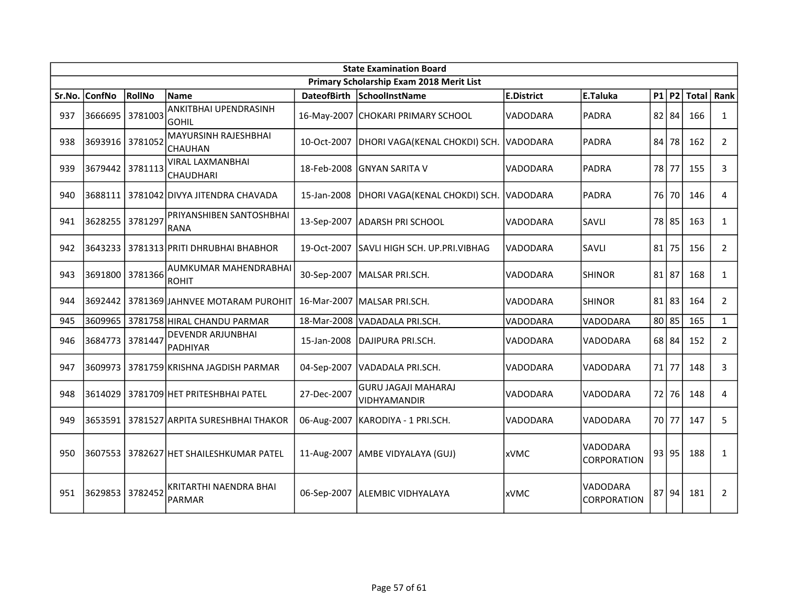|        | <b>State Examination Board</b> |         |                                              |                    |                                                   |                   |                         |       |           |              |                |  |
|--------|--------------------------------|---------|----------------------------------------------|--------------------|---------------------------------------------------|-------------------|-------------------------|-------|-----------|--------------|----------------|--|
|        |                                |         |                                              |                    | Primary Scholarship Exam 2018 Merit List          |                   |                         |       |           |              |                |  |
| Sr.No. | <b>ConfNo</b>                  | RollNo  | <b>Name</b>                                  | <b>DateofBirth</b> | SchoolInstName                                    | <b>E.District</b> | E.Taluka                |       | $P1$ P2   | <b>Total</b> | Rank           |  |
| 937    | 3666695                        | 3781003 | ANKITBHAI UPENDRASINH<br><b>GOHIL</b>        |                    | 16-May-2007 CHOKARI PRIMARY SCHOOL                | <b>VADODARA</b>   | <b>PADRA</b>            |       | $82$ 84   | 166          | $\mathbf{1}$   |  |
| 938    | 3693916                        | 3781052 | MAYURSINH RAJESHBHAI<br><b>CHAUHAN</b>       | 10-Oct-2007        | DHORI VAGA(KENAL CHOKDI) SCH.                     | VADODARA          | <b>PADRA</b>            |       | 84 78     | 162          | $\overline{2}$ |  |
| 939    | 3679442                        | 3781113 | <b>VIRAL LAXMANBHAI</b><br><b>CHAUDHARI</b>  | 18-Feb-2008        | IGNYAN SARITA V                                   | <b>VADODARA</b>   | <b>PADRA</b>            |       | 78177     | 155          | 3              |  |
| 940    | 3688111                        |         | 3781042 DIVYA JITENDRA CHAVADA               | 15-Jan-2008        | DHORI VAGA(KENAL CHOKDI) SCH.                     | VADODARA          | <b>PADRA</b>            |       | 76 70     | 146          | 4              |  |
| 941    | 3628255                        | 3781297 | PRIYANSHIBEN SANTOSHBHAI<br><b>RANA</b>      | 13-Sep-2007        | <b>JADARSH PRI SCHOOL</b>                         | VADODARA          | SAVLI                   |       | 78 85     | 163          | $\mathbf{1}$   |  |
| 942    | 3643233                        |         | 3781313 PRITI DHRUBHAI BHABHOR               | 19-Oct-2007        | ISAVLI HIGH SCH. UP.PRI.VIBHAG                    | VADODARA          | SAVLI                   |       | 81 75     | 156          | $\overline{2}$ |  |
| 943    | 3691800 3781366                |         | AUMKUMAR MAHENDRABHAI<br><b>ROHIT</b>        |                    | 30-Sep-2007   MALSAR PRI.SCH.                     | VADODARA          | <b>SHINOR</b>           |       | $81$   87 | 168          | $\mathbf{1}$   |  |
| 944    |                                |         | 3692442   3781369 JAHNVEE MOTARAM PUROHIT    |                    | 16-Mar-2007   MALSAR PRI.SCH.                     | <b>VADODARA</b>   | <b>SHINOR</b>           |       | 81 83     | 164          | $\overline{2}$ |  |
| 945    | 3609965                        |         | 3781758 HIRAL CHANDU PARMAR                  |                    | 18-Mar-2008   VADADALA PRI.SCH.                   | VADODARA          | VADODARA                |       | 80 85     | 165          | $\mathbf{1}$   |  |
| 946    | 3684773                        | 3781447 | <b>DEVENDR ARJUNBHAI</b><br>PADHIYAR         | 15-Jan-2008        | DAJIPURA PRI.SCH.                                 | <b>VADODARA</b>   | VADODARA                |       | 68 84     | 152          | $\overline{2}$ |  |
| 947    | 3609973                        |         | 3781759 KRISHNA JAGDISH PARMAR               | 04-Sep-2007        | VADADALA PRI.SCH.                                 | VADODARA          | VADODARA                | 71 77 |           | 148          | 3              |  |
| 948    | 3614029                        |         | 3781709 HET PRITESHBHAI PATEL                | 27-Dec-2007        | <b>GURU JAGAJI MAHARAJ</b><br><b>VIDHYAMANDIR</b> | VADODARA          | VADODARA                | 72    | 76        | 148          | 4              |  |
| 949    |                                |         | 3653591   3781527   ARPITA SURESHBHAI THAKOR |                    | 06-Aug-2007   KARODIYA - 1 PRI.SCH.               | <b>VADODARA</b>   | VADODARA                |       | 70 77     | 147          | 5              |  |
| 950    | 3607553                        |         | 3782627 HET SHAILESHKUMAR PATEL              |                    | 11-Aug-2007   AMBE VIDYALAYA (GUJ)                | lxVMC             | VADODARA<br>CORPORATION |       | 93 95     | 188          | $\mathbf{1}$   |  |
| 951    | 3629853 3782452                |         | KRITARTHI NAENDRA BHAI<br><b>PARMAR</b>      |                    | 06-Sep-2007   ALEMBIC VIDHYALAYA                  | <b>xVMC</b>       | VADODARA<br>CORPORATION |       | 87 94     | 181          | $\overline{2}$ |  |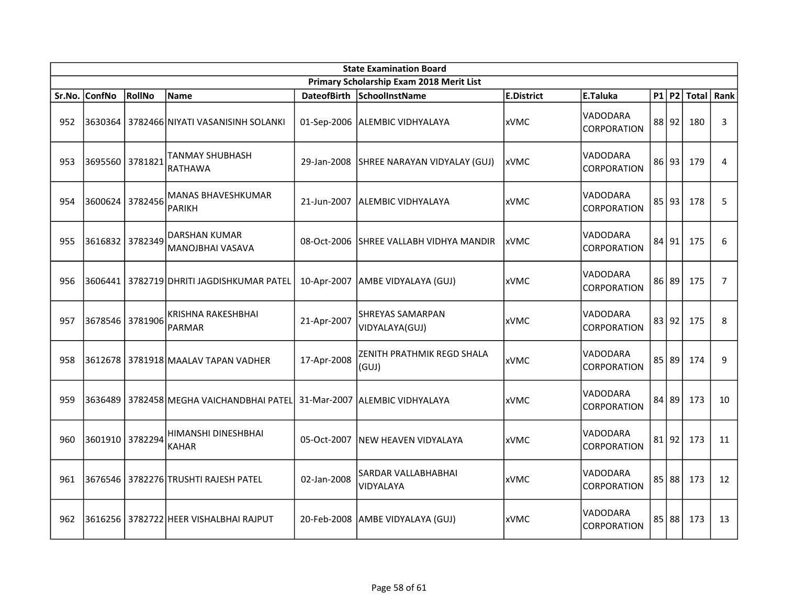|        | <b>State Examination Board</b> |         |                                                 |                    |                                           |                   |                                |  |       |                        |                |  |
|--------|--------------------------------|---------|-------------------------------------------------|--------------------|-------------------------------------------|-------------------|--------------------------------|--|-------|------------------------|----------------|--|
|        |                                |         |                                                 |                    | Primary Scholarship Exam 2018 Merit List  |                   |                                |  |       |                        |                |  |
| Sr.No. | <b>ConfNo</b>                  | RollNo  | <b>Name</b>                                     | <b>DateofBirth</b> | SchoolInstName                            | <b>E.District</b> | E.Taluka                       |  |       | P1   P2   Total   Rank |                |  |
| 952    |                                |         | 3630364   3782466 NIYATI VASANISINH SOLANKI     |                    | 01-Sep-2006 ALEMBIC VIDHYALAYA            | <b>xVMC</b>       | VADODARA<br>CORPORATION        |  | 88 92 | 180                    | 3              |  |
| 953    | 3695560 3781821                |         | TANMAY SHUBHASH<br><b>RATHAWA</b>               | 29-Jan-2008        | SHREE NARAYAN VIDYALAY (GUJ)              | <b>xVMC</b>       | VADODARA<br><b>CORPORATION</b> |  | 86 93 | 179                    | 4              |  |
| 954    | 3600624 3782456                |         | <b>MANAS BHAVESHKUMAR</b><br><b>PARIKH</b>      | 21-Jun-2007        | <b>ALEMBIC VIDHYALAYA</b>                 | xVMC              | VADODARA<br><b>CORPORATION</b> |  | 85 93 | 178                    | 5              |  |
| 955    | 3616832 3782349                |         | <b>DARSHAN KUMAR</b><br><b>MANOJBHAI VASAVA</b> | 08-Oct-2006        | İSHREE VALLABH VIDHYA MANDIR              | <b>xVMC</b>       | VADODARA<br>CORPORATION        |  | 84 91 | 175                    | 6              |  |
| 956    | 3606441                        |         | 3782719 DHRITI JAGDISHKUMAR PATEL               | 10-Apr-2007        | AMBE VIDYALAYA (GUJ)                      | <b>xVMC</b>       | VADODARA<br><b>CORPORATION</b> |  | 86 89 | 175                    | $\overline{7}$ |  |
| 957    | 3678546                        | 3781906 | <b>KRISHNA RAKESHBHAI</b><br><b>PARMAR</b>      | 21-Apr-2007        | <b>SHREYAS SAMARPAN</b><br>VIDYALAYA(GUJ) | xVMC              | VADODARA<br><b>CORPORATION</b> |  | 83 92 | 175                    | 8              |  |
| 958    |                                |         | 3612678   3781918 MAALAV TAPAN VADHER           | 17-Apr-2008        | ZENITH PRATHMIK REGD SHALA<br>(GUJ)       | <b>xVMC</b>       | VADODARA<br>CORPORATION        |  | 85 89 | 174                    | 9              |  |
| 959    |                                |         | 3636489   3782458 MEGHA VAICHANDBHAI PATEL      |                    | 31-Mar-2007   ALEMBIC VIDHYALAYA          | <b>xVMC</b>       | VADODARA<br>CORPORATION        |  | 84 89 | 173                    | 10             |  |
| 960    | 3601910 3782294                |         | HIMANSHI DINESHBHAI<br><b>KAHAR</b>             | 05-Oct-2007        | <b>INEW HEAVEN VIDYALAYA</b>              | <b>xVMC</b>       | VADODARA<br>CORPORATION        |  | 81 92 | 173                    | 11             |  |
| 961    |                                |         | 3676546   3782276   TRUSHTI RAJESH PATEL        | 02-Jan-2008        | SARDAR VALLABHABHAI<br>VIDYALAYA          | <b>xVMC</b>       | VADODARA<br>CORPORATION        |  | 85 88 | 173                    | 12             |  |
| 962    |                                |         | 3616256   3782722 HEER VISHALBHAI RAJPUT        |                    | 20-Feb-2008 AMBE VIDYALAYA (GUJ)          | <b>xVMC</b>       | VADODARA<br><b>CORPORATION</b> |  | 85 88 | 173                    | 13             |  |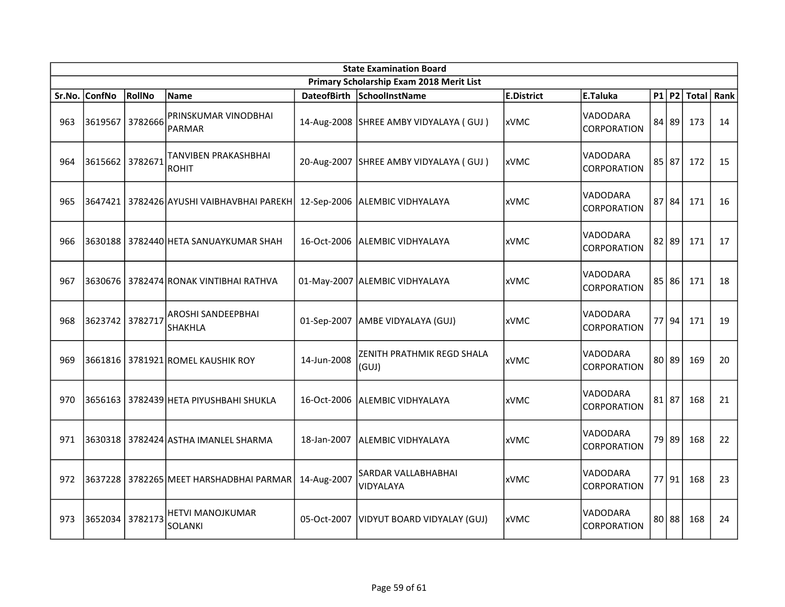|        | <b>State Examination Board</b> |         |                                             |                    |                                          |                   |                                |  |           |              |    |  |
|--------|--------------------------------|---------|---------------------------------------------|--------------------|------------------------------------------|-------------------|--------------------------------|--|-----------|--------------|----|--|
|        |                                |         |                                             |                    | Primary Scholarship Exam 2018 Merit List |                   |                                |  |           |              |    |  |
| Sr.No. | <b>ConfNo</b>                  | RollNo  | <b>Name</b>                                 | <b>DateofBirth</b> | SchoolInstName                           | <b>E.District</b> | <b>E.Taluka</b>                |  | P1 P2     | Total   Rank |    |  |
| 963    | 3619567                        | 3782666 | PRINSKUMAR VINODBHAI<br><b>PARMAR</b>       |                    | 14-Aug-2008 SHREE AMBY VIDYALAYA (GUJ)   | <b>xVMC</b>       | VADODARA<br><b>CORPORATION</b> |  | 84 89     | 173          | 14 |  |
| 964    | 3615662                        | 3782671 | TANVIBEN PRAKASHBHAI<br><b>ROHIT</b>        | 20-Aug-2007        | SHREE AMBY VIDYALAYA (GUJ)               | <b>xVMC</b>       | VADODARA<br><b>CORPORATION</b> |  | $85$   87 | 172          | 15 |  |
| 965    | 3647421                        |         | 3782426 AYUSHI VAIBHAVBHAI PAREKH           | 12-Sep-2006        | ALEMBIC VIDHYALAYA                       | <b>xVMC</b>       | VADODARA<br><b>CORPORATION</b> |  | $87$ 84   | 171          | 16 |  |
| 966    |                                |         | 3630188 3782440 HETA SANUAYKUMAR SHAH       | 16-Oct-2006        | ALEMBIC VIDHYALAYA                       | <b>xVMC</b>       | VADODARA<br><b>CORPORATION</b> |  | $82$   89 | 171          | 17 |  |
| 967    | 3630676                        |         | 3782474 RONAK VINTIBHAI RATHVA              |                    | 01-May-2007 ALEMBIC VIDHYALAYA           | <b>xVMC</b>       | VADODARA<br><b>CORPORATION</b> |  | $85$ 86   | 171          | 18 |  |
| 968    | 3623742                        | 3782717 | AROSHI SANDEEPBHAI<br><b>SHAKHLA</b>        | 01-Sep-2007        | AMBE VIDYALAYA (GUJ)                     | <b>xVMC</b>       | VADODARA<br><b>CORPORATION</b> |  | 77 94     | 171          | 19 |  |
| 969    |                                |         | 3661816 3781921 ROMEL KAUSHIK ROY           | 14-Jun-2008        | ZENITH PRATHMIK REGD SHALA<br>(GUI)      | <b>xVMC</b>       | VADODARA<br>CORPORATION        |  | $80$   89 | 169          | 20 |  |
| 970    |                                |         | 3656163   3782439 HETA PIYUSHBAHI SHUKLA    | 16-Oct-2006        | ALEMBIC VIDHYALAYA                       | <b>xVMC</b>       | VADODARA<br>CORPORATION        |  | $81$   87 | 168          | 21 |  |
| 971    |                                |         | 3630318   3782424 ASTHA IMANLEL SHARMA      | 18-Jan-2007        | ALEMBIC VIDHYALAYA                       | <b>xVMC</b>       | VADODARA<br>CORPORATION        |  | 79 89     | 168          | 22 |  |
| 972    |                                |         | 3637228   3782265   MEET HARSHADBHAI PARMAR | 14-Aug-2007        | SARDAR VALLABHABHAI<br>VIDYALAYA         | xVMC              | VADODARA<br><b>CORPORATION</b> |  | $77$  91  | 168          | 23 |  |
| 973    | 3652034                        | 3782173 | HETVI MANOJKUMAR<br><b>SOLANKI</b>          | 05-Oct-2007        | VIDYUT BOARD VIDYALAY (GUJ)              | <b>xVMC</b>       | VADODARA<br><b>CORPORATION</b> |  | 80 88     | 168          | 24 |  |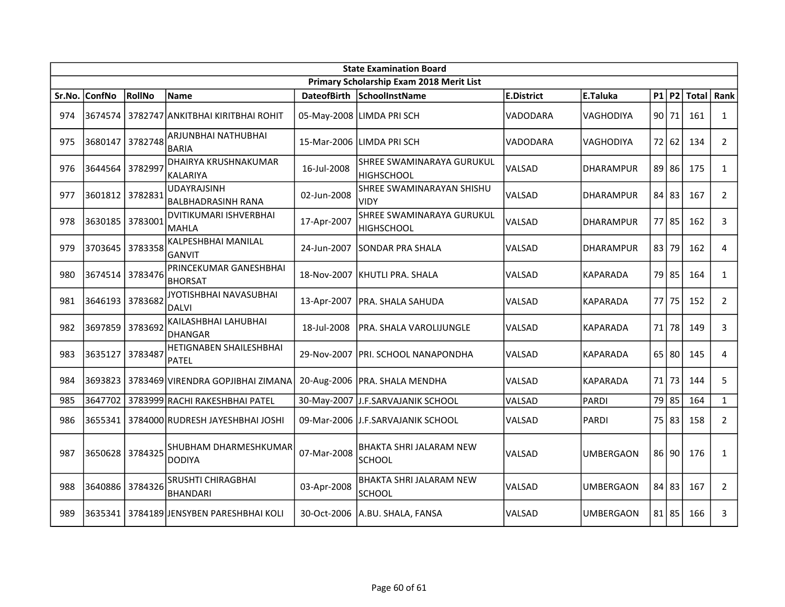|        | <b>State Examination Board</b> |               |                                                |                    |                                                 |                   |                  |  |           |            |                |  |
|--------|--------------------------------|---------------|------------------------------------------------|--------------------|-------------------------------------------------|-------------------|------------------|--|-----------|------------|----------------|--|
|        |                                |               |                                                |                    | Primary Scholarship Exam 2018 Merit List        |                   |                  |  |           |            |                |  |
| Sr.No. | <b>ConfNo</b>                  | <b>RollNo</b> | Name                                           | <b>DateofBirth</b> | SchoolInstName                                  | <b>E.District</b> | E.Taluka         |  | $P1$ P2   | Total Rank |                |  |
| 974    | 3674574                        |               | 3782747 ANKITBHAI KIRITBHAI ROHIT              |                    | 05-May-2008 LIMDA PRI SCH                       | VADODARA          | VAGHODIYA        |  | 90 71     | 161        | $\mathbf{1}$   |  |
| 975    | 3680147                        | 3782748       | ARJUNBHAI NATHUBHAI<br>BARIA                   | 15-Mar-2006        | llimda pri SCH                                  | VADODARA          | VAGHODIYA        |  | 72 62     | 134        | $\overline{2}$ |  |
| 976    | 3644564                        | 3782997       | <b>DHAIRYA KRUSHNAKUMAR</b><br><b>KALARIYA</b> | 16-Jul-2008        | <b>SHREE SWAMINARAYA GURUKUL</b><br>HIGHSCHOOL  | VALSAD            | DHARAMPUR        |  | 89 86     | 175        | $\mathbf{1}$   |  |
| 977    | 3601812                        | 3782831       | <b>UDAYRAJSINH</b><br>BALBHADRASINH RANA       | 02-Jun-2008        | <b>SHREE SWAMINARAYAN SHISHU</b><br>VIDY        | VALSAD            | <b>DHARAMPUR</b> |  | 84 83     | 167        | $\overline{2}$ |  |
| 978    | 3630185                        | 3783001       | DVITIKUMARI ISHVERBHAI<br>lmahla               | 17-Apr-2007        | SHREE SWAMINARAYA GURUKUL<br>HIGHSCHOOL         | VALSAD            | <b>DHARAMPUR</b> |  | 77 85     | 162        | 3              |  |
| 979    | 3703645                        | 3783358       | KALPESHBHAI MANILAL<br>IGANVIT                 | 24-Jun-2007        | <b>SONDAR PRA SHALA</b>                         | VALSAD            | <b>DHARAMPUR</b> |  | 83 79     | 162        | 4              |  |
| 980    | 3674514                        | 3783476       | PRINCEKUMAR GANESHBHAI<br><b>BHORSAT</b>       | 18-Nov-2007        | KHUTLI PRA. SHALA                               | VALSAD            | <b>KAPARADA</b>  |  | 79 85     | 164        | $\mathbf{1}$   |  |
| 981    | 3646193                        | 3783682       | JYOTISHBHAI NAVASUBHAI<br>DALVI                | 13-Apr-2007        | PRA. SHALA SAHUDA                               | VALSAD            | <b>KAPARADA</b>  |  | 77 75     | 152        | $\overline{2}$ |  |
| 982    | 3697859                        | 3783692       | KAILASHBHAI LAHUBHAI<br>DHANGAR                | 18-Jul-2008        | PRA. SHALA VAROLIJUNGLE                         | VALSAD            | KAPARADA         |  | 71 78     | 149        | 3              |  |
| 983    | 3635127                        | 3783487       | <b>HETIGNABEN SHAILESHBHAI</b><br>PATEL        | 29-Nov-2007        | <b>PRI. SCHOOL NANAPONDHA</b>                   | VALSAD            | <b>KAPARADA</b>  |  | 65 80     | 145        | 4              |  |
| 984    | 3693823                        |               | 3783469 VIRENDRA GOPJIBHAI ZIMANA              |                    | 20-Aug-2006   PRA. SHALA MENDHA                 | VALSAD            | <b>KAPARADA</b>  |  | 71 73     | 144        | 5              |  |
| 985    | 3647702                        |               | 3783999 RACHI RAKESHBHAI PATEL                 | 30-May-2007        | J.F.SARVAJANIK SCHOOL                           | VALSAD            | PARDI            |  | 79 85     | 164        | $\mathbf{1}$   |  |
| 986    | 3655341                        |               | 3784000 RUDRESH JAYESHBHAI JOSHI               |                    | 09-Mar-2006 J.F.SARVAJANIK SCHOOL               | VALSAD            | PARDI            |  | 75 83     | 158        | $2^{\circ}$    |  |
| 987    | 3650628                        | 3784325       | SHUBHAM DHARMESHKUMAR<br><b>DODIYA</b>         | 07-Mar-2008        | <b>BHAKTA SHRI JALARAM NEW</b><br><b>SCHOOL</b> | <b>VALSAD</b>     | UMBERGAON        |  | $86$  90  | 176        | $\mathbf{1}$   |  |
| 988    | 3640886                        | 3784326       | SRUSHTI CHIRAGBHAI<br>BHANDARI                 | 03-Apr-2008        | <b>BHAKTA SHRI JALARAM NEW</b><br><b>SCHOOL</b> | VALSAD            | UMBERGAON        |  | 84 83     | 167        | $\overline{2}$ |  |
| 989    | 3635341                        |               | 3784189 JENSYBEN PARESHBHAI KOLI               | 30-Oct-2006        | A.BU. SHALA, FANSA                              | VALSAD            | UMBERGAON        |  | $81$   85 | 166        | 3              |  |